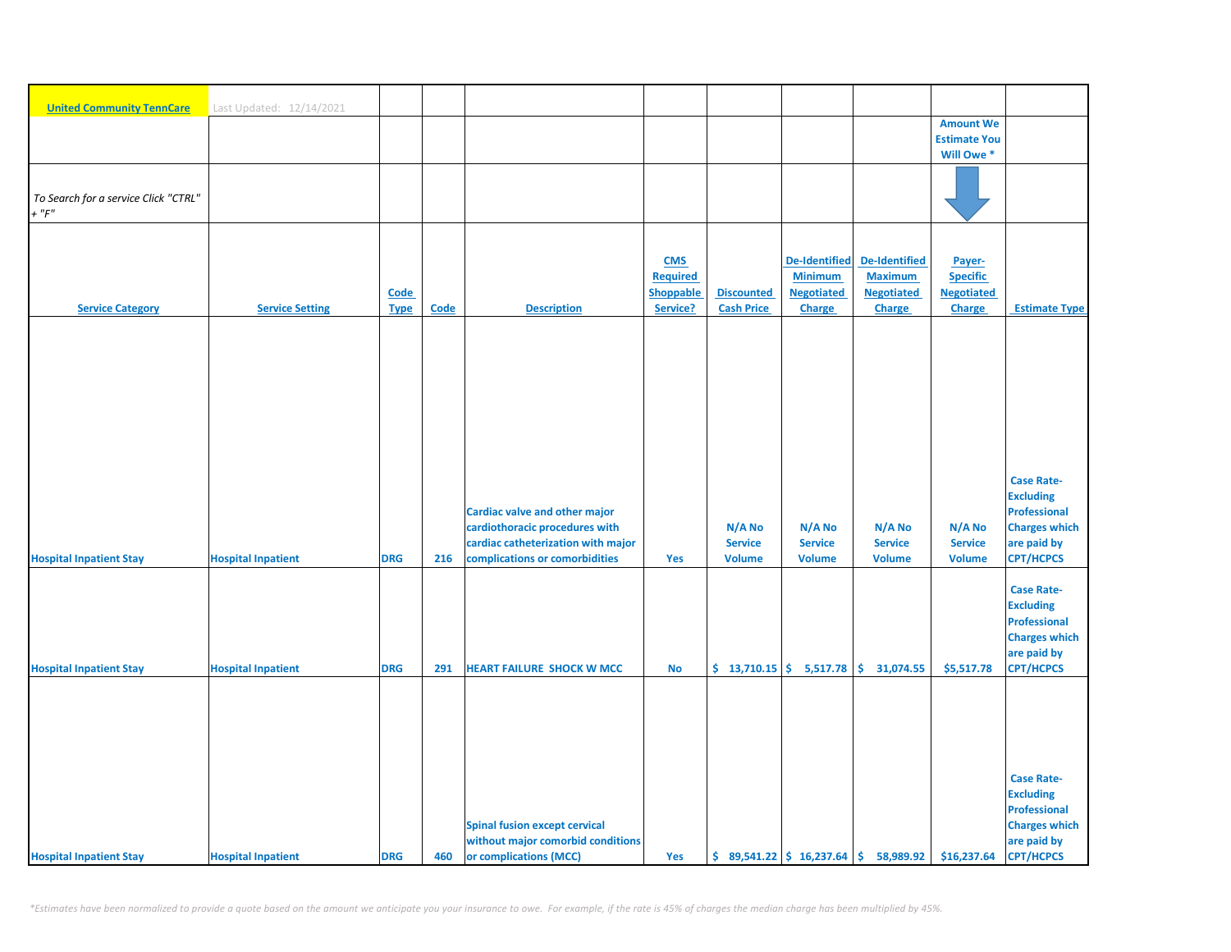| <b>United Community TennCare</b>     | Last Updated: 12/14/2021  |             |      |                                      |                 |                   |                          |                                        |                     |                      |
|--------------------------------------|---------------------------|-------------|------|--------------------------------------|-----------------|-------------------|--------------------------|----------------------------------------|---------------------|----------------------|
|                                      |                           |             |      |                                      |                 |                   |                          |                                        | <b>Amount We</b>    |                      |
|                                      |                           |             |      |                                      |                 |                   |                          |                                        | <b>Estimate You</b> |                      |
|                                      |                           |             |      |                                      |                 |                   |                          |                                        | Will Owe *          |                      |
|                                      |                           |             |      |                                      |                 |                   |                          |                                        |                     |                      |
| To Search for a service Click "CTRL" |                           |             |      |                                      |                 |                   |                          |                                        |                     |                      |
| $+$ " $F$ "                          |                           |             |      |                                      |                 |                   |                          |                                        |                     |                      |
|                                      |                           |             |      |                                      |                 |                   |                          |                                        |                     |                      |
|                                      |                           |             |      |                                      |                 |                   |                          |                                        |                     |                      |
|                                      |                           |             |      |                                      | <b>CMS</b>      |                   | <b>De-Identified</b>     | <b>De-Identified</b>                   | Payer-              |                      |
|                                      |                           |             |      |                                      | <b>Required</b> |                   | <b>Minimum</b>           | <b>Maximum</b>                         | <b>Specific</b>     |                      |
|                                      |                           | <b>Code</b> |      |                                      | Shoppable       | <b>Discounted</b> | <b>Negotiated</b>        | <b>Negotiated</b>                      | <b>Negotiated</b>   |                      |
| <b>Service Category</b>              | <b>Service Setting</b>    | <b>Type</b> | Code | <b>Description</b>                   | Service?        | <b>Cash Price</b> | <b>Charge</b>            | Charge                                 | Charge              | <b>Estimate Type</b> |
|                                      |                           |             |      |                                      |                 |                   |                          |                                        |                     |                      |
|                                      |                           |             |      |                                      |                 |                   |                          |                                        |                     |                      |
|                                      |                           |             |      |                                      |                 |                   |                          |                                        |                     |                      |
|                                      |                           |             |      |                                      |                 |                   |                          |                                        |                     |                      |
|                                      |                           |             |      |                                      |                 |                   |                          |                                        |                     |                      |
|                                      |                           |             |      |                                      |                 |                   |                          |                                        |                     |                      |
|                                      |                           |             |      |                                      |                 |                   |                          |                                        |                     |                      |
|                                      |                           |             |      |                                      |                 |                   |                          |                                        |                     |                      |
|                                      |                           |             |      |                                      |                 |                   |                          |                                        |                     |                      |
|                                      |                           |             |      |                                      |                 |                   |                          |                                        |                     | <b>Case Rate-</b>    |
|                                      |                           |             |      |                                      |                 |                   |                          |                                        |                     | <b>Excluding</b>     |
|                                      |                           |             |      | <b>Cardiac valve and other major</b> |                 |                   |                          |                                        |                     | <b>Professional</b>  |
|                                      |                           |             |      | cardiothoracic procedures with       |                 | N/A No            | N/A No                   | N/A No                                 | N/A No              | <b>Charges which</b> |
|                                      |                           |             |      | cardiac catheterization with major   |                 | <b>Service</b>    | <b>Service</b>           | <b>Service</b>                         | <b>Service</b>      | are paid by          |
| <b>Hospital Inpatient Stay</b>       | <b>Hospital Inpatient</b> | <b>DRG</b>  | 216  | complications or comorbidities       | Yes             | <b>Volume</b>     | <b>Volume</b>            | <b>Volume</b>                          | <b>Volume</b>       | <b>CPT/HCPCS</b>     |
|                                      |                           |             |      |                                      |                 |                   |                          |                                        |                     |                      |
|                                      |                           |             |      |                                      |                 |                   |                          |                                        |                     | <b>Case Rate-</b>    |
|                                      |                           |             |      |                                      |                 |                   |                          |                                        |                     | <b>Excluding</b>     |
|                                      |                           |             |      |                                      |                 |                   |                          |                                        |                     | <b>Professional</b>  |
|                                      |                           |             |      |                                      |                 |                   |                          |                                        |                     | <b>Charges which</b> |
|                                      |                           |             |      |                                      |                 |                   |                          |                                        |                     | are paid by          |
| <b>Hospital Inpatient Stay</b>       | <b>Hospital Inpatient</b> | <b>DRG</b>  | 291  | <b>HEART FAILURE SHOCK W MCC</b>     | <b>No</b>       |                   | $$13,710.15$ $$5,517.78$ | $\mathsf{S}$<br>31,074.55              | \$5,517.78          | <b>CPT/HCPCS</b>     |
|                                      |                           |             |      |                                      |                 |                   |                          |                                        |                     |                      |
|                                      |                           |             |      |                                      |                 |                   |                          |                                        |                     |                      |
|                                      |                           |             |      |                                      |                 |                   |                          |                                        |                     |                      |
|                                      |                           |             |      |                                      |                 |                   |                          |                                        |                     |                      |
|                                      |                           |             |      |                                      |                 |                   |                          |                                        |                     |                      |
|                                      |                           |             |      |                                      |                 |                   |                          |                                        |                     | <b>Case Rate-</b>    |
|                                      |                           |             |      |                                      |                 |                   |                          |                                        |                     | <b>Excluding</b>     |
|                                      |                           |             |      |                                      |                 |                   |                          |                                        |                     | <b>Professional</b>  |
|                                      |                           |             |      | <b>Spinal fusion except cervical</b> |                 |                   |                          |                                        |                     | <b>Charges which</b> |
|                                      |                           |             |      | without major comorbid conditions    |                 |                   |                          |                                        |                     | are paid by          |
| <b>Hospital Inpatient Stay</b>       | <b>Hospital Inpatient</b> | <b>DRG</b>  | 460  | or complications (MCC)               | Yes             |                   |                          | $$89,541.22 \t$16,237.64 \t$58,989.92$ | \$16,237.64         | <b>CPT/HCPCS</b>     |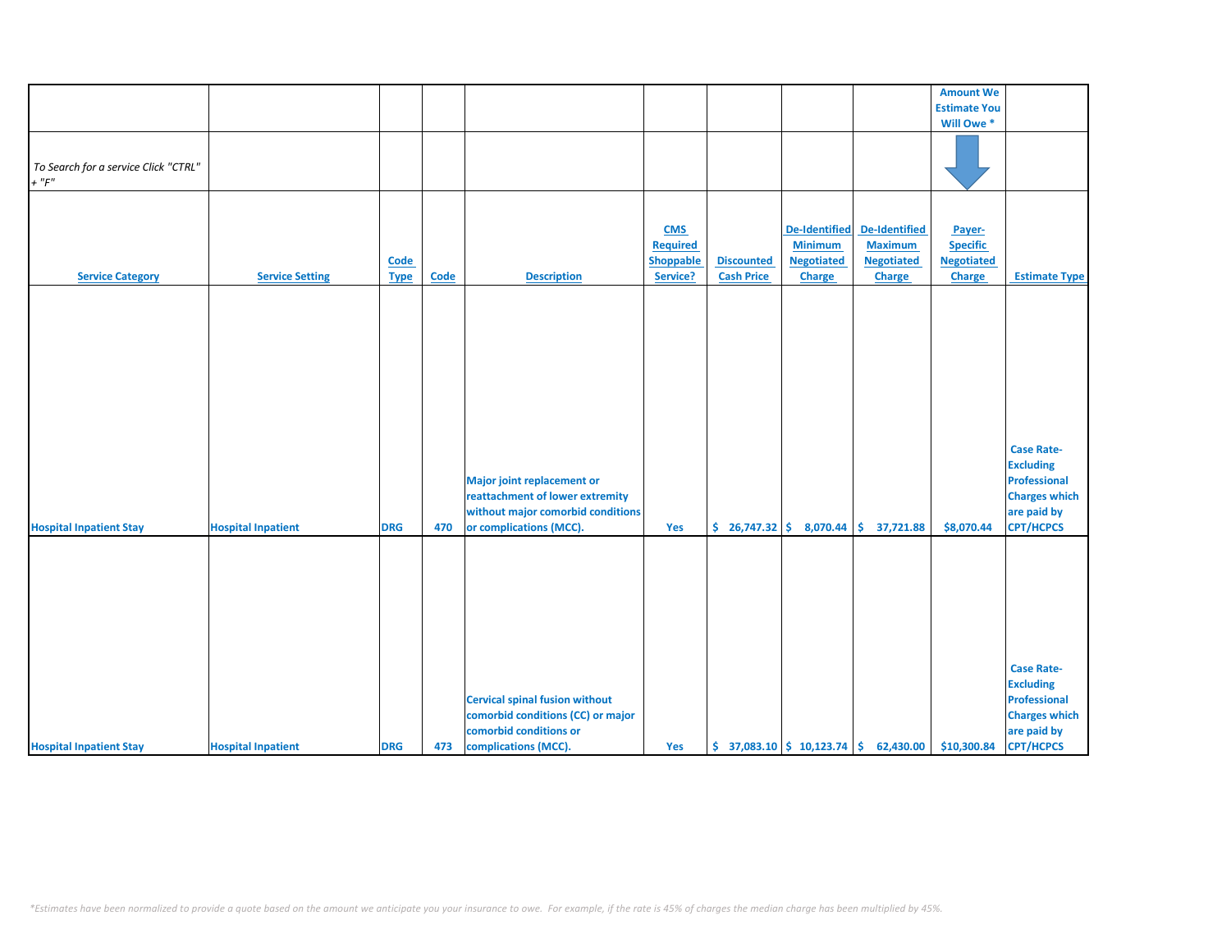|                                      |                           |             |             |                                                                                                                                      |                  |                   |                              |                                                                            | <b>Amount We</b>    |                                                                                                                         |
|--------------------------------------|---------------------------|-------------|-------------|--------------------------------------------------------------------------------------------------------------------------------------|------------------|-------------------|------------------------------|----------------------------------------------------------------------------|---------------------|-------------------------------------------------------------------------------------------------------------------------|
|                                      |                           |             |             |                                                                                                                                      |                  |                   |                              |                                                                            | <b>Estimate You</b> |                                                                                                                         |
|                                      |                           |             |             |                                                                                                                                      |                  |                   |                              |                                                                            | Will Owe *          |                                                                                                                         |
|                                      |                           |             |             |                                                                                                                                      |                  |                   |                              |                                                                            |                     |                                                                                                                         |
| To Search for a service Click "CTRL" |                           |             |             |                                                                                                                                      |                  |                   |                              |                                                                            |                     |                                                                                                                         |
| $+$ " $F$ "                          |                           |             |             |                                                                                                                                      |                  |                   |                              |                                                                            |                     |                                                                                                                         |
|                                      |                           |             |             |                                                                                                                                      |                  |                   |                              |                                                                            |                     |                                                                                                                         |
|                                      |                           |             |             |                                                                                                                                      |                  |                   |                              |                                                                            |                     |                                                                                                                         |
|                                      |                           |             |             |                                                                                                                                      | <b>CMS</b>       |                   | <b>De-Identified</b>         | De-Identified                                                              | Payer-              |                                                                                                                         |
|                                      |                           |             |             |                                                                                                                                      | <b>Required</b>  |                   | <b>Minimum</b>               | <b>Maximum</b>                                                             | <b>Specific</b>     |                                                                                                                         |
|                                      |                           | Code        |             |                                                                                                                                      | <b>Shoppable</b> | <b>Discounted</b> | <b>Negotiated</b>            | <b>Negotiated</b>                                                          | <b>Negotiated</b>   |                                                                                                                         |
| <b>Service Category</b>              | <b>Service Setting</b>    | <b>Type</b> | <b>Code</b> | <b>Description</b>                                                                                                                   | Service?         | <b>Cash Price</b> | <b>Charge</b>                | Charge                                                                     | <b>Charge</b>       | <b>Estimate Type</b>                                                                                                    |
|                                      |                           |             |             |                                                                                                                                      |                  |                   |                              |                                                                            |                     |                                                                                                                         |
| <b>Hospital Inpatient Stay</b>       | <b>Hospital Inpatient</b> | <b>DRG</b>  | 470         | <b>Major joint replacement or</b><br>reattachment of lower extremity<br>without major comorbid conditions<br>or complications (MCC). | Yes              |                   | $$26,747.32 \mid $8,070.44]$ | \$37,721.88                                                                | \$8,070.44          | <b>Case Rate-</b><br><b>Excluding</b><br><b>Professional</b><br><b>Charges which</b><br>are paid by<br><b>CPT/HCPCS</b> |
|                                      |                           |             |             |                                                                                                                                      |                  |                   |                              |                                                                            |                     |                                                                                                                         |
|                                      |                           |             |             |                                                                                                                                      |                  |                   |                              |                                                                            |                     |                                                                                                                         |
|                                      |                           |             |             |                                                                                                                                      |                  |                   |                              |                                                                            |                     | <b>Case Rate-</b>                                                                                                       |
|                                      |                           |             |             |                                                                                                                                      |                  |                   |                              |                                                                            |                     | <b>Excluding</b>                                                                                                        |
|                                      |                           |             |             | <b>Cervical spinal fusion without</b>                                                                                                |                  |                   |                              |                                                                            |                     | Professional                                                                                                            |
|                                      |                           |             |             | comorbid conditions (CC) or major                                                                                                    |                  |                   |                              |                                                                            |                     | <b>Charges which</b>                                                                                                    |
|                                      |                           |             |             | comorbid conditions or                                                                                                               |                  |                   |                              |                                                                            |                     | are paid by                                                                                                             |
| <b>Hospital Inpatient Stay</b>       | <b>Hospital Inpatient</b> | <b>DRG</b>  | 473         | complications (MCC).                                                                                                                 | Yes              |                   |                              | $\binom{2}{3}$ 37,083.10 $\binom{2}{3}$ 10,123.74 $\binom{2}{3}$ 62,430.00 | \$10,300.84         | <b>CPT/HCPCS</b>                                                                                                        |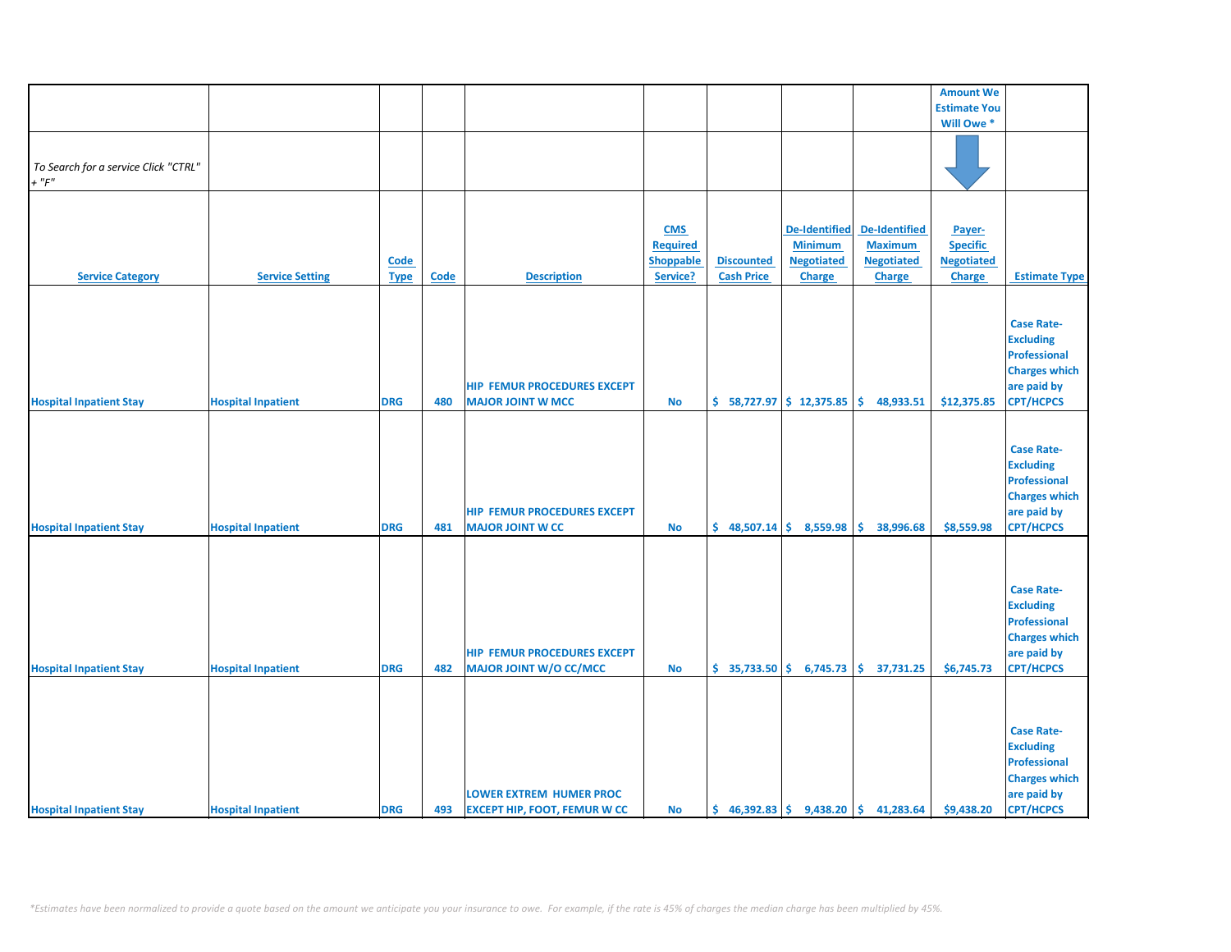|                                      |                           |             |             |                                     |                  |                   |                           |                                                                           | <b>Amount We</b>    |                      |
|--------------------------------------|---------------------------|-------------|-------------|-------------------------------------|------------------|-------------------|---------------------------|---------------------------------------------------------------------------|---------------------|----------------------|
|                                      |                           |             |             |                                     |                  |                   |                           |                                                                           | <b>Estimate You</b> |                      |
|                                      |                           |             |             |                                     |                  |                   |                           |                                                                           | Will Owe*           |                      |
|                                      |                           |             |             |                                     |                  |                   |                           |                                                                           |                     |                      |
|                                      |                           |             |             |                                     |                  |                   |                           |                                                                           |                     |                      |
| To Search for a service Click "CTRL" |                           |             |             |                                     |                  |                   |                           |                                                                           |                     |                      |
| $+$ " $F"$                           |                           |             |             |                                     |                  |                   |                           |                                                                           |                     |                      |
|                                      |                           |             |             |                                     |                  |                   |                           |                                                                           |                     |                      |
|                                      |                           |             |             |                                     |                  |                   |                           |                                                                           |                     |                      |
|                                      |                           |             |             |                                     | <b>CMS</b>       |                   | <b>De-Identified</b>      | De-Identified                                                             | Payer-              |                      |
|                                      |                           |             |             |                                     | <b>Required</b>  |                   | <b>Minimum</b>            | <b>Maximum</b>                                                            | <b>Specific</b>     |                      |
|                                      |                           | <b>Code</b> |             |                                     | <b>Shoppable</b> | <b>Discounted</b> | <b>Negotiated</b>         | <b>Negotiated</b>                                                         | <b>Negotiated</b>   |                      |
| <b>Service Category</b>              | <b>Service Setting</b>    | <b>Type</b> | <b>Code</b> | <b>Description</b>                  | Service?         | <b>Cash Price</b> | <b>Charge</b>             | <b>Charge</b>                                                             | Charge              | <b>Estimate Type</b> |
|                                      |                           |             |             |                                     |                  |                   |                           |                                                                           |                     |                      |
|                                      |                           |             |             |                                     |                  |                   |                           |                                                                           |                     |                      |
|                                      |                           |             |             |                                     |                  |                   |                           |                                                                           |                     | <b>Case Rate-</b>    |
|                                      |                           |             |             |                                     |                  |                   |                           |                                                                           |                     | <b>Excluding</b>     |
|                                      |                           |             |             |                                     |                  |                   |                           |                                                                           |                     | <b>Professional</b>  |
|                                      |                           |             |             |                                     |                  |                   |                           |                                                                           |                     | <b>Charges which</b> |
|                                      |                           |             |             | <b>HIP FEMUR PROCEDURES EXCEPT</b>  |                  |                   |                           |                                                                           |                     | are paid by          |
| <b>Hospital Inpatient Stay</b>       | <b>Hospital Inpatient</b> | <b>DRG</b>  | 480         | <b>MAJOR JOINT W MCC</b>            | <b>No</b>        |                   | $$58,727.97$$ \$12,375.85 | \$.<br>48,933.51                                                          | \$12,375.85         | <b>CPT/HCPCS</b>     |
|                                      |                           |             |             |                                     |                  |                   |                           |                                                                           |                     |                      |
|                                      |                           |             |             |                                     |                  |                   |                           |                                                                           |                     |                      |
|                                      |                           |             |             |                                     |                  |                   |                           |                                                                           |                     | <b>Case Rate-</b>    |
|                                      |                           |             |             |                                     |                  |                   |                           |                                                                           |                     |                      |
|                                      |                           |             |             |                                     |                  |                   |                           |                                                                           |                     | <b>Excluding</b>     |
|                                      |                           |             |             |                                     |                  |                   |                           |                                                                           |                     | <b>Professional</b>  |
|                                      |                           |             |             |                                     |                  |                   |                           |                                                                           |                     | <b>Charges which</b> |
|                                      |                           |             |             | <b>HIP FEMUR PROCEDURES EXCEPT</b>  |                  |                   |                           |                                                                           |                     | are paid by          |
| <b>Hospital Inpatient Stay</b>       | <b>Hospital Inpatient</b> | <b>DRG</b>  | 481         | <b>MAJOR JOINT W CC</b>             | <b>No</b>        |                   | $$48,507.14$$ $$8,559.98$ | \$.<br>38,996.68                                                          | \$8,559.98          | <b>CPT/HCPCS</b>     |
|                                      |                           |             |             |                                     |                  |                   |                           |                                                                           |                     |                      |
|                                      |                           |             |             |                                     |                  |                   |                           |                                                                           |                     |                      |
|                                      |                           |             |             |                                     |                  |                   |                           |                                                                           |                     |                      |
|                                      |                           |             |             |                                     |                  |                   |                           |                                                                           |                     | <b>Case Rate-</b>    |
|                                      |                           |             |             |                                     |                  |                   |                           |                                                                           |                     | <b>Excluding</b>     |
|                                      |                           |             |             |                                     |                  |                   |                           |                                                                           |                     | <b>Professional</b>  |
|                                      |                           |             |             |                                     |                  |                   |                           |                                                                           |                     | <b>Charges which</b> |
|                                      |                           |             |             | <b>HIP FEMUR PROCEDURES EXCEPT</b>  |                  |                   |                           |                                                                           |                     | are paid by          |
| <b>Hospital Inpatient Stay</b>       | <b>Hospital Inpatient</b> | <b>DRG</b>  | 482         | <b>MAJOR JOINT W/O CC/MCC</b>       | No               |                   |                           | $\binom{1}{2}$ 35,733.50 $\binom{2}{3}$ 6,745.73 $\binom{3}{2}$ 37,731.25 | \$6,745.73          | <b>CPT/HCPCS</b>     |
|                                      |                           |             |             |                                     |                  |                   |                           |                                                                           |                     |                      |
|                                      |                           |             |             |                                     |                  |                   |                           |                                                                           |                     |                      |
|                                      |                           |             |             |                                     |                  |                   |                           |                                                                           |                     |                      |
|                                      |                           |             |             |                                     |                  |                   |                           |                                                                           |                     | <b>Case Rate-</b>    |
|                                      |                           |             |             |                                     |                  |                   |                           |                                                                           |                     | <b>Excluding</b>     |
|                                      |                           |             |             |                                     |                  |                   |                           |                                                                           |                     | <b>Professional</b>  |
|                                      |                           |             |             |                                     |                  |                   |                           |                                                                           |                     | <b>Charges which</b> |
|                                      |                           |             |             | <b>LOWER EXTREM HUMER PROC</b>      |                  |                   |                           |                                                                           |                     | are paid by          |
| <b>Hospital Inpatient Stay</b>       | <b>Hospital Inpatient</b> | <b>DRG</b>  | 493         | <b>EXCEPT HIP, FOOT, FEMUR W CC</b> | <b>No</b>        |                   |                           | $\binom{6}{5}$ 46,392.83 $\binom{6}{5}$ 9,438.20 $\binom{6}{5}$ 41,283.64 | \$9,438.20          | <b>CPT/HCPCS</b>     |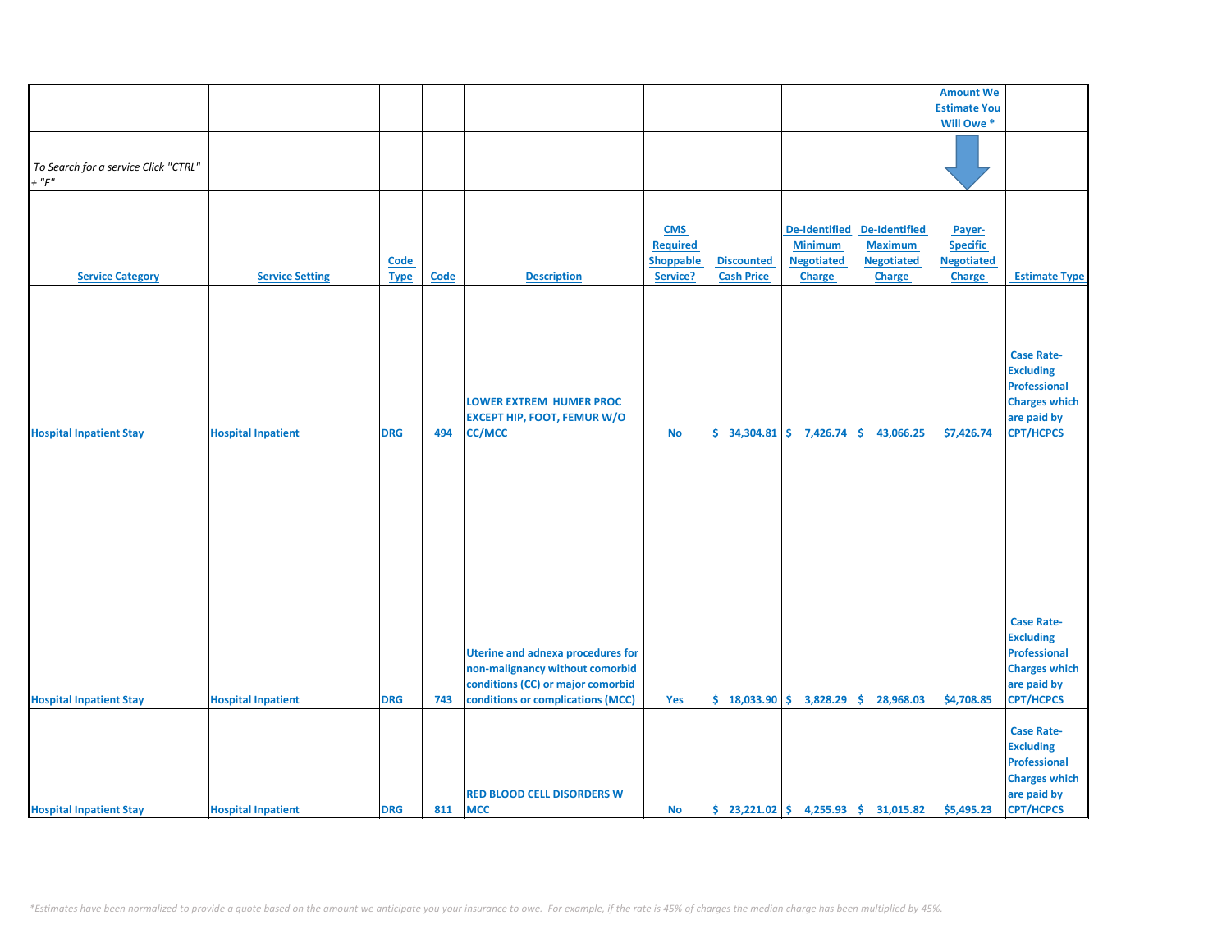|                                      |                           |             |      |                                          |                 |                                                |                      |                                                           | <b>Amount We</b>    |                      |
|--------------------------------------|---------------------------|-------------|------|------------------------------------------|-----------------|------------------------------------------------|----------------------|-----------------------------------------------------------|---------------------|----------------------|
|                                      |                           |             |      |                                          |                 |                                                |                      |                                                           | <b>Estimate You</b> |                      |
|                                      |                           |             |      |                                          |                 |                                                |                      |                                                           | Will Owe *          |                      |
|                                      |                           |             |      |                                          |                 |                                                |                      |                                                           |                     |                      |
|                                      |                           |             |      |                                          |                 |                                                |                      |                                                           |                     |                      |
|                                      |                           |             |      |                                          |                 |                                                |                      |                                                           |                     |                      |
| To Search for a service Click "CTRL" |                           |             |      |                                          |                 |                                                |                      |                                                           |                     |                      |
| $+$ " $F"$                           |                           |             |      |                                          |                 |                                                |                      |                                                           |                     |                      |
|                                      |                           |             |      |                                          |                 |                                                |                      |                                                           |                     |                      |
|                                      |                           |             |      |                                          |                 |                                                |                      |                                                           |                     |                      |
|                                      |                           |             |      |                                          |                 |                                                |                      |                                                           |                     |                      |
|                                      |                           |             |      |                                          | <b>CMS</b>      |                                                | <b>De-Identified</b> | <b>De-Identified</b>                                      | Payer-              |                      |
|                                      |                           |             |      |                                          | <b>Required</b> |                                                | <b>Minimum</b>       | <b>Maximum</b>                                            | <b>Specific</b>     |                      |
|                                      |                           | Code        |      |                                          | Shoppable       | <b>Discounted</b>                              | <b>Negotiated</b>    | <b>Negotiated</b>                                         | <b>Negotiated</b>   |                      |
|                                      |                           |             |      |                                          |                 |                                                |                      |                                                           |                     |                      |
| <b>Service Category</b>              | <b>Service Setting</b>    | <b>Type</b> | Code | <b>Description</b>                       | Service?        | <b>Cash Price</b>                              | Charge               | <b>Charge</b>                                             | <b>Charge</b>       | <b>Estimate Type</b> |
|                                      |                           |             |      |                                          |                 |                                                |                      |                                                           |                     |                      |
|                                      |                           |             |      |                                          |                 |                                                |                      |                                                           |                     |                      |
|                                      |                           |             |      |                                          |                 |                                                |                      |                                                           |                     |                      |
|                                      |                           |             |      |                                          |                 |                                                |                      |                                                           |                     |                      |
|                                      |                           |             |      |                                          |                 |                                                |                      |                                                           |                     |                      |
|                                      |                           |             |      |                                          |                 |                                                |                      |                                                           |                     | <b>Case Rate-</b>    |
|                                      |                           |             |      |                                          |                 |                                                |                      |                                                           |                     | <b>Excluding</b>     |
|                                      |                           |             |      |                                          |                 |                                                |                      |                                                           |                     |                      |
|                                      |                           |             |      |                                          |                 |                                                |                      |                                                           |                     | <b>Professional</b>  |
|                                      |                           |             |      | <b>LOWER EXTREM HUMER PROC</b>           |                 |                                                |                      |                                                           |                     | <b>Charges which</b> |
|                                      |                           |             |      | <b>EXCEPT HIP, FOOT, FEMUR W/O</b>       |                 |                                                |                      |                                                           |                     | are paid by          |
| <b>Hospital Inpatient Stay</b>       | <b>Hospital Inpatient</b> | <b>DRG</b>  | 494  | <b>CC/MCC</b>                            | No              | $\frac{1}{2}$ 34,304.81 $\frac{1}{2}$ 7,426.74 |                      | \$.<br>43,066.25                                          | \$7,426.74          | <b>CPT/HCPCS</b>     |
|                                      |                           |             |      |                                          |                 |                                                |                      |                                                           |                     |                      |
|                                      |                           |             |      |                                          |                 |                                                |                      |                                                           |                     |                      |
|                                      |                           |             |      |                                          |                 |                                                |                      |                                                           |                     |                      |
|                                      |                           |             |      |                                          |                 |                                                |                      |                                                           |                     |                      |
|                                      |                           |             |      |                                          |                 |                                                |                      |                                                           |                     |                      |
|                                      |                           |             |      |                                          |                 |                                                |                      |                                                           |                     |                      |
|                                      |                           |             |      |                                          |                 |                                                |                      |                                                           |                     |                      |
|                                      |                           |             |      |                                          |                 |                                                |                      |                                                           |                     |                      |
|                                      |                           |             |      |                                          |                 |                                                |                      |                                                           |                     |                      |
|                                      |                           |             |      |                                          |                 |                                                |                      |                                                           |                     |                      |
|                                      |                           |             |      |                                          |                 |                                                |                      |                                                           |                     |                      |
|                                      |                           |             |      |                                          |                 |                                                |                      |                                                           |                     |                      |
|                                      |                           |             |      |                                          |                 |                                                |                      |                                                           |                     |                      |
|                                      |                           |             |      |                                          |                 |                                                |                      |                                                           |                     |                      |
|                                      |                           |             |      |                                          |                 |                                                |                      |                                                           |                     |                      |
|                                      |                           |             |      |                                          |                 |                                                |                      |                                                           |                     | <b>Case Rate-</b>    |
|                                      |                           |             |      |                                          |                 |                                                |                      |                                                           |                     | <b>Excluding</b>     |
|                                      |                           |             |      |                                          |                 |                                                |                      |                                                           |                     |                      |
|                                      |                           |             |      | <b>Uterine and adnexa procedures for</b> |                 |                                                |                      |                                                           |                     | <b>Professional</b>  |
|                                      |                           |             |      | non-malignancy without comorbid          |                 |                                                |                      |                                                           |                     | <b>Charges which</b> |
|                                      |                           |             |      | conditions (CC) or major comorbid        |                 |                                                |                      |                                                           |                     | are paid by          |
|                                      |                           | <b>DRG</b>  | 743  | conditions or complications (MCC)        | Yes             | $$18,033.90 \;   \; $3,828.29$                 |                      | \$.<br>28,968.03                                          | \$4,708.85          | <b>CPT/HCPCS</b>     |
| <b>Hospital Inpatient Stay</b>       | <b>Hospital Inpatient</b> |             |      |                                          |                 |                                                |                      |                                                           |                     |                      |
|                                      |                           |             |      |                                          |                 |                                                |                      |                                                           |                     |                      |
|                                      |                           |             |      |                                          |                 |                                                |                      |                                                           |                     | <b>Case Rate-</b>    |
|                                      |                           |             |      |                                          |                 |                                                |                      |                                                           |                     | <b>Excluding</b>     |
|                                      |                           |             |      |                                          |                 |                                                |                      |                                                           |                     |                      |
|                                      |                           |             |      |                                          |                 |                                                |                      |                                                           |                     | <b>Professional</b>  |
|                                      |                           |             |      |                                          |                 |                                                |                      |                                                           |                     | <b>Charges which</b> |
|                                      |                           |             |      | <b>RED BLOOD CELL DISORDERS W</b>        |                 |                                                |                      |                                                           |                     | are paid by          |
|                                      |                           |             | 811  | <b>MCC</b>                               |                 |                                                |                      | $\binom{23,221.02}{5}$ 4,255.93 $\binom{25,31,015.82}{5}$ |                     | <b>CPT/HCPCS</b>     |
| <b>Hospital Inpatient Stay</b>       | <b>Hospital Inpatient</b> | <b>DRG</b>  |      |                                          | <b>No</b>       |                                                |                      |                                                           | \$5,495.23          |                      |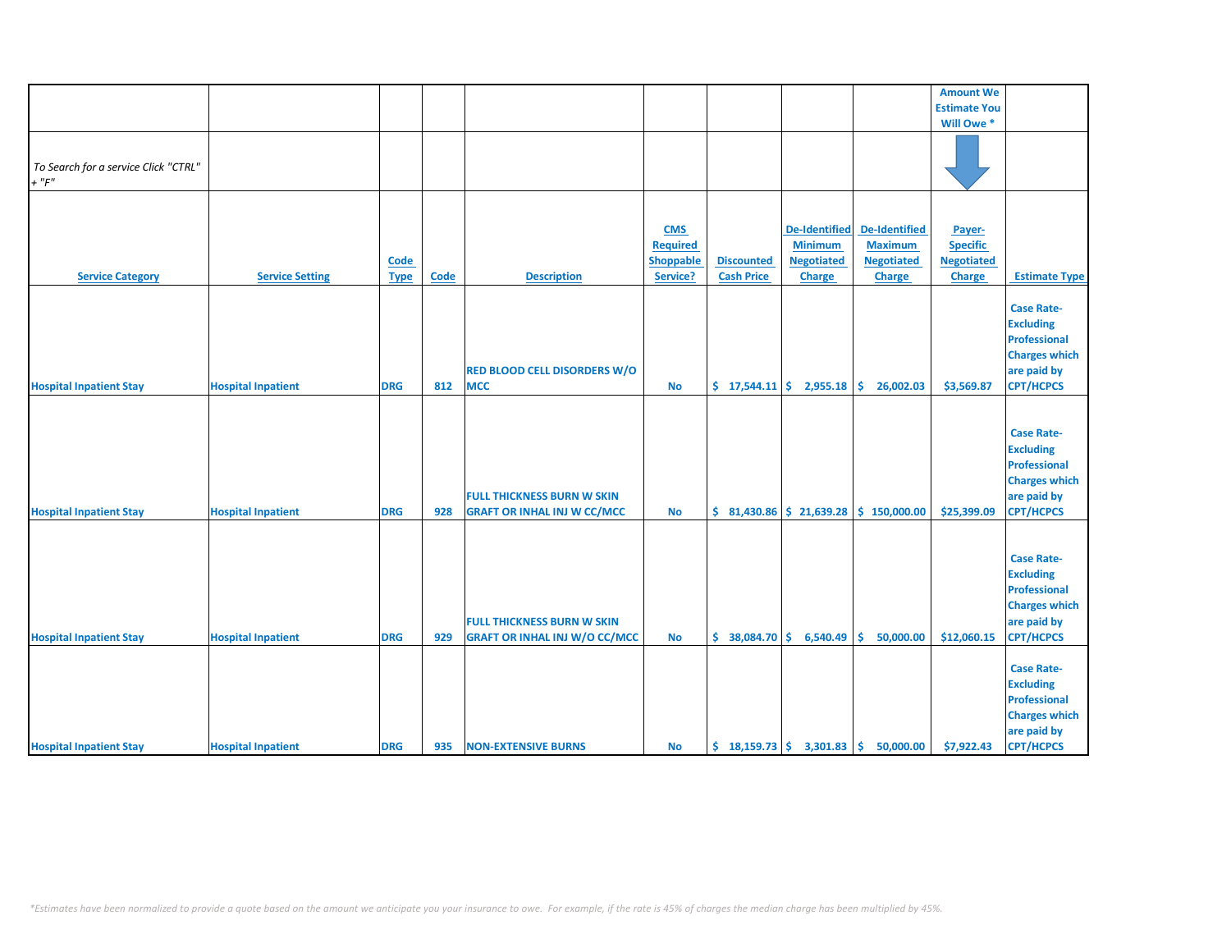|                                      |                           |             |      |                                      |                  |                   |                                                |                                                                             | <b>Amount We</b>    |                      |
|--------------------------------------|---------------------------|-------------|------|--------------------------------------|------------------|-------------------|------------------------------------------------|-----------------------------------------------------------------------------|---------------------|----------------------|
|                                      |                           |             |      |                                      |                  |                   |                                                |                                                                             | <b>Estimate You</b> |                      |
|                                      |                           |             |      |                                      |                  |                   |                                                |                                                                             | Will Owe *          |                      |
|                                      |                           |             |      |                                      |                  |                   |                                                |                                                                             |                     |                      |
|                                      |                           |             |      |                                      |                  |                   |                                                |                                                                             |                     |                      |
| To Search for a service Click "CTRL" |                           |             |      |                                      |                  |                   |                                                |                                                                             |                     |                      |
| $+$ " $F$ "                          |                           |             |      |                                      |                  |                   |                                                |                                                                             |                     |                      |
|                                      |                           |             |      |                                      |                  |                   |                                                |                                                                             |                     |                      |
|                                      |                           |             |      |                                      |                  |                   |                                                |                                                                             |                     |                      |
|                                      |                           |             |      |                                      |                  |                   |                                                |                                                                             |                     |                      |
|                                      |                           |             |      |                                      | <b>CMS</b>       |                   | <b>De-Identified</b>                           | <b>De-Identified</b>                                                        | Payer-              |                      |
|                                      |                           |             |      |                                      | <b>Required</b>  |                   | <b>Minimum</b>                                 | <b>Maximum</b>                                                              | <b>Specific</b>     |                      |
|                                      |                           | Code        |      |                                      | <b>Shoppable</b> | <b>Discounted</b> | <b>Negotiated</b>                              | <b>Negotiated</b>                                                           | <b>Negotiated</b>   |                      |
| <b>Service Category</b>              | <b>Service Setting</b>    | <b>Type</b> | Code | <b>Description</b>                   | Service?         | <b>Cash Price</b> | <b>Charge</b>                                  | Charge                                                                      | Charge              | <b>Estimate Type</b> |
|                                      |                           |             |      |                                      |                  |                   |                                                |                                                                             |                     |                      |
|                                      |                           |             |      |                                      |                  |                   |                                                |                                                                             |                     | <b>Case Rate-</b>    |
|                                      |                           |             |      |                                      |                  |                   |                                                |                                                                             |                     | <b>Excluding</b>     |
|                                      |                           |             |      |                                      |                  |                   |                                                |                                                                             |                     | <b>Professional</b>  |
|                                      |                           |             |      |                                      |                  |                   |                                                |                                                                             |                     | <b>Charges which</b> |
|                                      |                           |             |      |                                      |                  |                   |                                                |                                                                             |                     |                      |
|                                      |                           |             |      | <b>RED BLOOD CELL DISORDERS W/O</b>  |                  |                   |                                                |                                                                             |                     | are paid by          |
| <b>Hospital Inpatient Stay</b>       | <b>Hospital Inpatient</b> | <b>DRG</b>  | 812  | <b>MCC</b>                           | <b>No</b>        |                   | $\frac{1}{2}$ 17,544.11 $\frac{1}{2}$ 2,955.18 | \$.<br>26,002.03                                                            | \$3,569.87          | <b>CPT/HCPCS</b>     |
|                                      |                           |             |      |                                      |                  |                   |                                                |                                                                             |                     |                      |
|                                      |                           |             |      |                                      |                  |                   |                                                |                                                                             |                     |                      |
|                                      |                           |             |      |                                      |                  |                   |                                                |                                                                             |                     | <b>Case Rate-</b>    |
|                                      |                           |             |      |                                      |                  |                   |                                                |                                                                             |                     | <b>Excluding</b>     |
|                                      |                           |             |      |                                      |                  |                   |                                                |                                                                             |                     | <b>Professional</b>  |
|                                      |                           |             |      |                                      |                  |                   |                                                |                                                                             |                     | <b>Charges which</b> |
|                                      |                           |             |      |                                      |                  |                   |                                                |                                                                             |                     |                      |
|                                      |                           |             |      | <b>FULL THICKNESS BURN W SKIN</b>    |                  |                   |                                                |                                                                             |                     | are paid by          |
| <b>Hospital Inpatient Stay</b>       | <b>Hospital Inpatient</b> | <b>DRG</b>  | 928  | <b>GRAFT OR INHAL INJ W CC/MCC</b>   | <b>No</b>        |                   |                                                | $\binom{6}{5}$ 81,430.86 $\binom{6}{5}$ 21,639.28 $\binom{6}{5}$ 150,000.00 | \$25,399.09         | <b>CPT/HCPCS</b>     |
|                                      |                           |             |      |                                      |                  |                   |                                                |                                                                             |                     |                      |
|                                      |                           |             |      |                                      |                  |                   |                                                |                                                                             |                     |                      |
|                                      |                           |             |      |                                      |                  |                   |                                                |                                                                             |                     | <b>Case Rate-</b>    |
|                                      |                           |             |      |                                      |                  |                   |                                                |                                                                             |                     | <b>Excluding</b>     |
|                                      |                           |             |      |                                      |                  |                   |                                                |                                                                             |                     | <b>Professional</b>  |
|                                      |                           |             |      |                                      |                  |                   |                                                |                                                                             |                     | <b>Charges which</b> |
|                                      |                           |             |      |                                      |                  |                   |                                                |                                                                             |                     |                      |
|                                      |                           |             |      | <b>FULL THICKNESS BURN W SKIN</b>    |                  |                   |                                                |                                                                             |                     | are paid by          |
| <b>Hospital Inpatient Stay</b>       | <b>Hospital Inpatient</b> | <b>DRG</b>  | 929  | <b>GRAFT OR INHAL INJ W/O CC/MCC</b> | No               | \$38,084.70       | 6,540.49                                       | 50,000.00<br>Ŝ.                                                             | \$12,060.15         | <b>CPT/HCPCS</b>     |
|                                      |                           |             |      |                                      |                  |                   |                                                |                                                                             |                     |                      |
|                                      |                           |             |      |                                      |                  |                   |                                                |                                                                             |                     | <b>Case Rate-</b>    |
|                                      |                           |             |      |                                      |                  |                   |                                                |                                                                             |                     | <b>Excluding</b>     |
|                                      |                           |             |      |                                      |                  |                   |                                                |                                                                             |                     | <b>Professional</b>  |
|                                      |                           |             |      |                                      |                  |                   |                                                |                                                                             |                     | <b>Charges which</b> |
|                                      |                           |             |      |                                      |                  |                   |                                                |                                                                             |                     | are paid by          |
|                                      |                           |             |      |                                      |                  |                   |                                                |                                                                             |                     |                      |
| <b>Hospital Inpatient Stay</b>       | <b>Hospital Inpatient</b> | <b>DRG</b>  | 935  | <b>NON-EXTENSIVE BURNS</b>           | <b>No</b>        |                   |                                                | $\binom{18,159.73}{ }$ $\binom{26}{ }$ 3,301.83 $\binom{36}{ }$ 50,000.00   | \$7,922.43          | <b>CPT/HCPCS</b>     |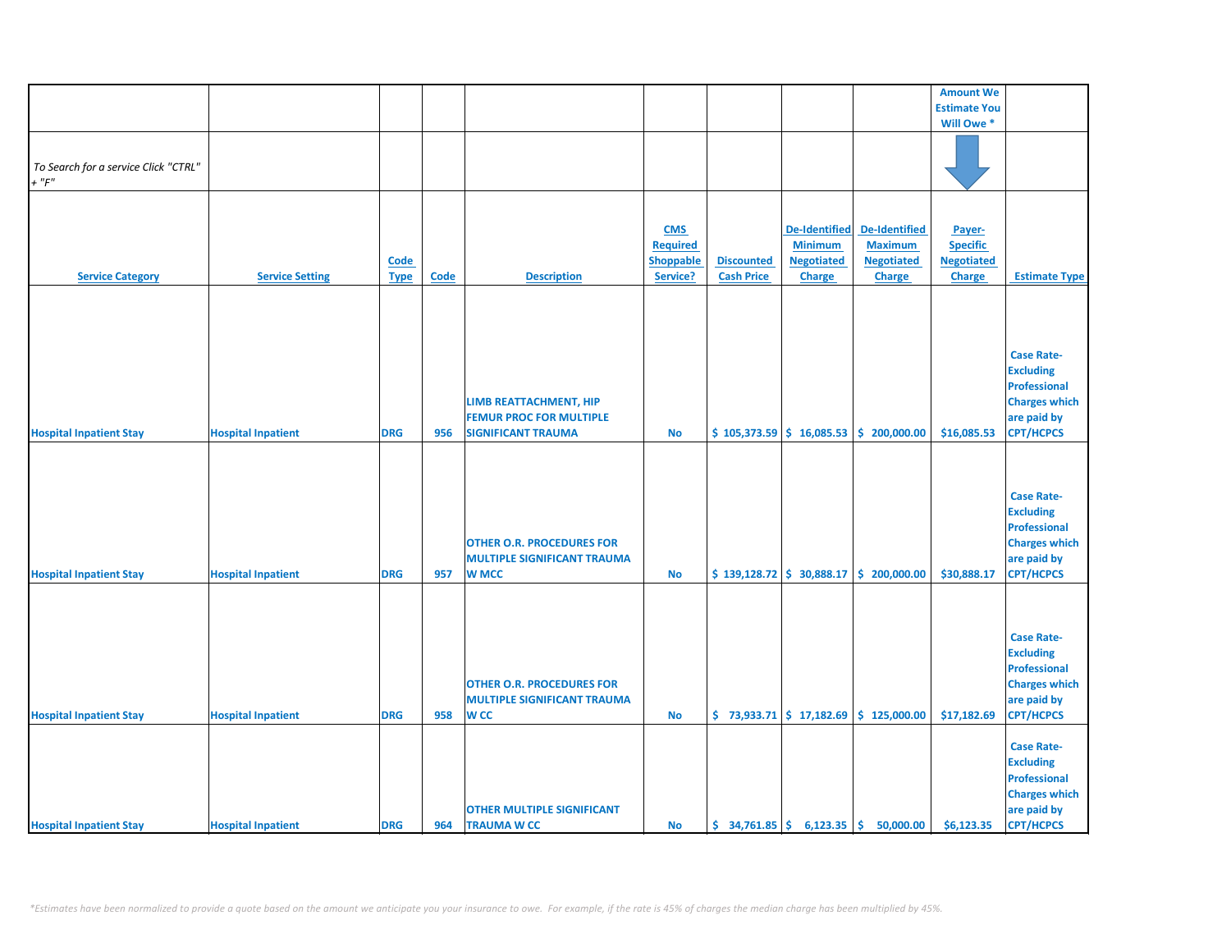|                                      |                           |             |             |                                    |                  |                   |                                                              |                                                                             | <b>Amount We</b>    |                      |
|--------------------------------------|---------------------------|-------------|-------------|------------------------------------|------------------|-------------------|--------------------------------------------------------------|-----------------------------------------------------------------------------|---------------------|----------------------|
|                                      |                           |             |             |                                    |                  |                   |                                                              |                                                                             | <b>Estimate You</b> |                      |
|                                      |                           |             |             |                                    |                  |                   |                                                              |                                                                             | Will Owe *          |                      |
|                                      |                           |             |             |                                    |                  |                   |                                                              |                                                                             |                     |                      |
|                                      |                           |             |             |                                    |                  |                   |                                                              |                                                                             |                     |                      |
| To Search for a service Click "CTRL" |                           |             |             |                                    |                  |                   |                                                              |                                                                             |                     |                      |
| $+$ " $F$ "                          |                           |             |             |                                    |                  |                   |                                                              |                                                                             |                     |                      |
|                                      |                           |             |             |                                    |                  |                   |                                                              |                                                                             |                     |                      |
|                                      |                           |             |             |                                    |                  |                   |                                                              |                                                                             |                     |                      |
|                                      |                           |             |             |                                    |                  |                   |                                                              |                                                                             |                     |                      |
|                                      |                           |             |             |                                    | <b>CMS</b>       |                   | <b>De-Identified</b>                                         | <b>De-Identified</b>                                                        | Payer-              |                      |
|                                      |                           |             |             |                                    | <b>Required</b>  |                   | <b>Minimum</b>                                               | <b>Maximum</b>                                                              | <b>Specific</b>     |                      |
|                                      |                           | Code        |             |                                    | <b>Shoppable</b> | <b>Discounted</b> | <b>Negotiated</b>                                            | <b>Negotiated</b>                                                           | <b>Negotiated</b>   |                      |
| <b>Service Category</b>              | <b>Service Setting</b>    | <b>Type</b> | <b>Code</b> | <b>Description</b>                 | Service?         | <b>Cash Price</b> | Charge                                                       | <b>Charge</b>                                                               | Charge              | <b>Estimate Type</b> |
|                                      |                           |             |             |                                    |                  |                   |                                                              |                                                                             |                     |                      |
|                                      |                           |             |             |                                    |                  |                   |                                                              |                                                                             |                     |                      |
|                                      |                           |             |             |                                    |                  |                   |                                                              |                                                                             |                     |                      |
|                                      |                           |             |             |                                    |                  |                   |                                                              |                                                                             |                     |                      |
|                                      |                           |             |             |                                    |                  |                   |                                                              |                                                                             |                     |                      |
|                                      |                           |             |             |                                    |                  |                   |                                                              |                                                                             |                     | <b>Case Rate-</b>    |
|                                      |                           |             |             |                                    |                  |                   |                                                              |                                                                             |                     | <b>Excluding</b>     |
|                                      |                           |             |             |                                    |                  |                   |                                                              |                                                                             |                     |                      |
|                                      |                           |             |             |                                    |                  |                   |                                                              |                                                                             |                     | <b>Professional</b>  |
|                                      |                           |             |             | LIMB REATTACHMENT, HIP             |                  |                   |                                                              |                                                                             |                     | <b>Charges which</b> |
|                                      |                           |             |             | <b>FEMUR PROC FOR MULTIPLE</b>     |                  |                   |                                                              |                                                                             |                     | are paid by          |
| <b>Hospital Inpatient Stay</b>       | <b>Hospital Inpatient</b> | <b>DRG</b>  | 956         | <b>SIGNIFICANT TRAUMA</b>          | <b>No</b>        |                   |                                                              | $$105,373.59 \mid $16,085.53 \mid $200,000.00$                              | \$16,085.53         | <b>CPT/HCPCS</b>     |
|                                      |                           |             |             |                                    |                  |                   |                                                              |                                                                             |                     |                      |
|                                      |                           |             |             |                                    |                  |                   |                                                              |                                                                             |                     |                      |
|                                      |                           |             |             |                                    |                  |                   |                                                              |                                                                             |                     |                      |
|                                      |                           |             |             |                                    |                  |                   |                                                              |                                                                             |                     |                      |
|                                      |                           |             |             |                                    |                  |                   |                                                              |                                                                             |                     | <b>Case Rate-</b>    |
|                                      |                           |             |             |                                    |                  |                   |                                                              |                                                                             |                     | <b>Excluding</b>     |
|                                      |                           |             |             |                                    |                  |                   |                                                              |                                                                             |                     | <b>Professional</b>  |
|                                      |                           |             |             | <b>OTHER O.R. PROCEDURES FOR</b>   |                  |                   |                                                              |                                                                             |                     | <b>Charges which</b> |
|                                      |                           |             |             | <b>MULTIPLE SIGNIFICANT TRAUMA</b> |                  |                   |                                                              |                                                                             |                     | are paid by          |
| <b>Hospital Inpatient Stay</b>       | <b>Hospital Inpatient</b> | <b>DRG</b>  | 957         | <b>W MCC</b>                       | <b>No</b>        |                   |                                                              | $\frac{1}{2}$ 139,128.72 $\frac{1}{2}$ 30,888.17 $\frac{1}{2}$ 200,000.00   | \$30,888.17         | <b>CPT/HCPCS</b>     |
|                                      |                           |             |             |                                    |                  |                   |                                                              |                                                                             |                     |                      |
|                                      |                           |             |             |                                    |                  |                   |                                                              |                                                                             |                     |                      |
|                                      |                           |             |             |                                    |                  |                   |                                                              |                                                                             |                     |                      |
|                                      |                           |             |             |                                    |                  |                   |                                                              |                                                                             |                     |                      |
|                                      |                           |             |             |                                    |                  |                   |                                                              |                                                                             |                     | <b>Case Rate-</b>    |
|                                      |                           |             |             |                                    |                  |                   |                                                              |                                                                             |                     | <b>Excluding</b>     |
|                                      |                           |             |             |                                    |                  |                   |                                                              |                                                                             |                     | <b>Professional</b>  |
|                                      |                           |             |             | <b>OTHER O.R. PROCEDURES FOR</b>   |                  |                   |                                                              |                                                                             |                     | <b>Charges which</b> |
|                                      |                           |             |             |                                    |                  |                   |                                                              |                                                                             |                     |                      |
|                                      |                           |             |             | <b>MULTIPLE SIGNIFICANT TRAUMA</b> |                  |                   |                                                              |                                                                             |                     | are paid by          |
| <b>Hospital Inpatient Stay</b>       | <b>Hospital Inpatient</b> | <b>DRG</b>  | 958         | <b>WCC</b>                         | <b>No</b>        |                   |                                                              | $\binom{1}{2}$ 73,933.71 $\binom{2}{3}$ 17,182.69 $\binom{3}{2}$ 125,000.00 | \$17,182.69         | <b>CPT/HCPCS</b>     |
|                                      |                           |             |             |                                    |                  |                   |                                                              |                                                                             |                     |                      |
|                                      |                           |             |             |                                    |                  |                   |                                                              |                                                                             |                     | <b>Case Rate-</b>    |
|                                      |                           |             |             |                                    |                  |                   |                                                              |                                                                             |                     | <b>Excluding</b>     |
|                                      |                           |             |             |                                    |                  |                   |                                                              |                                                                             |                     | <b>Professional</b>  |
|                                      |                           |             |             |                                    |                  |                   |                                                              |                                                                             |                     |                      |
|                                      |                           |             |             |                                    |                  |                   |                                                              |                                                                             |                     | <b>Charges which</b> |
|                                      |                           |             |             | <b>OTHER MULTIPLE SIGNIFICANT</b>  |                  |                   |                                                              |                                                                             |                     | are paid by          |
| <b>Hospital Inpatient Stay</b>       | <b>Hospital Inpatient</b> | <b>DRG</b>  | 964         | <b>TRAUMA W CC</b>                 | <b>No</b>        |                   | $\frac{1}{2}$ 34,761.85 $\frac{1}{2}$ 6,123.35 $\frac{1}{2}$ | 50,000.00                                                                   | \$6,123.35          | <b>CPT/HCPCS</b>     |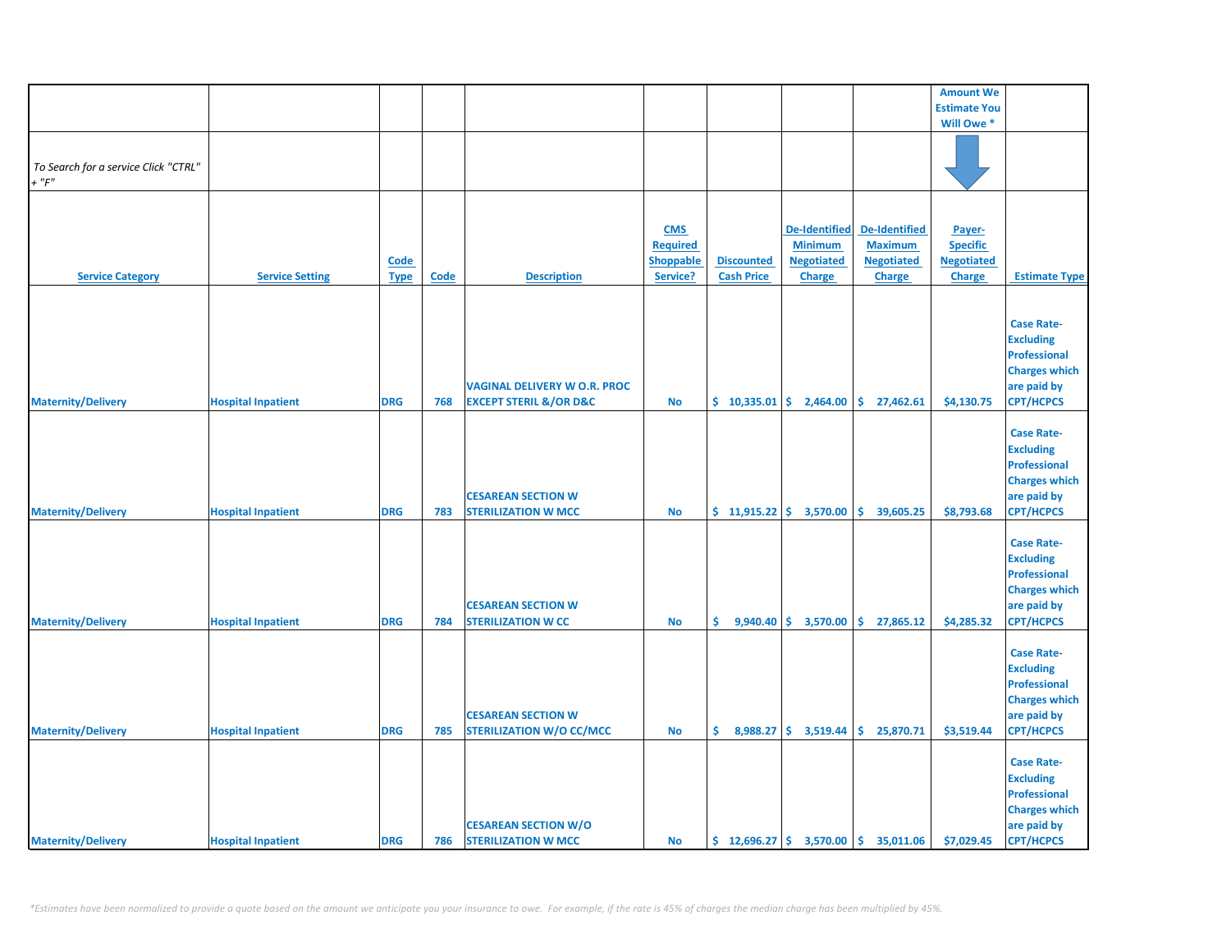|                                                     |                           |                            |      |                                                                              |                                                               |                                                  |                                                                              |                                                                              | <b>Amount We</b>                                                |                                                                                                                         |
|-----------------------------------------------------|---------------------------|----------------------------|------|------------------------------------------------------------------------------|---------------------------------------------------------------|--------------------------------------------------|------------------------------------------------------------------------------|------------------------------------------------------------------------------|-----------------------------------------------------------------|-------------------------------------------------------------------------------------------------------------------------|
|                                                     |                           |                            |      |                                                                              |                                                               |                                                  |                                                                              |                                                                              | <b>Estimate You</b>                                             |                                                                                                                         |
|                                                     |                           |                            |      |                                                                              |                                                               |                                                  |                                                                              |                                                                              | Will Owe *                                                      |                                                                                                                         |
| To Search for a service Click "CTRL"<br>$+$ " $F$ " |                           |                            |      |                                                                              |                                                               |                                                  |                                                                              |                                                                              |                                                                 |                                                                                                                         |
| <b>Service Category</b>                             | <b>Service Setting</b>    | <b>Code</b><br><b>Type</b> | Code | <b>Description</b>                                                           | <b>CMS</b><br><b>Required</b><br><b>Shoppable</b><br>Service? | <b>Discounted</b><br><b>Cash Price</b>           | <b>De-Identified</b><br><b>Minimum</b><br><b>Negotiated</b><br><b>Charge</b> | <b>De-Identified</b><br><b>Maximum</b><br><b>Negotiated</b><br><b>Charge</b> | Payer-<br><b>Specific</b><br><b>Negotiated</b><br><b>Charge</b> | <b>Estimate Type</b>                                                                                                    |
| <b>Maternity/Delivery</b>                           | <b>Hospital Inpatient</b> | <b>DRG</b>                 | 768  | <b>VAGINAL DELIVERY W O.R. PROC</b><br><b>EXCEPT STERIL &amp;/OR D&amp;C</b> | <b>No</b>                                                     | $\binom{6}{5}$ 10,335.01 $\binom{6}{5}$ 2,464.00 |                                                                              | $\frac{1}{2}$ 27,462.61                                                      | \$4,130.75                                                      | <b>Case Rate-</b><br><b>Excluding</b><br><b>Professional</b><br><b>Charges which</b><br>are paid by<br><b>CPT/HCPCS</b> |
| <b>Maternity/Delivery</b>                           | <b>Hospital Inpatient</b> | <b>DRG</b>                 | 783  | <b>CESAREAN SECTION W</b><br><b>STERILIZATION W MCC</b>                      | No                                                            | $$11,915.22 \mid $3,570.00$                      |                                                                              | ۱\$.<br>39,605.25                                                            | \$8,793.68                                                      | <b>Case Rate-</b><br><b>Excluding</b><br><b>Professional</b><br><b>Charges which</b><br>are paid by<br><b>CPT/HCPCS</b> |
| <b>Maternity/Delivery</b>                           | <b>Hospital Inpatient</b> | <b>DRG</b>                 | 784  | <b>CESAREAN SECTION W</b><br><b>STERILIZATION W CC</b>                       | No                                                            | \$.<br>9,940.40                                  | \$3,570.00                                                                   | \$27,865.12                                                                  | \$4,285.32                                                      | <b>Case Rate-</b><br><b>Excluding</b><br><b>Professional</b><br><b>Charges which</b><br>are paid by<br><b>CPT/HCPCS</b> |
| <b>Maternity/Delivery</b>                           | <b>Hospital Inpatient</b> | <b>DRG</b>                 | 785  | <b>CESAREAN SECTION W</b><br><b>STERILIZATION W/O CC/MCC</b>                 | No                                                            | \$.                                              |                                                                              | $8,988.27$ \$ 3,519.44 \$ 25,870.71                                          | \$3,519.44                                                      | <b>Case Rate-</b><br><b>Excluding</b><br><b>Professional</b><br><b>Charges which</b><br>are paid by<br><b>CPT/HCPCS</b> |
| <b>Maternity/Delivery</b>                           | <b>Hospital Inpatient</b> | <b>DRG</b>                 | 786  | <b>CESAREAN SECTION W/O</b><br><b>STERILIZATION W MCC</b>                    | No                                                            |                                                  |                                                                              | $\frac{1}{2}$ 12,696.27 $\frac{1}{2}$ 3,570.00 $\frac{1}{2}$ 35,011.06       | \$7,029.45                                                      | <b>Case Rate-</b><br><b>Excluding</b><br><b>Professional</b><br><b>Charges which</b><br>are paid by<br><b>CPT/HCPCS</b> |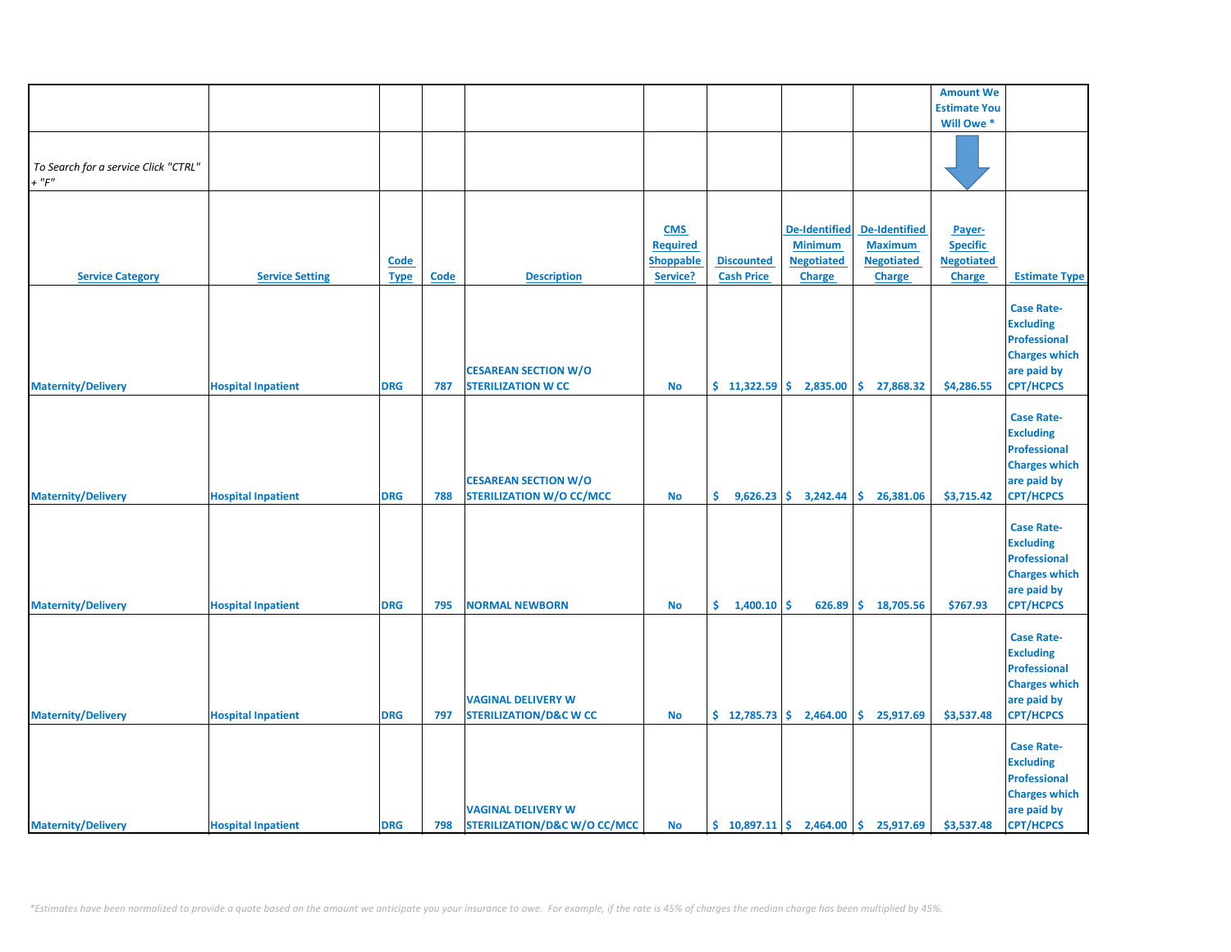|                                      |                           |             |             |                                         |                 |                   |                                                |                                                                  | <b>Amount We</b>    |                                 |
|--------------------------------------|---------------------------|-------------|-------------|-----------------------------------------|-----------------|-------------------|------------------------------------------------|------------------------------------------------------------------|---------------------|---------------------------------|
|                                      |                           |             |             |                                         |                 |                   |                                                |                                                                  | <b>Estimate You</b> |                                 |
|                                      |                           |             |             |                                         |                 |                   |                                                |                                                                  | Will Owe *          |                                 |
|                                      |                           |             |             |                                         |                 |                   |                                                |                                                                  |                     |                                 |
| To Search for a service Click "CTRL" |                           |             |             |                                         |                 |                   |                                                |                                                                  |                     |                                 |
| $+$ " $F$ "                          |                           |             |             |                                         |                 |                   |                                                |                                                                  |                     |                                 |
|                                      |                           |             |             |                                         |                 |                   |                                                |                                                                  |                     |                                 |
|                                      |                           |             |             |                                         | <b>CMS</b>      |                   | <b>De-Identified</b>                           | De-Identified                                                    | Payer-              |                                 |
|                                      |                           |             |             |                                         | <b>Required</b> |                   | <b>Minimum</b>                                 | <b>Maximum</b>                                                   | <b>Specific</b>     |                                 |
|                                      |                           | Code        |             |                                         | Shoppable       | <b>Discounted</b> | <b>Negotiated</b>                              | <b>Negotiated</b>                                                | <b>Negotiated</b>   |                                 |
| <b>Service Category</b>              | <b>Service Setting</b>    | <b>Type</b> | <b>Code</b> | <b>Description</b>                      | Service?        | <b>Cash Price</b> | <b>Charge</b>                                  | <b>Charge</b>                                                    | <b>Charge</b>       | <b>Estimate Type</b>            |
|                                      |                           |             |             |                                         |                 |                   |                                                |                                                                  |                     | <b>Case Rate-</b>               |
|                                      |                           |             |             |                                         |                 |                   |                                                |                                                                  |                     | <b>Excluding</b>                |
|                                      |                           |             |             |                                         |                 |                   |                                                |                                                                  |                     | <b>Professional</b>             |
|                                      |                           |             |             |                                         |                 |                   |                                                |                                                                  |                     | <b>Charges which</b>            |
|                                      |                           |             |             | <b>CESAREAN SECTION W/O</b>             |                 |                   |                                                |                                                                  |                     | are paid by                     |
| <b>Maternity/Delivery</b>            | <b>Hospital Inpatient</b> | <b>DRG</b>  | 787         | <b>STERILIZATION W CC</b>               | <b>No</b>       | $$11,322.59$ \$   | 2,835.00                                       | \$.<br>27,868.32                                                 | \$4,286.55          | <b>CPT/HCPCS</b>                |
|                                      |                           |             |             |                                         |                 |                   |                                                |                                                                  |                     |                                 |
|                                      |                           |             |             |                                         |                 |                   |                                                |                                                                  |                     | <b>Case Rate-</b>               |
|                                      |                           |             |             |                                         |                 |                   |                                                |                                                                  |                     | <b>Excluding</b>                |
|                                      |                           |             |             |                                         |                 |                   |                                                |                                                                  |                     | <b>Professional</b>             |
|                                      |                           |             |             |                                         |                 |                   |                                                |                                                                  |                     | <b>Charges which</b>            |
|                                      |                           |             |             | <b>CESAREAN SECTION W/O</b>             |                 |                   |                                                |                                                                  |                     | are paid by                     |
| <b>Maternity/Delivery</b>            | <b>Hospital Inpatient</b> | <b>DRG</b>  | 788         | <b>STERILIZATION W/O CC/MCC</b>         | <b>No</b>       | \$.               | $9,626.23$ \$ 3,242.44                         | \$26,381.06                                                      | \$3,715.42          | CPT/HCPCS                       |
|                                      |                           |             |             |                                         |                 |                   |                                                |                                                                  |                     |                                 |
|                                      |                           |             |             |                                         |                 |                   |                                                |                                                                  |                     | <b>Case Rate-</b>               |
|                                      |                           |             |             |                                         |                 |                   |                                                |                                                                  |                     | <b>Excluding</b>                |
|                                      |                           |             |             |                                         |                 |                   |                                                |                                                                  |                     | <b>Professional</b>             |
|                                      |                           |             |             |                                         |                 |                   |                                                |                                                                  |                     | <b>Charges which</b>            |
|                                      |                           |             |             |                                         |                 |                   |                                                |                                                                  |                     | are paid by                     |
| <b>Maternity/Delivery</b>            | <b>Hospital Inpatient</b> | <b>DRG</b>  | 795         | <b>NORMAL NEWBORN</b>                   | $\mathsf{No}$   | \$.<br>1,400.10   | \$<br>626.89                                   | \$18,705.56                                                      | \$767.93            | <b>CPT/HCPCS</b>                |
|                                      |                           |             |             |                                         |                 |                   |                                                |                                                                  |                     | <b>Case Rate-</b>               |
|                                      |                           |             |             |                                         |                 |                   |                                                |                                                                  |                     |                                 |
|                                      |                           |             |             |                                         |                 |                   |                                                |                                                                  |                     | <b>Excluding</b>                |
|                                      |                           |             |             |                                         |                 |                   |                                                |                                                                  |                     | <b>Professional</b>             |
|                                      |                           |             |             |                                         |                 |                   |                                                |                                                                  |                     | <b>Charges which</b>            |
|                                      |                           |             |             | <b>VAGINAL DELIVERY W</b>               |                 |                   |                                                |                                                                  |                     | are paid by<br><b>CPT/HCPCS</b> |
| <b>Maternity/Delivery</b>            | <b>Hospital Inpatient</b> | <b>DRG</b>  | 797         | <b>STERILIZATION/D&amp;C W CC</b>       | <b>No</b>       |                   | $\frac{1}{2}$ 12,785.73 $\frac{1}{2}$ 2,464.00 | \$25,917.69                                                      | \$3,537.48          |                                 |
|                                      |                           |             |             |                                         |                 |                   |                                                |                                                                  |                     | <b>Case Rate-</b>               |
|                                      |                           |             |             |                                         |                 |                   |                                                |                                                                  |                     | <b>Excluding</b>                |
|                                      |                           |             |             |                                         |                 |                   |                                                |                                                                  |                     | <b>Professional</b>             |
|                                      |                           |             |             |                                         |                 |                   |                                                |                                                                  |                     | <b>Charges which</b>            |
|                                      |                           |             |             | <b>VAGINAL DELIVERY W</b>               |                 |                   |                                                |                                                                  |                     | are paid by                     |
| <b>Maternity/Delivery</b>            | <b>Hospital Inpatient</b> | <b>DRG</b>  | 798         | <b>STERILIZATION/D&amp;C W/O CC/MCC</b> | <b>No</b>       |                   |                                                | $\binom{10,897.11}{5}$ 2,464.00 $\binom{10,897.11}{5}$ 25,917.69 | \$3,537.48          | <b>CPT/HCPCS</b>                |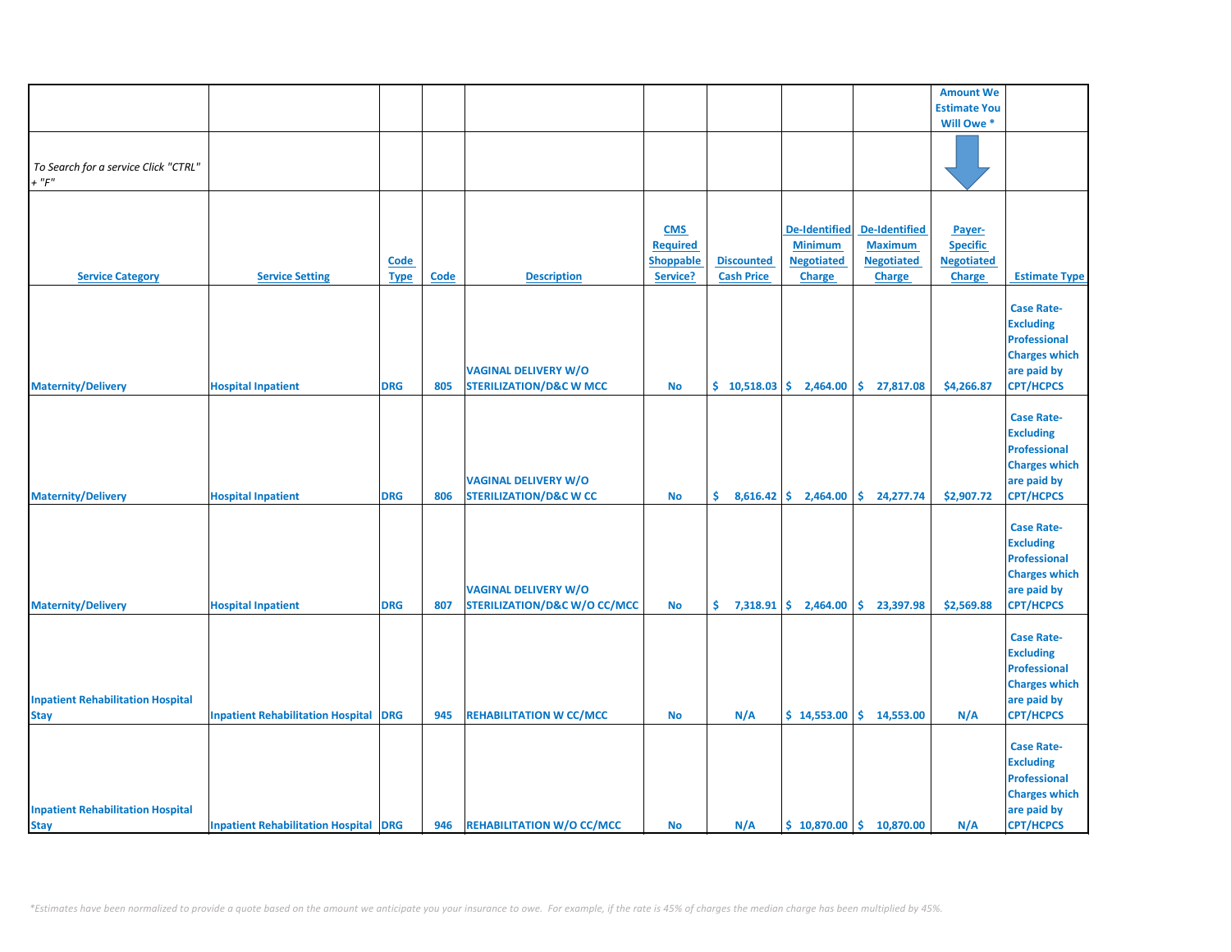|                                                         |                                              |                            |      |                                                                        |                                                               |                                        |                                                                              |                                                                              | <b>Amount We</b>                                         |                                                                                                                         |
|---------------------------------------------------------|----------------------------------------------|----------------------------|------|------------------------------------------------------------------------|---------------------------------------------------------------|----------------------------------------|------------------------------------------------------------------------------|------------------------------------------------------------------------------|----------------------------------------------------------|-------------------------------------------------------------------------------------------------------------------------|
|                                                         |                                              |                            |      |                                                                        |                                                               |                                        |                                                                              |                                                                              | <b>Estimate You</b>                                      |                                                                                                                         |
|                                                         |                                              |                            |      |                                                                        |                                                               |                                        |                                                                              |                                                                              | Will Owe *                                               |                                                                                                                         |
| To Search for a service Click "CTRL"<br>$+$ " $F$ "     |                                              |                            |      |                                                                        |                                                               |                                        |                                                                              |                                                                              |                                                          |                                                                                                                         |
|                                                         |                                              |                            |      |                                                                        |                                                               |                                        |                                                                              |                                                                              |                                                          |                                                                                                                         |
| <b>Service Category</b>                                 | <b>Service Setting</b>                       | <b>Code</b><br><b>Type</b> | Code | <b>Description</b>                                                     | <b>CMS</b><br><b>Required</b><br><b>Shoppable</b><br>Service? | <b>Discounted</b><br><b>Cash Price</b> | <b>De-Identified</b><br><b>Minimum</b><br><b>Negotiated</b><br><b>Charge</b> | <b>De-Identified</b><br><b>Maximum</b><br><b>Negotiated</b><br><b>Charge</b> | Payer-<br><b>Specific</b><br><b>Negotiated</b><br>Charge | <b>Estimate Type</b>                                                                                                    |
|                                                         |                                              |                            |      |                                                                        |                                                               |                                        |                                                                              |                                                                              |                                                          |                                                                                                                         |
| <b>Maternity/Delivery</b>                               | <b>Hospital Inpatient</b>                    | <b>DRG</b>                 | 805  | <b>VAGINAL DELIVERY W/O</b><br><b>STERILIZATION/D&amp;C W MCC</b>      | No                                                            | \$10,518.03                            | 2,464.00                                                                     | \$.<br>27,817.08                                                             | \$4,266.87                                               | <b>Case Rate-</b><br><b>Excluding</b><br><b>Professional</b><br><b>Charges which</b><br>are paid by<br><b>CPT/HCPCS</b> |
| <b>Maternity/Delivery</b>                               | <b>Hospital Inpatient</b>                    | <b>DRG</b>                 | 806  | <b>VAGINAL DELIVERY W/O</b><br><b>STERILIZATION/D&amp;C W CC</b>       | <b>No</b>                                                     | \$.                                    | $8,616.42$ \$ 2,464.00                                                       | \$24,277.74                                                                  | \$2,907.72                                               | <b>Case Rate-</b><br><b>Excluding</b><br><b>Professional</b><br><b>Charges which</b><br>are paid by<br><b>CPT/HCPCS</b> |
| <b>Maternity/Delivery</b>                               | <b>Hospital Inpatient</b>                    | <b>DRG</b>                 | 807  | <b>VAGINAL DELIVERY W/O</b><br><b>STERILIZATION/D&amp;C W/O CC/MCC</b> | <b>No</b>                                                     | \$.<br>7,318.91                        | \$.<br>2,464.00                                                              | \$.<br>23,397.98                                                             | \$2,569.88                                               | <b>Case Rate-</b><br><b>Excluding</b><br><b>Professional</b><br><b>Charges which</b><br>are paid by<br><b>CPT/HCPCS</b> |
| <b>Inpatient Rehabilitation Hospital</b><br><b>Stay</b> | <b>Inpatient Rehabilitation Hospital</b>     | <b>DRG</b>                 | 945  | <b>REHABILITATION W CC/MCC</b>                                         | <b>No</b>                                                     | N/A                                    | \$14,553.00                                                                  | \$14,553.00                                                                  | N/A                                                      | <b>Case Rate-</b><br><b>Excluding</b><br><b>Professional</b><br><b>Charges which</b><br>are paid by<br><b>CPT/HCPCS</b> |
| <b>Inpatient Rehabilitation Hospital</b><br><b>Stay</b> | <b>Inpatient Rehabilitation Hospital DRG</b> |                            | 946  | <b>REHABILITATION W/O CC/MCC</b>                                       | <b>No</b>                                                     | N/A                                    |                                                                              | $$10,870.00 \mid $10,870.00$                                                 | N/A                                                      | <b>Case Rate-</b><br><b>Excluding</b><br><b>Professional</b><br><b>Charges which</b><br>are paid by<br><b>CPT/HCPCS</b> |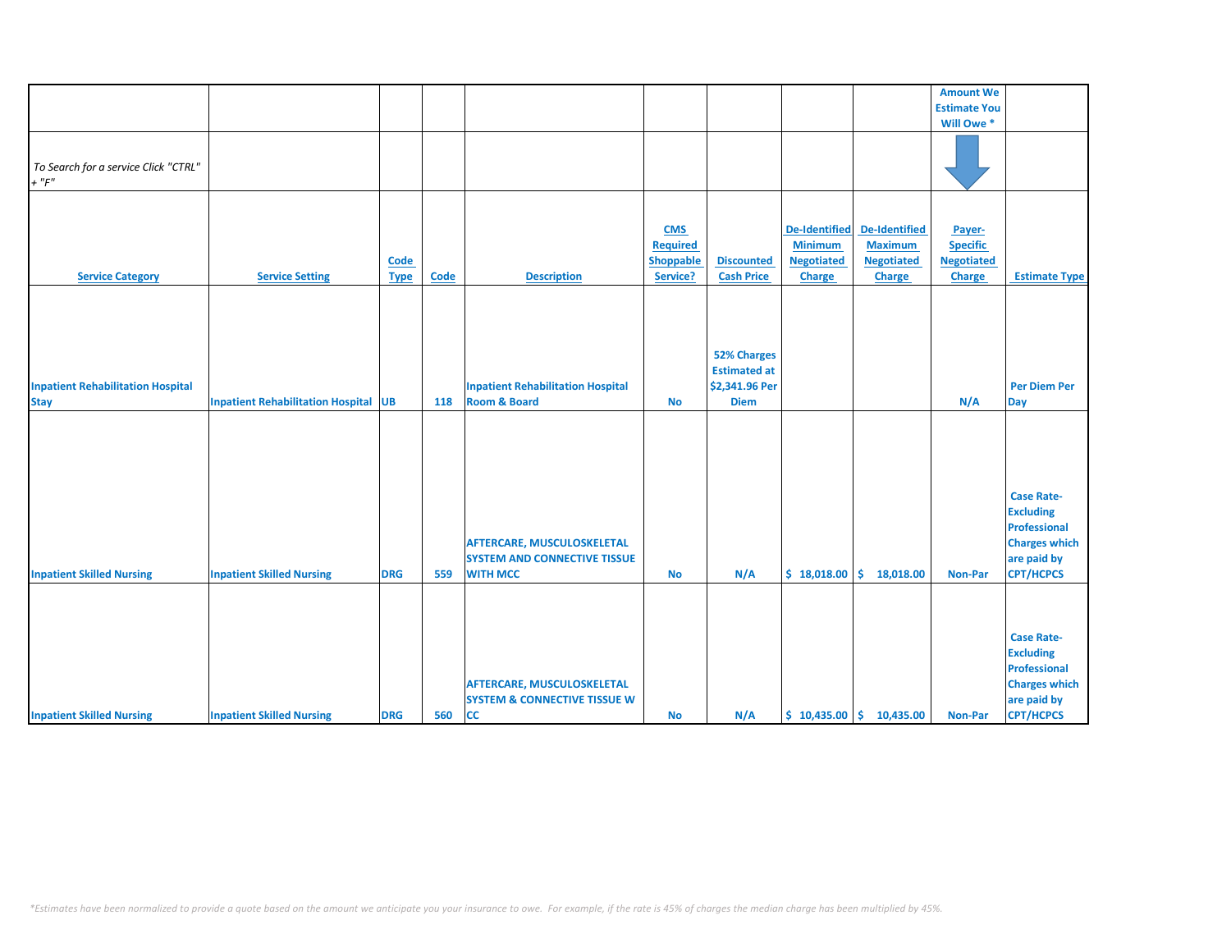|                                                         |                                             |                     |      |                                                                                             |                                                               |                                                                            |                                                                              |                                                                       | <b>Amount We</b>                                                |                                                                                                     |
|---------------------------------------------------------|---------------------------------------------|---------------------|------|---------------------------------------------------------------------------------------------|---------------------------------------------------------------|----------------------------------------------------------------------------|------------------------------------------------------------------------------|-----------------------------------------------------------------------|-----------------------------------------------------------------|-----------------------------------------------------------------------------------------------------|
|                                                         |                                             |                     |      |                                                                                             |                                                               |                                                                            |                                                                              |                                                                       | <b>Estimate You</b>                                             |                                                                                                     |
|                                                         |                                             |                     |      |                                                                                             |                                                               |                                                                            |                                                                              |                                                                       | Will Owe *                                                      |                                                                                                     |
| To Search for a service Click "CTRL"<br>$+$ " $F$ "     |                                             |                     |      |                                                                                             |                                                               |                                                                            |                                                                              |                                                                       |                                                                 |                                                                                                     |
|                                                         |                                             |                     |      |                                                                                             |                                                               |                                                                            |                                                                              |                                                                       |                                                                 |                                                                                                     |
| <b>Service Category</b>                                 | <b>Service Setting</b>                      | Code<br><b>Type</b> | Code | <b>Description</b>                                                                          | <b>CMS</b><br><b>Required</b><br><b>Shoppable</b><br>Service? | <b>Discounted</b><br><b>Cash Price</b>                                     | <b>De-Identified</b><br><b>Minimum</b><br><b>Negotiated</b><br><b>Charge</b> | <b>De-Identified</b><br><b>Maximum</b><br><b>Negotiated</b><br>Charge | Payer-<br><b>Specific</b><br><b>Negotiated</b><br><b>Charge</b> | <b>Estimate Type</b>                                                                                |
|                                                         |                                             |                     |      |                                                                                             |                                                               |                                                                            |                                                                              |                                                                       |                                                                 |                                                                                                     |
| <b>Inpatient Rehabilitation Hospital</b><br><b>Stay</b> | <b>Inpatient Rehabilitation Hospital UB</b> |                     | 118  | <b>Inpatient Rehabilitation Hospital</b><br><b>Room &amp; Board</b>                         | <b>No</b>                                                     | <b>52% Charges</b><br><b>Estimated at</b><br>\$2,341.96 Per<br><b>Diem</b> |                                                                              |                                                                       | N/A                                                             | <b>Per Diem Per</b><br><b>Day</b>                                                                   |
|                                                         |                                             |                     |      |                                                                                             |                                                               |                                                                            |                                                                              |                                                                       |                                                                 | <b>Case Rate-</b>                                                                                   |
| <b>Inpatient Skilled Nursing</b>                        | <b>Inpatient Skilled Nursing</b>            | <b>DRG</b>          | 559  | <b>AFTERCARE, MUSCULOSKELETAL</b><br><b>SYSTEM AND CONNECTIVE TISSUE</b><br><b>WITH MCC</b> | <b>No</b>                                                     | N/A                                                                        | \$18,018.00                                                                  | \$.<br>18,018.00                                                      | <b>Non-Par</b>                                                  | <b>Excluding</b><br><b>Professional</b><br><b>Charges which</b><br>are paid by<br><b>CPT/HCPCS</b>  |
|                                                         |                                             |                     |      |                                                                                             |                                                               |                                                                            |                                                                              |                                                                       |                                                                 |                                                                                                     |
|                                                         |                                             |                     |      | <b>AFTERCARE, MUSCULOSKELETAL</b><br><b>SYSTEM &amp; CONNECTIVE TISSUE W</b>                |                                                               |                                                                            |                                                                              |                                                                       |                                                                 | <b>Case Rate-</b><br><b>Excluding</b><br><b>Professional</b><br><b>Charges which</b><br>are paid by |
| <b>Inpatient Skilled Nursing</b>                        | <b>Inpatient Skilled Nursing</b>            | <b>DRG</b>          | 560  | <b>CC</b>                                                                                   | <b>No</b>                                                     | N/A                                                                        |                                                                              | $$10,435.00 \mid $10,435.00$                                          | Non-Par                                                         | <b>CPT/HCPCS</b>                                                                                    |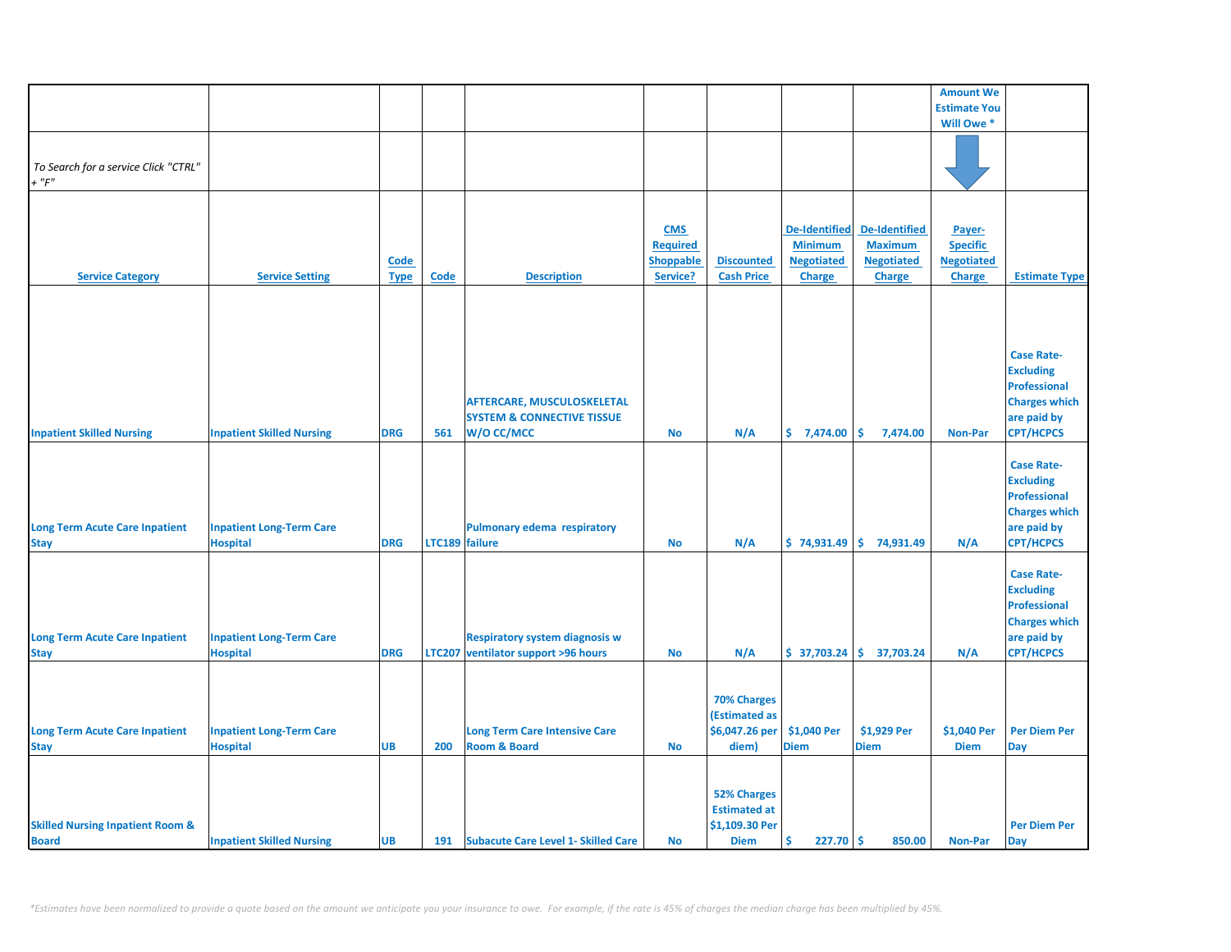|                                                             |                                                    |                     |                |                                                                                          |                                                               |                                                                            |                                                                              |                                                                              | <b>Amount We</b>                                                |                                                                                                                         |
|-------------------------------------------------------------|----------------------------------------------------|---------------------|----------------|------------------------------------------------------------------------------------------|---------------------------------------------------------------|----------------------------------------------------------------------------|------------------------------------------------------------------------------|------------------------------------------------------------------------------|-----------------------------------------------------------------|-------------------------------------------------------------------------------------------------------------------------|
|                                                             |                                                    |                     |                |                                                                                          |                                                               |                                                                            |                                                                              |                                                                              | <b>Estimate You</b>                                             |                                                                                                                         |
|                                                             |                                                    |                     |                |                                                                                          |                                                               |                                                                            |                                                                              |                                                                              | Will Owe *                                                      |                                                                                                                         |
| To Search for a service Click "CTRL"<br>$+$ " $F$ "         |                                                    |                     |                |                                                                                          |                                                               |                                                                            |                                                                              |                                                                              |                                                                 |                                                                                                                         |
| <b>Service Category</b>                                     | <b>Service Setting</b>                             | Code<br><b>Type</b> | Code           | <b>Description</b>                                                                       | <b>CMS</b><br><b>Required</b><br><b>Shoppable</b><br>Service? | <b>Discounted</b><br><b>Cash Price</b>                                     | <b>De-Identified</b><br><b>Minimum</b><br><b>Negotiated</b><br><b>Charge</b> | <b>De-Identified</b><br><b>Maximum</b><br><b>Negotiated</b><br><b>Charge</b> | Payer-<br><b>Specific</b><br><b>Negotiated</b><br><b>Charge</b> | <b>Estimate Type</b>                                                                                                    |
|                                                             |                                                    |                     |                |                                                                                          |                                                               |                                                                            |                                                                              |                                                                              |                                                                 |                                                                                                                         |
| <b>Inpatient Skilled Nursing</b>                            | <b>Inpatient Skilled Nursing</b>                   | <b>DRG</b>          | 561            | <b>AFTERCARE, MUSCULOSKELETAL</b><br><b>SYSTEM &amp; CONNECTIVE TISSUE</b><br>W/O CC/MCC | <b>No</b>                                                     | N/A                                                                        | \$7,474.00                                                                   | \$<br>7,474.00                                                               | <b>Non-Par</b>                                                  | <b>Case Rate-</b><br><b>Excluding</b><br><b>Professional</b><br><b>Charges which</b><br>are paid by<br><b>CPT/HCPCS</b> |
| <b>Long Term Acute Care Inpatient</b><br><b>Stay</b>        | <b>Inpatient Long-Term Care</b><br><b>Hospital</b> | <b>DRG</b>          | LTC189 failure | Pulmonary edema respiratory                                                              | No                                                            | N/A                                                                        |                                                                              | $$74,931.49$ $$74,931.49$                                                    | N/A                                                             | <b>Case Rate-</b><br><b>Excluding</b><br><b>Professional</b><br><b>Charges which</b><br>are paid by<br><b>CPT/HCPCS</b> |
| <b>Long Term Acute Care Inpatient</b><br><b>Stay</b>        | <b>Inpatient Long-Term Care</b><br><b>Hospital</b> | <b>DRG</b>          |                | <b>Respiratory system diagnosis w</b><br>LTC207 ventilator support >96 hours             | No                                                            | N/A                                                                        |                                                                              | $$37,703.24 \mid $37,703.24$$                                                | N/A                                                             | <b>Case Rate-</b><br><b>Excluding</b><br><b>Professional</b><br><b>Charges which</b><br>are paid by<br><b>CPT/HCPCS</b> |
| <b>Long Term Acute Care Inpatient</b><br><b>Stay</b>        | <b>Inpatient Long-Term Care</b><br><b>Hospital</b> | <b>UB</b>           | 200            | <b>Long Term Care Intensive Care</b><br><b>Room &amp; Board</b>                          | <b>No</b>                                                     | <b>70% Charges</b><br>(Estimated as<br>\$6,047.26 per<br>diem)             | \$1,040 Per<br><b>Diem</b>                                                   | \$1,929 Per<br><b>Diem</b>                                                   | \$1,040 Per<br><b>Diem</b>                                      | <b>Per Diem Per</b><br>Day                                                                                              |
| <b>Skilled Nursing Inpatient Room &amp;</b><br><b>Board</b> | <b>Inpatient Skilled Nursing</b>                   | <b>UB</b>           |                | 191 Subacute Care Level 1- Skilled Care                                                  | <b>No</b>                                                     | <b>52% Charges</b><br><b>Estimated at</b><br>\$1,109.30 Per<br><b>Diem</b> | Ŝ<br>$227.70$ \$                                                             | 850.00                                                                       | <b>Non-Par</b>                                                  | <b>Per Diem Per</b><br>Day                                                                                              |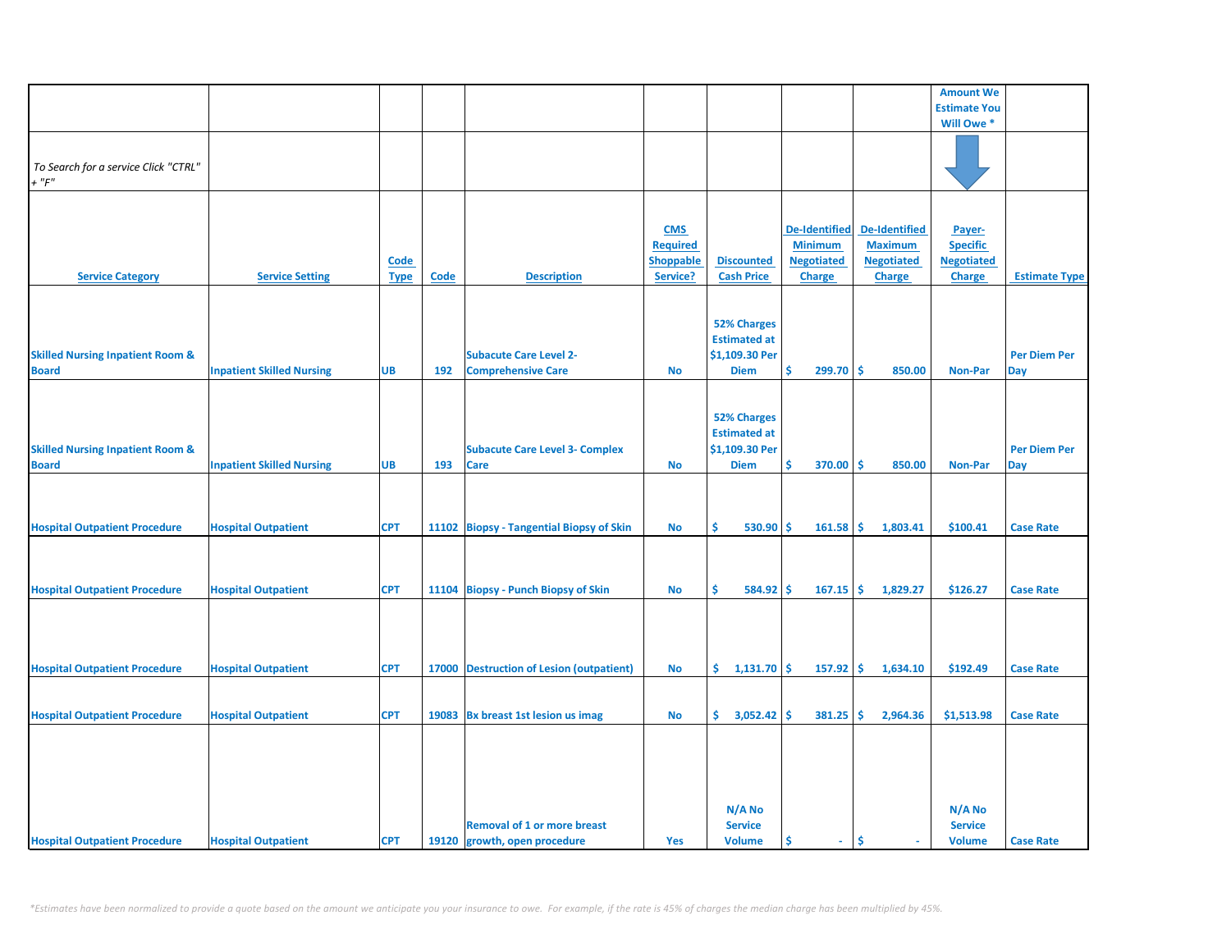|                                                             |                                  |                            |      |                                                                    |                                                               |                                                                            |                                                                              |                                                                              | <b>Amount We</b>                                                |                            |
|-------------------------------------------------------------|----------------------------------|----------------------------|------|--------------------------------------------------------------------|---------------------------------------------------------------|----------------------------------------------------------------------------|------------------------------------------------------------------------------|------------------------------------------------------------------------------|-----------------------------------------------------------------|----------------------------|
|                                                             |                                  |                            |      |                                                                    |                                                               |                                                                            |                                                                              |                                                                              | <b>Estimate You</b>                                             |                            |
|                                                             |                                  |                            |      |                                                                    |                                                               |                                                                            |                                                                              |                                                                              | Will Owe *                                                      |                            |
| To Search for a service Click "CTRL"<br>$+$ " $F$ "         |                                  |                            |      |                                                                    |                                                               |                                                                            |                                                                              |                                                                              |                                                                 |                            |
| <b>Service Category</b>                                     | <b>Service Setting</b>           | <b>Code</b><br><b>Type</b> | Code | <b>Description</b>                                                 | <b>CMS</b><br><b>Required</b><br><b>Shoppable</b><br>Service? | <b>Discounted</b><br><b>Cash Price</b>                                     | <b>De-Identified</b><br><b>Minimum</b><br><b>Negotiated</b><br><b>Charge</b> | <b>De-Identified</b><br><b>Maximum</b><br><b>Negotiated</b><br><b>Charge</b> | Payer-<br><b>Specific</b><br><b>Negotiated</b><br><b>Charge</b> | <b>Estimate Type</b>       |
| <b>Skilled Nursing Inpatient Room &amp;</b><br><b>Board</b> | <b>Inpatient Skilled Nursing</b> | <b>UB</b>                  | 192  | <b>Subacute Care Level 2-</b><br><b>Comprehensive Care</b>         | <b>No</b>                                                     | <b>52% Charges</b><br><b>Estimated at</b><br>\$1,109.30 Per<br><b>Diem</b> | \$<br>$299.70$ \$                                                            | 850.00                                                                       | <b>Non-Par</b>                                                  | <b>Per Diem Per</b><br>Day |
| <b>Skilled Nursing Inpatient Room &amp;</b><br><b>Board</b> | <b>Inpatient Skilled Nursing</b> | <b>UB</b>                  | 193  | <b>Subacute Care Level 3- Complex</b><br><b>Care</b>               | <b>No</b>                                                     | <b>52% Charges</b><br><b>Estimated at</b><br>\$1,109.30 Per<br><b>Diem</b> | \$<br>370.00                                                                 | ۱\$<br>850.00                                                                | <b>Non-Par</b>                                                  | <b>Per Diem Per</b><br>Day |
| <b>Hospital Outpatient Procedure</b>                        | <b>Hospital Outpatient</b>       | <b>CPT</b>                 |      | 11102 Biopsy - Tangential Biopsy of Skin                           | <b>No</b>                                                     | 530.90<br>Ś.                                                               | -Ś<br>161.58                                                                 | ۱\$<br>1,803.41                                                              | \$100.41                                                        | <b>Case Rate</b>           |
| <b>Hospital Outpatient Procedure</b>                        | <b>Hospital Outpatient</b>       | <b>CPT</b>                 |      | 11104 Biopsy - Punch Biopsy of Skin                                | <b>No</b>                                                     | Ś.<br>584.92                                                               | -Ś<br>$167.15$ \$                                                            | 1,829.27                                                                     | \$126.27                                                        | <b>Case Rate</b>           |
| <b>Hospital Outpatient Procedure</b>                        | <b>Hospital Outpatient</b>       | <b>CPT</b>                 |      | 17000 Destruction of Lesion (outpatient)                           | No                                                            | $1,131.70$ \$<br>\$.                                                       | $157.92$ \$                                                                  | 1,634.10                                                                     | \$192.49                                                        | <b>Case Rate</b>           |
| <b>Hospital Outpatient Procedure</b>                        | <b>Hospital Outpatient</b>       | <b>CPT</b>                 |      | 19083 Bx breast 1st lesion us imag                                 | No                                                            | $\frac{1}{2}$ 3,052.42 \$                                                  | $381.25$ \$                                                                  | 2,964.36                                                                     | \$1,513.98                                                      | <b>Case Rate</b>           |
| <b>Hospital Outpatient Procedure</b>                        | <b>Hospital Outpatient</b>       | <b>CPT</b>                 |      | <b>Removal of 1 or more breast</b><br>19120 growth, open procedure | Yes                                                           | N/A No<br><b>Service</b><br><b>Volume</b>                                  | Ś<br>$\sim$                                                                  | Ŝ                                                                            | N/A No<br><b>Service</b><br><b>Volume</b>                       | <b>Case Rate</b>           |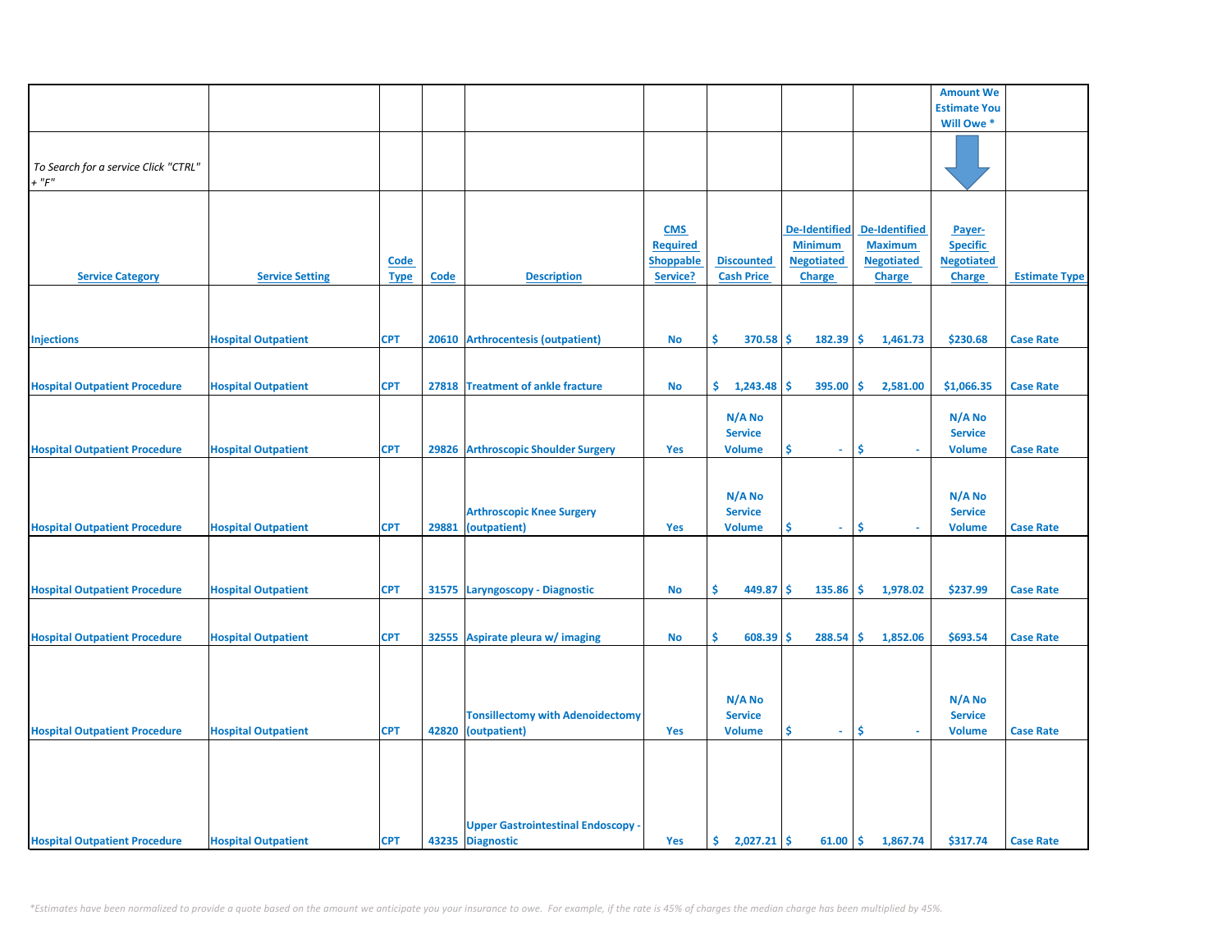|                                      |                            |             |       |                                           |                  |                   |                      |                      | <b>Amount We</b>    |                      |
|--------------------------------------|----------------------------|-------------|-------|-------------------------------------------|------------------|-------------------|----------------------|----------------------|---------------------|----------------------|
|                                      |                            |             |       |                                           |                  |                   |                      |                      | <b>Estimate You</b> |                      |
|                                      |                            |             |       |                                           |                  |                   |                      |                      | Will Owe *          |                      |
|                                      |                            |             |       |                                           |                  |                   |                      |                      |                     |                      |
|                                      |                            |             |       |                                           |                  |                   |                      |                      |                     |                      |
| To Search for a service Click "CTRL" |                            |             |       |                                           |                  |                   |                      |                      |                     |                      |
|                                      |                            |             |       |                                           |                  |                   |                      |                      |                     |                      |
| $+$ " $F$ "                          |                            |             |       |                                           |                  |                   |                      |                      |                     |                      |
|                                      |                            |             |       |                                           |                  |                   |                      |                      |                     |                      |
|                                      |                            |             |       |                                           |                  |                   |                      |                      |                     |                      |
|                                      |                            |             |       |                                           | <b>CMS</b>       |                   | <b>De-Identified</b> | <b>De-Identified</b> | Payer-              |                      |
|                                      |                            |             |       |                                           | <b>Required</b>  |                   | <b>Minimum</b>       | <b>Maximum</b>       | <b>Specific</b>     |                      |
|                                      |                            |             |       |                                           |                  |                   |                      |                      |                     |                      |
|                                      |                            | <b>Code</b> |       |                                           | <b>Shoppable</b> | <b>Discounted</b> | <b>Negotiated</b>    | <b>Negotiated</b>    | <b>Negotiated</b>   |                      |
| <b>Service Category</b>              | <b>Service Setting</b>     | <b>Type</b> | Code  | <b>Description</b>                        | Service?         | <b>Cash Price</b> | <b>Charge</b>        | <b>Charge</b>        | <b>Charge</b>       | <b>Estimate Type</b> |
|                                      |                            |             |       |                                           |                  |                   |                      |                      |                     |                      |
|                                      |                            |             |       |                                           |                  |                   |                      |                      |                     |                      |
|                                      |                            |             |       |                                           |                  |                   |                      |                      |                     |                      |
|                                      |                            |             |       |                                           |                  |                   |                      |                      |                     |                      |
| <b>Injections</b>                    | <b>Hospital Outpatient</b> | <b>CPT</b>  | 20610 | <b>Arthrocentesis (outpatient)</b>        | No               | \$<br>370.58      | Ŝ.<br>182.39         | \$<br>1,461.73       | \$230.68            | <b>Case Rate</b>     |
|                                      |                            |             |       |                                           |                  |                   |                      |                      |                     |                      |
|                                      |                            |             |       |                                           |                  |                   |                      |                      |                     |                      |
| <b>Hospital Outpatient Procedure</b> | <b>Hospital Outpatient</b> | <b>CPT</b>  |       | 27818 Treatment of ankle fracture         | <b>No</b>        | 1,243.48<br>\$.   | 395.00<br>\$.        | Ŝ.<br>2,581.00       | \$1,066.35          | <b>Case Rate</b>     |
|                                      |                            |             |       |                                           |                  |                   |                      |                      |                     |                      |
|                                      |                            |             |       |                                           |                  |                   |                      |                      |                     |                      |
|                                      |                            |             |       |                                           |                  | N/A No            |                      |                      | $N/A$ No            |                      |
|                                      |                            |             |       |                                           |                  | <b>Service</b>    |                      |                      | <b>Service</b>      |                      |
| <b>Hospital Outpatient Procedure</b> | <b>Hospital Outpatient</b> | <b>CPT</b>  |       | 29826 Arthroscopic Shoulder Surgery       | <b>Yes</b>       | <b>Volume</b>     | \$.<br>$\sim$        | \$                   | <b>Volume</b>       | <b>Case Rate</b>     |
|                                      |                            |             |       |                                           |                  |                   |                      |                      |                     |                      |
|                                      |                            |             |       |                                           |                  |                   |                      |                      |                     |                      |
|                                      |                            |             |       |                                           |                  |                   |                      |                      |                     |                      |
|                                      |                            |             |       |                                           |                  | N/A No            |                      |                      | N/A No              |                      |
|                                      |                            |             |       | <b>Arthroscopic Knee Surgery</b>          |                  | <b>Service</b>    |                      |                      | <b>Service</b>      |                      |
|                                      |                            |             |       |                                           |                  |                   |                      |                      |                     |                      |
| <b>Hospital Outpatient Procedure</b> | <b>Hospital Outpatient</b> | <b>CPT</b>  | 29881 | (outpatient)                              | Yes              | <b>Volume</b>     | \$<br>$\omega$ .     | Ŝ                    | <b>Volume</b>       | <b>Case Rate</b>     |
|                                      |                            |             |       |                                           |                  |                   |                      |                      |                     |                      |
|                                      |                            |             |       |                                           |                  |                   |                      |                      |                     |                      |
|                                      |                            |             |       |                                           |                  |                   |                      |                      |                     |                      |
|                                      |                            |             |       |                                           |                  |                   |                      |                      |                     |                      |
| <b>Hospital Outpatient Procedure</b> | <b>Hospital Outpatient</b> | <b>CPT</b>  |       | 31575 Laryngoscopy - Diagnostic           | <b>No</b>        | \$<br>449.87      | \$<br>135.86         | \$<br>1,978.02       | \$237.99            | <b>Case Rate</b>     |
|                                      |                            |             |       |                                           |                  |                   |                      |                      |                     |                      |
|                                      |                            |             |       |                                           |                  |                   |                      |                      |                     |                      |
| <b>Hospital Outpatient Procedure</b> | <b>Hospital Outpatient</b> | <b>CPT</b>  | 32555 | Aspirate pleura w/ imaging                | No               | \$<br>608.39      | 288.54<br>Ś          | Ś<br>1,852.06        | \$693.54            | <b>Case Rate</b>     |
|                                      |                            |             |       |                                           |                  |                   |                      |                      |                     |                      |
|                                      |                            |             |       |                                           |                  |                   |                      |                      |                     |                      |
|                                      |                            |             |       |                                           |                  |                   |                      |                      |                     |                      |
|                                      |                            |             |       |                                           |                  |                   |                      |                      |                     |                      |
|                                      |                            |             |       |                                           |                  | N/A No            |                      |                      | N/A No              |                      |
|                                      |                            |             |       | <b>Tonsillectomy with Adenoidectomy</b>   |                  | <b>Service</b>    |                      |                      | <b>Service</b>      |                      |
|                                      |                            |             |       |                                           |                  |                   |                      |                      |                     |                      |
| <b>Hospital Outpatient Procedure</b> | <b>Hospital Outpatient</b> | <b>CPT</b>  |       | 42820 (outpatient)                        | Yes              | <b>Volume</b>     | \$<br>$\sim$         | \$<br>a.             | <b>Volume</b>       | <b>Case Rate</b>     |
|                                      |                            |             |       |                                           |                  |                   |                      |                      |                     |                      |
|                                      |                            |             |       |                                           |                  |                   |                      |                      |                     |                      |
|                                      |                            |             |       |                                           |                  |                   |                      |                      |                     |                      |
|                                      |                            |             |       |                                           |                  |                   |                      |                      |                     |                      |
|                                      |                            |             |       |                                           |                  |                   |                      |                      |                     |                      |
|                                      |                            |             |       |                                           |                  |                   |                      |                      |                     |                      |
|                                      |                            |             |       | <b>Upper Gastrointestinal Endoscopy -</b> |                  |                   |                      |                      |                     |                      |
| <b>Hospital Outpatient Procedure</b> | <b>Hospital Outpatient</b> | <b>CPT</b>  |       | 43235 Diagnostic                          | Yes              | \$.<br>2,027.21   | -\$<br>61.00         | \$<br>1,867.74       | \$317.74            | <b>Case Rate</b>     |
|                                      |                            |             |       |                                           |                  |                   |                      |                      |                     |                      |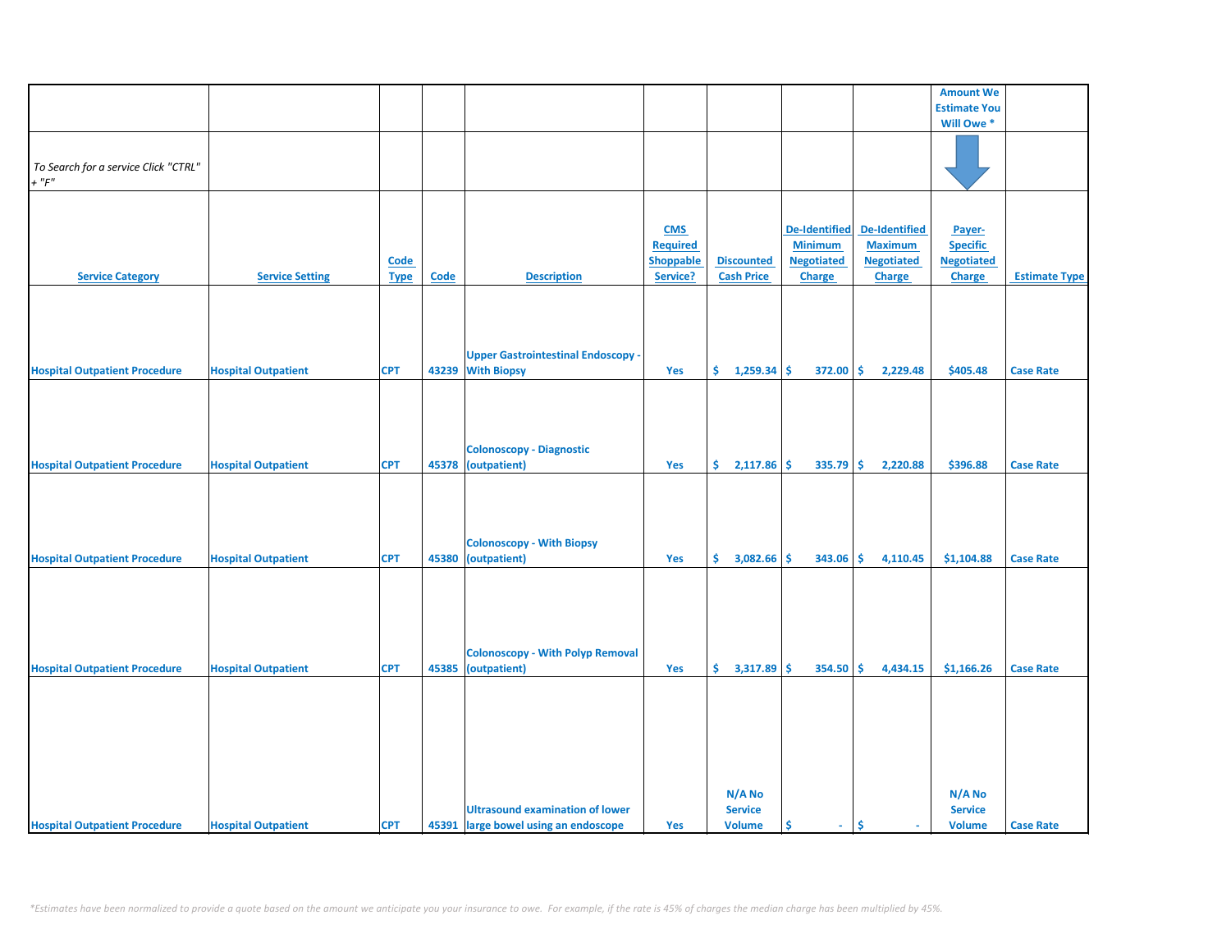|                                      |                            |             |             |                                           |                  |                   |                      |                                 | <b>Amount We</b>      |                      |
|--------------------------------------|----------------------------|-------------|-------------|-------------------------------------------|------------------|-------------------|----------------------|---------------------------------|-----------------------|----------------------|
|                                      |                            |             |             |                                           |                  |                   |                      |                                 | <b>Estimate You</b>   |                      |
|                                      |                            |             |             |                                           |                  |                   |                      |                                 | Will Owe <sup>*</sup> |                      |
|                                      |                            |             |             |                                           |                  |                   |                      |                                 |                       |                      |
|                                      |                            |             |             |                                           |                  |                   |                      |                                 |                       |                      |
|                                      |                            |             |             |                                           |                  |                   |                      |                                 |                       |                      |
| To Search for a service Click "CTRL" |                            |             |             |                                           |                  |                   |                      |                                 |                       |                      |
| $+$ " $F"$                           |                            |             |             |                                           |                  |                   |                      |                                 |                       |                      |
|                                      |                            |             |             |                                           |                  |                   |                      |                                 |                       |                      |
|                                      |                            |             |             |                                           |                  |                   |                      |                                 |                       |                      |
|                                      |                            |             |             |                                           |                  |                   |                      |                                 |                       |                      |
|                                      |                            |             |             |                                           | <b>CMS</b>       |                   | <b>De-Identified</b> | <b>De-Identified</b>            | Payer-                |                      |
|                                      |                            |             |             |                                           | <b>Required</b>  |                   | <b>Minimum</b>       | <b>Maximum</b>                  | <b>Specific</b>       |                      |
|                                      |                            |             |             |                                           |                  |                   |                      |                                 |                       |                      |
|                                      |                            | Code        |             |                                           | <b>Shoppable</b> | <b>Discounted</b> | <b>Negotiated</b>    | <b>Negotiated</b>               | <b>Negotiated</b>     |                      |
| <b>Service Category</b>              | <b>Service Setting</b>     | <b>Type</b> | <b>Code</b> | <b>Description</b>                        | Service?         | <b>Cash Price</b> | <b>Charge</b>        | <b>Charge</b>                   | Charge                | <b>Estimate Type</b> |
|                                      |                            |             |             |                                           |                  |                   |                      |                                 |                       |                      |
|                                      |                            |             |             |                                           |                  |                   |                      |                                 |                       |                      |
|                                      |                            |             |             |                                           |                  |                   |                      |                                 |                       |                      |
|                                      |                            |             |             |                                           |                  |                   |                      |                                 |                       |                      |
|                                      |                            |             |             |                                           |                  |                   |                      |                                 |                       |                      |
|                                      |                            |             |             | <b>Upper Gastrointestinal Endoscopy -</b> |                  |                   |                      |                                 |                       |                      |
|                                      |                            |             |             |                                           |                  |                   |                      |                                 |                       |                      |
| <b>Hospital Outpatient Procedure</b> | <b>Hospital Outpatient</b> | <b>CPT</b>  |             | 43239 With Biopsy                         | Yes              | \$.<br>1,259.34   | \$<br>372.00         | \$.<br>2,229.48                 | \$405.48              | <b>Case Rate</b>     |
|                                      |                            |             |             |                                           |                  |                   |                      |                                 |                       |                      |
|                                      |                            |             |             |                                           |                  |                   |                      |                                 |                       |                      |
|                                      |                            |             |             |                                           |                  |                   |                      |                                 |                       |                      |
|                                      |                            |             |             |                                           |                  |                   |                      |                                 |                       |                      |
|                                      |                            |             |             |                                           |                  |                   |                      |                                 |                       |                      |
|                                      |                            |             |             | <b>Colonoscopy - Diagnostic</b>           |                  |                   |                      |                                 |                       |                      |
|                                      |                            |             |             |                                           |                  |                   |                      |                                 |                       |                      |
| <b>Hospital Outpatient Procedure</b> | <b>Hospital Outpatient</b> | <b>CPT</b>  | 45378       | (outpatient)                              | Yes              | \$<br>2,117.86    | \$<br>335.79         | \$<br>2,220.88                  | \$396.88              | <b>Case Rate</b>     |
|                                      |                            |             |             |                                           |                  |                   |                      |                                 |                       |                      |
|                                      |                            |             |             |                                           |                  |                   |                      |                                 |                       |                      |
|                                      |                            |             |             |                                           |                  |                   |                      |                                 |                       |                      |
|                                      |                            |             |             |                                           |                  |                   |                      |                                 |                       |                      |
|                                      |                            |             |             |                                           |                  |                   |                      |                                 |                       |                      |
|                                      |                            |             |             | <b>Colonoscopy - With Biopsy</b>          |                  |                   |                      |                                 |                       |                      |
| <b>Hospital Outpatient Procedure</b> |                            | <b>CPT</b>  |             | 45380 (outpatient)                        | Yes              | \$.<br>3,082.66   | Ŝ.<br>343.06         | Ś.<br>4,110.45                  | \$1,104.88            | <b>Case Rate</b>     |
|                                      | <b>Hospital Outpatient</b> |             |             |                                           |                  |                   |                      |                                 |                       |                      |
|                                      |                            |             |             |                                           |                  |                   |                      |                                 |                       |                      |
|                                      |                            |             |             |                                           |                  |                   |                      |                                 |                       |                      |
|                                      |                            |             |             |                                           |                  |                   |                      |                                 |                       |                      |
|                                      |                            |             |             |                                           |                  |                   |                      |                                 |                       |                      |
|                                      |                            |             |             |                                           |                  |                   |                      |                                 |                       |                      |
|                                      |                            |             |             |                                           |                  |                   |                      |                                 |                       |                      |
|                                      |                            |             |             | <b>Colonoscopy - With Polyp Removal</b>   |                  |                   |                      |                                 |                       |                      |
|                                      |                            |             |             |                                           |                  |                   |                      |                                 |                       |                      |
| <b>Hospital Outpatient Procedure</b> | <b>Hospital Outpatient</b> | <b>CPT</b>  | 45385       | (outpatient)                              | Yes              | \$.<br>3,317.89   | \$<br>354.50         | \$<br>4,434.15                  | \$1,166.26            | <b>Case Rate</b>     |
|                                      |                            |             |             |                                           |                  |                   |                      |                                 |                       |                      |
|                                      |                            |             |             |                                           |                  |                   |                      |                                 |                       |                      |
|                                      |                            |             |             |                                           |                  |                   |                      |                                 |                       |                      |
|                                      |                            |             |             |                                           |                  |                   |                      |                                 |                       |                      |
|                                      |                            |             |             |                                           |                  |                   |                      |                                 |                       |                      |
|                                      |                            |             |             |                                           |                  |                   |                      |                                 |                       |                      |
|                                      |                            |             |             |                                           |                  |                   |                      |                                 |                       |                      |
|                                      |                            |             |             |                                           |                  |                   |                      |                                 |                       |                      |
|                                      |                            |             |             |                                           |                  |                   |                      |                                 |                       |                      |
|                                      |                            |             |             |                                           |                  | N/A No            |                      |                                 | N/A No                |                      |
|                                      |                            |             |             |                                           |                  |                   |                      |                                 |                       |                      |
|                                      |                            |             |             | <b>Ultrasound examination of lower</b>    |                  | <b>Service</b>    |                      |                                 | <b>Service</b>        |                      |
| <b>Hospital Outpatient Procedure</b> | <b>Hospital Outpatient</b> | <b>CPT</b>  |             | 45391 large bowel using an endoscope      | Yes              | <b>Volume</b>     | \$<br>$\sim$         | \$.<br>$\overline{\phantom{a}}$ | <b>Volume</b>         | <b>Case Rate</b>     |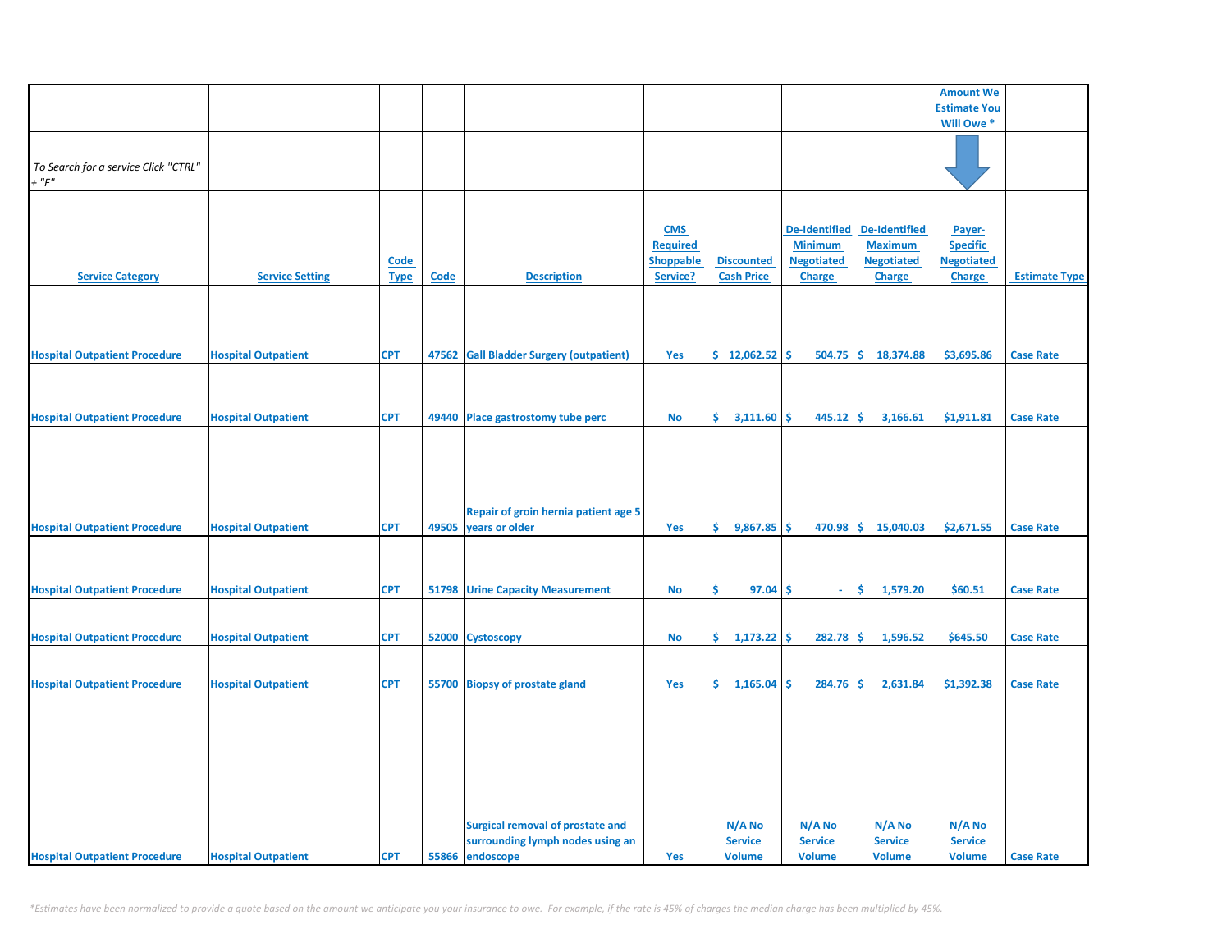|                                                     |                            |                            |       |                                                                                                |                                                               |                                           |                                                                       |                                                                       | <b>Amount We</b>                                                |                      |
|-----------------------------------------------------|----------------------------|----------------------------|-------|------------------------------------------------------------------------------------------------|---------------------------------------------------------------|-------------------------------------------|-----------------------------------------------------------------------|-----------------------------------------------------------------------|-----------------------------------------------------------------|----------------------|
|                                                     |                            |                            |       |                                                                                                |                                                               |                                           |                                                                       |                                                                       | <b>Estimate You</b>                                             |                      |
|                                                     |                            |                            |       |                                                                                                |                                                               |                                           |                                                                       |                                                                       | Will Owe *                                                      |                      |
| To Search for a service Click "CTRL"<br>$+$ " $F$ " |                            |                            |       |                                                                                                |                                                               |                                           |                                                                       |                                                                       |                                                                 |                      |
| <b>Service Category</b>                             | <b>Service Setting</b>     | <b>Code</b><br><b>Type</b> | Code  | <b>Description</b>                                                                             | <b>CMS</b><br><b>Required</b><br><b>Shoppable</b><br>Service? | <b>Discounted</b><br><b>Cash Price</b>    | <b>De-Identified</b><br><b>Minimum</b><br><b>Negotiated</b><br>Charge | <b>De-Identified</b><br><b>Maximum</b><br><b>Negotiated</b><br>Charge | Payer-<br><b>Specific</b><br><b>Negotiated</b><br><b>Charge</b> | <b>Estimate Type</b> |
|                                                     |                            | <b>CPT</b>                 | 47562 | <b>Gall Bladder Surgery (outpatient)</b>                                                       | Yes                                                           | \$12,062.52                               | Ŝ<br>504.75                                                           | \$.<br>18,374.88                                                      | \$3,695.86                                                      | <b>Case Rate</b>     |
| <b>Hospital Outpatient Procedure</b>                | <b>Hospital Outpatient</b> |                            |       |                                                                                                |                                                               |                                           |                                                                       |                                                                       |                                                                 |                      |
| <b>Hospital Outpatient Procedure</b>                | <b>Hospital Outpatient</b> | <b>CPT</b>                 |       | 49440 Place gastrostomy tube perc                                                              | No                                                            | \$.<br>3,111.60                           | \$<br>445.12                                                          | -\$<br>3,166.61                                                       | \$1,911.81                                                      | <b>Case Rate</b>     |
| <b>Hospital Outpatient Procedure</b>                | <b>Hospital Outpatient</b> | <b>CPT</b>                 | 49505 | Repair of groin hernia patient age 5<br>years or older                                         | Yes                                                           | \$.<br>$9,867.85$ \$                      |                                                                       | 470.98 \$15,040.03                                                    | \$2,671.55                                                      | <b>Case Rate</b>     |
| <b>Hospital Outpatient Procedure</b>                | <b>Hospital Outpatient</b> | <b>CPT</b>                 | 51798 | <b>Urine Capacity Measurement</b>                                                              | No                                                            | \$<br>97.04                               | \$<br>÷.                                                              | \$<br>1,579.20                                                        | \$60.51                                                         | <b>Case Rate</b>     |
| <b>Hospital Outpatient Procedure</b>                | <b>Hospital Outpatient</b> | <b>CPT</b>                 |       | 52000 Cystoscopy                                                                               | No                                                            | \$.<br>$1,173.22$ \$                      | 282.78                                                                | \$<br>1,596.52                                                        | \$645.50                                                        | <b>Case Rate</b>     |
| <b>Hospital Outpatient Procedure</b>                | <b>Hospital Outpatient</b> | <b>CPT</b>                 |       | 55700 Biopsy of prostate gland                                                                 | Yes                                                           | \$.<br>1,165.04                           | \$<br>284.76                                                          | 2,631.84<br>\$                                                        | \$1,392.38                                                      | <b>Case Rate</b>     |
| <b>Hospital Outpatient Procedure</b>                | <b>Hospital Outpatient</b> | <b>CPT</b>                 |       | <b>Surgical removal of prostate and</b><br>surrounding lymph nodes using an<br>55866 endoscope | Yes                                                           | N/A No<br><b>Service</b><br><b>Volume</b> | N/A No<br><b>Service</b><br><b>Volume</b>                             | N/A No<br><b>Service</b><br><b>Volume</b>                             | $N/A$ No<br><b>Service</b><br><b>Volume</b>                     | <b>Case Rate</b>     |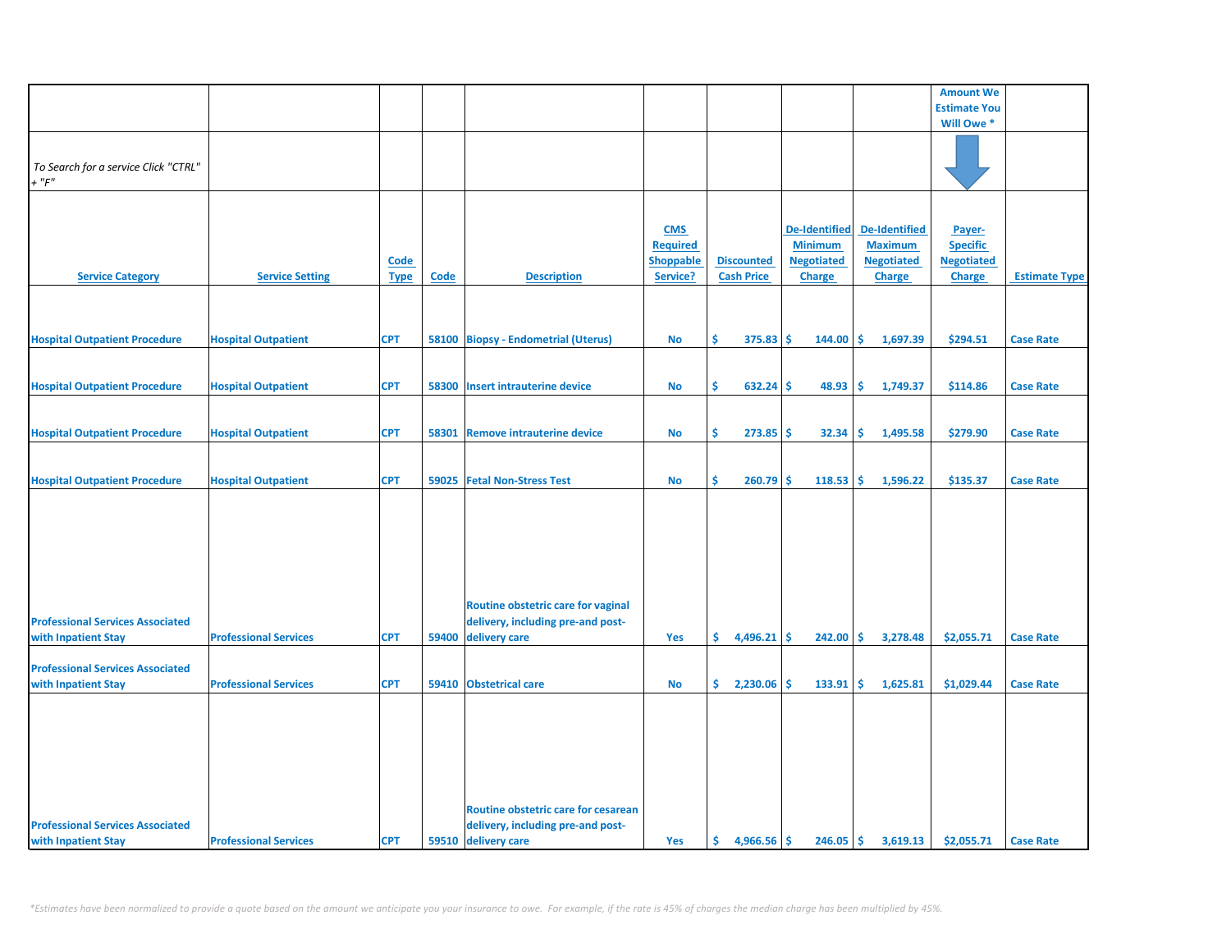|                                                     |                              |                     |       |                                                                          |                                                               |                                        |                                                                              |                                                                              | <b>Amount We</b>                                                |                      |
|-----------------------------------------------------|------------------------------|---------------------|-------|--------------------------------------------------------------------------|---------------------------------------------------------------|----------------------------------------|------------------------------------------------------------------------------|------------------------------------------------------------------------------|-----------------------------------------------------------------|----------------------|
|                                                     |                              |                     |       |                                                                          |                                                               |                                        |                                                                              |                                                                              | <b>Estimate You</b>                                             |                      |
|                                                     |                              |                     |       |                                                                          |                                                               |                                        |                                                                              |                                                                              | Will Owe *                                                      |                      |
| To Search for a service Click "CTRL"<br>$+$ " $F$ " |                              |                     |       |                                                                          |                                                               |                                        |                                                                              |                                                                              |                                                                 |                      |
| <b>Service Category</b>                             | <b>Service Setting</b>       | Code<br><b>Type</b> | Code  | <b>Description</b>                                                       | <b>CMS</b><br><b>Required</b><br><b>Shoppable</b><br>Service? | <b>Discounted</b><br><b>Cash Price</b> | <b>De-Identified</b><br><b>Minimum</b><br><b>Negotiated</b><br><b>Charge</b> | <b>De-Identified</b><br><b>Maximum</b><br><b>Negotiated</b><br><b>Charge</b> | Payer-<br><b>Specific</b><br><b>Negotiated</b><br><b>Charge</b> | <b>Estimate Type</b> |
|                                                     |                              |                     |       |                                                                          |                                                               |                                        |                                                                              |                                                                              |                                                                 |                      |
| <b>Hospital Outpatient Procedure</b>                | <b>Hospital Outpatient</b>   | <b>CPT</b>          |       | 58100 Biopsy - Endometrial (Uterus)                                      | No                                                            | Ś.<br>$375.83$ \$                      | $144.00$ \$                                                                  | 1,697.39                                                                     | \$294.51                                                        | <b>Case Rate</b>     |
| <b>Hospital Outpatient Procedure</b>                | <b>Hospital Outpatient</b>   | <b>CPT</b>          | 58300 | <b>Insert intrauterine device</b>                                        | <b>No</b>                                                     | Ŝ.<br>632.24                           | 48.93<br>-Ś                                                                  | ١Ś<br>1,749.37                                                               | \$114.86                                                        | <b>Case Rate</b>     |
| <b>Hospital Outpatient Procedure</b>                | <b>Hospital Outpatient</b>   | <b>CPT</b>          | 58301 | <b>Remove intrauterine device</b>                                        | <b>No</b>                                                     | Ŝ.<br>273.85                           | -Ś<br>32.34                                                                  | l\$<br>1,495.58                                                              | \$279.90                                                        | <b>Case Rate</b>     |
| <b>Hospital Outpatient Procedure</b>                | <b>Hospital Outpatient</b>   | <b>CPT</b>          |       | 59025 Fetal Non-Stress Test                                              | No                                                            | \$<br>260.79                           | -\$<br>118.53                                                                | 1,596.22<br>١\$                                                              | \$135.37                                                        | <b>Case Rate</b>     |
|                                                     |                              |                     |       |                                                                          |                                                               |                                        |                                                                              |                                                                              |                                                                 |                      |
|                                                     |                              |                     |       | Routine obstetric care for vaginal                                       |                                                               |                                        |                                                                              |                                                                              |                                                                 |                      |
| <b>Professional Services Associated</b>             |                              |                     |       | delivery, including pre-and post-                                        |                                                               |                                        |                                                                              |                                                                              |                                                                 |                      |
| with Inpatient Stay                                 | <b>Professional Services</b> | <b>CPT</b>          | 59400 | delivery care                                                            | Yes                                                           | \$.<br>4,496.21                        | -\$<br>242.00                                                                | 3,278.48<br>۱\$                                                              | \$2,055.71                                                      | <b>Case Rate</b>     |
| <b>Professional Services Associated</b>             |                              |                     |       |                                                                          |                                                               |                                        |                                                                              |                                                                              |                                                                 |                      |
| with Inpatient Stay                                 | <b>Professional Services</b> | <b>CPT</b>          |       | 59410 Obstetrical care                                                   | <b>No</b>                                                     | \$.<br>2,230.06                        | -Ś<br>133.91                                                                 | 1,625.81<br>-Ś                                                               | \$1,029.44                                                      | <b>Case Rate</b>     |
| <b>Professional Services Associated</b>             |                              |                     |       | Routine obstetric care for cesarean<br>delivery, including pre-and post- |                                                               |                                        |                                                                              |                                                                              |                                                                 |                      |
| with Inpatient Stay                                 | <b>Professional Services</b> | <b>CPT</b>          |       | 59510 delivery care                                                      | Yes                                                           | Ś.<br>$4,966.56$ \$                    | $246.05$ \$                                                                  | 3,619.13                                                                     | \$2,055.71                                                      | <b>Case Rate</b>     |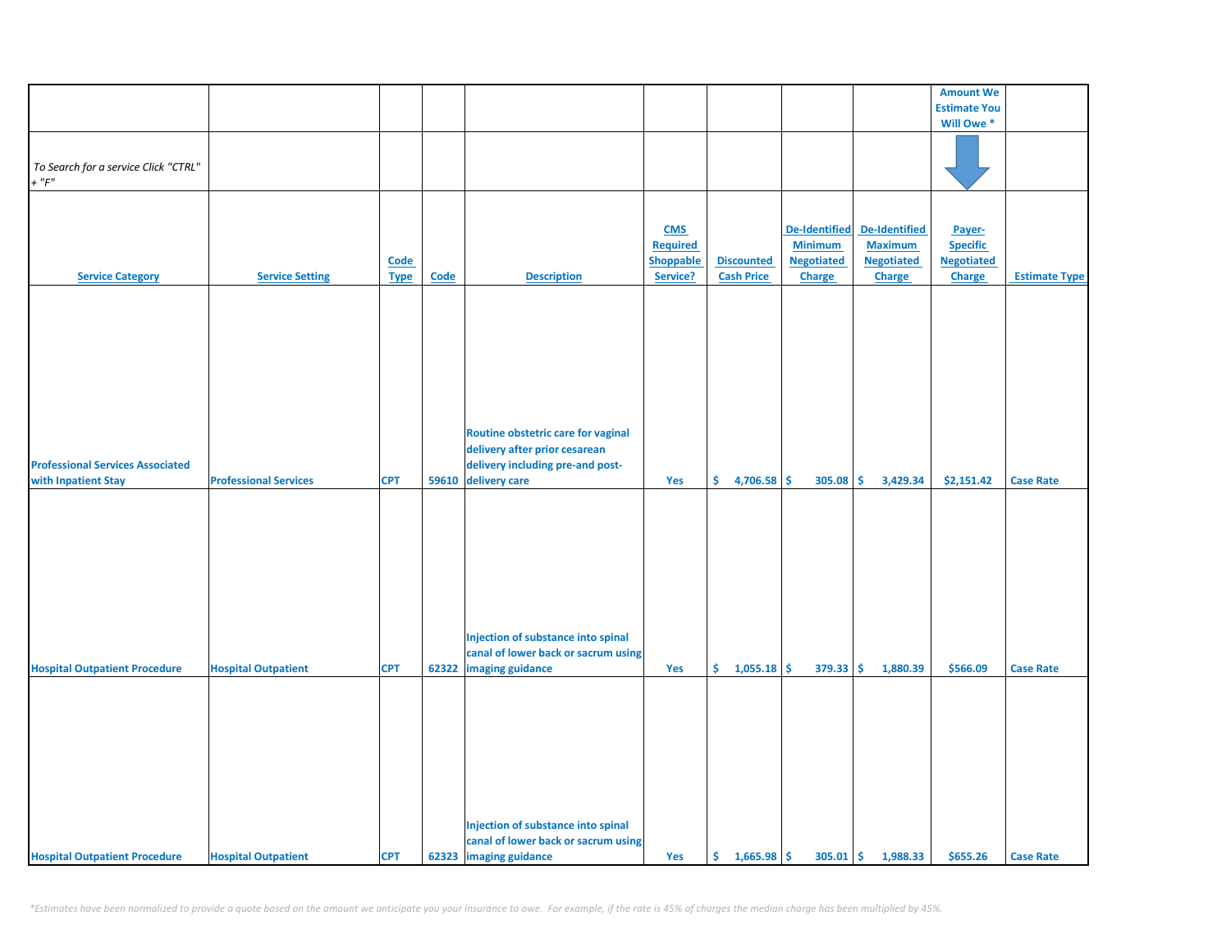|                                         |                              |             |       |                                     |                  |                   |                      |                      | <b>Amount We</b>    |                      |
|-----------------------------------------|------------------------------|-------------|-------|-------------------------------------|------------------|-------------------|----------------------|----------------------|---------------------|----------------------|
|                                         |                              |             |       |                                     |                  |                   |                      |                      |                     |                      |
|                                         |                              |             |       |                                     |                  |                   |                      |                      | <b>Estimate You</b> |                      |
|                                         |                              |             |       |                                     |                  |                   |                      |                      | Will Owe *          |                      |
|                                         |                              |             |       |                                     |                  |                   |                      |                      |                     |                      |
|                                         |                              |             |       |                                     |                  |                   |                      |                      |                     |                      |
| To Search for a service Click "CTRL"    |                              |             |       |                                     |                  |                   |                      |                      |                     |                      |
| $+$ " $F$ "                             |                              |             |       |                                     |                  |                   |                      |                      |                     |                      |
|                                         |                              |             |       |                                     |                  |                   |                      |                      |                     |                      |
|                                         |                              |             |       |                                     |                  |                   |                      |                      |                     |                      |
|                                         |                              |             |       |                                     | <b>CMS</b>       |                   | <b>De-Identified</b> | <b>De-Identified</b> | Payer-              |                      |
|                                         |                              |             |       |                                     | <b>Required</b>  |                   | <b>Minimum</b>       | <b>Maximum</b>       | <b>Specific</b>     |                      |
|                                         |                              | Code        |       |                                     | <b>Shoppable</b> | <b>Discounted</b> | <b>Negotiated</b>    | <b>Negotiated</b>    | <b>Negotiated</b>   |                      |
| <b>Service Category</b>                 | <b>Service Setting</b>       | <b>Type</b> | Code  | <b>Description</b>                  | Service?         | <b>Cash Price</b> | <b>Charge</b>        | <b>Charge</b>        | Charge              | <b>Estimate Type</b> |
|                                         |                              |             |       |                                     |                  |                   |                      |                      |                     |                      |
|                                         |                              |             |       |                                     |                  |                   |                      |                      |                     |                      |
|                                         |                              |             |       |                                     |                  |                   |                      |                      |                     |                      |
|                                         |                              |             |       |                                     |                  |                   |                      |                      |                     |                      |
|                                         |                              |             |       |                                     |                  |                   |                      |                      |                     |                      |
|                                         |                              |             |       |                                     |                  |                   |                      |                      |                     |                      |
|                                         |                              |             |       |                                     |                  |                   |                      |                      |                     |                      |
|                                         |                              |             |       |                                     |                  |                   |                      |                      |                     |                      |
|                                         |                              |             |       |                                     |                  |                   |                      |                      |                     |                      |
|                                         |                              |             |       |                                     |                  |                   |                      |                      |                     |                      |
|                                         |                              |             |       |                                     |                  |                   |                      |                      |                     |                      |
|                                         |                              |             |       | Routine obstetric care for vaginal  |                  |                   |                      |                      |                     |                      |
|                                         |                              |             |       | delivery after prior cesarean       |                  |                   |                      |                      |                     |                      |
| <b>Professional Services Associated</b> |                              |             |       | delivery including pre-and post-    |                  |                   |                      |                      |                     |                      |
| with Inpatient Stay                     | <b>Professional Services</b> | <b>CPT</b>  | 59610 | delivery care                       | Yes              | \$<br>4,706.58    | \$<br>305.08         | \$<br>3,429.34       | \$2,151.42          | <b>Case Rate</b>     |
|                                         |                              |             |       |                                     |                  |                   |                      |                      |                     |                      |
|                                         |                              |             |       |                                     |                  |                   |                      |                      |                     |                      |
|                                         |                              |             |       |                                     |                  |                   |                      |                      |                     |                      |
|                                         |                              |             |       |                                     |                  |                   |                      |                      |                     |                      |
|                                         |                              |             |       |                                     |                  |                   |                      |                      |                     |                      |
|                                         |                              |             |       |                                     |                  |                   |                      |                      |                     |                      |
|                                         |                              |             |       |                                     |                  |                   |                      |                      |                     |                      |
|                                         |                              |             |       |                                     |                  |                   |                      |                      |                     |                      |
|                                         |                              |             |       |                                     |                  |                   |                      |                      |                     |                      |
|                                         |                              |             |       |                                     |                  |                   |                      |                      |                     |                      |
|                                         |                              |             |       |                                     |                  |                   |                      |                      |                     |                      |
|                                         |                              |             |       | Injection of substance into spinal  |                  |                   |                      |                      |                     |                      |
|                                         |                              |             |       | canal of lower back or sacrum using |                  |                   |                      |                      |                     |                      |
| <b>Hospital Outpatient Procedure</b>    | <b>Hospital Outpatient</b>   | <b>CPT</b>  | 62322 | imaging guidance                    | Yes              | \$.<br>1,055.18   | \$<br>379.33         | \$<br>1,880.39       | \$566.09            | <b>Case Rate</b>     |
|                                         |                              |             |       |                                     |                  |                   |                      |                      |                     |                      |
|                                         |                              |             |       |                                     |                  |                   |                      |                      |                     |                      |
|                                         |                              |             |       |                                     |                  |                   |                      |                      |                     |                      |
|                                         |                              |             |       |                                     |                  |                   |                      |                      |                     |                      |
|                                         |                              |             |       |                                     |                  |                   |                      |                      |                     |                      |
|                                         |                              |             |       |                                     |                  |                   |                      |                      |                     |                      |
|                                         |                              |             |       |                                     |                  |                   |                      |                      |                     |                      |
|                                         |                              |             |       |                                     |                  |                   |                      |                      |                     |                      |
|                                         |                              |             |       |                                     |                  |                   |                      |                      |                     |                      |
|                                         |                              |             |       |                                     |                  |                   |                      |                      |                     |                      |
|                                         |                              |             |       | Injection of substance into spinal  |                  |                   |                      |                      |                     |                      |
|                                         |                              |             |       |                                     |                  |                   |                      |                      |                     |                      |
|                                         |                              |             |       | canal of lower back or sacrum using |                  |                   |                      |                      |                     |                      |
| <b>Hospital Outpatient Procedure</b>    | <b>Hospital Outpatient</b>   | <b>CPT</b>  |       | 62323 imaging guidance              | Yes              | \$1,665.98        | $305.01$ \$          | 1,988.33             | \$655.26            | <b>Case Rate</b>     |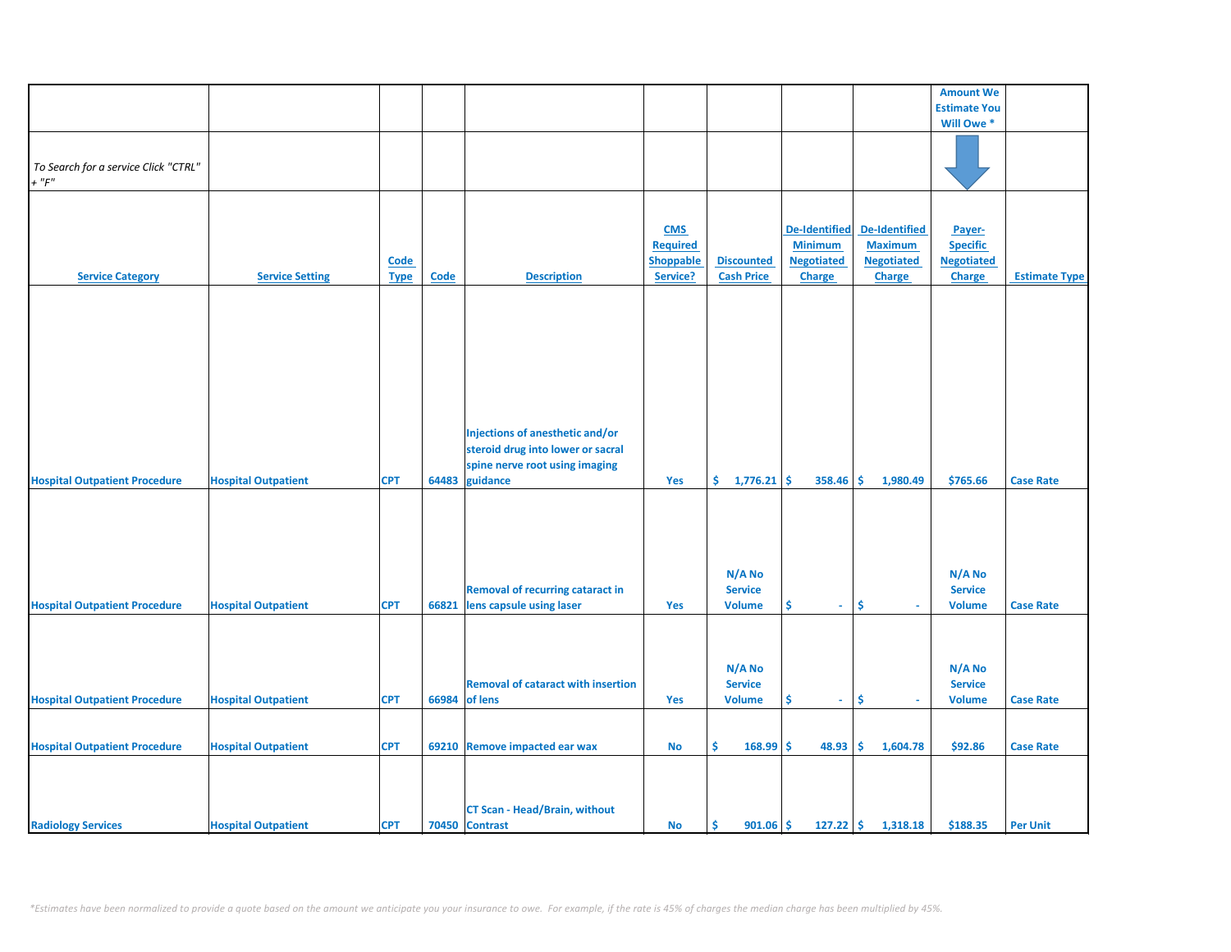|                                      |                            |             |             |                                           |                 |                      |                      |                   | <b>Amount We</b>    |                      |
|--------------------------------------|----------------------------|-------------|-------------|-------------------------------------------|-----------------|----------------------|----------------------|-------------------|---------------------|----------------------|
|                                      |                            |             |             |                                           |                 |                      |                      |                   | <b>Estimate You</b> |                      |
|                                      |                            |             |             |                                           |                 |                      |                      |                   | Will Owe *          |                      |
|                                      |                            |             |             |                                           |                 |                      |                      |                   |                     |                      |
|                                      |                            |             |             |                                           |                 |                      |                      |                   |                     |                      |
| To Search for a service Click "CTRL" |                            |             |             |                                           |                 |                      |                      |                   |                     |                      |
| $+$ " $F$ "                          |                            |             |             |                                           |                 |                      |                      |                   |                     |                      |
|                                      |                            |             |             |                                           |                 |                      |                      |                   |                     |                      |
|                                      |                            |             |             |                                           |                 |                      |                      |                   |                     |                      |
|                                      |                            |             |             |                                           |                 |                      |                      |                   |                     |                      |
|                                      |                            |             |             |                                           | <b>CMS</b>      |                      | <b>De-Identified</b> | De-Identified     | Payer-              |                      |
|                                      |                            |             |             |                                           | <b>Required</b> |                      | <b>Minimum</b>       | <b>Maximum</b>    | <b>Specific</b>     |                      |
|                                      |                            | <b>Code</b> |             |                                           | Shoppable       | <b>Discounted</b>    | <b>Negotiated</b>    | <b>Negotiated</b> | <b>Negotiated</b>   |                      |
| <b>Service Category</b>              | <b>Service Setting</b>     | <b>Type</b> | <b>Code</b> | <b>Description</b>                        | Service?        | <b>Cash Price</b>    | <b>Charge</b>        | <b>Charge</b>     | Charge              | <b>Estimate Type</b> |
|                                      |                            |             |             |                                           |                 |                      |                      |                   |                     |                      |
|                                      |                            |             |             |                                           |                 |                      |                      |                   |                     |                      |
|                                      |                            |             |             |                                           |                 |                      |                      |                   |                     |                      |
|                                      |                            |             |             |                                           |                 |                      |                      |                   |                     |                      |
|                                      |                            |             |             |                                           |                 |                      |                      |                   |                     |                      |
|                                      |                            |             |             |                                           |                 |                      |                      |                   |                     |                      |
|                                      |                            |             |             |                                           |                 |                      |                      |                   |                     |                      |
|                                      |                            |             |             |                                           |                 |                      |                      |                   |                     |                      |
|                                      |                            |             |             |                                           |                 |                      |                      |                   |                     |                      |
|                                      |                            |             |             |                                           |                 |                      |                      |                   |                     |                      |
|                                      |                            |             |             |                                           |                 |                      |                      |                   |                     |                      |
|                                      |                            |             |             | Injections of anesthetic and/or           |                 |                      |                      |                   |                     |                      |
|                                      |                            |             |             | steroid drug into lower or sacral         |                 |                      |                      |                   |                     |                      |
|                                      |                            |             |             | spine nerve root using imaging            |                 |                      |                      |                   |                     |                      |
| <b>Hospital Outpatient Procedure</b> | <b>Hospital Outpatient</b> | <b>CPT</b>  | 64483       | guidance                                  | Yes             | \$.<br>$1,776.21$ \$ | 358.46               | 1,980.49<br>-\$   | \$765.66            | <b>Case Rate</b>     |
|                                      |                            |             |             |                                           |                 |                      |                      |                   |                     |                      |
|                                      |                            |             |             |                                           |                 |                      |                      |                   |                     |                      |
|                                      |                            |             |             |                                           |                 |                      |                      |                   |                     |                      |
|                                      |                            |             |             |                                           |                 |                      |                      |                   |                     |                      |
|                                      |                            |             |             |                                           |                 |                      |                      |                   |                     |                      |
|                                      |                            |             |             |                                           |                 |                      |                      |                   |                     |                      |
|                                      |                            |             |             |                                           |                 | N/A No               |                      |                   | N/A No              |                      |
|                                      |                            |             |             | <b>Removal of recurring cataract in</b>   |                 | <b>Service</b>       |                      |                   | <b>Service</b>      |                      |
| <b>Hospital Outpatient Procedure</b> | <b>Hospital Outpatient</b> | <b>CPT</b>  | 66821       | lens capsule using laser                  | Yes             | <b>Volume</b>        | \$<br>$\omega$       | \$<br>$\sim$      | <b>Volume</b>       | <b>Case Rate</b>     |
|                                      |                            |             |             |                                           |                 |                      |                      |                   |                     |                      |
|                                      |                            |             |             |                                           |                 |                      |                      |                   |                     |                      |
|                                      |                            |             |             |                                           |                 |                      |                      |                   |                     |                      |
|                                      |                            |             |             |                                           |                 |                      |                      |                   |                     |                      |
|                                      |                            |             |             |                                           |                 | N/A No               |                      |                   | N/A No              |                      |
|                                      |                            |             |             | <b>Removal of cataract with insertion</b> |                 | <b>Service</b>       |                      |                   | <b>Service</b>      |                      |
| <b>Hospital Outpatient Procedure</b> | <b>Hospital Outpatient</b> | <b>CPT</b>  | 66984       | of lens                                   | Yes             | <b>Volume</b>        | \$<br>÷.             | \$                | <b>Volume</b>       | <b>Case Rate</b>     |
|                                      |                            |             |             |                                           |                 |                      |                      |                   |                     |                      |
|                                      |                            |             |             |                                           |                 |                      |                      |                   |                     |                      |
| <b>Hospital Outpatient Procedure</b> | <b>Hospital Outpatient</b> | <b>CPT</b>  |             | 69210 Remove impacted ear wax             | No              | \$<br>168.99         | \$<br>48.93          | \$.<br>1,604.78   | \$92.86             | <b>Case Rate</b>     |
|                                      |                            |             |             |                                           |                 |                      |                      |                   |                     |                      |
|                                      |                            |             |             |                                           |                 |                      |                      |                   |                     |                      |
|                                      |                            |             |             |                                           |                 |                      |                      |                   |                     |                      |
|                                      |                            |             |             |                                           |                 |                      |                      |                   |                     |                      |
|                                      |                            |             |             | <b>CT Scan - Head/Brain, without</b>      |                 |                      |                      |                   |                     |                      |
| <b>Radiology Services</b>            | <b>Hospital Outpatient</b> | <b>CPT</b>  |             | 70450 Contrast                            | No              | \$<br>$901.06$ \$    | $127.22$ \$          | 1,318.18          | \$188.35            | <b>Per Unit</b>      |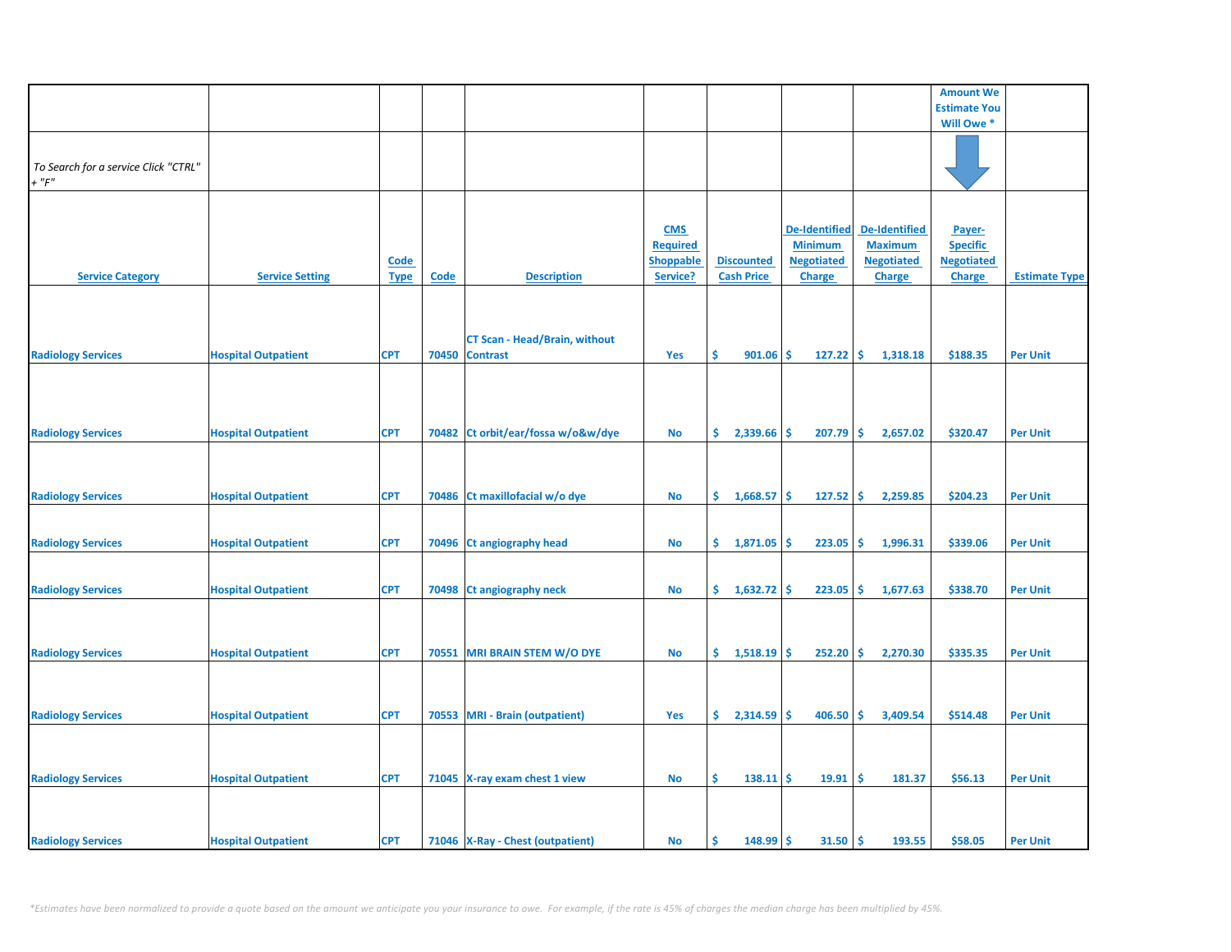|                                                     |                            |                            |       |                                                         |                                                               |                                        |                                                                              |                                                                              | <b>Amount We</b>                                                |                      |
|-----------------------------------------------------|----------------------------|----------------------------|-------|---------------------------------------------------------|---------------------------------------------------------------|----------------------------------------|------------------------------------------------------------------------------|------------------------------------------------------------------------------|-----------------------------------------------------------------|----------------------|
|                                                     |                            |                            |       |                                                         |                                                               |                                        |                                                                              |                                                                              | <b>Estimate You</b>                                             |                      |
|                                                     |                            |                            |       |                                                         |                                                               |                                        |                                                                              |                                                                              | Will Owe *                                                      |                      |
| To Search for a service Click "CTRL"<br>$+$ " $F$ " |                            |                            |       |                                                         |                                                               |                                        |                                                                              |                                                                              |                                                                 |                      |
| <b>Service Category</b>                             | <b>Service Setting</b>     | <b>Code</b><br><b>Type</b> | Code  | <b>Description</b>                                      | <b>CMS</b><br><b>Required</b><br><b>Shoppable</b><br>Service? | <b>Discounted</b><br><b>Cash Price</b> | <b>De-Identified</b><br><b>Minimum</b><br><b>Negotiated</b><br><b>Charge</b> | <b>De-Identified</b><br><b>Maximum</b><br><b>Negotiated</b><br><b>Charge</b> | Payer-<br><b>Specific</b><br><b>Negotiated</b><br><b>Charge</b> | <b>Estimate Type</b> |
| <b>Radiology Services</b>                           | <b>Hospital Outpatient</b> | <b>CPT</b>                 | 70450 | <b>CT Scan - Head/Brain, without</b><br><b>Contrast</b> | Yes                                                           | \$<br>901.06                           | -\$<br>127.22                                                                | \$<br>1,318.18                                                               | \$188.35                                                        | <b>Per Unit</b>      |
| <b>Radiology Services</b>                           | <b>Hospital Outpatient</b> | <b>CPT</b>                 | 70482 | Ct orbit/ear/fossa w/o&w/dye                            | <b>No</b>                                                     | \$.<br>2,339.66                        | 207.79<br>\$                                                                 | \$<br>2,657.02                                                               | \$320.47                                                        | <b>Per Unit</b>      |
| <b>Radiology Services</b>                           | <b>Hospital Outpatient</b> | <b>CPT</b>                 |       | 70486 Ct maxillofacial w/o dye                          | No                                                            | \$.<br>1,668.57                        | \$<br>127.52                                                                 | \$.<br>2,259.85                                                              | \$204.23                                                        | <b>Per Unit</b>      |
| <b>Radiology Services</b>                           | <b>Hospital Outpatient</b> | <b>CPT</b>                 | 70496 | <b>Ct angiography head</b>                              | No                                                            | \$.<br>1,871.05                        | 223.05<br>\$                                                                 | \$<br>1,996.31                                                               | \$339.06                                                        | <b>Per Unit</b>      |
| <b>Radiology Services</b>                           | <b>Hospital Outpatient</b> | <b>CPT</b>                 |       | 70498 Ct angiography neck                               | No                                                            | Ŝ.<br>1,632.72                         | Ŝ.<br>223.05                                                                 | \$.<br>1,677.63                                                              | \$338.70                                                        | <b>Per Unit</b>      |
| <b>Radiology Services</b>                           | <b>Hospital Outpatient</b> | <b>CPT</b>                 |       | 70551 MRI BRAIN STEM W/O DYE                            | <b>No</b>                                                     | \$.<br>$1,518.19$ \$                   | 252.20                                                                       | \$<br>2,270.30                                                               | \$335.35                                                        | <b>Per Unit</b>      |
| <b>Radiology Services</b>                           | <b>Hospital Outpatient</b> | <b>CPT</b>                 |       | 70553 MRI - Brain (outpatient)                          | Yes                                                           | \$.<br>2,314.59                        | 406.50<br>\$.                                                                | Ŝ.<br>3,409.54                                                               | \$514.48                                                        | <b>Per Unit</b>      |
| <b>Radiology Services</b>                           | <b>Hospital Outpatient</b> | <b>CPT</b>                 |       | 71045 X-ray exam chest 1 view                           | No                                                            | \$<br>$138.11$ \$                      | 19.91                                                                        | \$<br>181.37                                                                 | \$56.13                                                         | <b>Per Unit</b>      |
| <b>Radiology Services</b>                           | <b>Hospital Outpatient</b> | <b>CPT</b>                 |       | 71046 X-Ray - Chest (outpatient)                        | No                                                            | Ś<br>148.99                            | 31.50<br>\$                                                                  | \$<br>193.55                                                                 | \$58.05                                                         | <b>Per Unit</b>      |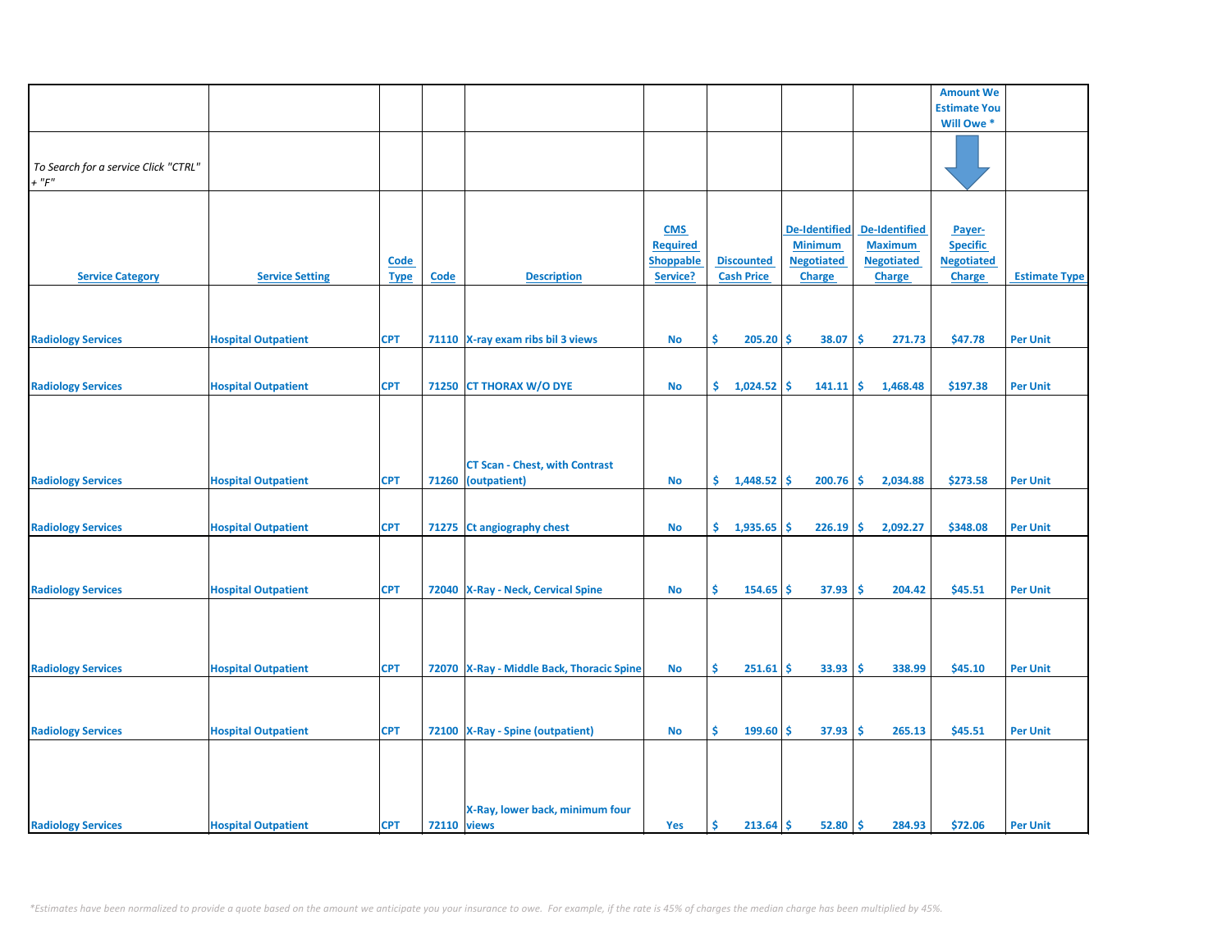| <b>Amount We</b><br><b>Estimate You</b><br>Will Owe*<br>To Search for a service Click "CTRL"<br>$+$ " $F$ "<br><b>De-Identified</b><br><b>De-Identified</b><br><b>CMS</b><br>Payer-<br><b>Minimum</b><br><b>Maximum</b><br><b>Specific</b><br><b>Required</b><br><b>Discounted</b><br><b>Negotiated</b><br><b>Negotiated</b><br><b>Negotiated</b><br><b>Shoppable</b><br><b>Code</b><br>Service?<br><b>Cash Price</b><br><b>Service Category</b><br><b>Service Setting</b><br>Code<br><b>Description</b><br><b>Charge</b><br><b>Charge</b><br><b>Estimate Type</b><br><b>Type</b><br><b>Charge</b><br><b>CPT</b><br>-\$<br>\$47.78<br><b>Radiology Services</b><br><b>Hospital Outpatient</b><br>71110 X-ray exam ribs bil 3 views<br><b>No</b><br>\$<br>205.20<br>-\$<br>38.07<br>271.73<br><b>Per Unit</b><br>\$.<br>1,024.52<br>\$<br><b>Radiology Services</b><br><b>Hospital Outpatient</b><br><b>CPT</b><br>71250 CT THORAX W/O DYE<br><b>No</b><br>Ŝ.<br>141.11<br>1,468.48<br>\$197.38<br><b>Per Unit</b><br><b>CT Scan - Chest, with Contrast</b><br><b>Radiology Services</b><br><b>Hospital Outpatient</b><br><b>CPT</b><br>71260<br>(outpatient)<br><b>No</b><br>\$.<br>1,448.52<br>200.76<br>-\$<br>2,034.88<br>\$273.58<br><b>Per Unit</b><br>-\$<br>-\$<br><b>Radiology Services</b><br><b>CPT</b><br>71275 Ct angiography chest<br>\$.<br>1,935.65<br>226.19<br>2,092.27<br>\$348.08<br><b>Per Unit</b><br><b>Hospital Outpatient</b><br>No<br>\$<br><b>Radiology Services</b><br>72040 X-Ray - Neck, Cervical Spine<br>\$<br>154.65<br>37.93<br>-\$<br>204.42<br>\$45.51<br><b>Hospital Outpatient</b><br><b>CPT</b><br><b>No</b><br>-\$<br><b>Per Unit</b><br><b>Radiology Services</b><br>\$.<br>$251.61$ \$<br>33.93<br>-\$<br>338.99<br>\$45.10<br><b>Hospital Outpatient</b><br><b>CPT</b><br>72070 X-Ray - Middle Back, Thoracic Spine<br><b>No</b><br><b>Per Unit</b><br>-\$<br>265.13<br>\$45.51<br><b>Radiology Services</b><br><b>Hospital Outpatient</b><br><b>CPT</b><br>72100 X-Ray - Spine (outpatient)<br><b>No</b><br>Ŝ.<br>199.60<br>Ŝ.<br>37.93<br><b>Per Unit</b> |                           |  |                                 |  |  |  |
|-------------------------------------------------------------------------------------------------------------------------------------------------------------------------------------------------------------------------------------------------------------------------------------------------------------------------------------------------------------------------------------------------------------------------------------------------------------------------------------------------------------------------------------------------------------------------------------------------------------------------------------------------------------------------------------------------------------------------------------------------------------------------------------------------------------------------------------------------------------------------------------------------------------------------------------------------------------------------------------------------------------------------------------------------------------------------------------------------------------------------------------------------------------------------------------------------------------------------------------------------------------------------------------------------------------------------------------------------------------------------------------------------------------------------------------------------------------------------------------------------------------------------------------------------------------------------------------------------------------------------------------------------------------------------------------------------------------------------------------------------------------------------------------------------------------------------------------------------------------------------------------------------------------------------------------------------------------------------------------------------------------------------------------------------------------------------------------------------------|---------------------------|--|---------------------------------|--|--|--|
|                                                                                                                                                                                                                                                                                                                                                                                                                                                                                                                                                                                                                                                                                                                                                                                                                                                                                                                                                                                                                                                                                                                                                                                                                                                                                                                                                                                                                                                                                                                                                                                                                                                                                                                                                                                                                                                                                                                                                                                                                                                                                                       |                           |  |                                 |  |  |  |
|                                                                                                                                                                                                                                                                                                                                                                                                                                                                                                                                                                                                                                                                                                                                                                                                                                                                                                                                                                                                                                                                                                                                                                                                                                                                                                                                                                                                                                                                                                                                                                                                                                                                                                                                                                                                                                                                                                                                                                                                                                                                                                       |                           |  |                                 |  |  |  |
|                                                                                                                                                                                                                                                                                                                                                                                                                                                                                                                                                                                                                                                                                                                                                                                                                                                                                                                                                                                                                                                                                                                                                                                                                                                                                                                                                                                                                                                                                                                                                                                                                                                                                                                                                                                                                                                                                                                                                                                                                                                                                                       |                           |  |                                 |  |  |  |
|                                                                                                                                                                                                                                                                                                                                                                                                                                                                                                                                                                                                                                                                                                                                                                                                                                                                                                                                                                                                                                                                                                                                                                                                                                                                                                                                                                                                                                                                                                                                                                                                                                                                                                                                                                                                                                                                                                                                                                                                                                                                                                       |                           |  |                                 |  |  |  |
|                                                                                                                                                                                                                                                                                                                                                                                                                                                                                                                                                                                                                                                                                                                                                                                                                                                                                                                                                                                                                                                                                                                                                                                                                                                                                                                                                                                                                                                                                                                                                                                                                                                                                                                                                                                                                                                                                                                                                                                                                                                                                                       |                           |  |                                 |  |  |  |
|                                                                                                                                                                                                                                                                                                                                                                                                                                                                                                                                                                                                                                                                                                                                                                                                                                                                                                                                                                                                                                                                                                                                                                                                                                                                                                                                                                                                                                                                                                                                                                                                                                                                                                                                                                                                                                                                                                                                                                                                                                                                                                       |                           |  |                                 |  |  |  |
|                                                                                                                                                                                                                                                                                                                                                                                                                                                                                                                                                                                                                                                                                                                                                                                                                                                                                                                                                                                                                                                                                                                                                                                                                                                                                                                                                                                                                                                                                                                                                                                                                                                                                                                                                                                                                                                                                                                                                                                                                                                                                                       |                           |  |                                 |  |  |  |
|                                                                                                                                                                                                                                                                                                                                                                                                                                                                                                                                                                                                                                                                                                                                                                                                                                                                                                                                                                                                                                                                                                                                                                                                                                                                                                                                                                                                                                                                                                                                                                                                                                                                                                                                                                                                                                                                                                                                                                                                                                                                                                       |                           |  |                                 |  |  |  |
|                                                                                                                                                                                                                                                                                                                                                                                                                                                                                                                                                                                                                                                                                                                                                                                                                                                                                                                                                                                                                                                                                                                                                                                                                                                                                                                                                                                                                                                                                                                                                                                                                                                                                                                                                                                                                                                                                                                                                                                                                                                                                                       |                           |  |                                 |  |  |  |
|                                                                                                                                                                                                                                                                                                                                                                                                                                                                                                                                                                                                                                                                                                                                                                                                                                                                                                                                                                                                                                                                                                                                                                                                                                                                                                                                                                                                                                                                                                                                                                                                                                                                                                                                                                                                                                                                                                                                                                                                                                                                                                       |                           |  |                                 |  |  |  |
|                                                                                                                                                                                                                                                                                                                                                                                                                                                                                                                                                                                                                                                                                                                                                                                                                                                                                                                                                                                                                                                                                                                                                                                                                                                                                                                                                                                                                                                                                                                                                                                                                                                                                                                                                                                                                                                                                                                                                                                                                                                                                                       |                           |  |                                 |  |  |  |
|                                                                                                                                                                                                                                                                                                                                                                                                                                                                                                                                                                                                                                                                                                                                                                                                                                                                                                                                                                                                                                                                                                                                                                                                                                                                                                                                                                                                                                                                                                                                                                                                                                                                                                                                                                                                                                                                                                                                                                                                                                                                                                       |                           |  |                                 |  |  |  |
|                                                                                                                                                                                                                                                                                                                                                                                                                                                                                                                                                                                                                                                                                                                                                                                                                                                                                                                                                                                                                                                                                                                                                                                                                                                                                                                                                                                                                                                                                                                                                                                                                                                                                                                                                                                                                                                                                                                                                                                                                                                                                                       |                           |  |                                 |  |  |  |
|                                                                                                                                                                                                                                                                                                                                                                                                                                                                                                                                                                                                                                                                                                                                                                                                                                                                                                                                                                                                                                                                                                                                                                                                                                                                                                                                                                                                                                                                                                                                                                                                                                                                                                                                                                                                                                                                                                                                                                                                                                                                                                       |                           |  |                                 |  |  |  |
|                                                                                                                                                                                                                                                                                                                                                                                                                                                                                                                                                                                                                                                                                                                                                                                                                                                                                                                                                                                                                                                                                                                                                                                                                                                                                                                                                                                                                                                                                                                                                                                                                                                                                                                                                                                                                                                                                                                                                                                                                                                                                                       |                           |  |                                 |  |  |  |
|                                                                                                                                                                                                                                                                                                                                                                                                                                                                                                                                                                                                                                                                                                                                                                                                                                                                                                                                                                                                                                                                                                                                                                                                                                                                                                                                                                                                                                                                                                                                                                                                                                                                                                                                                                                                                                                                                                                                                                                                                                                                                                       |                           |  |                                 |  |  |  |
|                                                                                                                                                                                                                                                                                                                                                                                                                                                                                                                                                                                                                                                                                                                                                                                                                                                                                                                                                                                                                                                                                                                                                                                                                                                                                                                                                                                                                                                                                                                                                                                                                                                                                                                                                                                                                                                                                                                                                                                                                                                                                                       |                           |  |                                 |  |  |  |
|                                                                                                                                                                                                                                                                                                                                                                                                                                                                                                                                                                                                                                                                                                                                                                                                                                                                                                                                                                                                                                                                                                                                                                                                                                                                                                                                                                                                                                                                                                                                                                                                                                                                                                                                                                                                                                                                                                                                                                                                                                                                                                       |                           |  |                                 |  |  |  |
|                                                                                                                                                                                                                                                                                                                                                                                                                                                                                                                                                                                                                                                                                                                                                                                                                                                                                                                                                                                                                                                                                                                                                                                                                                                                                                                                                                                                                                                                                                                                                                                                                                                                                                                                                                                                                                                                                                                                                                                                                                                                                                       |                           |  |                                 |  |  |  |
|                                                                                                                                                                                                                                                                                                                                                                                                                                                                                                                                                                                                                                                                                                                                                                                                                                                                                                                                                                                                                                                                                                                                                                                                                                                                                                                                                                                                                                                                                                                                                                                                                                                                                                                                                                                                                                                                                                                                                                                                                                                                                                       |                           |  |                                 |  |  |  |
|                                                                                                                                                                                                                                                                                                                                                                                                                                                                                                                                                                                                                                                                                                                                                                                                                                                                                                                                                                                                                                                                                                                                                                                                                                                                                                                                                                                                                                                                                                                                                                                                                                                                                                                                                                                                                                                                                                                                                                                                                                                                                                       |                           |  |                                 |  |  |  |
|                                                                                                                                                                                                                                                                                                                                                                                                                                                                                                                                                                                                                                                                                                                                                                                                                                                                                                                                                                                                                                                                                                                                                                                                                                                                                                                                                                                                                                                                                                                                                                                                                                                                                                                                                                                                                                                                                                                                                                                                                                                                                                       |                           |  |                                 |  |  |  |
|                                                                                                                                                                                                                                                                                                                                                                                                                                                                                                                                                                                                                                                                                                                                                                                                                                                                                                                                                                                                                                                                                                                                                                                                                                                                                                                                                                                                                                                                                                                                                                                                                                                                                                                                                                                                                                                                                                                                                                                                                                                                                                       |                           |  |                                 |  |  |  |
|                                                                                                                                                                                                                                                                                                                                                                                                                                                                                                                                                                                                                                                                                                                                                                                                                                                                                                                                                                                                                                                                                                                                                                                                                                                                                                                                                                                                                                                                                                                                                                                                                                                                                                                                                                                                                                                                                                                                                                                                                                                                                                       |                           |  |                                 |  |  |  |
|                                                                                                                                                                                                                                                                                                                                                                                                                                                                                                                                                                                                                                                                                                                                                                                                                                                                                                                                                                                                                                                                                                                                                                                                                                                                                                                                                                                                                                                                                                                                                                                                                                                                                                                                                                                                                                                                                                                                                                                                                                                                                                       |                           |  |                                 |  |  |  |
|                                                                                                                                                                                                                                                                                                                                                                                                                                                                                                                                                                                                                                                                                                                                                                                                                                                                                                                                                                                                                                                                                                                                                                                                                                                                                                                                                                                                                                                                                                                                                                                                                                                                                                                                                                                                                                                                                                                                                                                                                                                                                                       |                           |  |                                 |  |  |  |
|                                                                                                                                                                                                                                                                                                                                                                                                                                                                                                                                                                                                                                                                                                                                                                                                                                                                                                                                                                                                                                                                                                                                                                                                                                                                                                                                                                                                                                                                                                                                                                                                                                                                                                                                                                                                                                                                                                                                                                                                                                                                                                       |                           |  |                                 |  |  |  |
|                                                                                                                                                                                                                                                                                                                                                                                                                                                                                                                                                                                                                                                                                                                                                                                                                                                                                                                                                                                                                                                                                                                                                                                                                                                                                                                                                                                                                                                                                                                                                                                                                                                                                                                                                                                                                                                                                                                                                                                                                                                                                                       |                           |  |                                 |  |  |  |
|                                                                                                                                                                                                                                                                                                                                                                                                                                                                                                                                                                                                                                                                                                                                                                                                                                                                                                                                                                                                                                                                                                                                                                                                                                                                                                                                                                                                                                                                                                                                                                                                                                                                                                                                                                                                                                                                                                                                                                                                                                                                                                       |                           |  |                                 |  |  |  |
|                                                                                                                                                                                                                                                                                                                                                                                                                                                                                                                                                                                                                                                                                                                                                                                                                                                                                                                                                                                                                                                                                                                                                                                                                                                                                                                                                                                                                                                                                                                                                                                                                                                                                                                                                                                                                                                                                                                                                                                                                                                                                                       |                           |  |                                 |  |  |  |
|                                                                                                                                                                                                                                                                                                                                                                                                                                                                                                                                                                                                                                                                                                                                                                                                                                                                                                                                                                                                                                                                                                                                                                                                                                                                                                                                                                                                                                                                                                                                                                                                                                                                                                                                                                                                                                                                                                                                                                                                                                                                                                       |                           |  |                                 |  |  |  |
|                                                                                                                                                                                                                                                                                                                                                                                                                                                                                                                                                                                                                                                                                                                                                                                                                                                                                                                                                                                                                                                                                                                                                                                                                                                                                                                                                                                                                                                                                                                                                                                                                                                                                                                                                                                                                                                                                                                                                                                                                                                                                                       |                           |  |                                 |  |  |  |
|                                                                                                                                                                                                                                                                                                                                                                                                                                                                                                                                                                                                                                                                                                                                                                                                                                                                                                                                                                                                                                                                                                                                                                                                                                                                                                                                                                                                                                                                                                                                                                                                                                                                                                                                                                                                                                                                                                                                                                                                                                                                                                       |                           |  |                                 |  |  |  |
|                                                                                                                                                                                                                                                                                                                                                                                                                                                                                                                                                                                                                                                                                                                                                                                                                                                                                                                                                                                                                                                                                                                                                                                                                                                                                                                                                                                                                                                                                                                                                                                                                                                                                                                                                                                                                                                                                                                                                                                                                                                                                                       |                           |  |                                 |  |  |  |
|                                                                                                                                                                                                                                                                                                                                                                                                                                                                                                                                                                                                                                                                                                                                                                                                                                                                                                                                                                                                                                                                                                                                                                                                                                                                                                                                                                                                                                                                                                                                                                                                                                                                                                                                                                                                                                                                                                                                                                                                                                                                                                       |                           |  |                                 |  |  |  |
|                                                                                                                                                                                                                                                                                                                                                                                                                                                                                                                                                                                                                                                                                                                                                                                                                                                                                                                                                                                                                                                                                                                                                                                                                                                                                                                                                                                                                                                                                                                                                                                                                                                                                                                                                                                                                                                                                                                                                                                                                                                                                                       |                           |  |                                 |  |  |  |
|                                                                                                                                                                                                                                                                                                                                                                                                                                                                                                                                                                                                                                                                                                                                                                                                                                                                                                                                                                                                                                                                                                                                                                                                                                                                                                                                                                                                                                                                                                                                                                                                                                                                                                                                                                                                                                                                                                                                                                                                                                                                                                       |                           |  |                                 |  |  |  |
|                                                                                                                                                                                                                                                                                                                                                                                                                                                                                                                                                                                                                                                                                                                                                                                                                                                                                                                                                                                                                                                                                                                                                                                                                                                                                                                                                                                                                                                                                                                                                                                                                                                                                                                                                                                                                                                                                                                                                                                                                                                                                                       |                           |  |                                 |  |  |  |
|                                                                                                                                                                                                                                                                                                                                                                                                                                                                                                                                                                                                                                                                                                                                                                                                                                                                                                                                                                                                                                                                                                                                                                                                                                                                                                                                                                                                                                                                                                                                                                                                                                                                                                                                                                                                                                                                                                                                                                                                                                                                                                       |                           |  |                                 |  |  |  |
|                                                                                                                                                                                                                                                                                                                                                                                                                                                                                                                                                                                                                                                                                                                                                                                                                                                                                                                                                                                                                                                                                                                                                                                                                                                                                                                                                                                                                                                                                                                                                                                                                                                                                                                                                                                                                                                                                                                                                                                                                                                                                                       |                           |  |                                 |  |  |  |
|                                                                                                                                                                                                                                                                                                                                                                                                                                                                                                                                                                                                                                                                                                                                                                                                                                                                                                                                                                                                                                                                                                                                                                                                                                                                                                                                                                                                                                                                                                                                                                                                                                                                                                                                                                                                                                                                                                                                                                                                                                                                                                       |                           |  |                                 |  |  |  |
|                                                                                                                                                                                                                                                                                                                                                                                                                                                                                                                                                                                                                                                                                                                                                                                                                                                                                                                                                                                                                                                                                                                                                                                                                                                                                                                                                                                                                                                                                                                                                                                                                                                                                                                                                                                                                                                                                                                                                                                                                                                                                                       |                           |  |                                 |  |  |  |
|                                                                                                                                                                                                                                                                                                                                                                                                                                                                                                                                                                                                                                                                                                                                                                                                                                                                                                                                                                                                                                                                                                                                                                                                                                                                                                                                                                                                                                                                                                                                                                                                                                                                                                                                                                                                                                                                                                                                                                                                                                                                                                       |                           |  |                                 |  |  |  |
|                                                                                                                                                                                                                                                                                                                                                                                                                                                                                                                                                                                                                                                                                                                                                                                                                                                                                                                                                                                                                                                                                                                                                                                                                                                                                                                                                                                                                                                                                                                                                                                                                                                                                                                                                                                                                                                                                                                                                                                                                                                                                                       |                           |  |                                 |  |  |  |
|                                                                                                                                                                                                                                                                                                                                                                                                                                                                                                                                                                                                                                                                                                                                                                                                                                                                                                                                                                                                                                                                                                                                                                                                                                                                                                                                                                                                                                                                                                                                                                                                                                                                                                                                                                                                                                                                                                                                                                                                                                                                                                       |                           |  |                                 |  |  |  |
|                                                                                                                                                                                                                                                                                                                                                                                                                                                                                                                                                                                                                                                                                                                                                                                                                                                                                                                                                                                                                                                                                                                                                                                                                                                                                                                                                                                                                                                                                                                                                                                                                                                                                                                                                                                                                                                                                                                                                                                                                                                                                                       |                           |  |                                 |  |  |  |
|                                                                                                                                                                                                                                                                                                                                                                                                                                                                                                                                                                                                                                                                                                                                                                                                                                                                                                                                                                                                                                                                                                                                                                                                                                                                                                                                                                                                                                                                                                                                                                                                                                                                                                                                                                                                                                                                                                                                                                                                                                                                                                       |                           |  |                                 |  |  |  |
|                                                                                                                                                                                                                                                                                                                                                                                                                                                                                                                                                                                                                                                                                                                                                                                                                                                                                                                                                                                                                                                                                                                                                                                                                                                                                                                                                                                                                                                                                                                                                                                                                                                                                                                                                                                                                                                                                                                                                                                                                                                                                                       |                           |  |                                 |  |  |  |
|                                                                                                                                                                                                                                                                                                                                                                                                                                                                                                                                                                                                                                                                                                                                                                                                                                                                                                                                                                                                                                                                                                                                                                                                                                                                                                                                                                                                                                                                                                                                                                                                                                                                                                                                                                                                                                                                                                                                                                                                                                                                                                       |                           |  |                                 |  |  |  |
|                                                                                                                                                                                                                                                                                                                                                                                                                                                                                                                                                                                                                                                                                                                                                                                                                                                                                                                                                                                                                                                                                                                                                                                                                                                                                                                                                                                                                                                                                                                                                                                                                                                                                                                                                                                                                                                                                                                                                                                                                                                                                                       |                           |  |                                 |  |  |  |
|                                                                                                                                                                                                                                                                                                                                                                                                                                                                                                                                                                                                                                                                                                                                                                                                                                                                                                                                                                                                                                                                                                                                                                                                                                                                                                                                                                                                                                                                                                                                                                                                                                                                                                                                                                                                                                                                                                                                                                                                                                                                                                       |                           |  |                                 |  |  |  |
|                                                                                                                                                                                                                                                                                                                                                                                                                                                                                                                                                                                                                                                                                                                                                                                                                                                                                                                                                                                                                                                                                                                                                                                                                                                                                                                                                                                                                                                                                                                                                                                                                                                                                                                                                                                                                                                                                                                                                                                                                                                                                                       |                           |  |                                 |  |  |  |
|                                                                                                                                                                                                                                                                                                                                                                                                                                                                                                                                                                                                                                                                                                                                                                                                                                                                                                                                                                                                                                                                                                                                                                                                                                                                                                                                                                                                                                                                                                                                                                                                                                                                                                                                                                                                                                                                                                                                                                                                                                                                                                       |                           |  |                                 |  |  |  |
|                                                                                                                                                                                                                                                                                                                                                                                                                                                                                                                                                                                                                                                                                                                                                                                                                                                                                                                                                                                                                                                                                                                                                                                                                                                                                                                                                                                                                                                                                                                                                                                                                                                                                                                                                                                                                                                                                                                                                                                                                                                                                                       |                           |  | X-Ray, lower back, minimum four |  |  |  |
| <b>72110</b> views<br>١\$<br><b>Hospital Outpatient</b><br><b>CPT</b><br>Ŝ<br>$213.64$ \$<br>52.80<br>284.93<br>\$72.06<br>Yes<br><b>Per Unit</b>                                                                                                                                                                                                                                                                                                                                                                                                                                                                                                                                                                                                                                                                                                                                                                                                                                                                                                                                                                                                                                                                                                                                                                                                                                                                                                                                                                                                                                                                                                                                                                                                                                                                                                                                                                                                                                                                                                                                                     | <b>Radiology Services</b> |  |                                 |  |  |  |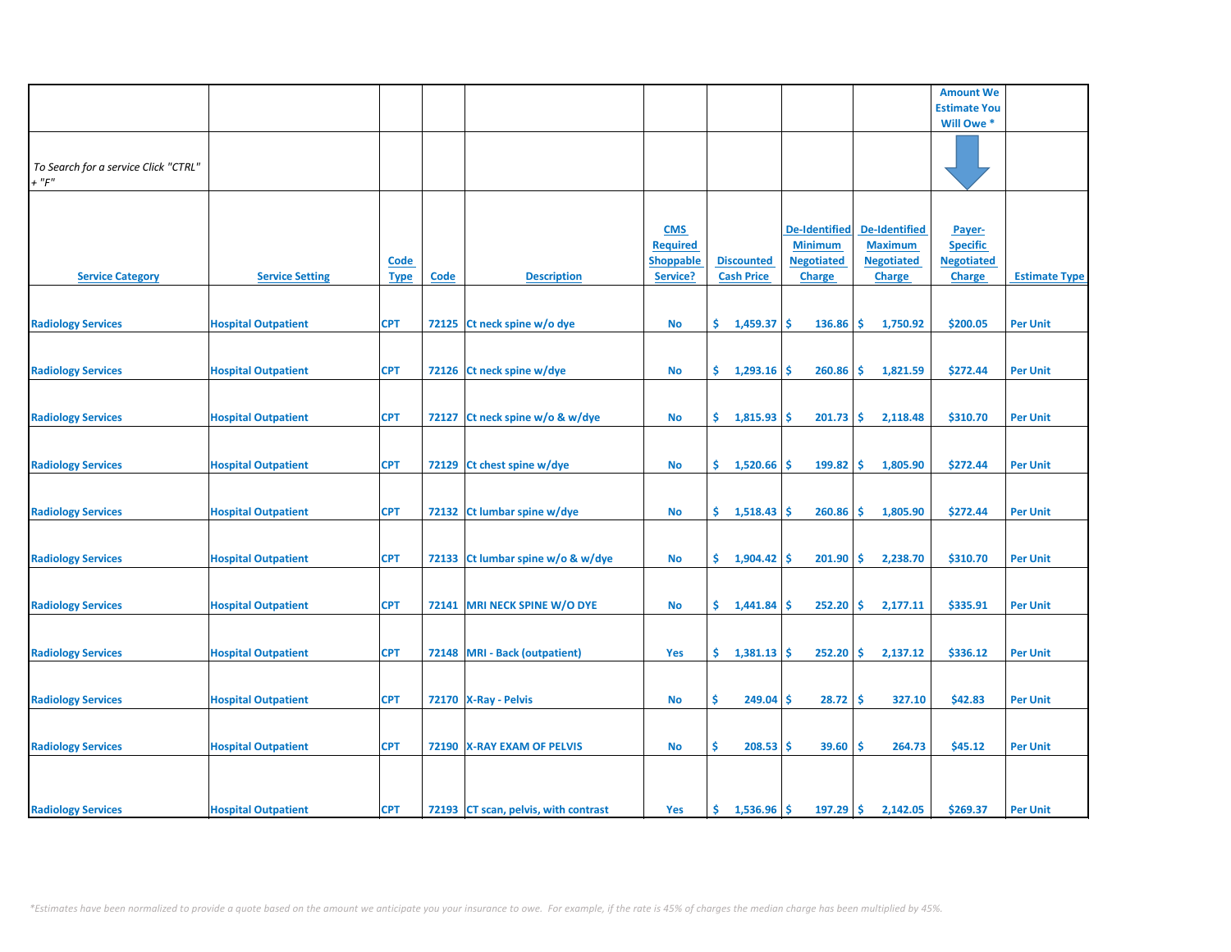|                                      |                            |             |       |                                      |                  |                       |                      |                                 | <b>Amount We</b>    |                      |
|--------------------------------------|----------------------------|-------------|-------|--------------------------------------|------------------|-----------------------|----------------------|---------------------------------|---------------------|----------------------|
|                                      |                            |             |       |                                      |                  |                       |                      |                                 | <b>Estimate You</b> |                      |
|                                      |                            |             |       |                                      |                  |                       |                      |                                 | Will Owe *          |                      |
|                                      |                            |             |       |                                      |                  |                       |                      |                                 |                     |                      |
|                                      |                            |             |       |                                      |                  |                       |                      |                                 |                     |                      |
|                                      |                            |             |       |                                      |                  |                       |                      |                                 |                     |                      |
| To Search for a service Click "CTRL" |                            |             |       |                                      |                  |                       |                      |                                 |                     |                      |
| $+$ " $F$ "                          |                            |             |       |                                      |                  |                       |                      |                                 |                     |                      |
|                                      |                            |             |       |                                      |                  |                       |                      |                                 |                     |                      |
|                                      |                            |             |       |                                      |                  |                       |                      |                                 |                     |                      |
|                                      |                            |             |       |                                      | <b>CMS</b>       |                       | <b>De-Identified</b> | <b>De-Identified</b>            | Payer-              |                      |
|                                      |                            |             |       |                                      | <b>Required</b>  |                       | <b>Minimum</b>       | <b>Maximum</b>                  | <b>Specific</b>     |                      |
|                                      |                            |             |       |                                      |                  |                       |                      |                                 |                     |                      |
|                                      |                            | <b>Code</b> |       |                                      | <b>Shoppable</b> | <b>Discounted</b>     | <b>Negotiated</b>    | <b>Negotiated</b>               | <b>Negotiated</b>   |                      |
| <b>Service Category</b>              | <b>Service Setting</b>     | <b>Type</b> | Code  | <b>Description</b>                   | Service?         | <b>Cash Price</b>     | <b>Charge</b>        | <b>Charge</b>                   | <b>Charge</b>       | <b>Estimate Type</b> |
|                                      |                            |             |       |                                      |                  |                       |                      |                                 |                     |                      |
|                                      |                            |             |       |                                      |                  |                       |                      |                                 |                     |                      |
| <b>Radiology Services</b>            | <b>Hospital Outpatient</b> | <b>CPT</b>  |       | 72125 Ct neck spine w/o dye          | <b>No</b>        | \$.<br>1,459.37       | 136.86<br>-\$        | -\$<br>1,750.92                 | \$200.05            | <b>Per Unit</b>      |
|                                      |                            |             |       |                                      |                  |                       |                      |                                 |                     |                      |
|                                      |                            |             |       |                                      |                  |                       |                      |                                 |                     |                      |
|                                      |                            |             |       |                                      |                  |                       |                      |                                 |                     |                      |
| <b>Radiology Services</b>            | <b>Hospital Outpatient</b> | <b>CPT</b>  |       | 72126 Ct neck spine w/dye            | <b>No</b>        | $\frac{1}{293.16}$ \$ | 260.86               | <b>S</b><br>1,821.59            | \$272.44            | <b>Per Unit</b>      |
|                                      |                            |             |       |                                      |                  |                       |                      |                                 |                     |                      |
|                                      |                            |             |       |                                      |                  |                       |                      |                                 |                     |                      |
| <b>Radiology Services</b>            | <b>Hospital Outpatient</b> | <b>CPT</b>  | 72127 | Ct neck spine w/o & w/dye            | <b>No</b>        | \$1,815.93            | Ŝ<br>201.73          | -\$<br>2,118.48                 | \$310.70            | <b>Per Unit</b>      |
|                                      |                            |             |       |                                      |                  |                       |                      |                                 |                     |                      |
|                                      |                            |             |       |                                      |                  |                       |                      |                                 |                     |                      |
|                                      |                            |             |       |                                      |                  |                       |                      |                                 |                     |                      |
| <b>Radiology Services</b>            | <b>Hospital Outpatient</b> | <b>CPT</b>  |       | 72129 Ct chest spine w/dye           | No               | \$.<br>1,520.66       | 199.82<br><b>S</b>   | -\$<br>1,805.90                 | \$272.44            | <b>Per Unit</b>      |
|                                      |                            |             |       |                                      |                  |                       |                      |                                 |                     |                      |
|                                      |                            |             |       |                                      |                  |                       |                      |                                 |                     |                      |
| <b>Radiology Services</b>            | <b>Hospital Outpatient</b> | <b>CPT</b>  |       | 72132 Ct lumbar spine w/dye          | No               | \$.<br>1,518.43       | 260.86<br>-S         | \$ ا<br>1,805.90                | \$272.44            | <b>Per Unit</b>      |
|                                      |                            |             |       |                                      |                  |                       |                      |                                 |                     |                      |
|                                      |                            |             |       |                                      |                  |                       |                      |                                 |                     |                      |
|                                      |                            |             |       |                                      |                  |                       |                      |                                 |                     |                      |
| <b>Radiology Services</b>            | <b>Hospital Outpatient</b> | <b>CPT</b>  |       | 72133 Ct lumbar spine w/o & w/dye    | <b>No</b>        | \$.<br>1,904.42       | 201.90<br>-\$        | -\$<br>2,238.70                 | \$310.70            | <b>Per Unit</b>      |
|                                      |                            |             |       |                                      |                  |                       |                      |                                 |                     |                      |
|                                      |                            |             |       |                                      |                  |                       |                      |                                 |                     |                      |
| <b>Radiology Services</b>            | <b>Hospital Outpatient</b> | <b>CPT</b>  |       | 72141 MRI NECK SPINE W/O DYE         | No               | \$1,441.84            | 252.20<br><b>S</b>   | $\ddot{\mathsf{s}}$<br>2,177.11 | \$335.91            | <b>Per Unit</b>      |
|                                      |                            |             |       |                                      |                  |                       |                      |                                 |                     |                      |
|                                      |                            |             |       |                                      |                  |                       |                      |                                 |                     |                      |
|                                      |                            |             |       |                                      |                  | \$.                   |                      | \$.                             |                     |                      |
| <b>Radiology Services</b>            | <b>Hospital Outpatient</b> | <b>CPT</b>  |       | 72148 MRI - Back (outpatient)        | Yes              | 1,381.13              | 252.20<br><b>S</b>   | 2,137.12                        | \$336.12            | <b>Per Unit</b>      |
|                                      |                            |             |       |                                      |                  |                       |                      |                                 |                     |                      |
|                                      |                            |             |       |                                      |                  |                       |                      |                                 |                     |                      |
| <b>Radiology Services</b>            | <b>Hospital Outpatient</b> | <b>CPT</b>  |       | 72170 X-Ray - Pelvis                 | No               | \$<br>$249.04$ \$     | 28.72                | l\$<br>327.10                   | \$42.83             | <b>Per Unit</b>      |
|                                      |                            |             |       |                                      |                  |                       |                      |                                 |                     |                      |
|                                      |                            |             |       |                                      |                  |                       |                      |                                 |                     |                      |
| <b>Radiology Services</b>            | <b>Hospital Outpatient</b> | <b>CPT</b>  |       | 72190   X-RAY EXAM OF PELVIS         | No               | \$<br>$208.53$ \$     | 39.60                | 264.73<br>-\$                   | \$45.12             | <b>Per Unit</b>      |
|                                      |                            |             |       |                                      |                  |                       |                      |                                 |                     |                      |
|                                      |                            |             |       |                                      |                  |                       |                      |                                 |                     |                      |
|                                      |                            |             |       |                                      |                  |                       |                      |                                 |                     |                      |
|                                      |                            |             |       |                                      |                  |                       |                      |                                 |                     |                      |
| <b>Radiology Services</b>            | <b>Hospital Outpatient</b> | <b>CPT</b>  |       | 72193 CT scan, pelvis, with contrast | Yes              | \$.<br>1,536.96       | Ŝ<br>197.29          | -\$<br>2,142.05                 | \$269.37            | <b>Per Unit</b>      |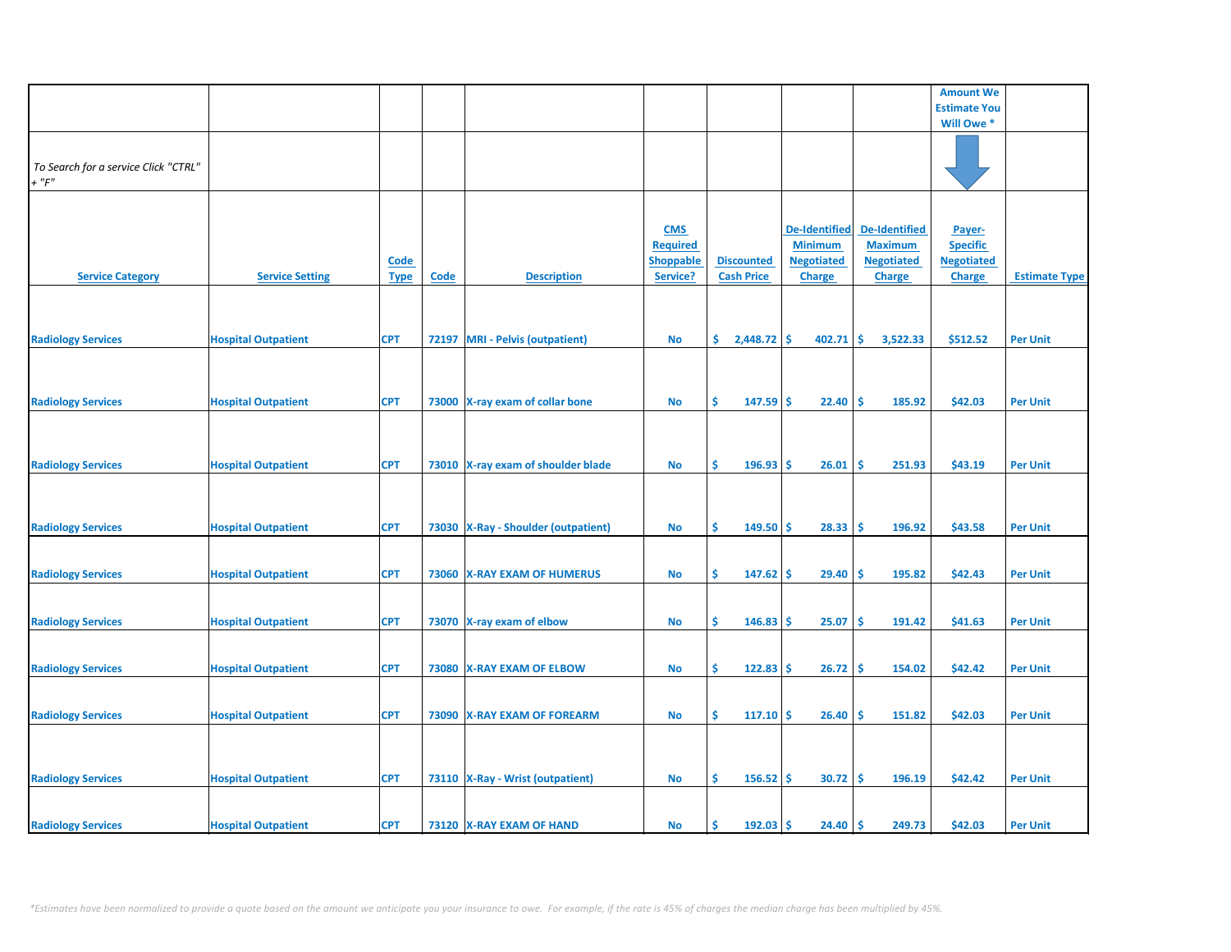|                                      |                            |             |      |                                       |                  |                   |                      |                      | <b>Amount We</b>    |                      |
|--------------------------------------|----------------------------|-------------|------|---------------------------------------|------------------|-------------------|----------------------|----------------------|---------------------|----------------------|
|                                      |                            |             |      |                                       |                  |                   |                      |                      | <b>Estimate You</b> |                      |
|                                      |                            |             |      |                                       |                  |                   |                      |                      | Will Owe *          |                      |
|                                      |                            |             |      |                                       |                  |                   |                      |                      |                     |                      |
|                                      |                            |             |      |                                       |                  |                   |                      |                      |                     |                      |
|                                      |                            |             |      |                                       |                  |                   |                      |                      |                     |                      |
| To Search for a service Click "CTRL" |                            |             |      |                                       |                  |                   |                      |                      |                     |                      |
| $+$ " $F$ "                          |                            |             |      |                                       |                  |                   |                      |                      |                     |                      |
|                                      |                            |             |      |                                       |                  |                   |                      |                      |                     |                      |
|                                      |                            |             |      |                                       |                  |                   |                      |                      |                     |                      |
|                                      |                            |             |      |                                       |                  |                   |                      |                      |                     |                      |
|                                      |                            |             |      |                                       | <b>CMS</b>       |                   | <b>De-Identified</b> | <b>De-Identified</b> | Payer-              |                      |
|                                      |                            |             |      |                                       | <b>Required</b>  |                   | <b>Minimum</b>       | <b>Maximum</b>       | <b>Specific</b>     |                      |
|                                      |                            | <b>Code</b> |      |                                       | <b>Shoppable</b> | <b>Discounted</b> | <b>Negotiated</b>    | <b>Negotiated</b>    | <b>Negotiated</b>   |                      |
|                                      |                            |             |      |                                       |                  |                   |                      |                      |                     |                      |
| <b>Service Category</b>              | <b>Service Setting</b>     | <b>Type</b> | Code | <b>Description</b>                    | Service?         | <b>Cash Price</b> | <b>Charge</b>        | <b>Charge</b>        | <b>Charge</b>       | <b>Estimate Type</b> |
|                                      |                            |             |      |                                       |                  |                   |                      |                      |                     |                      |
|                                      |                            |             |      |                                       |                  |                   |                      |                      |                     |                      |
|                                      |                            |             |      |                                       |                  |                   |                      |                      |                     |                      |
|                                      |                            |             |      |                                       |                  |                   |                      |                      |                     |                      |
| <b>Radiology Services</b>            | <b>Hospital Outpatient</b> | <b>CPT</b>  |      | 72197 MRI - Pelvis (outpatient)       | <b>No</b>        | \$<br>2,448.72    | \$<br>402.71         | -\$<br>3,522.33      | \$512.52            | <b>Per Unit</b>      |
|                                      |                            |             |      |                                       |                  |                   |                      |                      |                     |                      |
|                                      |                            |             |      |                                       |                  |                   |                      |                      |                     |                      |
|                                      |                            |             |      |                                       |                  |                   |                      |                      |                     |                      |
|                                      |                            |             |      |                                       |                  |                   |                      |                      |                     |                      |
| <b>Radiology Services</b>            | <b>Hospital Outpatient</b> | <b>CPT</b>  |      | 73000 X-ray exam of collar bone       | <b>No</b>        | \$<br>147.59      | 22.40<br><b>S</b>    | \$ ا<br>185.92       | \$42.03             | <b>Per Unit</b>      |
|                                      |                            |             |      |                                       |                  |                   |                      |                      |                     |                      |
|                                      |                            |             |      |                                       |                  |                   |                      |                      |                     |                      |
|                                      |                            |             |      |                                       |                  |                   |                      |                      |                     |                      |
|                                      |                            |             |      |                                       |                  |                   |                      |                      |                     |                      |
| <b>Radiology Services</b>            | <b>Hospital Outpatient</b> | <b>CPT</b>  |      | 73010 X-ray exam of shoulder blade    | <b>No</b>        | \$<br>196.93      | Ŝ.<br>26.01          | \$.<br>251.93        | \$43.19             | <b>Per Unit</b>      |
|                                      |                            |             |      |                                       |                  |                   |                      |                      |                     |                      |
|                                      |                            |             |      |                                       |                  |                   |                      |                      |                     |                      |
|                                      |                            |             |      |                                       |                  |                   |                      |                      |                     |                      |
|                                      |                            |             |      |                                       |                  |                   |                      |                      |                     |                      |
| <b>Radiology Services</b>            | <b>Hospital Outpatient</b> | <b>CPT</b>  |      | 73030   X-Ray - Shoulder (outpatient) | No               | \$<br>149.50      | Ŝ<br>28.33           | \$.<br>196.92        | \$43.58             | <b>Per Unit</b>      |
|                                      |                            |             |      |                                       |                  |                   |                      |                      |                     |                      |
|                                      |                            |             |      |                                       |                  |                   |                      |                      |                     |                      |
|                                      |                            |             |      |                                       |                  |                   |                      |                      |                     |                      |
| <b>Radiology Services</b>            | <b>Hospital Outpatient</b> | <b>CPT</b>  |      | 73060 X-RAY EXAM OF HUMERUS           | <b>No</b>        | \$<br>$147.62$ \$ | 29.40                | ۱\$<br>195.82        | \$42.43             | <b>Per Unit</b>      |
|                                      |                            |             |      |                                       |                  |                   |                      |                      |                     |                      |
|                                      |                            |             |      |                                       |                  |                   |                      |                      |                     |                      |
|                                      |                            |             |      |                                       |                  |                   |                      |                      |                     |                      |
| <b>Radiology Services</b>            | <b>Hospital Outpatient</b> | <b>CPT</b>  |      | 73070 X-ray exam of elbow             | <b>No</b>        | \$<br>146.83      | 25.07<br>-S          | -\$<br>191.42        | \$41.63             | <b>Per Unit</b>      |
|                                      |                            |             |      |                                       |                  |                   |                      |                      |                     |                      |
|                                      |                            |             |      |                                       |                  |                   |                      |                      |                     |                      |
|                                      |                            |             |      |                                       |                  |                   |                      |                      |                     |                      |
| <b>Radiology Services</b>            | <b>Hospital Outpatient</b> | <b>CPT</b>  |      | 73080 X-RAY EXAM OF ELBOW             | <b>No</b>        | \$<br>122.83      | 26.72<br><b>S</b>    | \$<br>154.02         | \$42.42             | <b>Per Unit</b>      |
|                                      |                            |             |      |                                       |                  |                   |                      |                      |                     |                      |
|                                      |                            |             |      |                                       |                  |                   |                      |                      |                     |                      |
|                                      |                            |             |      |                                       |                  |                   |                      |                      |                     |                      |
| <b>Radiology Services</b>            | <b>Hospital Outpatient</b> | <b>CPT</b>  |      | 73090 X-RAY EXAM OF FOREARM           | <b>No</b>        | \$<br>$117.10$ \$ | 26.40                | ۱\$<br>151.82        | \$42.03             | <b>Per Unit</b>      |
|                                      |                            |             |      |                                       |                  |                   |                      |                      |                     |                      |
|                                      |                            |             |      |                                       |                  |                   |                      |                      |                     |                      |
|                                      |                            |             |      |                                       |                  |                   |                      |                      |                     |                      |
|                                      |                            |             |      |                                       |                  |                   |                      |                      |                     |                      |
| <b>Radiology Services</b>            | <b>Hospital Outpatient</b> | <b>CPT</b>  |      | 73110   X-Ray - Wrist (outpatient)    | <b>No</b>        | \$<br>156.52      | 30.72<br><b>S</b>    | -\$<br>196.19        | \$42.42             | <b>Per Unit</b>      |
|                                      |                            |             |      |                                       |                  |                   |                      |                      |                     |                      |
|                                      |                            |             |      |                                       |                  |                   |                      |                      |                     |                      |
|                                      |                            |             |      |                                       |                  |                   |                      |                      |                     |                      |
| <b>Radiology Services</b>            | <b>Hospital Outpatient</b> | <b>CPT</b>  |      | 73120 X-RAY EXAM OF HAND              | <b>No</b>        | 192.03<br>Ś       | <b>S</b><br>24.40    | ∣\$<br>249.73        | \$42.03             | <b>Per Unit</b>      |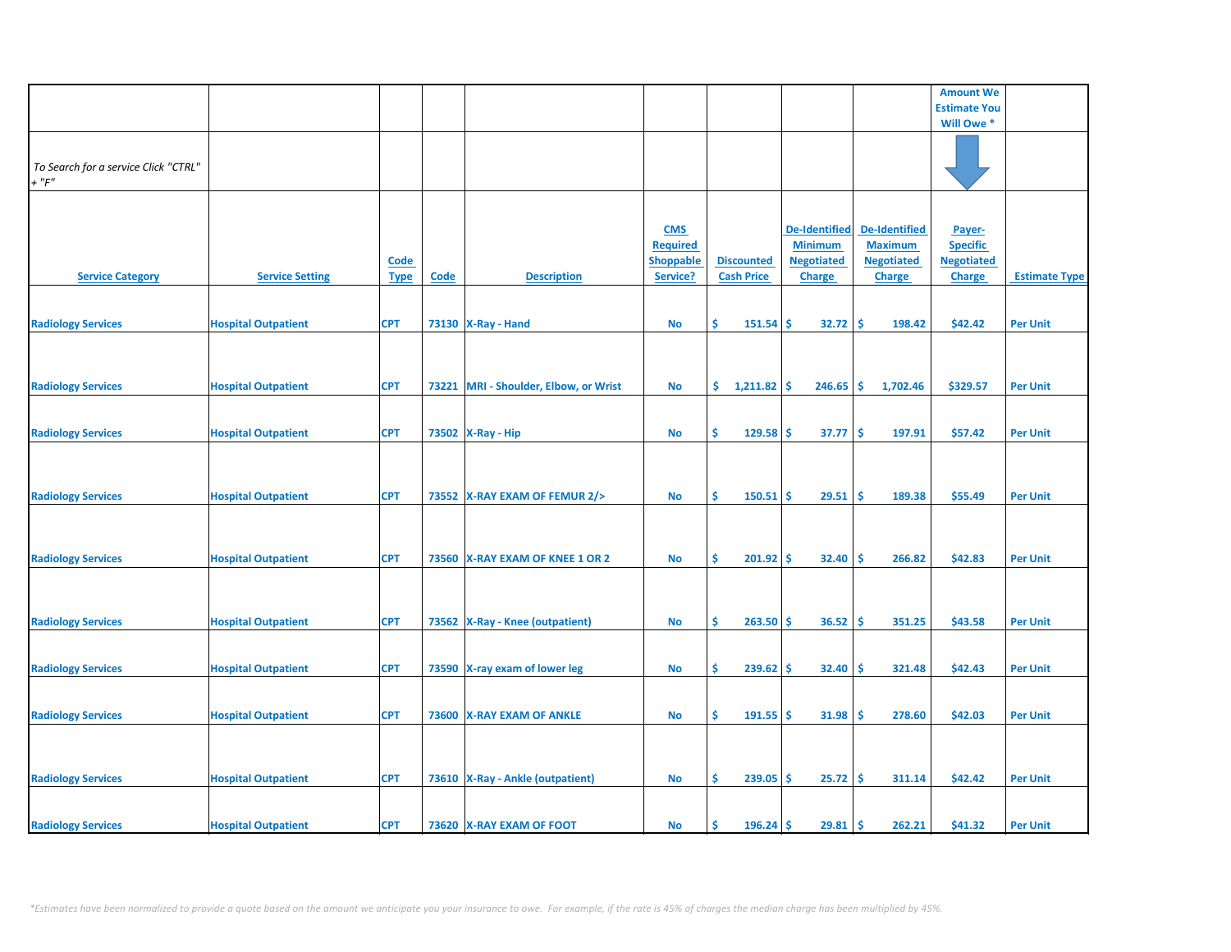|                                      |                            |             |             |                                       |                  |                    |                      |                      | <b>Amount We</b>    |                      |
|--------------------------------------|----------------------------|-------------|-------------|---------------------------------------|------------------|--------------------|----------------------|----------------------|---------------------|----------------------|
|                                      |                            |             |             |                                       |                  |                    |                      |                      | <b>Estimate You</b> |                      |
|                                      |                            |             |             |                                       |                  |                    |                      |                      | Will Owe *          |                      |
|                                      |                            |             |             |                                       |                  |                    |                      |                      |                     |                      |
|                                      |                            |             |             |                                       |                  |                    |                      |                      |                     |                      |
|                                      |                            |             |             |                                       |                  |                    |                      |                      |                     |                      |
| To Search for a service Click "CTRL" |                            |             |             |                                       |                  |                    |                      |                      |                     |                      |
| $+$ " $F$ "                          |                            |             |             |                                       |                  |                    |                      |                      |                     |                      |
|                                      |                            |             |             |                                       |                  |                    |                      |                      |                     |                      |
|                                      |                            |             |             |                                       |                  |                    |                      |                      |                     |                      |
|                                      |                            |             |             |                                       |                  |                    |                      |                      |                     |                      |
|                                      |                            |             |             |                                       | <b>CMS</b>       |                    | <b>De-Identified</b> | <b>De-Identified</b> | Payer-              |                      |
|                                      |                            |             |             |                                       | <b>Required</b>  |                    | <b>Minimum</b>       | <b>Maximum</b>       | <b>Specific</b>     |                      |
|                                      |                            |             |             |                                       |                  |                    |                      |                      |                     |                      |
|                                      |                            | <b>Code</b> |             |                                       | <b>Shoppable</b> | <b>Discounted</b>  | <b>Negotiated</b>    | <b>Negotiated</b>    | <b>Negotiated</b>   |                      |
| <b>Service Category</b>              | <b>Service Setting</b>     | <b>Type</b> | <b>Code</b> | <b>Description</b>                    | Service?         | <b>Cash Price</b>  | Charge               | Charge               | <b>Charge</b>       | <b>Estimate Type</b> |
|                                      |                            |             |             |                                       |                  |                    |                      |                      |                     |                      |
|                                      |                            |             |             |                                       |                  |                    |                      |                      |                     |                      |
|                                      |                            |             |             |                                       |                  |                    |                      |                      |                     |                      |
| <b>Radiology Services</b>            | <b>Hospital Outpatient</b> | <b>CPT</b>  |             | 73130   X-Ray - Hand                  | No               | Ŝ<br>151.54        | Ŝ<br>32.72           | -\$<br>198.42        | \$42.42             | <b>Per Unit</b>      |
|                                      |                            |             |             |                                       |                  |                    |                      |                      |                     |                      |
|                                      |                            |             |             |                                       |                  |                    |                      |                      |                     |                      |
|                                      |                            |             |             |                                       |                  |                    |                      |                      |                     |                      |
|                                      |                            |             |             |                                       |                  |                    |                      |                      |                     |                      |
| <b>Radiology Services</b>            | <b>Hospital Outpatient</b> | <b>CPT</b>  |             | 73221 MRI - Shoulder, Elbow, or Wrist | No               | \$.<br>1,211.82    | 246.65<br><b>S</b>   | \$<br>1,702.46       | \$329.57            | <b>Per Unit</b>      |
|                                      |                            |             |             |                                       |                  |                    |                      |                      |                     |                      |
|                                      |                            |             |             |                                       |                  |                    |                      |                      |                     |                      |
|                                      |                            |             |             |                                       |                  |                    |                      |                      |                     |                      |
| <b>Radiology Services</b>            | <b>Hospital Outpatient</b> | <b>CPT</b>  |             | 73502 X-Ray - Hip                     | <b>No</b>        | Ŝ<br>$129.58$ \$   | 37.77                | -\$<br>197.91        | \$57.42             | <b>Per Unit</b>      |
|                                      |                            |             |             |                                       |                  |                    |                      |                      |                     |                      |
|                                      |                            |             |             |                                       |                  |                    |                      |                      |                     |                      |
|                                      |                            |             |             |                                       |                  |                    |                      |                      |                     |                      |
|                                      |                            |             |             |                                       |                  |                    |                      |                      |                     |                      |
|                                      |                            |             |             |                                       |                  | \$<br>$150.51$ \$  |                      | -\$                  |                     |                      |
| <b>Radiology Services</b>            | <b>Hospital Outpatient</b> | <b>CPT</b>  |             | 73552 X-RAY EXAM OF FEMUR 2/>         | <b>No</b>        |                    | 29.51                | 189.38               | \$55.49             | <b>Per Unit</b>      |
|                                      |                            |             |             |                                       |                  |                    |                      |                      |                     |                      |
|                                      |                            |             |             |                                       |                  |                    |                      |                      |                     |                      |
|                                      |                            |             |             |                                       |                  |                    |                      |                      |                     |                      |
|                                      |                            |             |             |                                       |                  |                    |                      |                      |                     |                      |
| <b>Radiology Services</b>            | <b>Hospital Outpatient</b> | <b>CPT</b>  |             | 73560 X-RAY EXAM OF KNEE 1 OR 2       | <b>No</b>        | \$<br>$201.92$ \$  | 32.40                | ١\$<br>266.82        | \$42.83             | <b>Per Unit</b>      |
|                                      |                            |             |             |                                       |                  |                    |                      |                      |                     |                      |
|                                      |                            |             |             |                                       |                  |                    |                      |                      |                     |                      |
|                                      |                            |             |             |                                       |                  |                    |                      |                      |                     |                      |
|                                      |                            |             |             |                                       |                  |                    |                      |                      |                     |                      |
| <b>Radiology Services</b>            | <b>Hospital Outpatient</b> | <b>CPT</b>  |             | 73562 X-Ray - Knee (outpatient)       | No               | \$<br>$263.50$ \$  | 36.52                | -\$<br>351.25        | \$43.58             | <b>Per Unit</b>      |
|                                      |                            |             |             |                                       |                  |                    |                      |                      |                     |                      |
|                                      |                            |             |             |                                       |                  |                    |                      |                      |                     |                      |
|                                      |                            |             |             |                                       |                  |                    |                      |                      |                     |                      |
| <b>Radiology Services</b>            | <b>Hospital Outpatient</b> | <b>CPT</b>  |             | 73590 X-ray exam of lower leg         | No               | \$<br>239.62       | <b>S</b><br>32.40    | \$,<br>321.48        | \$42.43             | <b>Per Unit</b>      |
|                                      |                            |             |             |                                       |                  |                    |                      |                      |                     |                      |
|                                      |                            |             |             |                                       |                  |                    |                      |                      |                     |                      |
|                                      |                            |             |             |                                       |                  |                    |                      |                      |                     |                      |
| <b>Radiology Services</b>            | <b>Hospital Outpatient</b> | <b>CPT</b>  |             | 73600 X-RAY EXAM OF ANKLE             | No               | \$<br>$191.55$ \$  | 31.98                | -\$<br>278.60        | \$42.03             | <b>Per Unit</b>      |
|                                      |                            |             |             |                                       |                  |                    |                      |                      |                     |                      |
|                                      |                            |             |             |                                       |                  |                    |                      |                      |                     |                      |
|                                      |                            |             |             |                                       |                  |                    |                      |                      |                     |                      |
|                                      |                            |             |             |                                       |                  |                    |                      |                      |                     |                      |
| <b>Radiology Services</b>            | <b>Hospital Outpatient</b> | <b>CPT</b>  |             | 73610   X-Ray - Ankle (outpatient)    | No               | $239.05$ \$<br>\$. | 25.72                | -\$<br>311.14        | \$42.42             | <b>Per Unit</b>      |
|                                      |                            |             |             |                                       |                  |                    |                      |                      |                     |                      |
|                                      |                            |             |             |                                       |                  |                    |                      |                      |                     |                      |
|                                      |                            |             |             |                                       |                  |                    |                      |                      |                     |                      |
|                                      | <b>Hospital Outpatient</b> | <b>CPT</b>  |             | 73620 X-RAY EXAM OF FOOT              | No               | Ś<br>$196.24$ \$   | 29.81                | -\$<br>262.21        | \$41.32             | <b>Per Unit</b>      |
| <b>Radiology Services</b>            |                            |             |             |                                       |                  |                    |                      |                      |                     |                      |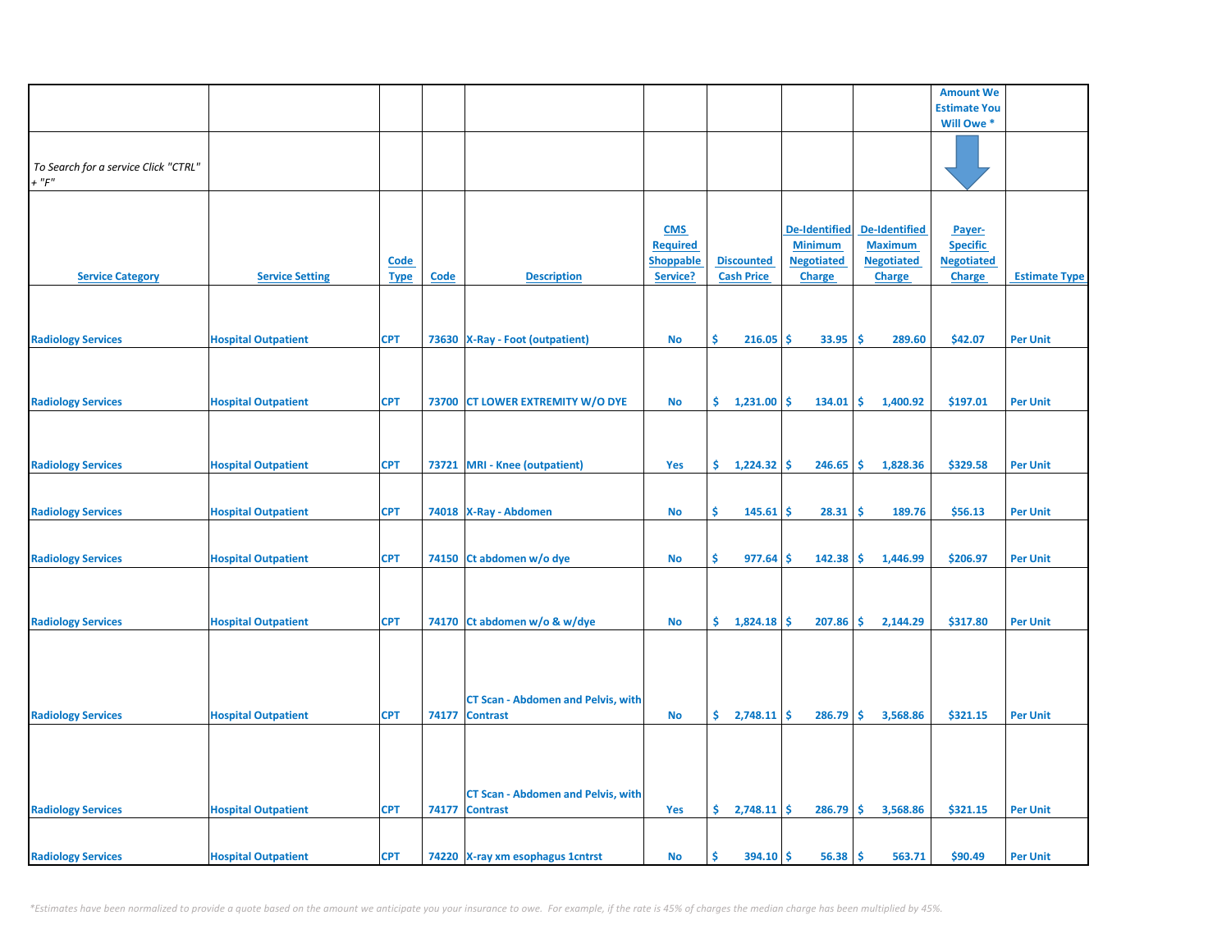|                                      |                            |             |       |                                                              |                  |                          |                      |                      | <b>Amount We</b>    |                      |
|--------------------------------------|----------------------------|-------------|-------|--------------------------------------------------------------|------------------|--------------------------|----------------------|----------------------|---------------------|----------------------|
|                                      |                            |             |       |                                                              |                  |                          |                      |                      | <b>Estimate You</b> |                      |
|                                      |                            |             |       |                                                              |                  |                          |                      |                      | Will Owe *          |                      |
|                                      |                            |             |       |                                                              |                  |                          |                      |                      |                     |                      |
|                                      |                            |             |       |                                                              |                  |                          |                      |                      |                     |                      |
| To Search for a service Click "CTRL" |                            |             |       |                                                              |                  |                          |                      |                      |                     |                      |
| $+$ " $F$ "                          |                            |             |       |                                                              |                  |                          |                      |                      |                     |                      |
|                                      |                            |             |       |                                                              |                  |                          |                      |                      |                     |                      |
|                                      |                            |             |       |                                                              | <b>CMS</b>       |                          | <b>De-Identified</b> | <b>De-Identified</b> | Payer-              |                      |
|                                      |                            |             |       |                                                              | <b>Required</b>  |                          | <b>Minimum</b>       | <b>Maximum</b>       | <b>Specific</b>     |                      |
|                                      |                            | <b>Code</b> |       |                                                              | <b>Shoppable</b> | <b>Discounted</b>        | <b>Negotiated</b>    | <b>Negotiated</b>    | <b>Negotiated</b>   |                      |
| <b>Service Category</b>              | <b>Service Setting</b>     | <b>Type</b> | Code  | <b>Description</b>                                           | Service?         | <b>Cash Price</b>        | <b>Charge</b>        | <b>Charge</b>        | <b>Charge</b>       | <b>Estimate Type</b> |
|                                      |                            |             |       |                                                              |                  |                          |                      |                      |                     |                      |
|                                      |                            |             |       |                                                              |                  |                          |                      |                      |                     |                      |
|                                      |                            |             |       |                                                              |                  |                          |                      |                      |                     |                      |
| <b>Radiology Services</b>            | <b>Hospital Outpatient</b> | <b>CPT</b>  |       | 73630   X-Ray - Foot (outpatient)                            | <b>No</b>        | \$<br>216.05             | -S<br>33.95          | -\$<br>289.60        | \$42.07             | <b>Per Unit</b>      |
|                                      |                            |             |       |                                                              |                  |                          |                      |                      |                     |                      |
|                                      |                            |             |       |                                                              |                  |                          |                      |                      |                     |                      |
|                                      |                            |             |       |                                                              |                  |                          |                      |                      |                     |                      |
| <b>Radiology Services</b>            | <b>Hospital Outpatient</b> | <b>CPT</b>  |       | 73700 CT LOWER EXTREMITY W/O DYE                             | <b>No</b>        | \$.<br>1,231.00          | -Ś<br>134.01         | -Ś<br>1,400.92       | \$197.01            | <b>Per Unit</b>      |
|                                      |                            |             |       |                                                              |                  |                          |                      |                      |                     |                      |
|                                      |                            |             |       |                                                              |                  |                          |                      |                      |                     |                      |
|                                      |                            |             |       |                                                              |                  |                          |                      |                      |                     |                      |
| <b>Radiology Services</b>            | <b>Hospital Outpatient</b> | <b>CPT</b>  |       | 73721 MRI - Knee (outpatient)                                | Yes              | \$<br>1,224.32           | -\$<br>246.65        | -\$<br>1,828.36      | \$329.58            | <b>Per Unit</b>      |
|                                      |                            |             |       |                                                              |                  |                          |                      |                      |                     |                      |
| <b>Radiology Services</b>            | <b>Hospital Outpatient</b> | <b>CPT</b>  |       | 74018   X-Ray - Abdomen                                      | <b>No</b>        | \$.<br>145.61            | -\$<br>28.31         | -\$<br>189.76        | \$56.13             | <b>Per Unit</b>      |
|                                      |                            |             |       |                                                              |                  |                          |                      |                      |                     |                      |
|                                      |                            |             |       |                                                              |                  |                          |                      |                      |                     |                      |
| <b>Radiology Services</b>            | <b>Hospital Outpatient</b> | <b>CPT</b>  |       | 74150 Ct abdomen w/o dye                                     | <b>No</b>        | \$.<br>977.64            | -S<br>142.38         | ا\$<br>1,446.99      | \$206.97            | <b>Per Unit</b>      |
|                                      |                            |             |       |                                                              |                  |                          |                      |                      |                     |                      |
|                                      |                            |             |       |                                                              |                  |                          |                      |                      |                     |                      |
|                                      |                            |             |       |                                                              |                  |                          |                      |                      |                     |                      |
| <b>Radiology Services</b>            | <b>Hospital Outpatient</b> | <b>CPT</b>  |       | 74170 Ct abdomen w/o & w/dye                                 | <b>No</b>        | $\sin 1,824.18$ $\sin 1$ | 207.86               | I\$<br>2,144.29      | \$317.80            | <b>Per Unit</b>      |
|                                      |                            |             |       |                                                              |                  |                          |                      |                      |                     |                      |
|                                      |                            |             |       |                                                              |                  |                          |                      |                      |                     |                      |
|                                      |                            |             |       |                                                              |                  |                          |                      |                      |                     |                      |
|                                      |                            |             |       |                                                              |                  |                          |                      |                      |                     |                      |
|                                      |                            | <b>CPT</b>  | 74177 | <b>CT Scan - Abdomen and Pelvis, with</b><br><b>Contrast</b> | <b>No</b>        | $\frac{2,748.11}{5}$     | 286.79               | l\$<br>3,568.86      | \$321.15            | <b>Per Unit</b>      |
| <b>Radiology Services</b>            | <b>Hospital Outpatient</b> |             |       |                                                              |                  |                          |                      |                      |                     |                      |
|                                      |                            |             |       |                                                              |                  |                          |                      |                      |                     |                      |
|                                      |                            |             |       |                                                              |                  |                          |                      |                      |                     |                      |
|                                      |                            |             |       |                                                              |                  |                          |                      |                      |                     |                      |
|                                      |                            |             |       | <b>CT Scan - Abdomen and Pelvis, with</b>                    |                  |                          |                      |                      |                     |                      |
| <b>Radiology Services</b>            | <b>Hospital Outpatient</b> | <b>CPT</b>  | 74177 | <b>Contrast</b>                                              | Yes              | \$2,748.11               | -Ś<br>286.79         | -\$<br>3,568.86      | \$321.15            | <b>Per Unit</b>      |
|                                      |                            |             |       |                                                              |                  |                          |                      |                      |                     |                      |
|                                      |                            |             |       |                                                              |                  |                          |                      |                      |                     |                      |
| <b>Radiology Services</b>            | <b>Hospital Outpatient</b> | <b>CPT</b>  |       | 74220 X-ray xm esophagus 1 cntrst                            | <b>No</b>        | Ś<br>394.10              | -\$<br>56.38         | ا\$<br>563.71        | \$90.49             | <b>Per Unit</b>      |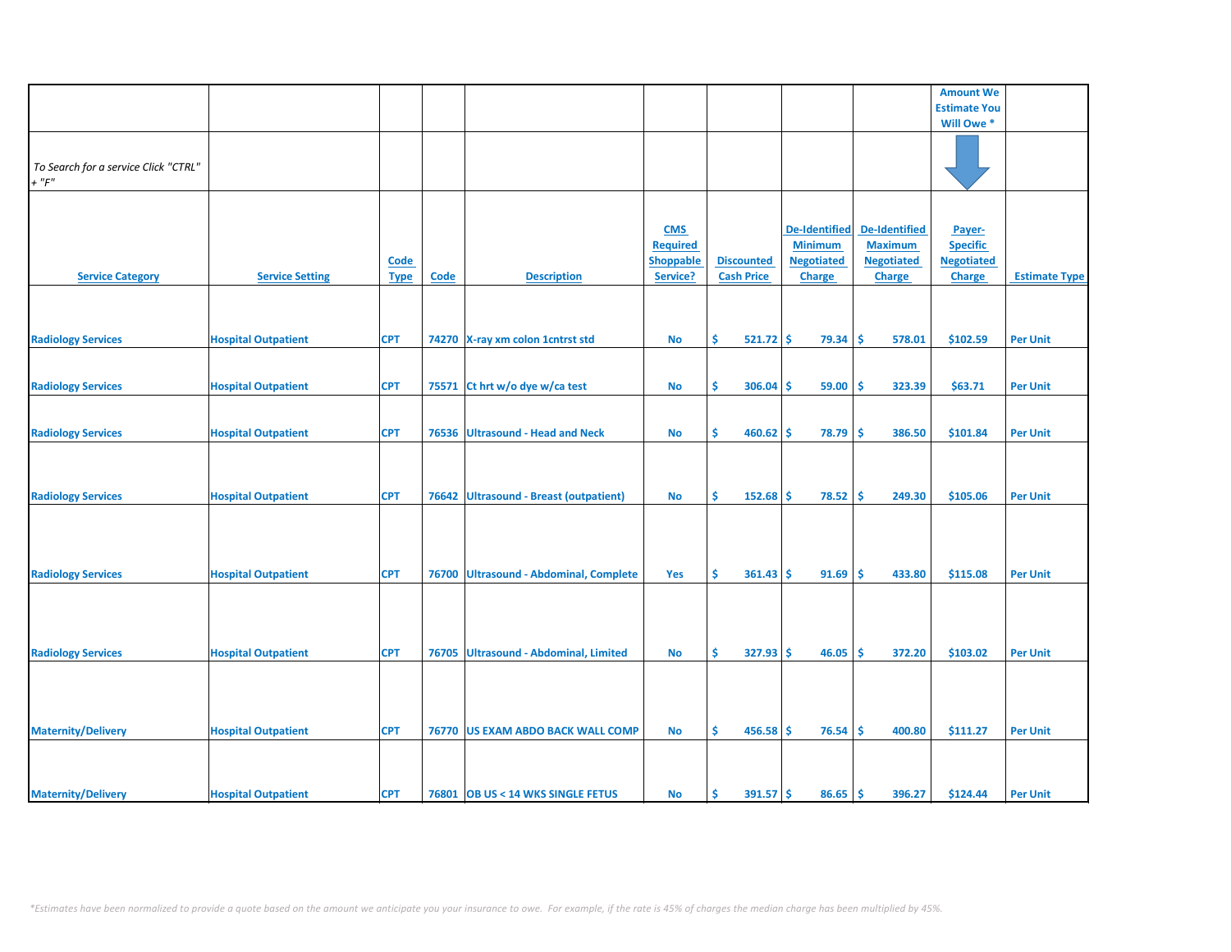|                                                     |                            |                            |             |                                         |                                                               |                                        |                                                                              |                                                                              | <b>Amount We</b>                                                |                      |
|-----------------------------------------------------|----------------------------|----------------------------|-------------|-----------------------------------------|---------------------------------------------------------------|----------------------------------------|------------------------------------------------------------------------------|------------------------------------------------------------------------------|-----------------------------------------------------------------|----------------------|
|                                                     |                            |                            |             |                                         |                                                               |                                        |                                                                              |                                                                              |                                                                 |                      |
|                                                     |                            |                            |             |                                         |                                                               |                                        |                                                                              |                                                                              | <b>Estimate You</b>                                             |                      |
|                                                     |                            |                            |             |                                         |                                                               |                                        |                                                                              |                                                                              | Will Owe *                                                      |                      |
| To Search for a service Click "CTRL"<br>$+$ " $F$ " |                            |                            |             |                                         |                                                               |                                        |                                                                              |                                                                              |                                                                 |                      |
|                                                     |                            |                            |             |                                         |                                                               |                                        |                                                                              |                                                                              |                                                                 |                      |
| <b>Service Category</b>                             | <b>Service Setting</b>     | <b>Code</b><br><b>Type</b> | <b>Code</b> | <b>Description</b>                      | <b>CMS</b><br><b>Required</b><br><b>Shoppable</b><br>Service? | <b>Discounted</b><br><b>Cash Price</b> | <b>De-Identified</b><br><b>Minimum</b><br><b>Negotiated</b><br><b>Charge</b> | <b>De-Identified</b><br><b>Maximum</b><br><b>Negotiated</b><br><b>Charge</b> | Payer-<br><b>Specific</b><br><b>Negotiated</b><br><b>Charge</b> | <b>Estimate Type</b> |
|                                                     |                            |                            |             |                                         |                                                               |                                        |                                                                              |                                                                              |                                                                 |                      |
| <b>Radiology Services</b>                           | <b>Hospital Outpatient</b> | <b>CPT</b>                 |             | 74270 X-ray xm colon 1 cntrst std       | <b>No</b>                                                     | \$<br>$521.72$ \$                      | 79.34                                                                        | \$.<br>578.01                                                                | \$102.59                                                        | <b>Per Unit</b>      |
|                                                     |                            |                            |             |                                         |                                                               |                                        |                                                                              |                                                                              |                                                                 |                      |
|                                                     |                            |                            |             |                                         |                                                               |                                        |                                                                              |                                                                              |                                                                 |                      |
| <b>Radiology Services</b>                           | <b>Hospital Outpatient</b> | <b>CPT</b>                 | 75571       | Ct hrt w/o dye w/ca test                | No                                                            | \$<br>306.04                           | 59.00<br>\$.                                                                 | \$.<br>323.39                                                                | \$63.71                                                         | <b>Per Unit</b>      |
| <b>Radiology Services</b>                           | <b>Hospital Outpatient</b> | <b>CPT</b>                 | 76536       | <b>Ultrasound - Head and Neck</b>       | <b>No</b>                                                     | \$<br>460.62                           | \$<br>78.79                                                                  | Ŝ<br>386.50                                                                  | \$101.84                                                        | <b>Per Unit</b>      |
| <b>Radiology Services</b>                           | <b>Hospital Outpatient</b> | <b>CPT</b>                 | 76642       | <b>Ultrasound - Breast (outpatient)</b> | <b>No</b>                                                     | Ś<br>152.68                            | \$<br>78.52                                                                  | Ŝ<br>249.30                                                                  | \$105.06                                                        | <b>Per Unit</b>      |
| <b>Radiology Services</b>                           | <b>Hospital Outpatient</b> | <b>CPT</b>                 | 76700       | <b>Ultrasound - Abdominal, Complete</b> | <b>Yes</b>                                                    | Ŝ.<br>361.43                           | 91.69<br>-Ś                                                                  | Ŝ<br>433.80                                                                  | \$115.08                                                        | <b>Per Unit</b>      |
|                                                     |                            |                            |             |                                         |                                                               | \$                                     | Ŝ                                                                            | Ś                                                                            |                                                                 |                      |
| <b>Radiology Services</b>                           | <b>Hospital Outpatient</b> | <b>CPT</b>                 | 76705       | Ultrasound - Abdominal, Limited         | No                                                            | 327.93                                 | 46.05                                                                        | 372.20                                                                       | \$103.02                                                        | <b>Per Unit</b>      |
| <b>Maternity/Delivery</b>                           | <b>Hospital Outpatient</b> | <b>CPT</b>                 |             | 76770 US EXAM ABDO BACK WALL COMP       | No                                                            | \$<br>$456.58$ \$                      | 76.54                                                                        | Ŝ<br>400.80                                                                  | \$111.27                                                        | <b>Per Unit</b>      |
|                                                     |                            |                            |             |                                         |                                                               | Ŝ                                      |                                                                              |                                                                              |                                                                 |                      |
| <b>Maternity/Delivery</b>                           | <b>Hospital Outpatient</b> | <b>CPT</b>                 |             | 76801 OB US < 14 WKS SINGLE FETUS       | <b>No</b>                                                     | $391.57$ \$                            | 86.65                                                                        | Ŝ.<br>396.27                                                                 | \$124.44                                                        | <b>Per Unit</b>      |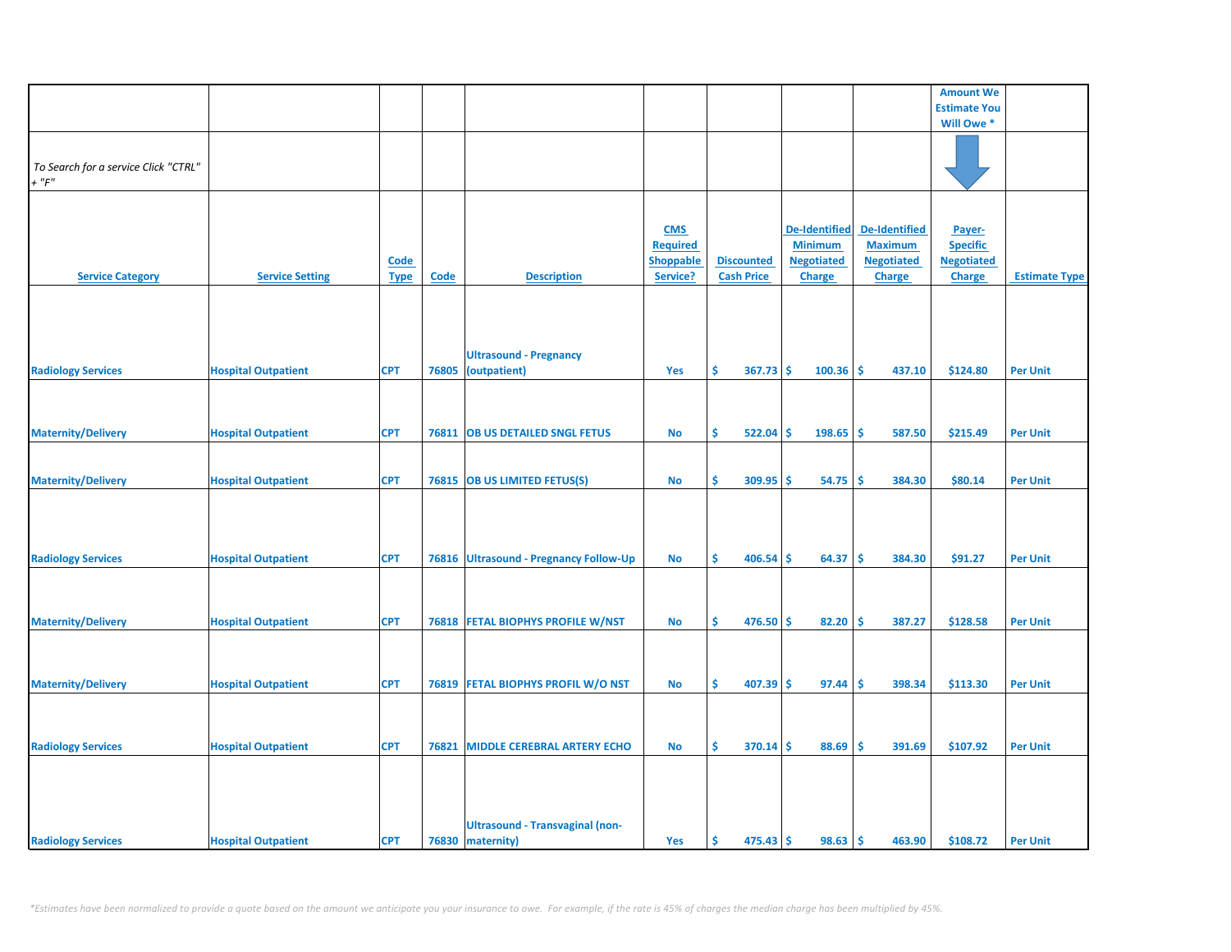|                                      |                            |             |       |                                        |                  |                    |                      |                      | <b>Amount We</b>    |                      |
|--------------------------------------|----------------------------|-------------|-------|----------------------------------------|------------------|--------------------|----------------------|----------------------|---------------------|----------------------|
|                                      |                            |             |       |                                        |                  |                    |                      |                      | <b>Estimate You</b> |                      |
|                                      |                            |             |       |                                        |                  |                    |                      |                      | Will Owe *          |                      |
|                                      |                            |             |       |                                        |                  |                    |                      |                      |                     |                      |
|                                      |                            |             |       |                                        |                  |                    |                      |                      |                     |                      |
| To Search for a service Click "CTRL" |                            |             |       |                                        |                  |                    |                      |                      |                     |                      |
| $+$ " $F$ "                          |                            |             |       |                                        |                  |                    |                      |                      |                     |                      |
|                                      |                            |             |       |                                        |                  |                    |                      |                      |                     |                      |
|                                      |                            |             |       |                                        |                  |                    |                      |                      |                     |                      |
|                                      |                            |             |       |                                        |                  |                    |                      |                      |                     |                      |
|                                      |                            |             |       |                                        | <b>CMS</b>       |                    | <b>De-Identified</b> | <b>De-Identified</b> | Payer-              |                      |
|                                      |                            |             |       |                                        | <b>Required</b>  |                    | <b>Minimum</b>       | <b>Maximum</b>       | <b>Specific</b>     |                      |
|                                      |                            | <b>Code</b> |       |                                        | <b>Shoppable</b> | <b>Discounted</b>  | <b>Negotiated</b>    | <b>Negotiated</b>    | <b>Negotiated</b>   |                      |
| <b>Service Category</b>              | <b>Service Setting</b>     |             | Code  | <b>Description</b>                     | Service?         | <b>Cash Price</b>  | <b>Charge</b>        | <b>Charge</b>        | <b>Charge</b>       | <b>Estimate Type</b> |
|                                      |                            | <b>Type</b> |       |                                        |                  |                    |                      |                      |                     |                      |
|                                      |                            |             |       |                                        |                  |                    |                      |                      |                     |                      |
|                                      |                            |             |       |                                        |                  |                    |                      |                      |                     |                      |
|                                      |                            |             |       |                                        |                  |                    |                      |                      |                     |                      |
|                                      |                            |             |       |                                        |                  |                    |                      |                      |                     |                      |
|                                      |                            |             |       | <b>Ultrasound - Pregnancy</b>          |                  |                    |                      |                      |                     |                      |
|                                      |                            | <b>CPT</b>  | 76805 | (outpatient)                           | Yes              | \$<br>367.73       | \$<br>100.36         | Ś<br>437.10          | \$124.80            | <b>Per Unit</b>      |
| <b>Radiology Services</b>            | <b>Hospital Outpatient</b> |             |       |                                        |                  |                    |                      |                      |                     |                      |
|                                      |                            |             |       |                                        |                  |                    |                      |                      |                     |                      |
|                                      |                            |             |       |                                        |                  |                    |                      |                      |                     |                      |
|                                      |                            |             |       |                                        |                  |                    |                      |                      |                     |                      |
| <b>Maternity/Delivery</b>            | <b>Hospital Outpatient</b> | <b>CPT</b>  | 76811 | <b>OB US DETAILED SNGL FETUS</b>       | No               | \$<br>522.04       | \$<br>198.65         | \$<br>587.50         | \$215.49            | <b>Per Unit</b>      |
|                                      |                            |             |       |                                        |                  |                    |                      |                      |                     |                      |
|                                      |                            |             |       |                                        |                  |                    |                      |                      |                     |                      |
|                                      |                            |             |       |                                        |                  |                    |                      |                      |                     |                      |
| <b>Maternity/Delivery</b>            | <b>Hospital Outpatient</b> | <b>CPT</b>  |       | 76815 OB US LIMITED FETUS(S)           | No               | \$<br>309.95       | 54.75<br>\$          | \$.<br>384.30        | \$80.14             | <b>Per Unit</b>      |
|                                      |                            |             |       |                                        |                  |                    |                      |                      |                     |                      |
|                                      |                            |             |       |                                        |                  |                    |                      |                      |                     |                      |
|                                      |                            |             |       |                                        |                  |                    |                      |                      |                     |                      |
|                                      |                            |             |       |                                        |                  |                    |                      |                      |                     |                      |
|                                      |                            |             |       |                                        |                  |                    |                      |                      |                     |                      |
| <b>Radiology Services</b>            | <b>Hospital Outpatient</b> | <b>CPT</b>  |       | 76816 Ultrasound - Pregnancy Follow-Up | No               | \$<br>406.54       | \$<br>64.37          | \$.<br>384.30        | \$91.27             | <b>Per Unit</b>      |
|                                      |                            |             |       |                                        |                  |                    |                      |                      |                     |                      |
|                                      |                            |             |       |                                        |                  |                    |                      |                      |                     |                      |
|                                      |                            |             |       |                                        |                  |                    |                      |                      |                     |                      |
| <b>Maternity/Delivery</b>            | <b>Hospital Outpatient</b> | <b>CPT</b>  |       | 76818 FETAL BIOPHYS PROFILE W/NST      | No               | \$<br>476.50       | Ŝ.<br>82.20          | Ŝ.<br>387.27         | \$128.58            | <b>Per Unit</b>      |
|                                      |                            |             |       |                                        |                  |                    |                      |                      |                     |                      |
|                                      |                            |             |       |                                        |                  |                    |                      |                      |                     |                      |
|                                      |                            |             |       |                                        |                  |                    |                      |                      |                     |                      |
|                                      |                            |             |       |                                        |                  |                    |                      |                      |                     |                      |
| <b>Maternity/Delivery</b>            | <b>Hospital Outpatient</b> | <b>CPT</b>  |       | 76819 FETAL BIOPHYS PROFIL W/O NST     | No               | \$<br>407.39       | \$<br>97.44          | \$<br>398.34         | \$113.30            | <b>Per Unit</b>      |
|                                      |                            |             |       |                                        |                  |                    |                      |                      |                     |                      |
|                                      |                            |             |       |                                        |                  |                    |                      |                      |                     |                      |
|                                      |                            |             |       |                                        |                  |                    |                      |                      |                     |                      |
|                                      |                            |             |       |                                        |                  |                    |                      |                      |                     |                      |
| <b>Radiology Services</b>            | <b>Hospital Outpatient</b> | <b>CPT</b>  | 76821 | <b>MIDDLE CEREBRAL ARTERY ECHO</b>     | No               | \$<br>370.14       | -\$<br>88.69         | \$.<br>391.69        | \$107.92            | <b>Per Unit</b>      |
|                                      |                            |             |       |                                        |                  |                    |                      |                      |                     |                      |
|                                      |                            |             |       |                                        |                  |                    |                      |                      |                     |                      |
|                                      |                            |             |       |                                        |                  |                    |                      |                      |                     |                      |
|                                      |                            |             |       |                                        |                  |                    |                      |                      |                     |                      |
|                                      |                            |             |       |                                        |                  |                    |                      |                      |                     |                      |
|                                      |                            |             |       | <b>Ultrasound - Transvaginal (non-</b> |                  |                    |                      |                      |                     |                      |
| <b>Radiology Services</b>            | <b>Hospital Outpatient</b> | <b>CPT</b>  |       | 76830 maternity)                       | Yes              | -\$<br>$475.43$ \$ | 98.63                | \$<br>463.90         | \$108.72            | <b>Per Unit</b>      |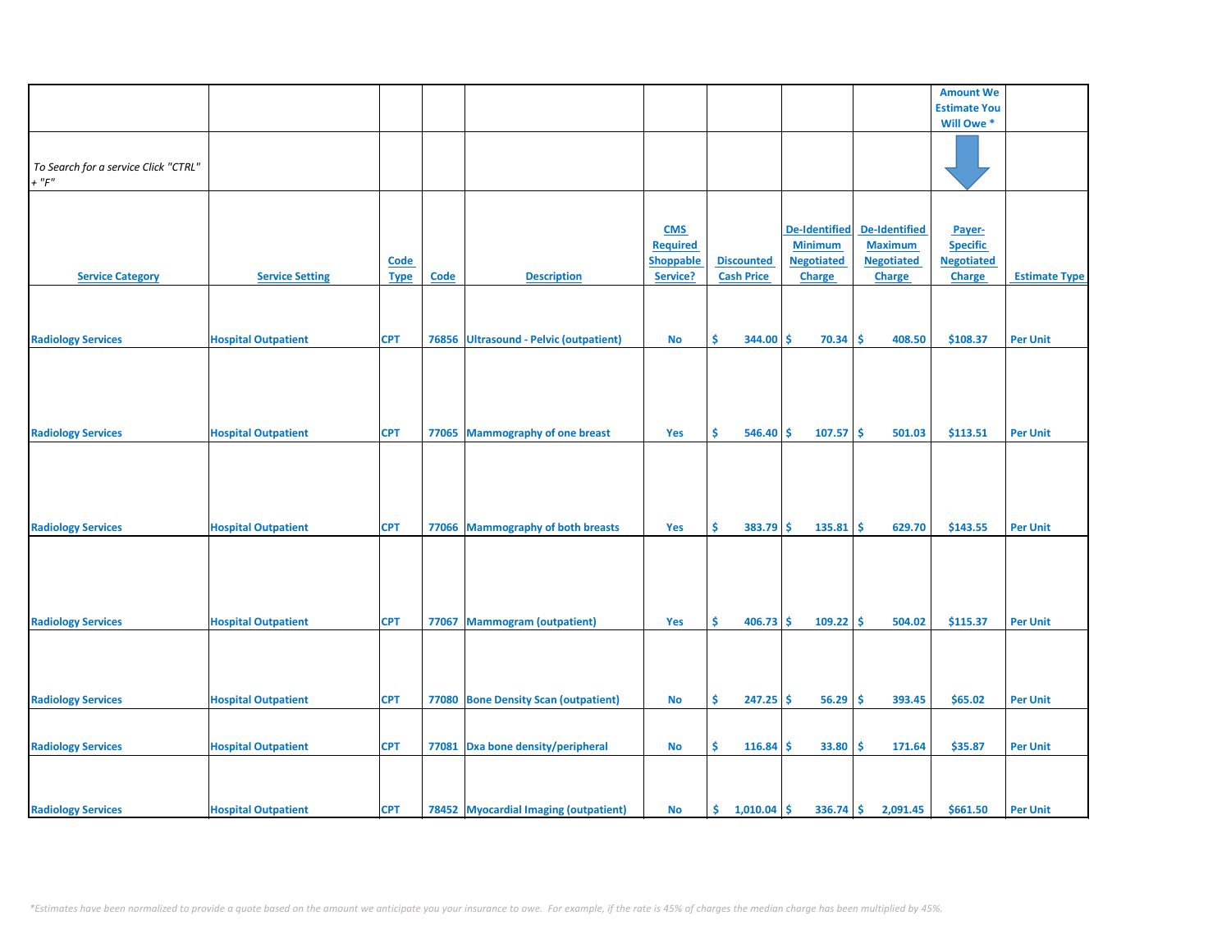|                                      |                            |             |       |                                        |                 |                   |    |                      |                      | <b>Amount We</b>    |                      |
|--------------------------------------|----------------------------|-------------|-------|----------------------------------------|-----------------|-------------------|----|----------------------|----------------------|---------------------|----------------------|
|                                      |                            |             |       |                                        |                 |                   |    |                      |                      | <b>Estimate You</b> |                      |
|                                      |                            |             |       |                                        |                 |                   |    |                      |                      | Will Owe *          |                      |
|                                      |                            |             |       |                                        |                 |                   |    |                      |                      |                     |                      |
|                                      |                            |             |       |                                        |                 |                   |    |                      |                      |                     |                      |
|                                      |                            |             |       |                                        |                 |                   |    |                      |                      |                     |                      |
| To Search for a service Click "CTRL" |                            |             |       |                                        |                 |                   |    |                      |                      |                     |                      |
| $+$ " $F"$                           |                            |             |       |                                        |                 |                   |    |                      |                      |                     |                      |
|                                      |                            |             |       |                                        |                 |                   |    |                      |                      |                     |                      |
|                                      |                            |             |       |                                        |                 |                   |    |                      |                      |                     |                      |
|                                      |                            |             |       |                                        |                 |                   |    |                      |                      |                     |                      |
|                                      |                            |             |       |                                        | <b>CMS</b>      |                   |    | <b>De-Identified</b> | <b>De-Identified</b> | Payer-              |                      |
|                                      |                            |             |       |                                        |                 |                   |    |                      |                      |                     |                      |
|                                      |                            |             |       |                                        | <b>Required</b> |                   |    | <b>Minimum</b>       | <b>Maximum</b>       | <b>Specific</b>     |                      |
|                                      |                            | <b>Code</b> |       |                                        | Shoppable       | <b>Discounted</b> |    | <b>Negotiated</b>    | <b>Negotiated</b>    | <b>Negotiated</b>   |                      |
| <b>Service Category</b>              | <b>Service Setting</b>     | <b>Type</b> | Code  | <b>Description</b>                     | Service?        | <b>Cash Price</b> |    | Charge               | Charge               | <b>Charge</b>       | <b>Estimate Type</b> |
|                                      |                            |             |       |                                        |                 |                   |    |                      |                      |                     |                      |
|                                      |                            |             |       |                                        |                 |                   |    |                      |                      |                     |                      |
|                                      |                            |             |       |                                        |                 |                   |    |                      |                      |                     |                      |
|                                      |                            |             |       |                                        |                 |                   |    |                      |                      |                     |                      |
| <b>Radiology Services</b>            | <b>Hospital Outpatient</b> | <b>CPT</b>  |       | 76856 Ultrasound - Pelvic (outpatient) | <b>No</b>       | Ŝ<br>344.00       | Ŝ  | 70.34                | Ŝ.<br>408.50         | \$108.37            | <b>Per Unit</b>      |
|                                      |                            |             |       |                                        |                 |                   |    |                      |                      |                     |                      |
|                                      |                            |             |       |                                        |                 |                   |    |                      |                      |                     |                      |
|                                      |                            |             |       |                                        |                 |                   |    |                      |                      |                     |                      |
|                                      |                            |             |       |                                        |                 |                   |    |                      |                      |                     |                      |
|                                      |                            |             |       |                                        |                 |                   |    |                      |                      |                     |                      |
|                                      |                            |             |       |                                        |                 |                   |    |                      |                      |                     |                      |
|                                      |                            |             |       |                                        |                 |                   |    |                      |                      |                     |                      |
| <b>Radiology Services</b>            | <b>Hospital Outpatient</b> | <b>CPT</b>  |       | 77065 Mammography of one breast        | Yes             | \$<br>$546.40$ \$ |    | 107.57               | ۱\$<br>501.03        | \$113.51            | <b>Per Unit</b>      |
|                                      |                            |             |       |                                        |                 |                   |    |                      |                      |                     |                      |
|                                      |                            |             |       |                                        |                 |                   |    |                      |                      |                     |                      |
|                                      |                            |             |       |                                        |                 |                   |    |                      |                      |                     |                      |
|                                      |                            |             |       |                                        |                 |                   |    |                      |                      |                     |                      |
|                                      |                            |             |       |                                        |                 |                   |    |                      |                      |                     |                      |
|                                      |                            |             |       |                                        |                 |                   |    |                      |                      |                     |                      |
|                                      |                            |             |       |                                        |                 |                   |    |                      |                      |                     |                      |
| <b>Radiology Services</b>            | <b>Hospital Outpatient</b> | <b>CPT</b>  |       | 77066 Mammography of both breasts      | Yes             | \$<br>$383.79$ \$ |    | 135.81               | ١ś<br>629.70         | \$143.55            | <b>Per Unit</b>      |
|                                      |                            |             |       |                                        |                 |                   |    |                      |                      |                     |                      |
|                                      |                            |             |       |                                        |                 |                   |    |                      |                      |                     |                      |
|                                      |                            |             |       |                                        |                 |                   |    |                      |                      |                     |                      |
|                                      |                            |             |       |                                        |                 |                   |    |                      |                      |                     |                      |
|                                      |                            |             |       |                                        |                 |                   |    |                      |                      |                     |                      |
|                                      |                            |             |       |                                        |                 |                   |    |                      |                      |                     |                      |
|                                      |                            |             |       |                                        |                 |                   |    |                      |                      |                     |                      |
| <b>Radiology Services</b>            | <b>Hospital Outpatient</b> | <b>CPT</b>  | 77067 | <b>Mammogram (outpatient)</b>          | Yes             | Ŝ<br>$406.73$ \$  |    | $109.22$ \$          | 504.02               | \$115.37            | <b>Per Unit</b>      |
|                                      |                            |             |       |                                        |                 |                   |    |                      |                      |                     |                      |
|                                      |                            |             |       |                                        |                 |                   |    |                      |                      |                     |                      |
|                                      |                            |             |       |                                        |                 |                   |    |                      |                      |                     |                      |
|                                      |                            |             |       |                                        |                 |                   |    |                      |                      |                     |                      |
|                                      |                            |             |       |                                        |                 |                   |    |                      |                      |                     |                      |
| <b>Radiology Services</b>            | <b>Hospital Outpatient</b> | <b>CPT</b>  |       | 77080 Bone Density Scan (outpatient)   | No              | \$<br>$247.25$ \$ |    | 56.29                | ۱\$<br>393.45        | \$65.02             | <b>Per Unit</b>      |
|                                      |                            |             |       |                                        |                 |                   |    |                      |                      |                     |                      |
|                                      |                            |             |       |                                        |                 |                   |    |                      |                      |                     |                      |
|                                      |                            |             |       |                                        |                 |                   |    |                      |                      |                     |                      |
| <b>Radiology Services</b>            | <b>Hospital Outpatient</b> | <b>CPT</b>  |       | 77081 Dxa bone density/peripheral      | <b>No</b>       | \$<br>116.84      | -Ś | 33.80                | -\$<br>171.64        | \$35.87             | <b>Per Unit</b>      |
|                                      |                            |             |       |                                        |                 |                   |    |                      |                      |                     |                      |
|                                      |                            |             |       |                                        |                 |                   |    |                      |                      |                     |                      |
|                                      |                            |             |       |                                        |                 |                   |    |                      |                      |                     |                      |
|                                      |                            |             |       |                                        |                 |                   |    |                      |                      |                     |                      |
|                                      |                            |             |       |                                        |                 |                   |    |                      |                      |                     |                      |
| <b>Radiology Services</b>            | <b>Hospital Outpatient</b> | <b>CPT</b>  |       | 78452 Myocardial Imaging (outpatient)  | <b>No</b>       | \$<br>1,010.04    | -Ś | $336.74$ \$          | 2,091.45             | \$661.50            | <b>Per Unit</b>      |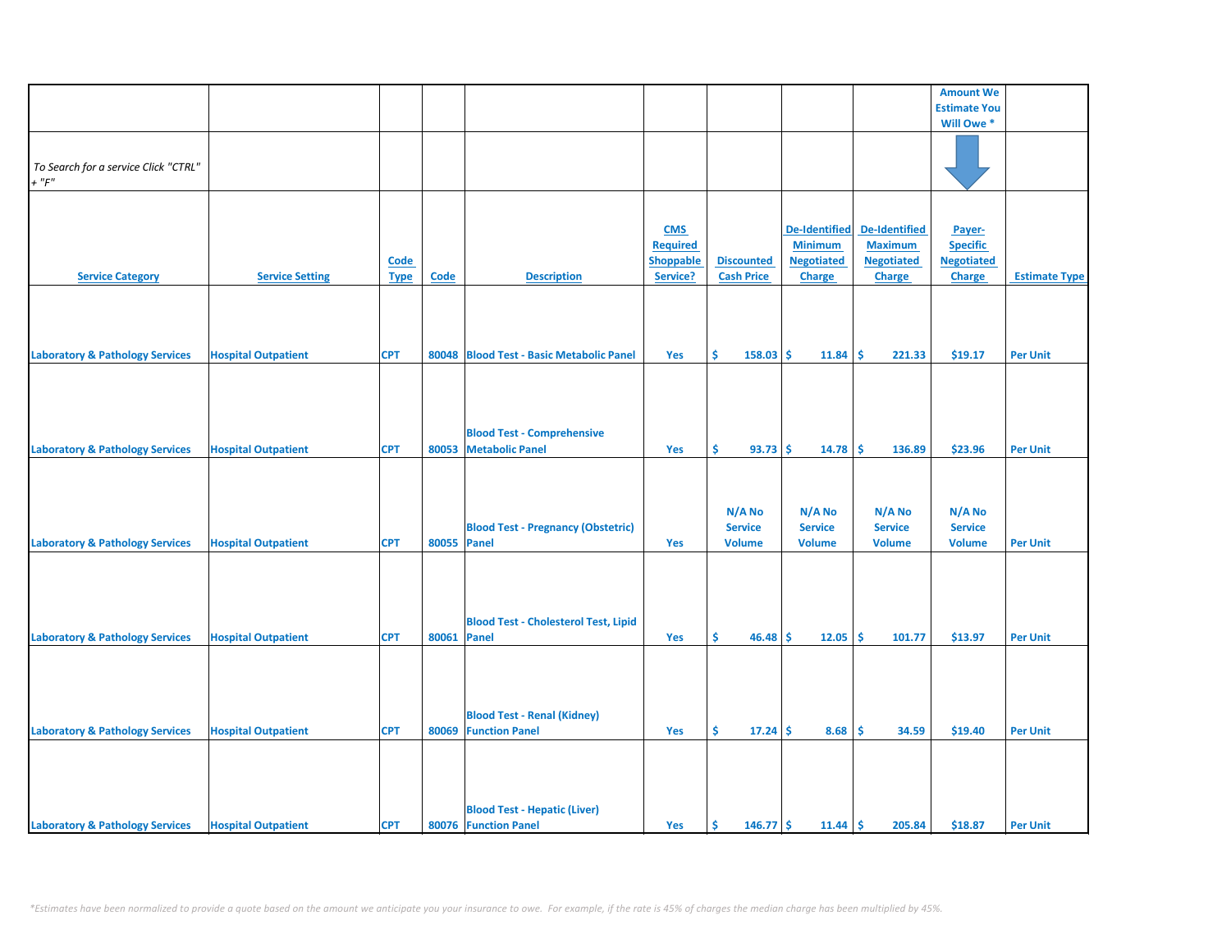|                                            |                            |             |             |                                             |                  |                   |                      |                   | <b>Amount We</b>    |                      |
|--------------------------------------------|----------------------------|-------------|-------------|---------------------------------------------|------------------|-------------------|----------------------|-------------------|---------------------|----------------------|
|                                            |                            |             |             |                                             |                  |                   |                      |                   | <b>Estimate You</b> |                      |
|                                            |                            |             |             |                                             |                  |                   |                      |                   | Will Owe *          |                      |
|                                            |                            |             |             |                                             |                  |                   |                      |                   |                     |                      |
|                                            |                            |             |             |                                             |                  |                   |                      |                   |                     |                      |
| To Search for a service Click "CTRL"       |                            |             |             |                                             |                  |                   |                      |                   |                     |                      |
| $+$ " $F$ "                                |                            |             |             |                                             |                  |                   |                      |                   |                     |                      |
|                                            |                            |             |             |                                             |                  |                   |                      |                   |                     |                      |
|                                            |                            |             |             |                                             |                  |                   |                      |                   |                     |                      |
|                                            |                            |             |             |                                             | <b>CMS</b>       |                   | <b>De-Identified</b> | De-Identified     | Payer-              |                      |
|                                            |                            |             |             |                                             | <b>Required</b>  |                   | <b>Minimum</b>       | <b>Maximum</b>    | <b>Specific</b>     |                      |
|                                            |                            | <b>Code</b> |             |                                             | <b>Shoppable</b> | <b>Discounted</b> | <b>Negotiated</b>    | <b>Negotiated</b> | <b>Negotiated</b>   |                      |
| <b>Service Category</b>                    | <b>Service Setting</b>     |             | <b>Code</b> | <b>Description</b>                          | Service?         | <b>Cash Price</b> | Charge               |                   |                     | <b>Estimate Type</b> |
|                                            |                            | <b>Type</b> |             |                                             |                  |                   |                      | <b>Charge</b>     | <b>Charge</b>       |                      |
|                                            |                            |             |             |                                             |                  |                   |                      |                   |                     |                      |
|                                            |                            |             |             |                                             |                  |                   |                      |                   |                     |                      |
|                                            |                            |             |             |                                             |                  |                   |                      |                   |                     |                      |
|                                            |                            |             |             |                                             |                  |                   |                      |                   |                     |                      |
| <b>Laboratory &amp; Pathology Services</b> | <b>Hospital Outpatient</b> | <b>CPT</b>  |             | 80048 Blood Test - Basic Metabolic Panel    | Yes              | Ŝ.<br>$158.03$ \$ | 11.84                | -\$<br>221.33     | \$19.17             | <b>Per Unit</b>      |
|                                            |                            |             |             |                                             |                  |                   |                      |                   |                     |                      |
|                                            |                            |             |             |                                             |                  |                   |                      |                   |                     |                      |
|                                            |                            |             |             |                                             |                  |                   |                      |                   |                     |                      |
|                                            |                            |             |             |                                             |                  |                   |                      |                   |                     |                      |
|                                            |                            |             |             | <b>Blood Test - Comprehensive</b>           |                  |                   |                      |                   |                     |                      |
| <b>Laboratory &amp; Pathology Services</b> | <b>Hospital Outpatient</b> | <b>CPT</b>  |             | 80053 Metabolic Panel                       | Yes              | \$<br>93.73       | -Ś<br>14.78          | -\$<br>136.89     | \$23.96             | <b>Per Unit</b>      |
|                                            |                            |             |             |                                             |                  |                   |                      |                   |                     |                      |
|                                            |                            |             |             |                                             |                  |                   |                      |                   |                     |                      |
|                                            |                            |             |             |                                             |                  |                   |                      |                   |                     |                      |
|                                            |                            |             |             |                                             |                  |                   |                      |                   |                     |                      |
|                                            |                            |             |             |                                             |                  | N/A No            | N/A No               | N/A No            | N/A No              |                      |
|                                            |                            |             |             | <b>Blood Test - Pregnancy (Obstetric)</b>   |                  | <b>Service</b>    | <b>Service</b>       | <b>Service</b>    | <b>Service</b>      |                      |
| <b>Laboratory &amp; Pathology Services</b> | <b>Hospital Outpatient</b> | <b>CPT</b>  | 80055 Panel |                                             | Yes              | <b>Volume</b>     | <b>Volume</b>        | <b>Volume</b>     | <b>Volume</b>       | <b>Per Unit</b>      |
|                                            |                            |             |             |                                             |                  |                   |                      |                   |                     |                      |
|                                            |                            |             |             |                                             |                  |                   |                      |                   |                     |                      |
|                                            |                            |             |             |                                             |                  |                   |                      |                   |                     |                      |
|                                            |                            |             |             |                                             |                  |                   |                      |                   |                     |                      |
|                                            |                            |             |             | <b>Blood Test - Cholesterol Test, Lipid</b> |                  |                   |                      |                   |                     |                      |
| <b>Laboratory &amp; Pathology Services</b> | <b>Hospital Outpatient</b> | <b>CPT</b>  | 80061 Panel |                                             | Yes              | Ŝ.<br>$46.48$ \$  | 12.05                | ١\$<br>101.77     | \$13.97             | <b>Per Unit</b>      |
|                                            |                            |             |             |                                             |                  |                   |                      |                   |                     |                      |
|                                            |                            |             |             |                                             |                  |                   |                      |                   |                     |                      |
|                                            |                            |             |             |                                             |                  |                   |                      |                   |                     |                      |
|                                            |                            |             |             |                                             |                  |                   |                      |                   |                     |                      |
|                                            |                            |             |             |                                             |                  |                   |                      |                   |                     |                      |
|                                            |                            |             |             | <b>Blood Test - Renal (Kidney)</b>          |                  |                   |                      |                   |                     |                      |
| <b>Laboratory &amp; Pathology Services</b> | <b>Hospital Outpatient</b> | <b>CPT</b>  |             | 80069 Function Panel                        | Yes              | \$.<br>17.24      | 8.68<br>-\$          | \$<br>34.59       | \$19.40             | <b>Per Unit</b>      |
|                                            |                            |             |             |                                             |                  |                   |                      |                   |                     |                      |
|                                            |                            |             |             |                                             |                  |                   |                      |                   |                     |                      |
|                                            |                            |             |             |                                             |                  |                   |                      |                   |                     |                      |
|                                            |                            |             |             |                                             |                  |                   |                      |                   |                     |                      |
|                                            |                            |             |             | <b>Blood Test - Hepatic (Liver)</b>         |                  |                   |                      |                   |                     |                      |
| <b>Laboratory &amp; Pathology Services</b> | <b>Hospital Outpatient</b> | <b>CPT</b>  |             | 80076 Function Panel                        | Yes              | \$<br>$146.77$ \$ | 11.44                | l\$<br>205.84     | \$18.87             | <b>Per Unit</b>      |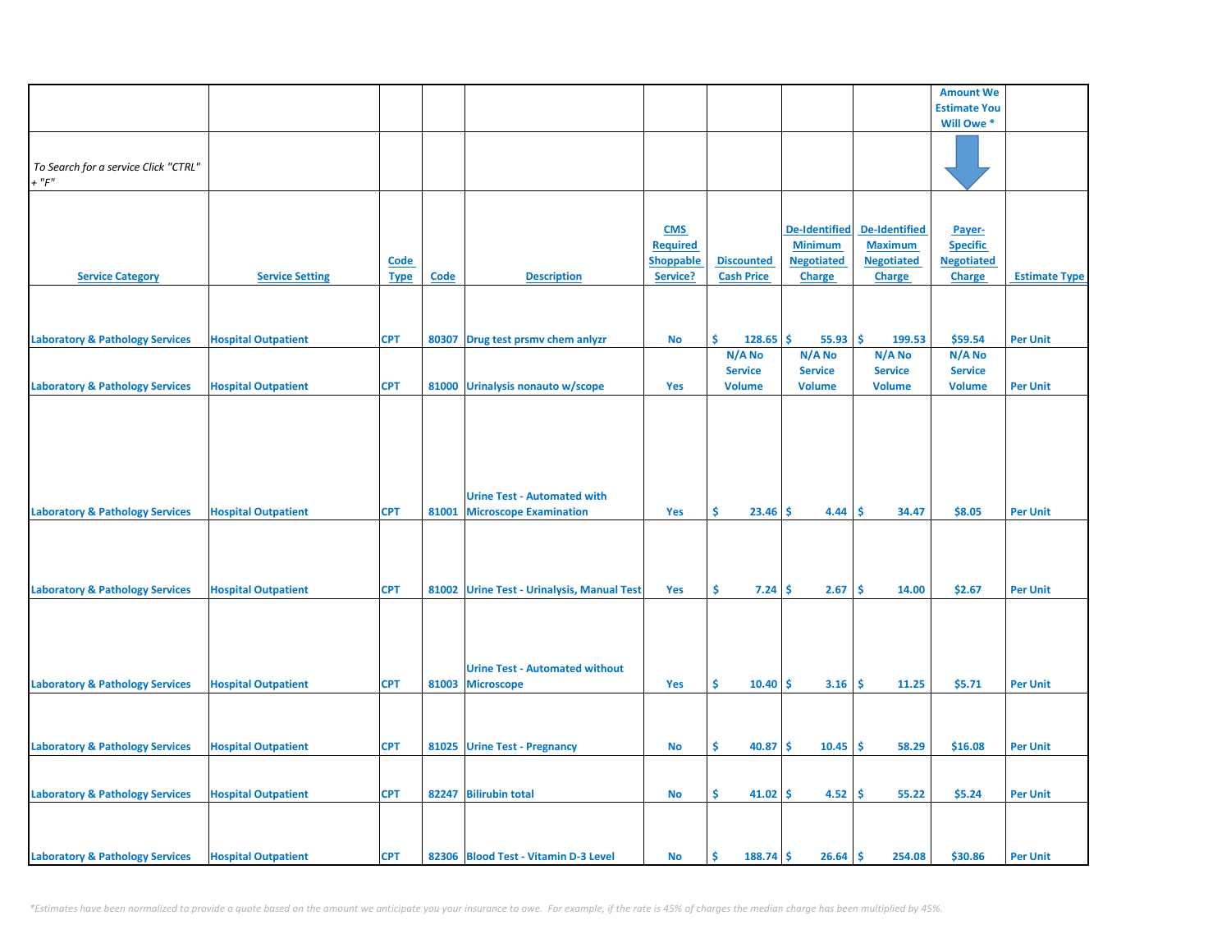|                                            |                            |             |       |                                            |                  |                     |                      |                      | <b>Amount We</b>    |                      |
|--------------------------------------------|----------------------------|-------------|-------|--------------------------------------------|------------------|---------------------|----------------------|----------------------|---------------------|----------------------|
|                                            |                            |             |       |                                            |                  |                     |                      |                      | <b>Estimate You</b> |                      |
|                                            |                            |             |       |                                            |                  |                     |                      |                      | Will Owe *          |                      |
|                                            |                            |             |       |                                            |                  |                     |                      |                      |                     |                      |
| To Search for a service Click "CTRL"       |                            |             |       |                                            |                  |                     |                      |                      |                     |                      |
| $+$ " $F$ "                                |                            |             |       |                                            |                  |                     |                      |                      |                     |                      |
|                                            |                            |             |       |                                            |                  |                     |                      |                      |                     |                      |
|                                            |                            |             |       |                                            |                  |                     |                      |                      |                     |                      |
|                                            |                            |             |       |                                            | <b>CMS</b>       |                     | <b>De-Identified</b> | <b>De-Identified</b> | Payer-              |                      |
|                                            |                            |             |       |                                            | <b>Required</b>  |                     | <b>Minimum</b>       | <b>Maximum</b>       | <b>Specific</b>     |                      |
|                                            |                            | <b>Code</b> |       |                                            | <b>Shoppable</b> | <b>Discounted</b>   | <b>Negotiated</b>    | <b>Negotiated</b>    | <b>Negotiated</b>   |                      |
| <b>Service Category</b>                    | <b>Service Setting</b>     | <b>Type</b> | Code  | <b>Description</b>                         | Service?         | <b>Cash Price</b>   | <b>Charge</b>        | <b>Charge</b>        | <b>Charge</b>       | <b>Estimate Type</b> |
|                                            |                            |             |       |                                            |                  |                     |                      |                      |                     |                      |
|                                            |                            |             |       |                                            |                  |                     |                      |                      |                     |                      |
| <b>Laboratory &amp; Pathology Services</b> | <b>Hospital Outpatient</b> | <b>CPT</b>  | 80307 | Drug test prsmv chem anlyzr                | No               | Ś.<br>128.65        | \$.<br>55.93         | -\$<br>199.53        | \$59.54             | <b>Per Unit</b>      |
|                                            |                            |             |       |                                            |                  | N/A No              | N/A No               | N/A No               | N/A No              |                      |
|                                            |                            |             |       |                                            |                  | <b>Service</b>      | <b>Service</b>       | <b>Service</b>       | <b>Service</b>      |                      |
| <b>Laboratory &amp; Pathology Services</b> | <b>Hospital Outpatient</b> | <b>CPT</b>  |       | 81000 Urinalysis nonauto w/scope           | Yes              | <b>Volume</b>       | <b>Volume</b>        | <b>Volume</b>        | <b>Volume</b>       | <b>Per Unit</b>      |
|                                            |                            |             |       |                                            |                  |                     |                      |                      |                     |                      |
|                                            |                            |             |       |                                            |                  |                     |                      |                      |                     |                      |
|                                            |                            |             |       |                                            |                  |                     |                      |                      |                     |                      |
|                                            |                            |             |       |                                            |                  |                     |                      |                      |                     |                      |
|                                            |                            |             |       |                                            |                  |                     |                      |                      |                     |                      |
|                                            |                            |             |       | <b>Urine Test - Automated with</b>         |                  |                     |                      |                      |                     |                      |
| <b>Laboratory &amp; Pathology Services</b> | <b>Hospital Outpatient</b> | <b>CPT</b>  | 81001 | <b>Microscope Examination</b>              | Yes              | \$<br>23.46         | Ŝ.<br>4.44           | <b>S</b><br>34.47    | \$8.05              | <b>Per Unit</b>      |
|                                            |                            |             |       |                                            |                  |                     |                      |                      |                     |                      |
|                                            |                            |             |       |                                            |                  |                     |                      |                      |                     |                      |
|                                            |                            |             |       |                                            |                  |                     |                      |                      |                     |                      |
|                                            |                            |             |       |                                            |                  |                     |                      |                      |                     |                      |
| <b>Laboratory &amp; Pathology Services</b> | <b>Hospital Outpatient</b> | <b>CPT</b>  |       | 81002 Urine Test - Urinalysis, Manual Test | Yes              | \$.<br>$7.24 \,$ \$ | 2.67                 | <b>S</b><br>14.00    | \$2.67              | <b>Per Unit</b>      |
|                                            |                            |             |       |                                            |                  |                     |                      |                      |                     |                      |
|                                            |                            |             |       |                                            |                  |                     |                      |                      |                     |                      |
|                                            |                            |             |       |                                            |                  |                     |                      |                      |                     |                      |
|                                            |                            |             |       | <b>Urine Test - Automated without</b>      |                  |                     |                      |                      |                     |                      |
| <b>Laboratory &amp; Pathology Services</b> | <b>Hospital Outpatient</b> | <b>CPT</b>  |       | 81003 Microscope                           | Yes              | Ŝ.<br>10.40         | -Ś<br>3.16           | -\$<br>11.25         | \$5.71              | <b>Per Unit</b>      |
|                                            |                            |             |       |                                            |                  |                     |                      |                      |                     |                      |
|                                            |                            |             |       |                                            |                  |                     |                      |                      |                     |                      |
|                                            |                            |             |       |                                            |                  |                     |                      |                      |                     |                      |
| <b>Laboratory &amp; Pathology Services</b> | <b>Hospital Outpatient</b> | <b>CPT</b>  |       | 81025 Urine Test - Pregnancy               | <b>No</b>        | \$<br>40.87         | -Ś<br>10.45          | ١\$<br>58.29         | \$16.08             | <b>Per Unit</b>      |
|                                            |                            |             |       |                                            |                  |                     |                      |                      |                     |                      |
|                                            |                            |             |       |                                            |                  |                     |                      |                      |                     |                      |
| <b>Laboratory &amp; Pathology Services</b> | <b>Hospital Outpatient</b> | <b>CPT</b>  |       | 82247 Bilirubin total                      | <b>No</b>        | \$<br>$41.02$ \$    | 4.52                 | ١\$<br>55.22         | \$5.24              | <b>Per Unit</b>      |
|                                            |                            |             |       |                                            |                  |                     |                      |                      |                     |                      |
|                                            |                            |             |       |                                            |                  |                     |                      |                      |                     |                      |
| <b>Laboratory &amp; Pathology Services</b> | <b>Hospital Outpatient</b> | <b>CPT</b>  |       | 82306 Blood Test - Vitamin D-3 Level       | No               | \$<br>$188.74$ \$   | $26.64$ \$           | 254.08               | \$30.86             | <b>Per Unit</b>      |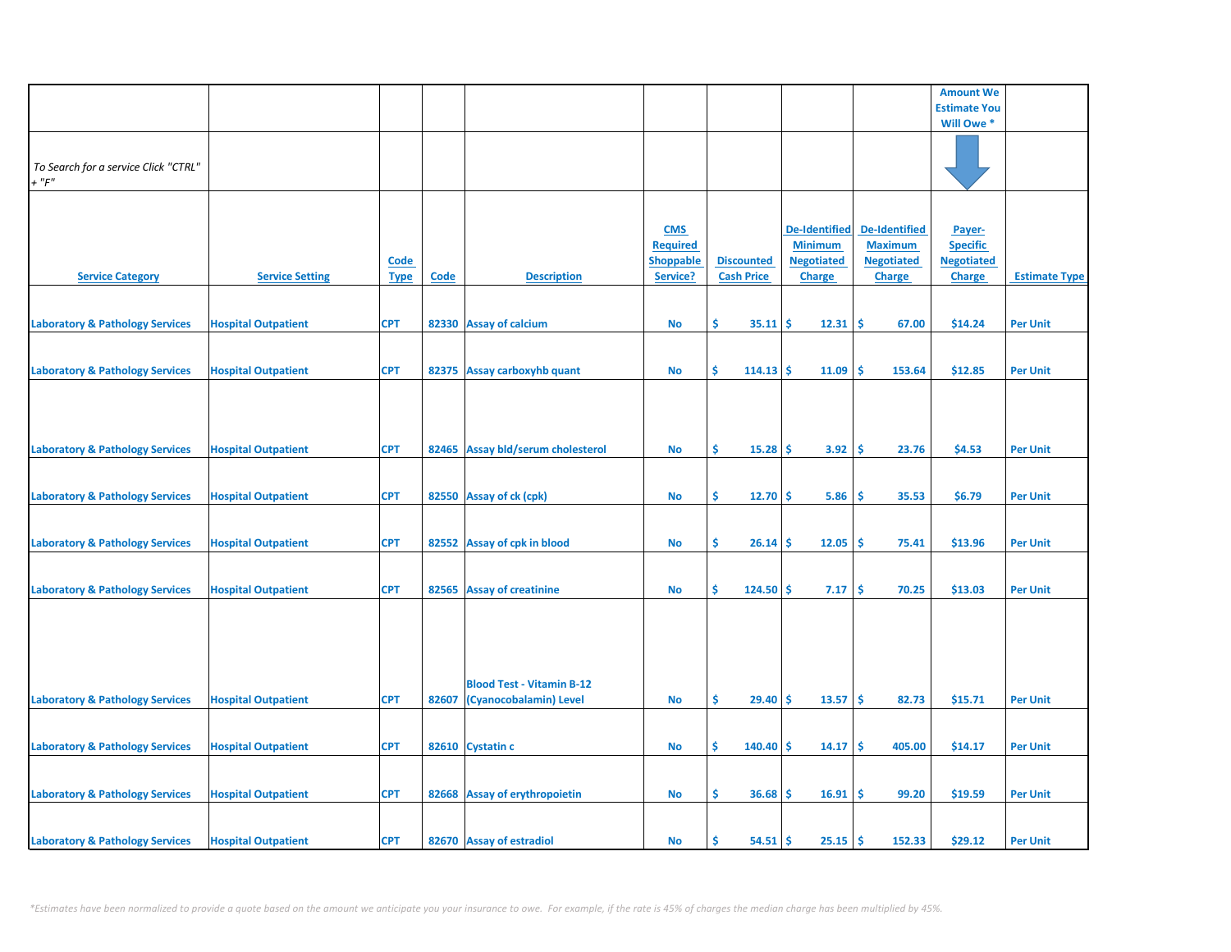|                                                     |                            |                            |       |                                                            |                                                               |                                        |                                                                              |                                                                              | <b>Amount We</b>                                                |                      |
|-----------------------------------------------------|----------------------------|----------------------------|-------|------------------------------------------------------------|---------------------------------------------------------------|----------------------------------------|------------------------------------------------------------------------------|------------------------------------------------------------------------------|-----------------------------------------------------------------|----------------------|
|                                                     |                            |                            |       |                                                            |                                                               |                                        |                                                                              |                                                                              | <b>Estimate You</b>                                             |                      |
|                                                     |                            |                            |       |                                                            |                                                               |                                        |                                                                              |                                                                              | Will Owe *                                                      |                      |
| To Search for a service Click "CTRL"<br>$+$ " $F$ " |                            |                            |       |                                                            |                                                               |                                        |                                                                              |                                                                              |                                                                 |                      |
| <b>Service Category</b>                             | <b>Service Setting</b>     | <b>Code</b><br><b>Type</b> | Code  | <b>Description</b>                                         | <b>CMS</b><br><b>Required</b><br><b>Shoppable</b><br>Service? | <b>Discounted</b><br><b>Cash Price</b> | <b>De-Identified</b><br><b>Minimum</b><br><b>Negotiated</b><br><b>Charge</b> | <b>De-Identified</b><br><b>Maximum</b><br><b>Negotiated</b><br><b>Charge</b> | Payer-<br><b>Specific</b><br><b>Negotiated</b><br><b>Charge</b> | <b>Estimate Type</b> |
| <b>Laboratory &amp; Pathology Services</b>          | <b>Hospital Outpatient</b> | <b>CPT</b>                 |       | 82330 Assay of calcium                                     | <b>No</b>                                                     | \$<br>35.11                            | <b>S</b><br>12.31                                                            | \$ ا<br>67.00                                                                | \$14.24                                                         | <b>Per Unit</b>      |
| <b>Laboratory &amp; Pathology Services</b>          | <b>Hospital Outpatient</b> | <b>CPT</b>                 |       | 82375 Assay carboxyhb quant                                | <b>No</b>                                                     | \$<br>114.13                           | Ŝ<br>11.09                                                                   | Ś<br>153.64                                                                  | \$12.85                                                         | <b>Per Unit</b>      |
| <b>Laboratory &amp; Pathology Services</b>          | <b>Hospital Outpatient</b> | <b>CPT</b>                 |       | 82465 Assay bld/serum cholesterol                          | <b>No</b>                                                     | \$<br>15.28                            | 3.92<br>-Ś                                                                   | -\$<br>23.76                                                                 | \$4.53                                                          | <b>Per Unit</b>      |
| <b>Laboratory &amp; Pathology Services</b>          | <b>Hospital Outpatient</b> | <b>CPT</b>                 |       | 82550 Assay of ck (cpk)                                    | <b>No</b>                                                     | \$<br>12.70                            | <b>S</b><br>5.86                                                             | -\$<br>35.53                                                                 | \$6.79                                                          | <b>Per Unit</b>      |
| <b>Laboratory &amp; Pathology Services</b>          | <b>Hospital Outpatient</b> | <b>CPT</b>                 |       | 82552 Assay of cpk in blood                                | No                                                            | \$.<br>26.14                           | 12.05<br>-\$                                                                 | -\$<br>75.41                                                                 | \$13.96                                                         | <b>Per Unit</b>      |
| <b>Laboratory &amp; Pathology Services</b>          | <b>Hospital Outpatient</b> | <b>CPT</b>                 |       | 82565 Assay of creatinine                                  | <b>No</b>                                                     | Š.<br>124.50                           | Ŝ<br>7.17                                                                    | Ŝ.<br>70.25                                                                  | \$13.03                                                         | <b>Per Unit</b>      |
| <b>Laboratory &amp; Pathology Services</b>          | <b>Hospital Outpatient</b> | <b>CPT</b>                 | 82607 | <b>Blood Test - Vitamin B-12</b><br>(Cyanocobalamin) Level | <b>No</b>                                                     | \$<br>29.40                            | <b>S</b><br>13.57                                                            | ١\$<br>82.73                                                                 | \$15.71                                                         | <b>Per Unit</b>      |
|                                                     |                            |                            |       |                                                            |                                                               |                                        |                                                                              |                                                                              |                                                                 |                      |
| <b>Laboratory &amp; Pathology Services</b>          | <b>Hospital Outpatient</b> | <b>CPT</b>                 |       | 82610 Cystatin c                                           | No                                                            | \$<br>140.40                           | -S<br>14.17                                                                  | -\$<br>405.00                                                                | \$14.17                                                         | <b>Per Unit</b>      |
| <b>Laboratory &amp; Pathology Services</b>          | <b>Hospital Outpatient</b> | <b>CPT</b>                 |       | 82668 Assay of erythropoietin                              | <b>No</b>                                                     | \$.<br>36.68                           | 16.91<br>-Ś                                                                  | -\$<br>99.20                                                                 | \$19.59                                                         | <b>Per Unit</b>      |
| <b>Laboratory &amp; Pathology Services</b>          | <b>Hospital Outpatient</b> | <b>CPT</b>                 |       | 82670 Assay of estradiol                                   | <b>No</b>                                                     | Ś<br>54.51                             | 25.15<br>-Ś                                                                  | l \$<br>152.33                                                               | \$29.12                                                         | <b>Per Unit</b>      |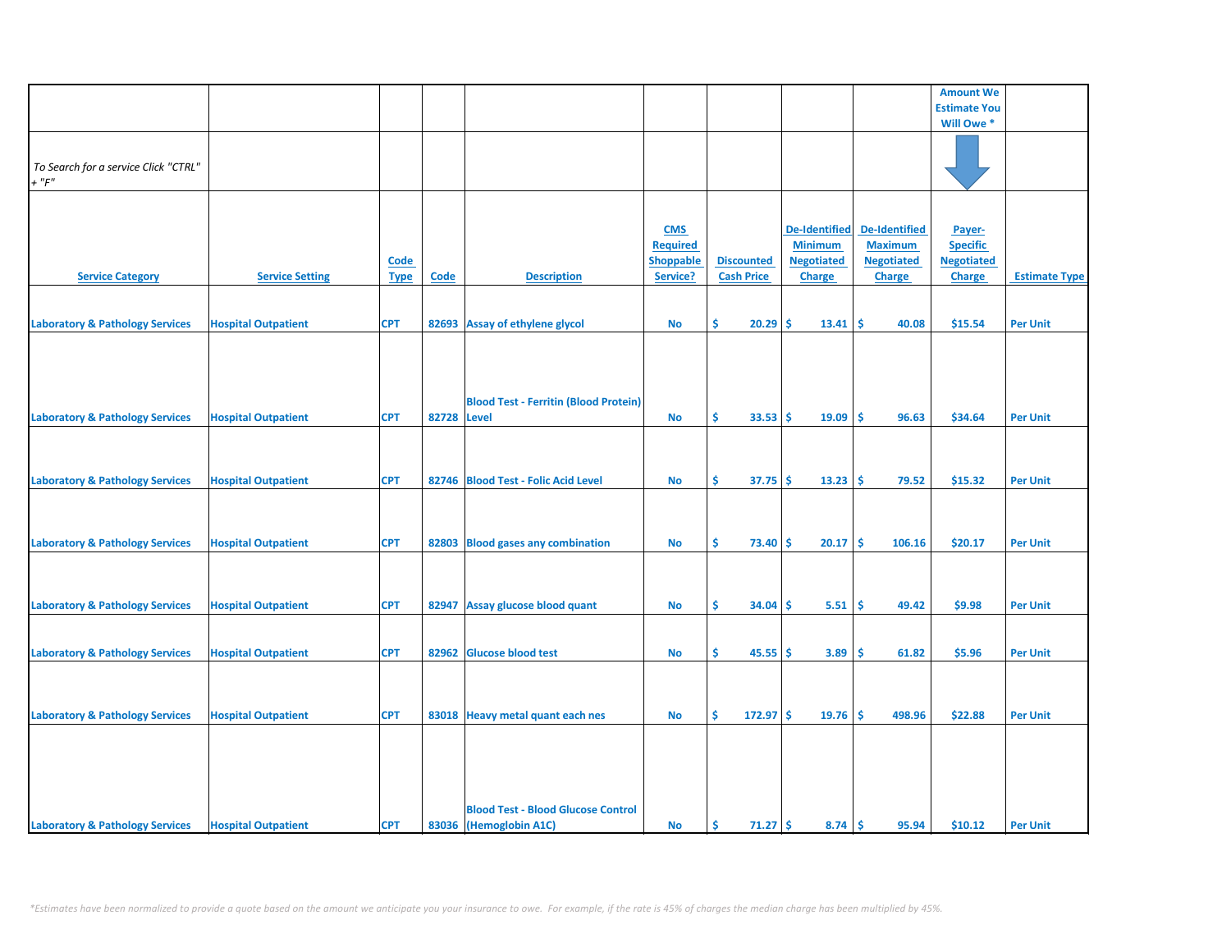|                                            |                            |             |             |                                              |                  |                    |                      |                      | <b>Amount We</b>    |                      |
|--------------------------------------------|----------------------------|-------------|-------------|----------------------------------------------|------------------|--------------------|----------------------|----------------------|---------------------|----------------------|
|                                            |                            |             |             |                                              |                  |                    |                      |                      | <b>Estimate You</b> |                      |
|                                            |                            |             |             |                                              |                  |                    |                      |                      | Will Owe *          |                      |
|                                            |                            |             |             |                                              |                  |                    |                      |                      |                     |                      |
|                                            |                            |             |             |                                              |                  |                    |                      |                      |                     |                      |
| To Search for a service Click "CTRL"       |                            |             |             |                                              |                  |                    |                      |                      |                     |                      |
| $+$ " $F$ "                                |                            |             |             |                                              |                  |                    |                      |                      |                     |                      |
|                                            |                            |             |             |                                              |                  |                    |                      |                      |                     |                      |
|                                            |                            |             |             |                                              |                  |                    |                      |                      |                     |                      |
|                                            |                            |             |             |                                              |                  |                    |                      |                      |                     |                      |
|                                            |                            |             |             |                                              | <b>CMS</b>       |                    | <b>De-Identified</b> | <b>De-Identified</b> | Payer-              |                      |
|                                            |                            |             |             |                                              | <b>Required</b>  |                    | <b>Minimum</b>       | <b>Maximum</b>       | <b>Specific</b>     |                      |
|                                            |                            | Code        |             |                                              | <b>Shoppable</b> | <b>Discounted</b>  | <b>Negotiated</b>    | <b>Negotiated</b>    | <b>Negotiated</b>   |                      |
| <b>Service Category</b>                    | <b>Service Setting</b>     | <b>Type</b> | Code        | <b>Description</b>                           | Service?         | <b>Cash Price</b>  | <b>Charge</b>        | <b>Charge</b>        | <b>Charge</b>       | <b>Estimate Type</b> |
|                                            |                            |             |             |                                              |                  |                    |                      |                      |                     |                      |
|                                            |                            |             |             |                                              |                  |                    |                      |                      |                     |                      |
| <b>Laboratory &amp; Pathology Services</b> | <b>Hospital Outpatient</b> | <b>CPT</b>  | 82693       | <b>Assay of ethylene glycol</b>              | No               | \$<br>20.29        | \$<br>13.41          | \$<br>40.08          | \$15.54             | <b>Per Unit</b>      |
|                                            |                            |             |             |                                              |                  |                    |                      |                      |                     |                      |
|                                            |                            |             |             |                                              |                  |                    |                      |                      |                     |                      |
|                                            |                            |             |             |                                              |                  |                    |                      |                      |                     |                      |
|                                            |                            |             |             |                                              |                  |                    |                      |                      |                     |                      |
|                                            |                            |             |             |                                              |                  |                    |                      |                      |                     |                      |
|                                            |                            |             |             | <b>Blood Test - Ferritin (Blood Protein)</b> |                  |                    |                      |                      |                     |                      |
| <b>Laboratory &amp; Pathology Services</b> | <b>Hospital Outpatient</b> | <b>CPT</b>  | 82728 Level |                                              | <b>No</b>        | Ŝ.<br>33.53        | Ŝ.<br>19.09          | Ŝ.<br>96.63          | \$34.64             | <b>Per Unit</b>      |
|                                            |                            |             |             |                                              |                  |                    |                      |                      |                     |                      |
|                                            |                            |             |             |                                              |                  |                    |                      |                      |                     |                      |
|                                            |                            |             |             |                                              |                  |                    |                      |                      |                     |                      |
| <b>Laboratory &amp; Pathology Services</b> | <b>Hospital Outpatient</b> | <b>CPT</b>  |             | 82746 Blood Test - Folic Acid Level          | No               | \$<br>37.75        | \$<br>13.23          | \$<br>79.52          | \$15.32             | <b>Per Unit</b>      |
|                                            |                            |             |             |                                              |                  |                    |                      |                      |                     |                      |
|                                            |                            |             |             |                                              |                  |                    |                      |                      |                     |                      |
|                                            |                            |             |             |                                              |                  |                    |                      |                      |                     |                      |
|                                            |                            |             |             |                                              |                  | Ŝ                  |                      |                      |                     |                      |
| <b>Laboratory &amp; Pathology Services</b> | <b>Hospital Outpatient</b> | <b>CPT</b>  | 82803       | <b>Blood gases any combination</b>           | No               | 73.40              | \$<br>20.17          | Ŝ<br>106.16          | \$20.17             | <b>Per Unit</b>      |
|                                            |                            |             |             |                                              |                  |                    |                      |                      |                     |                      |
|                                            |                            |             |             |                                              |                  |                    |                      |                      |                     |                      |
|                                            |                            |             |             |                                              |                  |                    |                      |                      |                     |                      |
| <b>Laboratory &amp; Pathology Services</b> | <b>Hospital Outpatient</b> | <b>CPT</b>  | 82947       | Assay glucose blood quant                    | No               | \$<br>34.04        | \$<br>5.51           | \$<br>49.42          | \$9.98              | <b>Per Unit</b>      |
|                                            |                            |             |             |                                              |                  |                    |                      |                      |                     |                      |
|                                            |                            |             |             |                                              |                  |                    |                      |                      |                     |                      |
| <b>Laboratory &amp; Pathology Services</b> | <b>Hospital Outpatient</b> | <b>CPT</b>  | 82962       | <b>Glucose blood test</b>                    | No               | \$.<br>45.55       | \$<br>3.89           | \$.<br>61.82         | \$5.96              | <b>Per Unit</b>      |
|                                            |                            |             |             |                                              |                  |                    |                      |                      |                     |                      |
|                                            |                            |             |             |                                              |                  |                    |                      |                      |                     |                      |
|                                            |                            |             |             |                                              |                  |                    |                      |                      |                     |                      |
| <b>Laboratory &amp; Pathology Services</b> | <b>Hospital Outpatient</b> | <b>CPT</b>  | 83018       | Heavy metal quant each nes                   | <b>No</b>        | \$.<br>$172.97$ \$ | 19.76                | \$.<br>498.96        | \$22.88             | <b>Per Unit</b>      |
|                                            |                            |             |             |                                              |                  |                    |                      |                      |                     |                      |
|                                            |                            |             |             |                                              |                  |                    |                      |                      |                     |                      |
|                                            |                            |             |             |                                              |                  |                    |                      |                      |                     |                      |
|                                            |                            |             |             |                                              |                  |                    |                      |                      |                     |                      |
|                                            |                            |             |             |                                              |                  |                    |                      |                      |                     |                      |
|                                            |                            |             |             |                                              |                  |                    |                      |                      |                     |                      |
|                                            |                            |             |             | <b>Blood Test - Blood Glucose Control</b>    |                  |                    |                      |                      |                     |                      |
| <b>Laboratory &amp; Pathology Services</b> | <b>Hospital Outpatient</b> | <b>CPT</b>  |             | 83036 (Hemoglobin A1C)                       | <b>No</b>        | -\$<br>$71.27$ \$  | 8.74                 | \$<br>95.94          | \$10.12             | <b>Per Unit</b>      |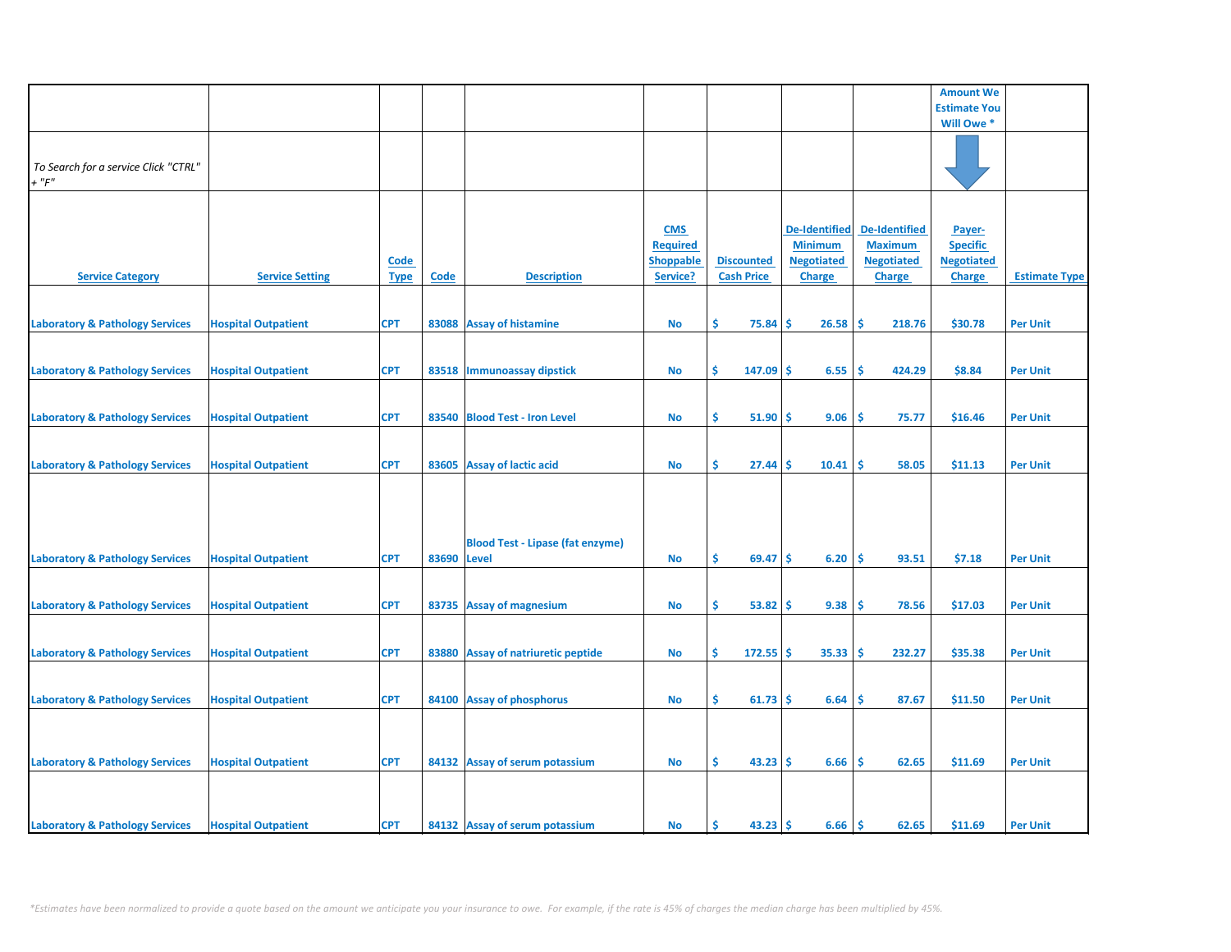|                                            |                            |             |       |                                         |                  |                   |                      |                      | <b>Amount We</b>    |                      |
|--------------------------------------------|----------------------------|-------------|-------|-----------------------------------------|------------------|-------------------|----------------------|----------------------|---------------------|----------------------|
|                                            |                            |             |       |                                         |                  |                   |                      |                      | <b>Estimate You</b> |                      |
|                                            |                            |             |       |                                         |                  |                   |                      |                      | Will Owe *          |                      |
|                                            |                            |             |       |                                         |                  |                   |                      |                      |                     |                      |
|                                            |                            |             |       |                                         |                  |                   |                      |                      |                     |                      |
| To Search for a service Click "CTRL"       |                            |             |       |                                         |                  |                   |                      |                      |                     |                      |
|                                            |                            |             |       |                                         |                  |                   |                      |                      |                     |                      |
| $+$ " $F$ "                                |                            |             |       |                                         |                  |                   |                      |                      |                     |                      |
|                                            |                            |             |       |                                         |                  |                   |                      |                      |                     |                      |
|                                            |                            |             |       |                                         |                  |                   |                      |                      |                     |                      |
|                                            |                            |             |       |                                         | <b>CMS</b>       |                   | <b>De-Identified</b> | <b>De-Identified</b> | Payer-              |                      |
|                                            |                            |             |       |                                         | <b>Required</b>  |                   | <b>Minimum</b>       | <b>Maximum</b>       | <b>Specific</b>     |                      |
|                                            |                            | <b>Code</b> |       |                                         | <b>Shoppable</b> | <b>Discounted</b> | <b>Negotiated</b>    | <b>Negotiated</b>    | <b>Negotiated</b>   |                      |
|                                            |                            |             |       |                                         |                  |                   |                      |                      |                     | <b>Estimate Type</b> |
| <b>Service Category</b>                    | <b>Service Setting</b>     | <b>Type</b> | Code  | <b>Description</b>                      | Service?         | <b>Cash Price</b> | <b>Charge</b>        | <b>Charge</b>        | <b>Charge</b>       |                      |
|                                            |                            |             |       |                                         |                  |                   |                      |                      |                     |                      |
|                                            |                            |             |       |                                         |                  |                   |                      |                      |                     |                      |
| <b>Laboratory &amp; Pathology Services</b> | <b>Hospital Outpatient</b> | <b>CPT</b>  |       | 83088 Assay of histamine                | <b>No</b>        | \$<br>75.84       | 26.58<br>Ŝ           | -Ś<br>218.76         | \$30.78             | <b>Per Unit</b>      |
|                                            |                            |             |       |                                         |                  |                   |                      |                      |                     |                      |
|                                            |                            |             |       |                                         |                  |                   |                      |                      |                     |                      |
| <b>Laboratory &amp; Pathology Services</b> | <b>Hospital Outpatient</b> | <b>CPT</b>  |       | 83518 Immunoassay dipstick              | No               | \$<br>$147.09$ \$ | 6.55                 | -\$<br>424.29        | \$8.84              | <b>Per Unit</b>      |
|                                            |                            |             |       |                                         |                  |                   |                      |                      |                     |                      |
|                                            |                            |             |       |                                         |                  |                   |                      |                      |                     |                      |
|                                            |                            |             |       |                                         |                  |                   |                      |                      |                     |                      |
| <b>Laboratory &amp; Pathology Services</b> | <b>Hospital Outpatient</b> | <b>CPT</b>  |       | 83540 Blood Test - Iron Level           | No               | \$.<br>51.90      | 9.06<br>-Ś           | -\$<br>75.77         | \$16.46             | <b>Per Unit</b>      |
|                                            |                            |             |       |                                         |                  |                   |                      |                      |                     |                      |
|                                            |                            |             |       |                                         |                  |                   |                      |                      |                     |                      |
| <b>Laboratory &amp; Pathology Services</b> | <b>Hospital Outpatient</b> | <b>CPT</b>  |       | 83605 Assay of lactic acid              | No               | \$<br>27.44       | 10.41<br>Ŝ           | \$.<br>58.05         | \$11.13             | <b>Per Unit</b>      |
|                                            |                            |             |       |                                         |                  |                   |                      |                      |                     |                      |
|                                            |                            |             |       |                                         |                  |                   |                      |                      |                     |                      |
|                                            |                            |             |       |                                         |                  |                   |                      |                      |                     |                      |
|                                            |                            |             |       |                                         |                  |                   |                      |                      |                     |                      |
|                                            |                            |             |       |                                         |                  |                   |                      |                      |                     |                      |
|                                            |                            |             |       | <b>Blood Test - Lipase (fat enzyme)</b> |                  |                   |                      |                      |                     |                      |
| <b>Laboratory &amp; Pathology Services</b> | <b>Hospital Outpatient</b> | <b>CPT</b>  | 83690 | <b>Level</b>                            | <b>No</b>        | \$<br>69.47       | 6.20<br>Ŝ.           | Ŝ.<br>93.51          | \$7.18              | <b>Per Unit</b>      |
|                                            |                            |             |       |                                         |                  |                   |                      |                      |                     |                      |
|                                            |                            |             |       |                                         |                  |                   |                      |                      |                     |                      |
|                                            |                            | <b>CPT</b>  |       |                                         |                  | \$<br>53.82       | 9.38<br><b>S</b>     | -\$<br>78.56         | \$17.03             |                      |
| <b>Laboratory &amp; Pathology Services</b> | <b>Hospital Outpatient</b> |             |       | 83735 Assay of magnesium                | No               |                   |                      |                      |                     | <b>Per Unit</b>      |
|                                            |                            |             |       |                                         |                  |                   |                      |                      |                     |                      |
|                                            |                            |             |       |                                         |                  |                   |                      |                      |                     |                      |
| <b>Laboratory &amp; Pathology Services</b> | <b>Hospital Outpatient</b> | <b>CPT</b>  |       | 83880 Assay of natriuretic peptide      | No               | Ŝ.<br>$172.55$ \$ | 35.33                | -\$<br>232.27        | \$35.38             | <b>Per Unit</b>      |
|                                            |                            |             |       |                                         |                  |                   |                      |                      |                     |                      |
|                                            |                            |             |       |                                         |                  |                   |                      |                      |                     |                      |
| <b>Laboratory &amp; Pathology Services</b> | <b>Hospital Outpatient</b> | <b>CPT</b>  |       | 84100 Assay of phosphorus               | No               | \$<br>$61.73$ \$  | 6.64                 | \$.<br>87.67         | \$11.50             | <b>Per Unit</b>      |
|                                            |                            |             |       |                                         |                  |                   |                      |                      |                     |                      |
|                                            |                            |             |       |                                         |                  |                   |                      |                      |                     |                      |
|                                            |                            |             |       |                                         |                  |                   |                      |                      |                     |                      |
|                                            |                            |             |       |                                         |                  |                   |                      |                      |                     |                      |
| <b>Laboratory &amp; Pathology Services</b> | <b>Hospital Outpatient</b> | <b>CPT</b>  |       | 84132 Assay of serum potassium          | <b>No</b>        | \$<br>$43.23$ \$  | 6.66                 | \$<br>62.65          | \$11.69             | <b>Per Unit</b>      |
|                                            |                            |             |       |                                         |                  |                   |                      |                      |                     |                      |
|                                            |                            |             |       |                                         |                  |                   |                      |                      |                     |                      |
|                                            |                            |             |       |                                         |                  |                   |                      |                      |                     |                      |
| <b>Laboratory &amp; Pathology Services</b> | <b>Hospital Outpatient</b> | <b>CPT</b>  |       | 84132 Assay of serum potassium          | <b>No</b>        | \$.<br>43.23      | Ŝ.<br>6.66           | ١\$<br>62.65         | \$11.69             | <b>Per Unit</b>      |
|                                            |                            |             |       |                                         |                  |                   |                      |                      |                     |                      |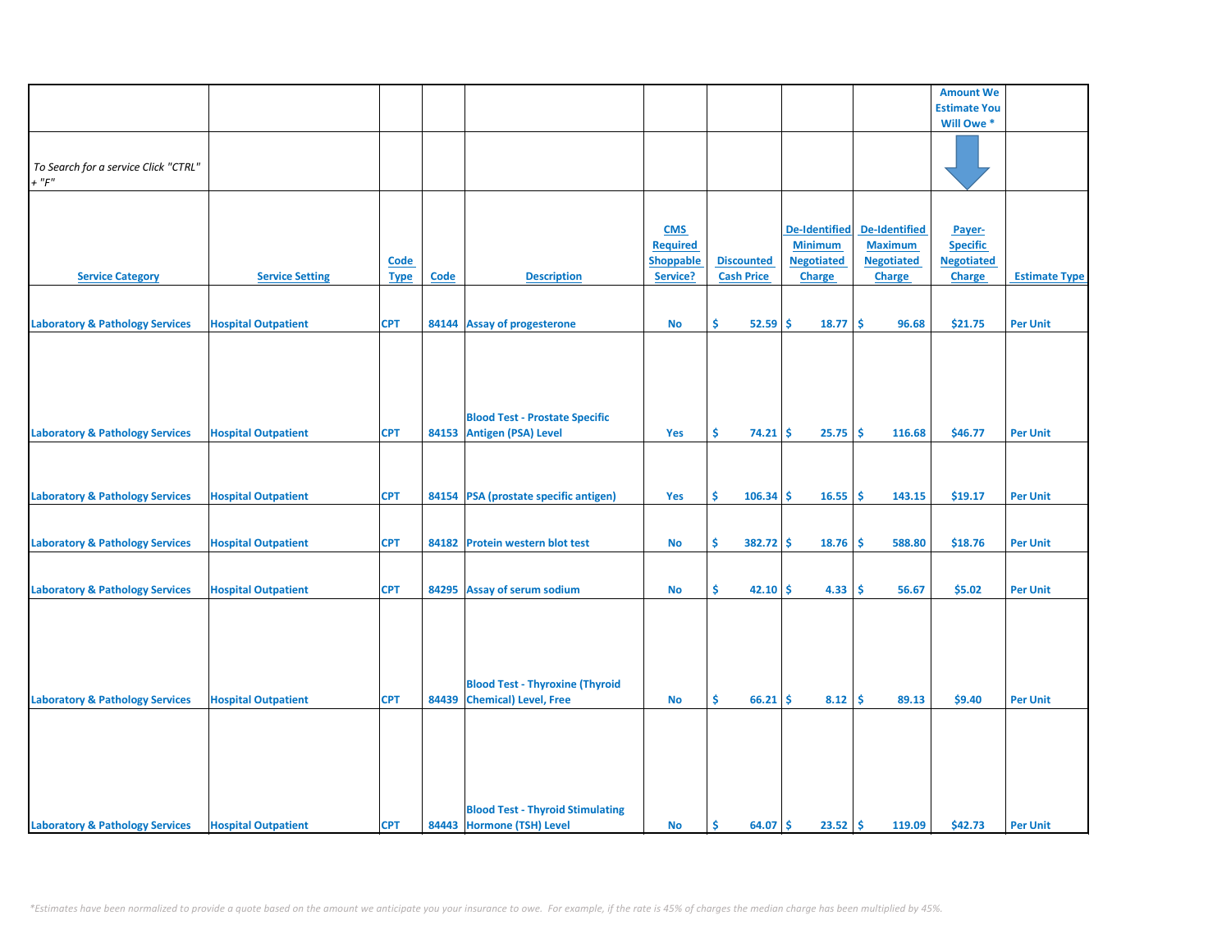|                                            |                            |             |       |                                         |                               |                   |                                        |                      | <b>Amount We</b>                     |                      |
|--------------------------------------------|----------------------------|-------------|-------|-----------------------------------------|-------------------------------|-------------------|----------------------------------------|----------------------|--------------------------------------|----------------------|
|                                            |                            |             |       |                                         |                               |                   |                                        |                      | <b>Estimate You</b>                  |                      |
|                                            |                            |             |       |                                         |                               |                   |                                        |                      | Will Owe*                            |                      |
|                                            |                            |             |       |                                         |                               |                   |                                        |                      |                                      |                      |
|                                            |                            |             |       |                                         |                               |                   |                                        |                      |                                      |                      |
| To Search for a service Click "CTRL"       |                            |             |       |                                         |                               |                   |                                        |                      |                                      |                      |
| $+$ " $F$ "                                |                            |             |       |                                         |                               |                   |                                        |                      |                                      |                      |
|                                            |                            |             |       |                                         |                               |                   |                                        |                      |                                      |                      |
|                                            |                            |             |       |                                         |                               |                   |                                        | <b>De-Identified</b> |                                      |                      |
|                                            |                            |             |       |                                         | <b>CMS</b><br><b>Required</b> |                   | <b>De-Identified</b><br><b>Minimum</b> | <b>Maximum</b>       | Payer-                               |                      |
|                                            |                            |             |       |                                         | <b>Shoppable</b>              | <b>Discounted</b> | <b>Negotiated</b>                      | <b>Negotiated</b>    | <b>Specific</b><br><b>Negotiated</b> |                      |
|                                            | <b>Service Setting</b>     | <b>Code</b> | Code  | <b>Description</b>                      | Service?                      | <b>Cash Price</b> |                                        |                      |                                      | <b>Estimate Type</b> |
| <b>Service Category</b>                    |                            | <b>Type</b> |       |                                         |                               |                   | <b>Charge</b>                          | <b>Charge</b>        | <b>Charge</b>                        |                      |
|                                            |                            |             |       |                                         |                               |                   |                                        |                      |                                      |                      |
| <b>Laboratory &amp; Pathology Services</b> | <b>Hospital Outpatient</b> | <b>CPT</b>  |       | 84144 Assay of progesterone             | No                            | \$<br>$52.59$ \$  | 18.77                                  | \$<br>96.68          | \$21.75                              | <b>Per Unit</b>      |
|                                            |                            |             |       |                                         |                               |                   |                                        |                      |                                      |                      |
|                                            |                            |             |       |                                         |                               |                   |                                        |                      |                                      |                      |
|                                            |                            |             |       |                                         |                               |                   |                                        |                      |                                      |                      |
|                                            |                            |             |       |                                         |                               |                   |                                        |                      |                                      |                      |
|                                            |                            |             |       |                                         |                               |                   |                                        |                      |                                      |                      |
|                                            |                            |             |       | <b>Blood Test - Prostate Specific</b>   |                               |                   |                                        |                      |                                      |                      |
| <b>Laboratory &amp; Pathology Services</b> | <b>Hospital Outpatient</b> | <b>CPT</b>  |       | 84153 Antigen (PSA) Level               | Yes                           | \$.<br>$74.21$ \$ | 25.75                                  | -\$<br>116.68        | \$46.77                              | <b>Per Unit</b>      |
|                                            |                            |             |       |                                         |                               |                   |                                        |                      |                                      |                      |
|                                            |                            |             |       |                                         |                               |                   |                                        |                      |                                      |                      |
|                                            |                            |             |       |                                         |                               |                   |                                        |                      |                                      |                      |
| <b>Laboratory &amp; Pathology Services</b> | <b>Hospital Outpatient</b> | <b>CPT</b>  |       | 84154 PSA (prostate specific antigen)   | Yes                           | \$<br>$106.34$ \$ | 16.55                                  | ١\$<br>143.15        | \$19.17                              | <b>Per Unit</b>      |
|                                            |                            |             |       |                                         |                               |                   |                                        |                      |                                      |                      |
|                                            |                            |             |       |                                         |                               |                   |                                        |                      |                                      |                      |
| <b>Laboratory &amp; Pathology Services</b> | <b>Hospital Outpatient</b> | <b>CPT</b>  | 84182 | <b>Protein western blot test</b>        | No                            | \$<br>$382.72$ \$ | 18.76                                  | -\$<br>588.80        | \$18.76                              | <b>Per Unit</b>      |
|                                            |                            |             |       |                                         |                               |                   |                                        |                      |                                      |                      |
|                                            |                            |             |       |                                         |                               |                   |                                        |                      |                                      |                      |
| <b>Laboratory &amp; Pathology Services</b> | <b>Hospital Outpatient</b> | <b>CPT</b>  |       | 84295 Assay of serum sodium             | <b>No</b>                     | \$<br>$42.10$ \$  | 4.33                                   | -\$<br>56.67         | \$5.02                               | <b>Per Unit</b>      |
|                                            |                            |             |       |                                         |                               |                   |                                        |                      |                                      |                      |
|                                            |                            |             |       |                                         |                               |                   |                                        |                      |                                      |                      |
|                                            |                            |             |       |                                         |                               |                   |                                        |                      |                                      |                      |
|                                            |                            |             |       |                                         |                               |                   |                                        |                      |                                      |                      |
|                                            |                            |             |       |                                         |                               |                   |                                        |                      |                                      |                      |
|                                            |                            |             |       | <b>Blood Test - Thyroxine (Thyroid</b>  |                               |                   |                                        |                      |                                      |                      |
| <b>Laboratory &amp; Pathology Services</b> | <b>Hospital Outpatient</b> | <b>CPT</b>  |       | 84439 Chemical) Level, Free             | <b>No</b>                     | \$.<br>66.21      | 8.12<br>Ŝ                              | -\$<br>89.13         | \$9.40                               | <b>Per Unit</b>      |
|                                            |                            |             |       |                                         |                               |                   |                                        |                      |                                      |                      |
|                                            |                            |             |       |                                         |                               |                   |                                        |                      |                                      |                      |
|                                            |                            |             |       |                                         |                               |                   |                                        |                      |                                      |                      |
|                                            |                            |             |       |                                         |                               |                   |                                        |                      |                                      |                      |
|                                            |                            |             |       |                                         |                               |                   |                                        |                      |                                      |                      |
|                                            |                            |             |       |                                         |                               |                   |                                        |                      |                                      |                      |
|                                            |                            |             |       | <b>Blood Test - Thyroid Stimulating</b> |                               |                   |                                        |                      |                                      |                      |
| <b>Laboratory &amp; Pathology Services</b> | <b>Hospital Outpatient</b> | <b>CPT</b>  |       | 84443 Hormone (TSH) Level               | <b>No</b>                     | 64.07 \$<br>\$    | $23.52 \, \text{S}$                    | 119.09               | \$42.73                              | <b>Per Unit</b>      |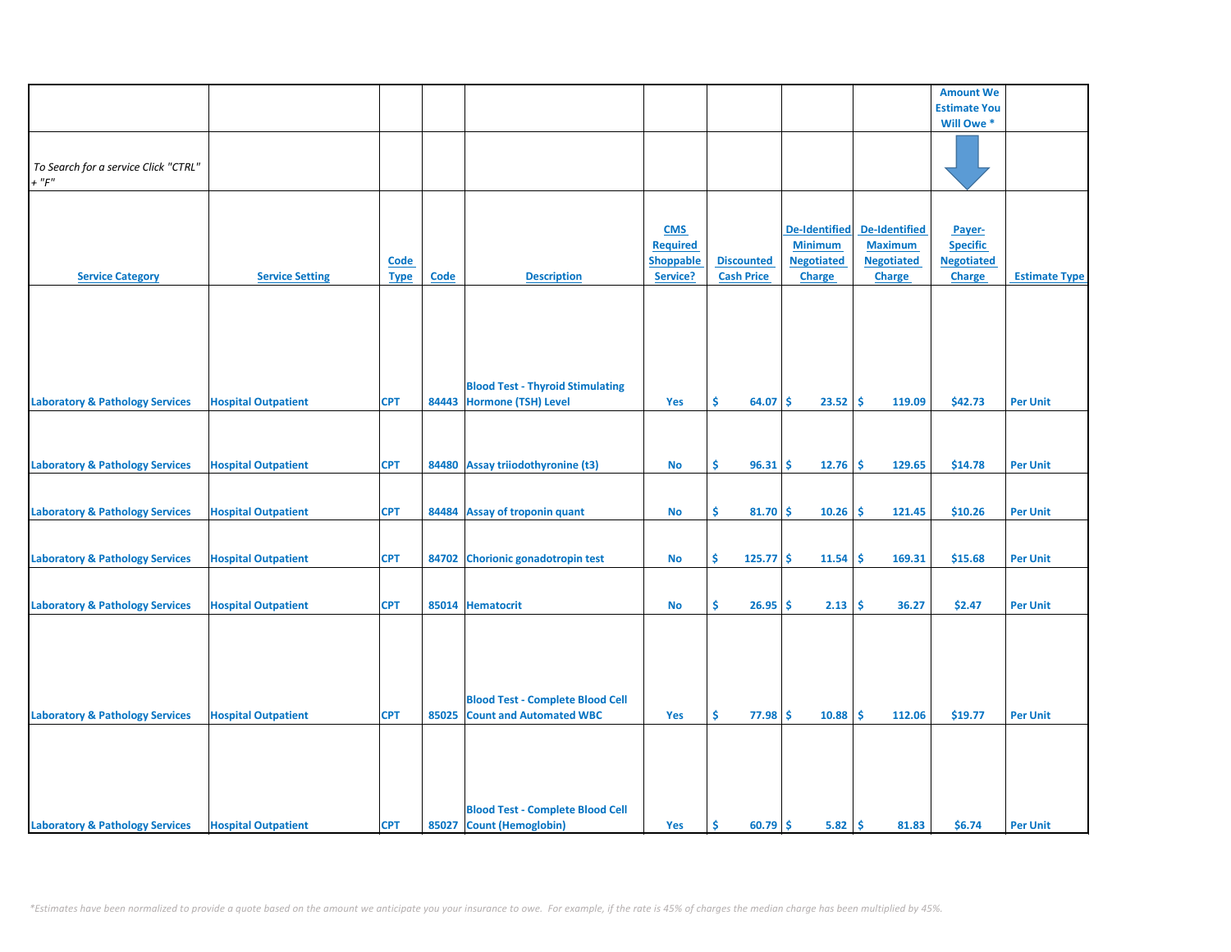|                                                     |                            |             |       |                                         |                  |                   |                      |                      | <b>Amount We</b>          |                      |
|-----------------------------------------------------|----------------------------|-------------|-------|-----------------------------------------|------------------|-------------------|----------------------|----------------------|---------------------------|----------------------|
|                                                     |                            |             |       |                                         |                  |                   |                      |                      | <b>Estimate You</b>       |                      |
|                                                     |                            |             |       |                                         |                  |                   |                      |                      | Will Owe*                 |                      |
|                                                     |                            |             |       |                                         |                  |                   |                      |                      |                           |                      |
|                                                     |                            |             |       |                                         |                  |                   |                      |                      |                           |                      |
| To Search for a service Click "CTRL"<br>$+$ " $F$ " |                            |             |       |                                         |                  |                   |                      |                      |                           |                      |
|                                                     |                            |             |       |                                         |                  |                   |                      |                      |                           |                      |
|                                                     |                            |             |       |                                         |                  |                   |                      |                      |                           |                      |
|                                                     |                            |             |       |                                         | <b>CMS</b>       |                   | <b>De-Identified</b> | <b>De-Identified</b> |                           |                      |
|                                                     |                            |             |       |                                         | <b>Required</b>  |                   | <b>Minimum</b>       | <b>Maximum</b>       | Payer-<br><b>Specific</b> |                      |
|                                                     |                            | <b>Code</b> |       |                                         | <b>Shoppable</b> | <b>Discounted</b> | <b>Negotiated</b>    | <b>Negotiated</b>    | <b>Negotiated</b>         |                      |
| <b>Service Category</b>                             | <b>Service Setting</b>     | <b>Type</b> | Code  | <b>Description</b>                      | Service?         | <b>Cash Price</b> | <b>Charge</b>        | <b>Charge</b>        | <b>Charge</b>             | <b>Estimate Type</b> |
|                                                     |                            |             |       |                                         |                  |                   |                      |                      |                           |                      |
|                                                     |                            |             |       |                                         |                  |                   |                      |                      |                           |                      |
|                                                     |                            |             |       |                                         |                  |                   |                      |                      |                           |                      |
|                                                     |                            |             |       |                                         |                  |                   |                      |                      |                           |                      |
|                                                     |                            |             |       |                                         |                  |                   |                      |                      |                           |                      |
|                                                     |                            |             |       |                                         |                  |                   |                      |                      |                           |                      |
|                                                     |                            |             |       | <b>Blood Test - Thyroid Stimulating</b> |                  |                   |                      |                      |                           |                      |
| <b>Laboratory &amp; Pathology Services</b>          | <b>Hospital Outpatient</b> | <b>CPT</b>  |       | 84443 Hormone (TSH) Level               | Yes              | Ś.<br>64.07       | 23.52<br><b>S</b>    | ١\$<br>119.09        | \$42.73                   | <b>Per Unit</b>      |
|                                                     |                            |             |       |                                         |                  |                   |                      |                      |                           |                      |
|                                                     |                            |             |       |                                         |                  |                   |                      |                      |                           |                      |
|                                                     |                            |             |       |                                         |                  |                   |                      |                      |                           |                      |
| <b>Laboratory &amp; Pathology Services</b>          | <b>Hospital Outpatient</b> | <b>CPT</b>  |       | 84480 Assay triiodothyronine (t3)       | No               | \$.<br>96.31      | 12.76<br><b>S</b>    | -\$<br>129.65        | \$14.78                   | <b>Per Unit</b>      |
|                                                     |                            |             |       |                                         |                  |                   |                      |                      |                           |                      |
|                                                     |                            |             |       |                                         |                  |                   |                      |                      |                           |                      |
| <b>Laboratory &amp; Pathology Services</b>          | <b>Hospital Outpatient</b> | <b>CPT</b>  |       | 84484 Assay of troponin quant           | <b>No</b>        | \$<br>$81.70$ \$  | 10.26                | ۱\$<br>121.45        | \$10.26                   | <b>Per Unit</b>      |
|                                                     |                            |             |       |                                         |                  |                   |                      |                      |                           |                      |
|                                                     |                            |             |       |                                         |                  |                   |                      |                      |                           |                      |
| <b>Laboratory &amp; Pathology Services</b>          | <b>Hospital Outpatient</b> | <b>CPT</b>  |       | 84702 Chorionic gonadotropin test       | No               | \$<br>$125.77$ \$ | 11.54                | -\$<br>169.31        | \$15.68                   | <b>Per Unit</b>      |
|                                                     |                            |             |       |                                         |                  |                   |                      |                      |                           |                      |
|                                                     |                            |             |       |                                         |                  |                   |                      |                      |                           |                      |
| <b>Laboratory &amp; Pathology Services</b>          | <b>Hospital Outpatient</b> | <b>CPT</b>  |       | 85014 Hematocrit                        | No               | \$<br>26.95       | 2.13<br><b>S</b>     | \$<br>36.27          | \$2.47                    | <b>Per Unit</b>      |
|                                                     |                            |             |       |                                         |                  |                   |                      |                      |                           |                      |
|                                                     |                            |             |       |                                         |                  |                   |                      |                      |                           |                      |
|                                                     |                            |             |       |                                         |                  |                   |                      |                      |                           |                      |
|                                                     |                            |             |       |                                         |                  |                   |                      |                      |                           |                      |
|                                                     |                            |             |       |                                         |                  |                   |                      |                      |                           |                      |
|                                                     |                            |             |       | <b>Blood Test - Complete Blood Cell</b> |                  |                   |                      |                      |                           |                      |
| <b>Laboratory &amp; Pathology Services</b>          | <b>Hospital Outpatient</b> | <b>CPT</b>  | 85025 | <b>Count and Automated WBC</b>          | Yes              | \$.<br>77.98      | -Ś<br>10.88          | -\$<br>112.06        | \$19.77                   | <b>Per Unit</b>      |
|                                                     |                            |             |       |                                         |                  |                   |                      |                      |                           |                      |
|                                                     |                            |             |       |                                         |                  |                   |                      |                      |                           |                      |
|                                                     |                            |             |       |                                         |                  |                   |                      |                      |                           |                      |
|                                                     |                            |             |       |                                         |                  |                   |                      |                      |                           |                      |
|                                                     |                            |             |       |                                         |                  |                   |                      |                      |                           |                      |
|                                                     |                            |             |       | <b>Blood Test - Complete Blood Cell</b> |                  |                   |                      |                      |                           |                      |
| <b>Laboratory &amp; Pathology Services</b>          | <b>Hospital Outpatient</b> | <b>CPT</b>  |       | 85027 Count (Hemoglobin)                | Yes              | \$<br>$60.79$ \$  | $5.82 \, \text{S}$   | 81.83                | \$6.74                    | <b>Per Unit</b>      |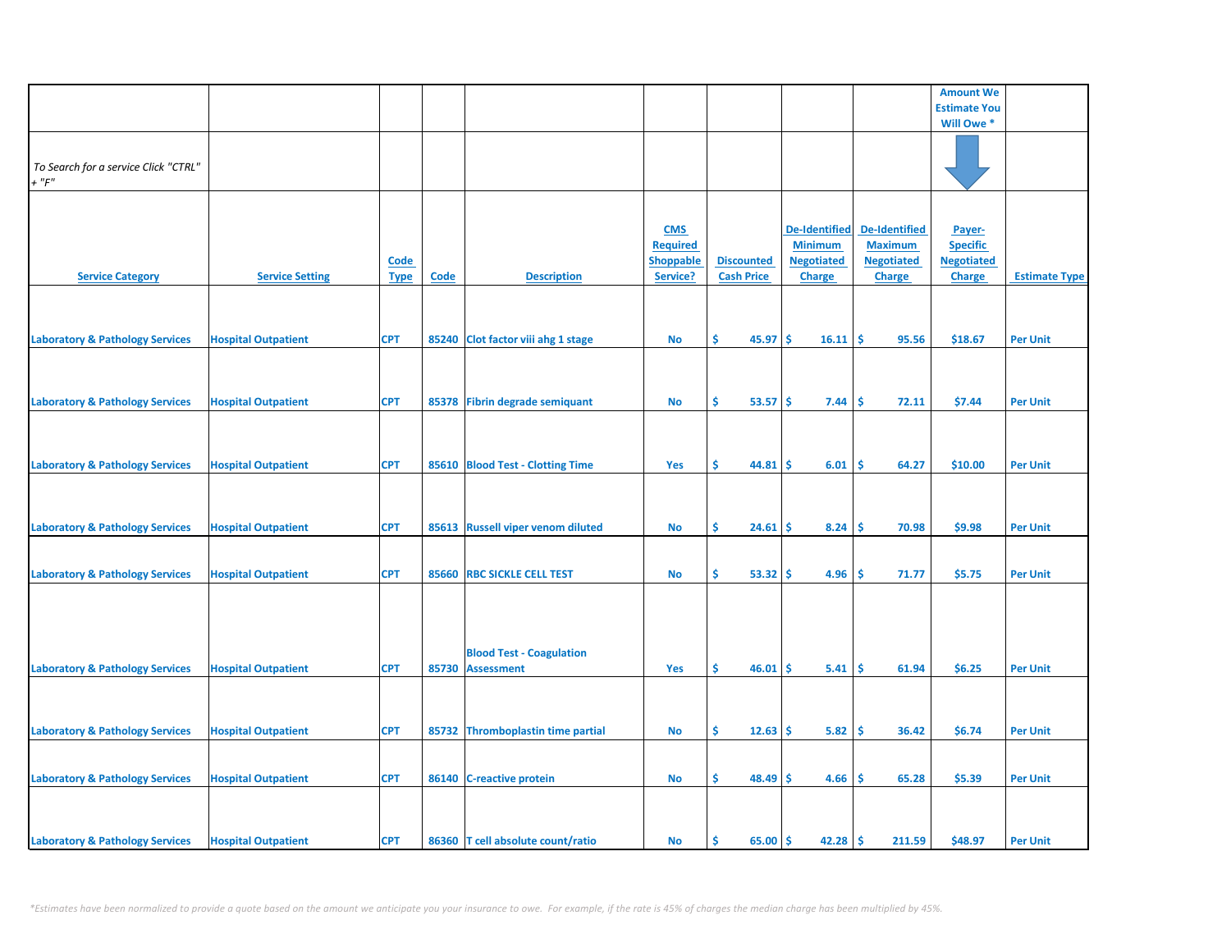|                                                     |                            |                            |       |                                                      |                                                               |                                        |                                                                              |                                                                              | <b>Amount We</b>                                                |                      |
|-----------------------------------------------------|----------------------------|----------------------------|-------|------------------------------------------------------|---------------------------------------------------------------|----------------------------------------|------------------------------------------------------------------------------|------------------------------------------------------------------------------|-----------------------------------------------------------------|----------------------|
|                                                     |                            |                            |       |                                                      |                                                               |                                        |                                                                              |                                                                              | <b>Estimate You</b>                                             |                      |
|                                                     |                            |                            |       |                                                      |                                                               |                                        |                                                                              |                                                                              | Will Owe *                                                      |                      |
| To Search for a service Click "CTRL"<br>$+$ " $F$ " |                            |                            |       |                                                      |                                                               |                                        |                                                                              |                                                                              |                                                                 |                      |
| <b>Service Category</b>                             | <b>Service Setting</b>     | <b>Code</b><br><b>Type</b> | Code  | <b>Description</b>                                   | <b>CMS</b><br><b>Required</b><br><b>Shoppable</b><br>Service? | <b>Discounted</b><br><b>Cash Price</b> | <b>De-Identified</b><br><b>Minimum</b><br><b>Negotiated</b><br><b>Charge</b> | <b>De-Identified</b><br><b>Maximum</b><br><b>Negotiated</b><br><b>Charge</b> | Payer-<br><b>Specific</b><br><b>Negotiated</b><br><b>Charge</b> | <b>Estimate Type</b> |
| <b>Laboratory &amp; Pathology Services</b>          | <b>Hospital Outpatient</b> | <b>CPT</b>                 |       | 85240 Clot factor viii ahg 1 stage                   | <b>No</b>                                                     | \$<br>45.97                            | \$<br>16.11                                                                  | \$.<br>95.56                                                                 | \$18.67                                                         | <b>Per Unit</b>      |
| <b>Laboratory &amp; Pathology Services</b>          | <b>Hospital Outpatient</b> | <b>CPT</b>                 |       | 85378 Fibrin degrade semiquant                       | <b>No</b>                                                     | \$<br>53.57                            | -\$<br>7.44                                                                  | \$.<br>72.11                                                                 | \$7.44                                                          | <b>Per Unit</b>      |
| <b>Laboratory &amp; Pathology Services</b>          | <b>Hospital Outpatient</b> | <b>CPT</b>                 |       | 85610 Blood Test - Clotting Time                     | <b>Yes</b>                                                    | \$.<br>44.81                           | \$<br>6.01                                                                   | \$<br>64.27                                                                  | \$10.00                                                         | <b>Per Unit</b>      |
| <b>Laboratory &amp; Pathology Services</b>          | <b>Hospital Outpatient</b> | <b>CPT</b>                 |       | 85613 Russell viper venom diluted                    | <b>No</b>                                                     | \$<br>24.61                            | \$<br>8.24                                                                   | -\$<br>70.98                                                                 | \$9.98                                                          | <b>Per Unit</b>      |
| <b>Laboratory &amp; Pathology Services</b>          | <b>Hospital Outpatient</b> | <b>CPT</b>                 |       | 85660 RBC SICKLE CELL TEST                           | No                                                            | \$.<br>53.32                           | 4.96<br>\$.                                                                  | -\$<br>71.77                                                                 | \$5.75                                                          | <b>Per Unit</b>      |
| <b>Laboratory &amp; Pathology Services</b>          | <b>Hospital Outpatient</b> | <b>CPT</b>                 | 85730 | <b>Blood Test - Coagulation</b><br><b>Assessment</b> | Yes                                                           | Ŝ.<br>46.01                            | \$.<br>5.41                                                                  | -\$<br>61.94                                                                 | \$6.25                                                          | <b>Per Unit</b>      |
|                                                     |                            |                            |       |                                                      |                                                               |                                        |                                                                              |                                                                              |                                                                 |                      |
| <b>Laboratory &amp; Pathology Services</b>          | <b>Hospital Outpatient</b> | <b>CPT</b>                 |       | 85732 Thromboplastin time partial                    | No                                                            | Ŝ.<br>12.63                            | 5.82<br>\$.                                                                  | \$<br>36.42                                                                  | \$6.74                                                          | <b>Per Unit</b>      |
| <b>Laboratory &amp; Pathology Services</b>          | <b>Hospital Outpatient</b> | <b>CPT</b>                 |       | 86140 C-reactive protein                             | <b>No</b>                                                     | \$<br>48.49                            | 4.66<br>Ś                                                                    | \$<br>65.28                                                                  | \$5.39                                                          | <b>Per Unit</b>      |
| <b>Laboratory &amp; Pathology Services</b>          | <b>Hospital Outpatient</b> | <b>CPT</b>                 |       | 86360 T cell absolute count/ratio                    | <b>No</b>                                                     | \$<br>65.00                            | \$<br>42.28                                                                  | -\$<br>211.59                                                                | \$48.97                                                         | <b>Per Unit</b>      |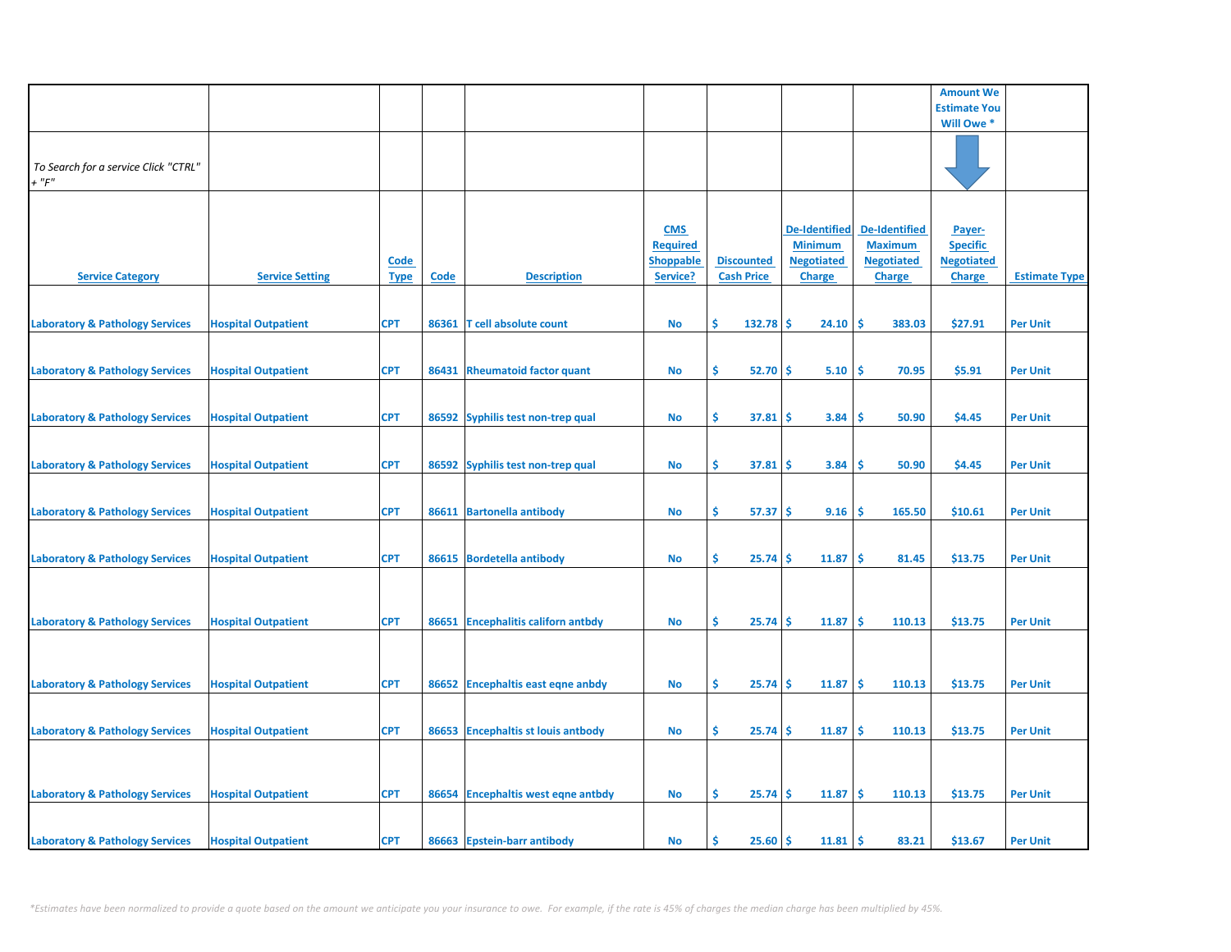|                                                     |                            |                            |             |                                    |                                                               |                                        |                                                                              |                                                                              | <b>Amount We</b>                                                |                      |
|-----------------------------------------------------|----------------------------|----------------------------|-------------|------------------------------------|---------------------------------------------------------------|----------------------------------------|------------------------------------------------------------------------------|------------------------------------------------------------------------------|-----------------------------------------------------------------|----------------------|
|                                                     |                            |                            |             |                                    |                                                               |                                        |                                                                              |                                                                              | <b>Estimate You</b>                                             |                      |
|                                                     |                            |                            |             |                                    |                                                               |                                        |                                                                              |                                                                              | Will Owe *                                                      |                      |
| To Search for a service Click "CTRL"<br>$+$ " $F$ " |                            |                            |             |                                    |                                                               |                                        |                                                                              |                                                                              |                                                                 |                      |
| <b>Service Category</b>                             | <b>Service Setting</b>     | <b>Code</b><br><b>Type</b> | <b>Code</b> | <b>Description</b>                 | <b>CMS</b><br><b>Required</b><br><b>Shoppable</b><br>Service? | <b>Discounted</b><br><b>Cash Price</b> | <b>De-Identified</b><br><b>Minimum</b><br><b>Negotiated</b><br><b>Charge</b> | <b>De-Identified</b><br><b>Maximum</b><br><b>Negotiated</b><br><b>Charge</b> | Payer-<br><b>Specific</b><br><b>Negotiated</b><br><b>Charge</b> | <b>Estimate Type</b> |
| <b>Laboratory &amp; Pathology Services</b>          | <b>Hospital Outpatient</b> | <b>CPT</b>                 |             | 86361 T cell absolute count        | No                                                            | Š.<br>132.78                           | 24.10<br>-S                                                                  | -\$<br>383.03                                                                | \$27.91                                                         | <b>Per Unit</b>      |
| <b>Laboratory &amp; Pathology Services</b>          | <b>Hospital Outpatient</b> | <b>CPT</b>                 | 86431       | <b>Rheumatoid factor quant</b>     | No                                                            | \$<br>52.70                            | 5.10<br>Ŝ                                                                    | -\$<br>70.95                                                                 | \$5.91                                                          | <b>Per Unit</b>      |
| <b>Laboratory &amp; Pathology Services</b>          | <b>Hospital Outpatient</b> | <b>CPT</b>                 |             | 86592 Syphilis test non-trep qual  | <b>No</b>                                                     | \$<br>37.81                            | 3.84<br><b>S</b>                                                             | -\$<br>50.90                                                                 | \$4.45                                                          | <b>Per Unit</b>      |
| <b>Laboratory &amp; Pathology Services</b>          | <b>Hospital Outpatient</b> | <b>CPT</b>                 |             | 86592 Syphilis test non-trep qual  | No                                                            | \$<br>37.81                            | 3.84<br>-S                                                                   | -Ś<br>50.90                                                                  | \$4.45                                                          | <b>Per Unit</b>      |
| <b>Laboratory &amp; Pathology Services</b>          | <b>Hospital Outpatient</b> | <b>CPT</b>                 |             | 86611 Bartonella antibody          | No                                                            | \$<br>$57.37$ \$                       | 9.16                                                                         | -\$<br>165.50                                                                | \$10.61                                                         | <b>Per Unit</b>      |
| <b>Laboratory &amp; Pathology Services</b>          | <b>Hospital Outpatient</b> | <b>CPT</b>                 |             | 86615 Bordetella antibody          | No                                                            | \$<br>25.74                            | 11.87<br><b>S</b>                                                            | -\$<br>81.45                                                                 | \$13.75                                                         | <b>Per Unit</b>      |
|                                                     |                            |                            |             |                                    |                                                               |                                        |                                                                              |                                                                              |                                                                 |                      |
| <b>Laboratory &amp; Pathology Services</b>          | <b>Hospital Outpatient</b> | <b>CPT</b>                 |             | 86651 Encephalitis californ antbdy | No                                                            | \$<br>25.74                            | Ŝ.<br>11.87                                                                  | <b>S</b><br>110.13                                                           | \$13.75                                                         | <b>Per Unit</b>      |
| <b>Laboratory &amp; Pathology Services</b>          | <b>Hospital Outpatient</b> | <b>CPT</b>                 |             | 86652 Encephaltis east eqne anbdy  | No                                                            | \$<br>25.74                            | <b>S</b><br>11.87                                                            | -\$<br>110.13                                                                | \$13.75                                                         | <b>Per Unit</b>      |
| <b>Laboratory &amp; Pathology Services</b>          | <b>Hospital Outpatient</b> | <b>CPT</b>                 |             | 86653 Encephaltis st louis antbody | <b>No</b>                                                     | \$.<br>25.74                           | 11.87<br><b>S</b>                                                            | -\$<br>110.13                                                                | \$13.75                                                         | <b>Per Unit</b>      |
|                                                     |                            |                            |             |                                    |                                                               |                                        |                                                                              |                                                                              |                                                                 |                      |
| <b>Laboratory &amp; Pathology Services</b>          | <b>Hospital Outpatient</b> | <b>CPT</b>                 |             | 86654 Encephaltis west eqne antbdy | <b>No</b>                                                     | Ś<br>25.74                             | <b>S</b><br>11.87                                                            | -\$<br>110.13                                                                | \$13.75                                                         | <b>Per Unit</b>      |
| <b>Laboratory &amp; Pathology Services</b>          | <b>Hospital Outpatient</b> | <b>CPT</b>                 |             | 86663 Epstein-barr antibody        | <b>No</b>                                                     | $25.60$ \$<br>Ŝ.                       | $11.81 \,$ \$                                                                | 83.21                                                                        | \$13.67                                                         | <b>Per Unit</b>      |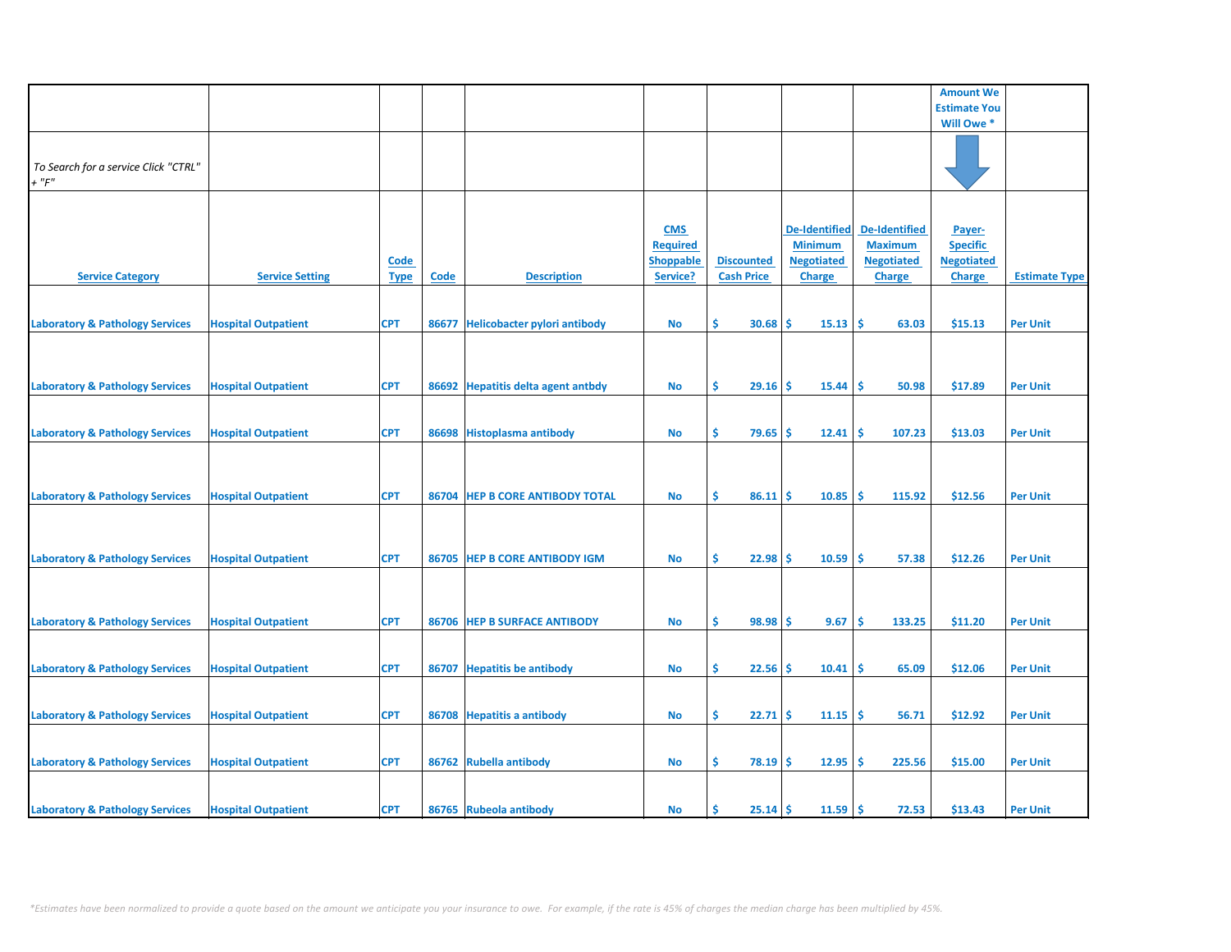|                                            |                            |             |       |                                     |                  |                   |                      |                      | <b>Amount We</b>    |                      |
|--------------------------------------------|----------------------------|-------------|-------|-------------------------------------|------------------|-------------------|----------------------|----------------------|---------------------|----------------------|
|                                            |                            |             |       |                                     |                  |                   |                      |                      | <b>Estimate You</b> |                      |
|                                            |                            |             |       |                                     |                  |                   |                      |                      | Will Owe *          |                      |
|                                            |                            |             |       |                                     |                  |                   |                      |                      |                     |                      |
|                                            |                            |             |       |                                     |                  |                   |                      |                      |                     |                      |
|                                            |                            |             |       |                                     |                  |                   |                      |                      |                     |                      |
| To Search for a service Click "CTRL"       |                            |             |       |                                     |                  |                   |                      |                      |                     |                      |
| $+$ " $F"$                                 |                            |             |       |                                     |                  |                   |                      |                      |                     |                      |
|                                            |                            |             |       |                                     |                  |                   |                      |                      |                     |                      |
|                                            |                            |             |       |                                     |                  |                   |                      |                      |                     |                      |
|                                            |                            |             |       |                                     |                  |                   |                      |                      |                     |                      |
|                                            |                            |             |       |                                     | <b>CMS</b>       |                   | <b>De-Identified</b> | <b>De-Identified</b> | Payer-              |                      |
|                                            |                            |             |       |                                     | <b>Required</b>  |                   | <b>Minimum</b>       | <b>Maximum</b>       | <b>Specific</b>     |                      |
|                                            |                            |             |       |                                     |                  |                   |                      |                      |                     |                      |
|                                            |                            | <b>Code</b> |       |                                     | <b>Shoppable</b> | <b>Discounted</b> | <b>Negotiated</b>    | <b>Negotiated</b>    | <b>Negotiated</b>   |                      |
| <b>Service Category</b>                    | <b>Service Setting</b>     | <b>Type</b> | Code  | <b>Description</b>                  | Service?         | <b>Cash Price</b> | <b>Charge</b>        | <b>Charge</b>        | <b>Charge</b>       | <b>Estimate Type</b> |
|                                            |                            |             |       |                                     |                  |                   |                      |                      |                     |                      |
|                                            |                            |             |       |                                     |                  |                   |                      |                      |                     |                      |
|                                            |                            |             |       |                                     |                  |                   |                      |                      |                     |                      |
| <b>Laboratory &amp; Pathology Services</b> | <b>Hospital Outpatient</b> | <b>CPT</b>  | 86677 | <b>Helicobacter pylori antibody</b> | No               | \$.<br>30.68      | 15.13<br><b>S</b>    | -\$<br>63.03         | \$15.13             | <b>Per Unit</b>      |
|                                            |                            |             |       |                                     |                  |                   |                      |                      |                     |                      |
|                                            |                            |             |       |                                     |                  |                   |                      |                      |                     |                      |
|                                            |                            |             |       |                                     |                  |                   |                      |                      |                     |                      |
|                                            |                            |             |       |                                     |                  |                   |                      |                      |                     |                      |
| <b>Laboratory &amp; Pathology Services</b> | <b>Hospital Outpatient</b> | <b>CPT</b>  | 86692 | <b>Hepatitis delta agent antbdy</b> | No               | \$.<br>$29.16$ \$ | 15.44                | ١\$<br>50.98         | \$17.89             | <b>Per Unit</b>      |
|                                            |                            |             |       |                                     |                  |                   |                      |                      |                     |                      |
|                                            |                            |             |       |                                     |                  |                   |                      |                      |                     |                      |
|                                            |                            |             |       |                                     |                  |                   |                      |                      |                     |                      |
| <b>Laboratory &amp; Pathology Services</b> | <b>Hospital Outpatient</b> | <b>CPT</b>  |       | 86698 Histoplasma antibody          | <b>No</b>        | \$.<br>79.65      | 12.41<br><b>S</b>    | -\$<br>107.23        | \$13.03             | <b>Per Unit</b>      |
|                                            |                            |             |       |                                     |                  |                   |                      |                      |                     |                      |
|                                            |                            |             |       |                                     |                  |                   |                      |                      |                     |                      |
|                                            |                            |             |       |                                     |                  |                   |                      |                      |                     |                      |
|                                            |                            |             |       |                                     |                  |                   |                      |                      |                     |                      |
| <b>Laboratory &amp; Pathology Services</b> | <b>Hospital Outpatient</b> | <b>CPT</b>  | 86704 | <b>HEP B CORE ANTIBODY TOTAL</b>    | No               | \$.<br>86.11      | Ŝ<br>10.85           | -\$<br>115.92        | \$12.56             | <b>Per Unit</b>      |
|                                            |                            |             |       |                                     |                  |                   |                      |                      |                     |                      |
|                                            |                            |             |       |                                     |                  |                   |                      |                      |                     |                      |
|                                            |                            |             |       |                                     |                  |                   |                      |                      |                     |                      |
|                                            |                            |             |       |                                     |                  |                   |                      |                      |                     |                      |
| <b>Laboratory &amp; Pathology Services</b> | <b>Hospital Outpatient</b> | <b>CPT</b>  |       | 86705 HEP B CORE ANTIBODY IGM       | No               | \$<br>$22.98$ \$  | 10.59                | ١\$<br>57.38         | \$12.26             | <b>Per Unit</b>      |
|                                            |                            |             |       |                                     |                  |                   |                      |                      |                     |                      |
|                                            |                            |             |       |                                     |                  |                   |                      |                      |                     |                      |
|                                            |                            |             |       |                                     |                  |                   |                      |                      |                     |                      |
|                                            |                            |             |       |                                     |                  |                   |                      |                      |                     |                      |
| <b>Laboratory &amp; Pathology Services</b> | <b>Hospital Outpatient</b> | <b>CPT</b>  |       | 86706 HEP B SURFACE ANTIBODY        | No               | \$.<br>98.98      | -\$<br>9.67          | -\$<br>133.25        | \$11.20             | <b>Per Unit</b>      |
|                                            |                            |             |       |                                     |                  |                   |                      |                      |                     |                      |
|                                            |                            |             |       |                                     |                  |                   |                      |                      |                     |                      |
|                                            |                            |             |       |                                     |                  |                   |                      |                      |                     |                      |
| <b>Laboratory &amp; Pathology Services</b> | <b>Hospital Outpatient</b> | <b>CPT</b>  | 86707 | <b>Hepatitis be antibody</b>        | No               | \$.<br>22.56      | 10.41<br><b>S</b>    | -\$<br>65.09         | \$12.06             | <b>Per Unit</b>      |
|                                            |                            |             |       |                                     |                  |                   |                      |                      |                     |                      |
|                                            |                            |             |       |                                     |                  |                   |                      |                      |                     |                      |
|                                            |                            |             |       |                                     |                  |                   |                      |                      |                     |                      |
| <b>Laboratory &amp; Pathology Services</b> | <b>Hospital Outpatient</b> | <b>CPT</b>  |       | 86708 Hepatitis a antibody          | No               | \$<br>22.71       | -Ś<br>11.15          | ١\$<br>56.71         | \$12.92             | <b>Per Unit</b>      |
|                                            |                            |             |       |                                     |                  |                   |                      |                      |                     |                      |
|                                            |                            |             |       |                                     |                  |                   |                      |                      |                     |                      |
|                                            |                            |             |       |                                     |                  |                   |                      |                      |                     |                      |
| <b>Laboratory &amp; Pathology Services</b> | <b>Hospital Outpatient</b> | <b>CPT</b>  | 86762 | <b>Rubella antibody</b>             | No               | \$.<br>$78.19$ \$ | 12.95                | -\$<br>225.56        | \$15.00             | <b>Per Unit</b>      |
|                                            |                            |             |       |                                     |                  |                   |                      |                      |                     |                      |
|                                            |                            |             |       |                                     |                  |                   |                      |                      |                     |                      |
|                                            |                            |             |       |                                     |                  |                   |                      |                      |                     |                      |
| <b>Laboratory &amp; Pathology Services</b> | <b>Hospital Outpatient</b> | <b>CPT</b>  |       | 86765 Rubeola antibody              | <b>No</b>        | Ŝ.<br>$25.14$ \$  | $11.59$ \$           | 72.53                | \$13.43             | <b>Per Unit</b>      |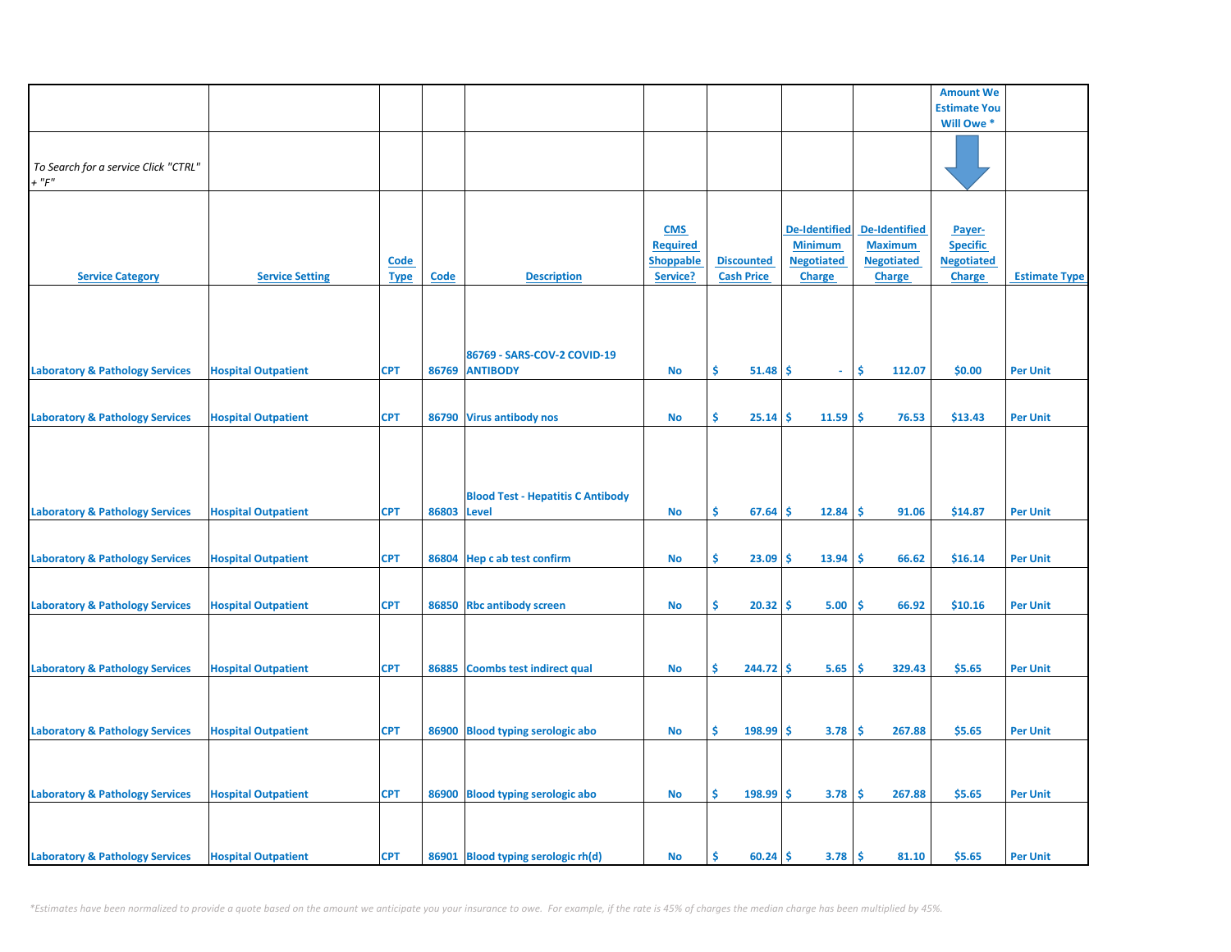|                                            |                            |             |             |                                          |                  |                   |                   |                      | <b>Amount We</b>    |                      |
|--------------------------------------------|----------------------------|-------------|-------------|------------------------------------------|------------------|-------------------|-------------------|----------------------|---------------------|----------------------|
|                                            |                            |             |             |                                          |                  |                   |                   |                      | <b>Estimate You</b> |                      |
|                                            |                            |             |             |                                          |                  |                   |                   |                      | Will Owe *          |                      |
|                                            |                            |             |             |                                          |                  |                   |                   |                      |                     |                      |
|                                            |                            |             |             |                                          |                  |                   |                   |                      |                     |                      |
| To Search for a service Click "CTRL"       |                            |             |             |                                          |                  |                   |                   |                      |                     |                      |
| $+$ " $F$ "                                |                            |             |             |                                          |                  |                   |                   |                      |                     |                      |
|                                            |                            |             |             |                                          |                  |                   |                   |                      |                     |                      |
|                                            |                            |             |             |                                          |                  |                   |                   |                      |                     |                      |
|                                            |                            |             |             |                                          | <b>CMS</b>       |                   | De-Identified     | <b>De-Identified</b> | Payer-              |                      |
|                                            |                            |             |             |                                          | <b>Required</b>  |                   | <b>Minimum</b>    | <b>Maximum</b>       | <b>Specific</b>     |                      |
|                                            |                            | <b>Code</b> |             |                                          | <b>Shoppable</b> | <b>Discounted</b> | <b>Negotiated</b> | <b>Negotiated</b>    | <b>Negotiated</b>   |                      |
| <b>Service Category</b>                    | <b>Service Setting</b>     | <b>Type</b> | <b>Code</b> | <b>Description</b>                       | Service?         | <b>Cash Price</b> | <b>Charge</b>     | Charge               | <b>Charge</b>       | <b>Estimate Type</b> |
|                                            |                            |             |             |                                          |                  |                   |                   |                      |                     |                      |
|                                            |                            |             |             |                                          |                  |                   |                   |                      |                     |                      |
|                                            |                            |             |             |                                          |                  |                   |                   |                      |                     |                      |
|                                            |                            |             |             |                                          |                  |                   |                   |                      |                     |                      |
|                                            |                            |             |             | 86769 - SARS-COV-2 COVID-19              |                  |                   |                   |                      |                     |                      |
| <b>Laboratory &amp; Pathology Services</b> | <b>Hospital Outpatient</b> | <b>CPT</b>  |             | 86769 ANTIBODY                           | <b>No</b>        | Ŝ.<br>51.48       | -\$<br>$\omega$   | Ŝ.<br>112.07         | \$0.00              | <b>Per Unit</b>      |
|                                            |                            |             |             |                                          |                  |                   |                   |                      |                     |                      |
|                                            |                            |             |             |                                          |                  |                   |                   |                      |                     |                      |
| <b>Laboratory &amp; Pathology Services</b> | <b>Hospital Outpatient</b> | <b>CPT</b>  |             | 86790 Virus antibody nos                 | No               | \$<br>25.14       | 11.59<br>\$       | \$.<br>76.53         | \$13.43             | <b>Per Unit</b>      |
|                                            |                            |             |             |                                          |                  |                   |                   |                      |                     |                      |
|                                            |                            |             |             |                                          |                  |                   |                   |                      |                     |                      |
|                                            |                            |             |             |                                          |                  |                   |                   |                      |                     |                      |
|                                            |                            |             |             |                                          |                  |                   |                   |                      |                     |                      |
|                                            |                            |             |             | <b>Blood Test - Hepatitis C Antibody</b> |                  |                   |                   |                      |                     |                      |
|                                            |                            |             | 86803       |                                          |                  | \$                |                   | \$.                  |                     |                      |
| <b>Laboratory &amp; Pathology Services</b> | <b>Hospital Outpatient</b> | <b>CPT</b>  |             | <b>Level</b>                             | No               | 67.64             | \$<br>12.84       | 91.06                | \$14.87             | <b>Per Unit</b>      |
|                                            |                            |             |             |                                          |                  |                   |                   |                      |                     |                      |
|                                            |                            |             |             |                                          |                  |                   |                   |                      |                     |                      |
| <b>Laboratory &amp; Pathology Services</b> | <b>Hospital Outpatient</b> | <b>CPT</b>  |             | 86804 Hep c ab test confirm              | No               | \$<br>23.09       | 13.94<br>\$       | <b>S</b><br>66.62    | \$16.14             | <b>Per Unit</b>      |
|                                            |                            |             |             |                                          |                  |                   |                   |                      |                     |                      |
|                                            |                            |             |             |                                          |                  |                   |                   |                      |                     |                      |
| <b>Laboratory &amp; Pathology Services</b> | <b>Hospital Outpatient</b> | <b>CPT</b>  |             | 86850 Rbc antibody screen                | <b>No</b>        | \$<br>20.32       | 5.00<br>\$.       | \$.<br>66.92         | \$10.16             | <b>Per Unit</b>      |
|                                            |                            |             |             |                                          |                  |                   |                   |                      |                     |                      |
|                                            |                            |             |             |                                          |                  |                   |                   |                      |                     |                      |
|                                            |                            |             |             |                                          |                  |                   |                   |                      |                     |                      |
| <b>Laboratory &amp; Pathology Services</b> | <b>Hospital Outpatient</b> | <b>CPT</b>  | 86885       | <b>Coombs test indirect qual</b>         | No               | \$<br>244.72      | 5.65<br>\$.       | -\$<br>329.43        | \$5.65              | <b>Per Unit</b>      |
|                                            |                            |             |             |                                          |                  |                   |                   |                      |                     |                      |
|                                            |                            |             |             |                                          |                  |                   |                   |                      |                     |                      |
|                                            |                            |             |             |                                          |                  |                   |                   |                      |                     |                      |
| <b>Laboratory &amp; Pathology Services</b> | <b>Hospital Outpatient</b> | <b>CPT</b>  |             | 86900 Blood typing serologic abo         | <b>No</b>        | \$<br>198.99      | 3.78<br>\$.       | \$<br>267.88         | \$5.65              | <b>Per Unit</b>      |
|                                            |                            |             |             |                                          |                  |                   |                   |                      |                     |                      |
|                                            |                            |             |             |                                          |                  |                   |                   |                      |                     |                      |
|                                            |                            |             |             |                                          |                  |                   |                   |                      |                     |                      |
| <b>Laboratory &amp; Pathology Services</b> | <b>Hospital Outpatient</b> | <b>CPT</b>  |             | 86900 Blood typing serologic abo         | <b>No</b>        | \$<br>198.99      | 3.78<br>\$        | \$<br>267.88         | \$5.65              | <b>Per Unit</b>      |
|                                            |                            |             |             |                                          |                  |                   |                   |                      |                     |                      |
|                                            |                            |             |             |                                          |                  |                   |                   |                      |                     |                      |
|                                            |                            |             |             |                                          |                  |                   |                   |                      |                     |                      |
| <b>Laboratory &amp; Pathology Services</b> | <b>Hospital Outpatient</b> | <b>CPT</b>  |             | 86901 Blood typing serologic rh(d)       | No               | Ŝ.<br>60.24       | 3.78<br>\$        | \$<br>81.10          | \$5.65              | <b>Per Unit</b>      |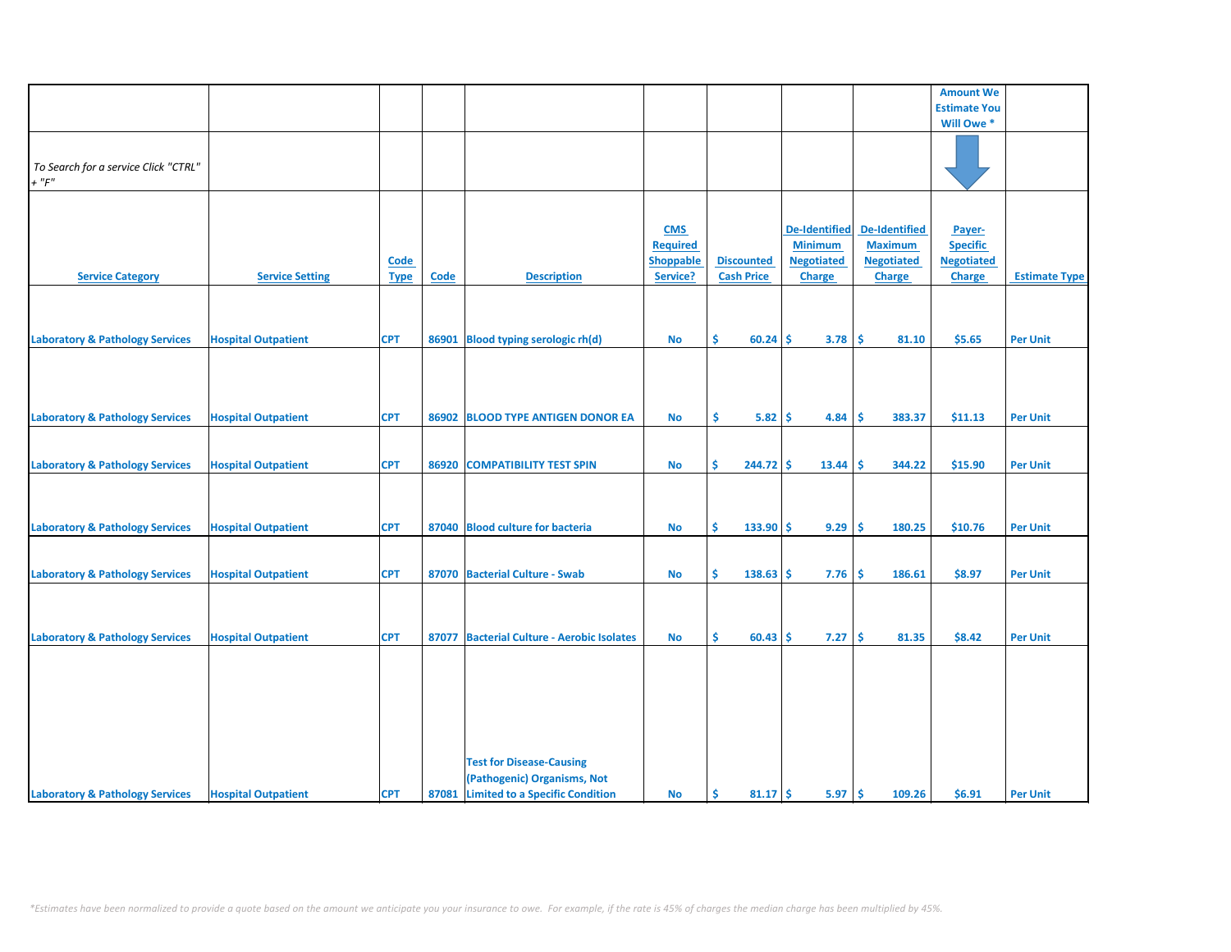|                                            |                            |             |       |                                            |                 |                   |                      |                      | <b>Amount We</b>    |                      |
|--------------------------------------------|----------------------------|-------------|-------|--------------------------------------------|-----------------|-------------------|----------------------|----------------------|---------------------|----------------------|
|                                            |                            |             |       |                                            |                 |                   |                      |                      | <b>Estimate You</b> |                      |
|                                            |                            |             |       |                                            |                 |                   |                      |                      | Will Owe *          |                      |
|                                            |                            |             |       |                                            |                 |                   |                      |                      |                     |                      |
|                                            |                            |             |       |                                            |                 |                   |                      |                      |                     |                      |
| To Search for a service Click "CTRL"       |                            |             |       |                                            |                 |                   |                      |                      |                     |                      |
| $+$ " $F$ "                                |                            |             |       |                                            |                 |                   |                      |                      |                     |                      |
|                                            |                            |             |       |                                            |                 |                   |                      |                      |                     |                      |
|                                            |                            |             |       |                                            |                 |                   |                      |                      |                     |                      |
|                                            |                            |             |       |                                            |                 |                   |                      |                      |                     |                      |
|                                            |                            |             |       |                                            | <b>CMS</b>      |                   | <b>De-Identified</b> | <b>De-Identified</b> | Payer-              |                      |
|                                            |                            |             |       |                                            | <b>Required</b> |                   | <b>Minimum</b>       | <b>Maximum</b>       | <b>Specific</b>     |                      |
|                                            |                            | Code        |       |                                            | Shoppable       | <b>Discounted</b> | <b>Negotiated</b>    | <b>Negotiated</b>    | <b>Negotiated</b>   |                      |
| <b>Service Category</b>                    | <b>Service Setting</b>     | <b>Type</b> | Code  | <b>Description</b>                         | Service?        | <b>Cash Price</b> | <b>Charge</b>        | <b>Charge</b>        | <b>Charge</b>       | <b>Estimate Type</b> |
|                                            |                            |             |       |                                            |                 |                   |                      |                      |                     |                      |
|                                            |                            |             |       |                                            |                 |                   |                      |                      |                     |                      |
|                                            |                            |             |       |                                            |                 |                   |                      |                      |                     |                      |
|                                            |                            |             |       |                                            |                 |                   |                      |                      |                     |                      |
| <b>Laboratory &amp; Pathology Services</b> | <b>Hospital Outpatient</b> | <b>CPT</b>  | 86901 | <b>Blood typing serologic rh(d)</b>        | No              | \$<br>$60.24$ \$  | 3.78                 | <b>S</b><br>81.10    | \$5.65              | <b>Per Unit</b>      |
|                                            |                            |             |       |                                            |                 |                   |                      |                      |                     |                      |
|                                            |                            |             |       |                                            |                 |                   |                      |                      |                     |                      |
|                                            |                            |             |       |                                            |                 |                   |                      |                      |                     |                      |
|                                            |                            |             |       |                                            |                 |                   |                      |                      |                     |                      |
|                                            |                            |             |       |                                            |                 |                   |                      |                      |                     |                      |
| <b>Laboratory &amp; Pathology Services</b> | <b>Hospital Outpatient</b> | <b>CPT</b>  | 86902 | <b>BLOOD TYPE ANTIGEN DONOR EA</b>         | No              | \$<br>5.82        | -\$<br>4.84          | -\$<br>383.37        | \$11.13             | <b>Per Unit</b>      |
|                                            |                            |             |       |                                            |                 |                   |                      |                      |                     |                      |
|                                            |                            |             |       |                                            |                 |                   |                      |                      |                     |                      |
| <b>Laboratory &amp; Pathology Services</b> | <b>Hospital Outpatient</b> | <b>CPT</b>  |       | 86920 COMPATIBILITY TEST SPIN              | No              | Ŝ.<br>$244.72$ \$ | 13.44                | <b>S</b><br>344.22   | \$15.90             | <b>Per Unit</b>      |
|                                            |                            |             |       |                                            |                 |                   |                      |                      |                     |                      |
|                                            |                            |             |       |                                            |                 |                   |                      |                      |                     |                      |
|                                            |                            |             |       |                                            |                 |                   |                      |                      |                     |                      |
|                                            |                            |             |       |                                            |                 |                   |                      |                      |                     |                      |
| <b>Laboratory &amp; Pathology Services</b> | <b>Hospital Outpatient</b> | <b>CPT</b>  |       | 87040 Blood culture for bacteria           | <b>No</b>       | Ŝ<br>$133.90$ \$  | 9.29                 | -Ś<br>180.25         | \$10.76             | <b>Per Unit</b>      |
|                                            |                            |             |       |                                            |                 |                   |                      |                      |                     |                      |
|                                            |                            |             |       |                                            |                 |                   |                      |                      |                     |                      |
| <b>Laboratory &amp; Pathology Services</b> | <b>Hospital Outpatient</b> | <b>CPT</b>  |       | 87070 Bacterial Culture - Swab             | <b>No</b>       | \$.<br>138.63     | 7.76<br>-\$          | <b>S</b><br>186.61   | \$8.97              | <b>Per Unit</b>      |
|                                            |                            |             |       |                                            |                 |                   |                      |                      |                     |                      |
|                                            |                            |             |       |                                            |                 |                   |                      |                      |                     |                      |
|                                            |                            |             |       |                                            |                 |                   |                      |                      |                     |                      |
|                                            |                            |             |       |                                            |                 |                   |                      |                      |                     |                      |
| <b>Laboratory &amp; Pathology Services</b> | <b>Hospital Outpatient</b> | <b>CPT</b>  |       | 87077 Bacterial Culture - Aerobic Isolates | No              | \$<br>$60.43$ \$  | 7.27                 | \$<br>81.35          | \$8.42              | <b>Per Unit</b>      |
|                                            |                            |             |       |                                            |                 |                   |                      |                      |                     |                      |
|                                            |                            |             |       |                                            |                 |                   |                      |                      |                     |                      |
|                                            |                            |             |       |                                            |                 |                   |                      |                      |                     |                      |
|                                            |                            |             |       |                                            |                 |                   |                      |                      |                     |                      |
|                                            |                            |             |       |                                            |                 |                   |                      |                      |                     |                      |
|                                            |                            |             |       |                                            |                 |                   |                      |                      |                     |                      |
|                                            |                            |             |       |                                            |                 |                   |                      |                      |                     |                      |
|                                            |                            |             |       |                                            |                 |                   |                      |                      |                     |                      |
|                                            |                            |             |       | <b>Test for Disease-Causing</b>            |                 |                   |                      |                      |                     |                      |
|                                            |                            |             |       |                                            |                 |                   |                      |                      |                     |                      |
|                                            |                            |             |       | (Pathogenic) Organisms, Not                |                 |                   |                      |                      |                     |                      |
| <b>Laboratory &amp; Pathology Services</b> | <b>Hospital Outpatient</b> | <b>CPT</b>  |       | 87081 Limited to a Specific Condition      | <b>No</b>       | -\$<br>$81.17$ \$ | 5.97                 | -\$<br>109.26        | \$6.91              | <b>Per Unit</b>      |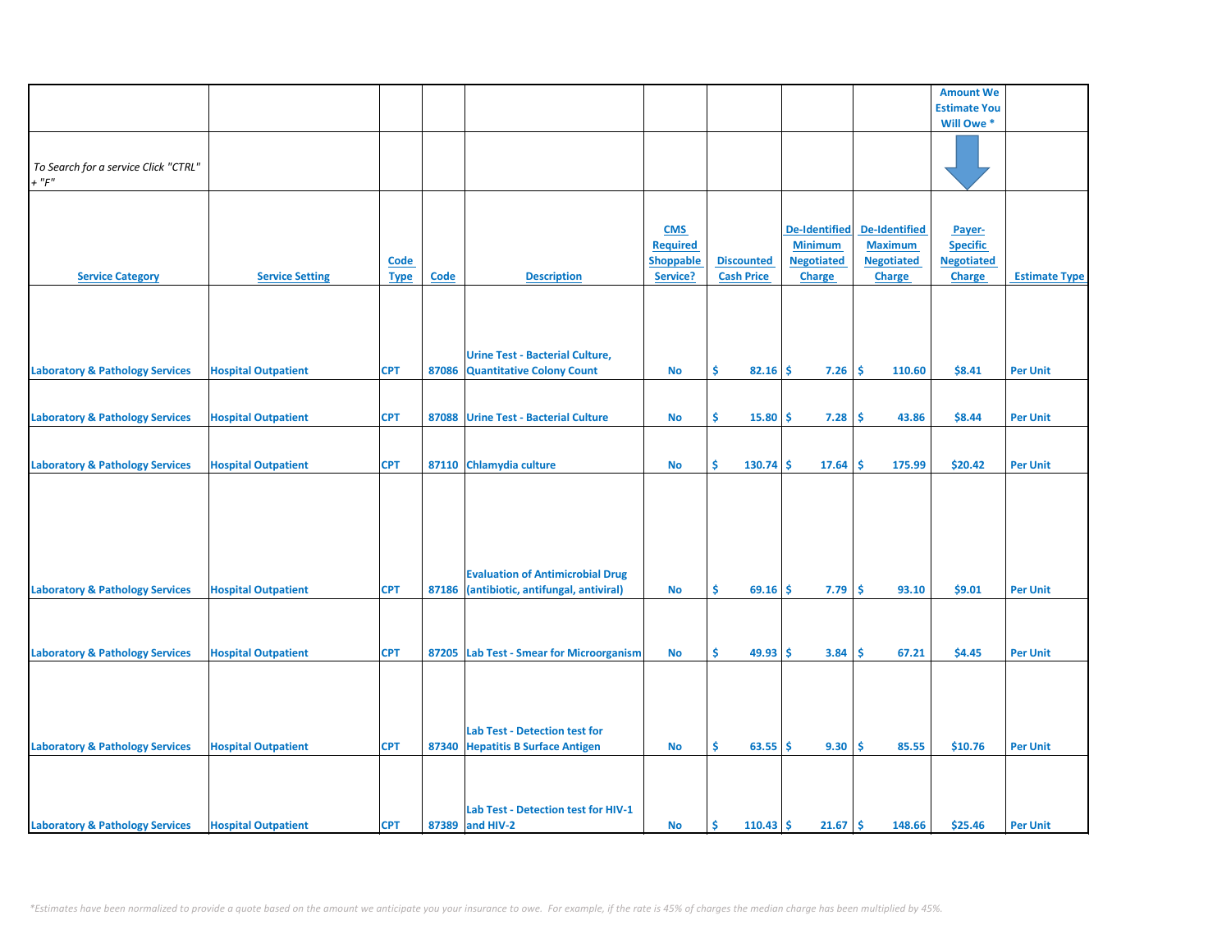|                                            |                            |             |             |                                          |                  |                         |                      |                   | <b>Amount We</b>    |                      |
|--------------------------------------------|----------------------------|-------------|-------------|------------------------------------------|------------------|-------------------------|----------------------|-------------------|---------------------|----------------------|
|                                            |                            |             |             |                                          |                  |                         |                      |                   |                     |                      |
|                                            |                            |             |             |                                          |                  |                         |                      |                   | <b>Estimate You</b> |                      |
|                                            |                            |             |             |                                          |                  |                         |                      |                   | Will Owe *          |                      |
|                                            |                            |             |             |                                          |                  |                         |                      |                   |                     |                      |
| To Search for a service Click "CTRL"       |                            |             |             |                                          |                  |                         |                      |                   |                     |                      |
| $+$ " $F$ "                                |                            |             |             |                                          |                  |                         |                      |                   |                     |                      |
|                                            |                            |             |             |                                          |                  |                         |                      |                   |                     |                      |
|                                            |                            |             |             |                                          |                  |                         |                      |                   |                     |                      |
|                                            |                            |             |             |                                          | <b>CMS</b>       |                         | <b>De-Identified</b> | De-Identified     |                     |                      |
|                                            |                            |             |             |                                          |                  |                         | <b>Minimum</b>       | <b>Maximum</b>    | Payer-              |                      |
|                                            |                            |             |             |                                          | <b>Required</b>  |                         |                      |                   | <b>Specific</b>     |                      |
|                                            |                            | <b>Code</b> |             |                                          | <b>Shoppable</b> | <b>Discounted</b>       | <b>Negotiated</b>    | <b>Negotiated</b> | <b>Negotiated</b>   |                      |
| <b>Service Category</b>                    | <b>Service Setting</b>     | <b>Type</b> | <b>Code</b> | <b>Description</b>                       | Service?         | <b>Cash Price</b>       | <b>Charge</b>        | <b>Charge</b>     | <b>Charge</b>       | <b>Estimate Type</b> |
|                                            |                            |             |             |                                          |                  |                         |                      |                   |                     |                      |
|                                            |                            |             |             |                                          |                  |                         |                      |                   |                     |                      |
|                                            |                            |             |             |                                          |                  |                         |                      |                   |                     |                      |
|                                            |                            |             |             |                                          |                  |                         |                      |                   |                     |                      |
|                                            |                            |             |             | <b>Urine Test - Bacterial Culture,</b>   |                  |                         |                      |                   |                     |                      |
| <b>Laboratory &amp; Pathology Services</b> | <b>Hospital Outpatient</b> | <b>CPT</b>  | 87086       | <b>Quantitative Colony Count</b>         | No               | \$<br>82.16             | 7.26<br>\$           | \$.<br>110.60     | \$8.41              | <b>Per Unit</b>      |
|                                            |                            |             |             |                                          |                  |                         |                      |                   |                     |                      |
|                                            |                            |             |             |                                          |                  |                         |                      |                   |                     |                      |
|                                            |                            |             |             |                                          |                  |                         |                      |                   |                     |                      |
| <b>Laboratory &amp; Pathology Services</b> | <b>Hospital Outpatient</b> | <b>CPT</b>  | 87088       | <b>Urine Test - Bacterial Culture</b>    | No               | \$<br>15.80             | \$.<br>7.28          | -\$<br>43.86      | \$8.44              | <b>Per Unit</b>      |
|                                            |                            |             |             |                                          |                  |                         |                      |                   |                     |                      |
|                                            |                            |             |             |                                          |                  |                         |                      |                   |                     |                      |
| <b>Laboratory &amp; Pathology Services</b> | <b>Hospital Outpatient</b> | <b>CPT</b>  |             | 87110 Chlamydia culture                  | <b>No</b>        | \$<br>130.74            | \$<br>17.64          | \$<br>175.99      | \$20.42             | <b>Per Unit</b>      |
|                                            |                            |             |             |                                          |                  |                         |                      |                   |                     |                      |
|                                            |                            |             |             |                                          |                  |                         |                      |                   |                     |                      |
|                                            |                            |             |             |                                          |                  |                         |                      |                   |                     |                      |
|                                            |                            |             |             |                                          |                  |                         |                      |                   |                     |                      |
|                                            |                            |             |             |                                          |                  |                         |                      |                   |                     |                      |
|                                            |                            |             |             |                                          |                  |                         |                      |                   |                     |                      |
|                                            |                            |             |             |                                          |                  |                         |                      |                   |                     |                      |
|                                            |                            |             |             | <b>Evaluation of Antimicrobial Drug</b>  |                  |                         |                      |                   |                     |                      |
| <b>Laboratory &amp; Pathology Services</b> | <b>Hospital Outpatient</b> | <b>CPT</b>  | 87186       | (antibiotic, antifungal, antiviral)      | <b>No</b>        | \$<br>69.16             | 7.79<br>-S           | \$.<br>93.10      | \$9.01              | <b>Per Unit</b>      |
|                                            |                            |             |             |                                          |                  |                         |                      |                   |                     |                      |
|                                            |                            |             |             |                                          |                  |                         |                      |                   |                     |                      |
|                                            |                            |             |             |                                          |                  |                         |                      |                   |                     |                      |
| <b>Laboratory &amp; Pathology Services</b> | <b>Hospital Outpatient</b> | <b>CPT</b>  |             | 87205 Lab Test - Smear for Microorganism | No               | \$<br>49.93             | -\$<br>3.84          | \$.<br>67.21      | \$4.45              | <b>Per Unit</b>      |
|                                            |                            |             |             |                                          |                  |                         |                      |                   |                     |                      |
|                                            |                            |             |             |                                          |                  |                         |                      |                   |                     |                      |
|                                            |                            |             |             |                                          |                  |                         |                      |                   |                     |                      |
|                                            |                            |             |             |                                          |                  |                         |                      |                   |                     |                      |
|                                            |                            |             |             |                                          |                  |                         |                      |                   |                     |                      |
|                                            |                            |             |             | <b>Lab Test - Detection test for</b>     |                  |                         |                      |                   |                     |                      |
| <b>Laboratory &amp; Pathology Services</b> | <b>Hospital Outpatient</b> | <b>CPT</b>  |             | 87340 Hepatitis B Surface Antigen        | <b>No</b>        | Ŝ.<br>63.55             | 9.30<br>Ŝ.           | Ś<br>85.55        | \$10.76             | <b>Per Unit</b>      |
|                                            |                            |             |             |                                          |                  |                         |                      |                   |                     |                      |
|                                            |                            |             |             |                                          |                  |                         |                      |                   |                     |                      |
|                                            |                            |             |             |                                          |                  |                         |                      |                   |                     |                      |
|                                            |                            |             |             | Lab Test - Detection test for HIV-1      |                  |                         |                      |                   |                     |                      |
|                                            |                            |             |             |                                          |                  |                         |                      |                   |                     |                      |
| <b>Laboratory &amp; Pathology Services</b> | <b>Hospital Outpatient</b> | <b>CPT</b>  |             | 87389 and HIV-2                          | No               | <b>S</b><br>$110.43$ \$ | 21.67                | \$.<br>148.66     | \$25.46             | <b>Per Unit</b>      |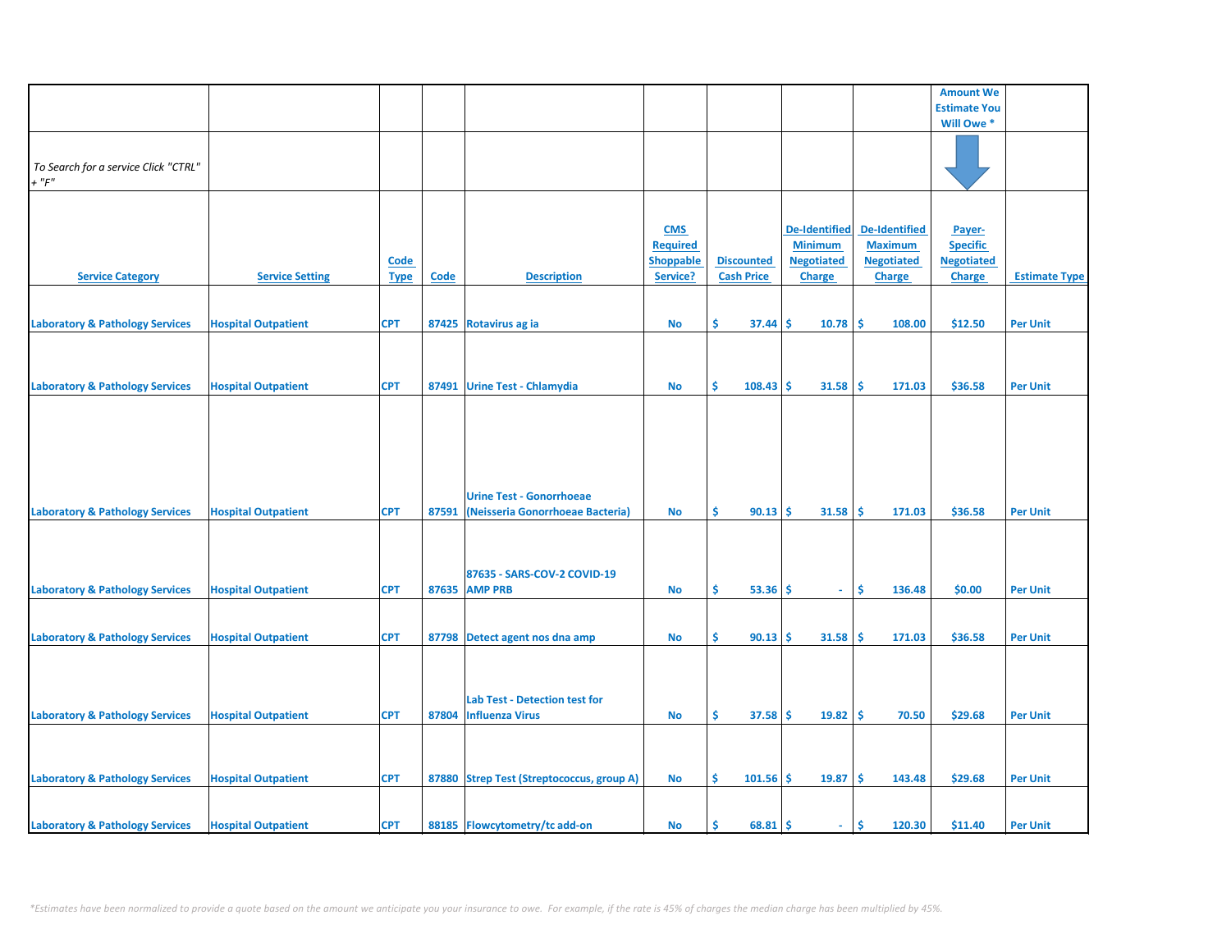|                                            |                            |             |             |                                           |                  |                   |                      |                      | <b>Amount We</b>    |                      |
|--------------------------------------------|----------------------------|-------------|-------------|-------------------------------------------|------------------|-------------------|----------------------|----------------------|---------------------|----------------------|
|                                            |                            |             |             |                                           |                  |                   |                      |                      | <b>Estimate You</b> |                      |
|                                            |                            |             |             |                                           |                  |                   |                      |                      | Will Owe *          |                      |
|                                            |                            |             |             |                                           |                  |                   |                      |                      |                     |                      |
|                                            |                            |             |             |                                           |                  |                   |                      |                      |                     |                      |
| To Search for a service Click "CTRL"       |                            |             |             |                                           |                  |                   |                      |                      |                     |                      |
| $+$ " $F$ "                                |                            |             |             |                                           |                  |                   |                      |                      |                     |                      |
|                                            |                            |             |             |                                           |                  |                   |                      |                      |                     |                      |
|                                            |                            |             |             |                                           |                  |                   |                      |                      |                     |                      |
|                                            |                            |             |             |                                           |                  |                   |                      |                      |                     |                      |
|                                            |                            |             |             |                                           | <b>CMS</b>       |                   | <b>De-Identified</b> | <b>De-Identified</b> | Payer-              |                      |
|                                            |                            |             |             |                                           | <b>Required</b>  |                   | <b>Minimum</b>       | <b>Maximum</b>       | <b>Specific</b>     |                      |
|                                            |                            |             |             |                                           |                  |                   |                      |                      |                     |                      |
|                                            |                            | <b>Code</b> |             |                                           | <b>Shoppable</b> | <b>Discounted</b> | <b>Negotiated</b>    | <b>Negotiated</b>    | <b>Negotiated</b>   |                      |
| <b>Service Category</b>                    | <b>Service Setting</b>     | <b>Type</b> | <b>Code</b> | <b>Description</b>                        | Service?         | <b>Cash Price</b> | <b>Charge</b>        | <b>Charge</b>        | <b>Charge</b>       | <b>Estimate Type</b> |
|                                            |                            |             |             |                                           |                  |                   |                      |                      |                     |                      |
|                                            |                            |             |             |                                           |                  |                   |                      |                      |                     |                      |
| <b>Laboratory &amp; Pathology Services</b> | <b>Hospital Outpatient</b> | <b>CPT</b>  |             | 87425 Rotavirus ag ia                     | No               | \$.<br>37.44      | 10.78<br>Ŝ           | -\$<br>108.00        | \$12.50             | <b>Per Unit</b>      |
|                                            |                            |             |             |                                           |                  |                   |                      |                      |                     |                      |
|                                            |                            |             |             |                                           |                  |                   |                      |                      |                     |                      |
|                                            |                            |             |             |                                           |                  |                   |                      |                      |                     |                      |
|                                            |                            |             |             |                                           |                  |                   |                      |                      |                     |                      |
| <b>Laboratory &amp; Pathology Services</b> | <b>Hospital Outpatient</b> | <b>CPT</b>  |             | 87491 Urine Test - Chlamydia              | <b>No</b>        | Ŝ.<br>108.43      | Ŝ.<br>31.58          | -\$<br>171.03        | \$36.58             | <b>Per Unit</b>      |
|                                            |                            |             |             |                                           |                  |                   |                      |                      |                     |                      |
|                                            |                            |             |             |                                           |                  |                   |                      |                      |                     |                      |
|                                            |                            |             |             |                                           |                  |                   |                      |                      |                     |                      |
|                                            |                            |             |             |                                           |                  |                   |                      |                      |                     |                      |
|                                            |                            |             |             |                                           |                  |                   |                      |                      |                     |                      |
|                                            |                            |             |             |                                           |                  |                   |                      |                      |                     |                      |
|                                            |                            |             |             |                                           |                  |                   |                      |                      |                     |                      |
|                                            |                            |             |             |                                           |                  |                   |                      |                      |                     |                      |
|                                            |                            |             |             | <b>Urine Test - Gonorrhoeae</b>           |                  |                   |                      |                      |                     |                      |
| <b>Laboratory &amp; Pathology Services</b> | <b>Hospital Outpatient</b> | <b>CPT</b>  | 87591       | (Neisseria Gonorrhoeae Bacteria)          | No               | \$<br>$90.13$ \$  | 31.58                | -\$<br>171.03        | \$36.58             | <b>Per Unit</b>      |
|                                            |                            |             |             |                                           |                  |                   |                      |                      |                     |                      |
|                                            |                            |             |             |                                           |                  |                   |                      |                      |                     |                      |
|                                            |                            |             |             |                                           |                  |                   |                      |                      |                     |                      |
|                                            |                            |             |             |                                           |                  |                   |                      |                      |                     |                      |
|                                            |                            |             |             | 87635 - SARS-COV-2 COVID-19               |                  |                   |                      |                      |                     |                      |
| <b>Laboratory &amp; Pathology Services</b> | <b>Hospital Outpatient</b> | <b>CPT</b>  |             | <b>87635 AMP PRB</b>                      | <b>No</b>        | Ŝ.<br>$53.36$ \$  | $\sim$               | Ŝ.<br>136.48         | \$0.00              | <b>Per Unit</b>      |
|                                            |                            |             |             |                                           |                  |                   |                      |                      |                     |                      |
|                                            |                            |             |             |                                           |                  |                   |                      |                      |                     |                      |
|                                            |                            |             |             |                                           |                  |                   |                      |                      |                     |                      |
| <b>Laboratory &amp; Pathology Services</b> | <b>Hospital Outpatient</b> | <b>CPT</b>  |             | 87798 Detect agent nos dna amp            | <b>No</b>        | \$<br>90.13       | 31.58<br>Ŝ.          | -Ś<br>171.03         | \$36.58             | <b>Per Unit</b>      |
|                                            |                            |             |             |                                           |                  |                   |                      |                      |                     |                      |
|                                            |                            |             |             |                                           |                  |                   |                      |                      |                     |                      |
|                                            |                            |             |             |                                           |                  |                   |                      |                      |                     |                      |
|                                            |                            |             |             |                                           |                  |                   |                      |                      |                     |                      |
|                                            |                            |             |             | Lab Test - Detection test for             |                  |                   |                      |                      |                     |                      |
| <b>Laboratory &amp; Pathology Services</b> | <b>Hospital Outpatient</b> | <b>CPT</b>  |             | 87804 Influenza Virus                     | <b>No</b>        | \$<br>$37.58$ \$  | $19.82 \mid$ \$      | 70.50                | \$29.68             | <b>Per Unit</b>      |
|                                            |                            |             |             |                                           |                  |                   |                      |                      |                     |                      |
|                                            |                            |             |             |                                           |                  |                   |                      |                      |                     |                      |
|                                            |                            |             |             |                                           |                  |                   |                      |                      |                     |                      |
|                                            |                            |             |             |                                           |                  |                   |                      |                      |                     |                      |
| <b>Laboratory &amp; Pathology Services</b> | <b>Hospital Outpatient</b> | <b>CPT</b>  |             | 87880 Strep Test (Streptococcus, group A) | <b>No</b>        | \$<br>101.56      | -\$<br>19.87         | \$<br>143.48         | \$29.68             | <b>Per Unit</b>      |
|                                            |                            |             |             |                                           |                  |                   |                      |                      |                     |                      |
|                                            |                            |             |             |                                           |                  |                   |                      |                      |                     |                      |
|                                            |                            |             |             |                                           |                  |                   |                      |                      |                     |                      |
| <b>Laboratory &amp; Pathology Services</b> | <b>Hospital Outpatient</b> | <b>CPT</b>  |             | 88185 Flowcytometry/tc add-on             | No               | $68.81$ \$<br>\$. | ÷.                   | \$<br>120.30         | \$11.40             | <b>Per Unit</b>      |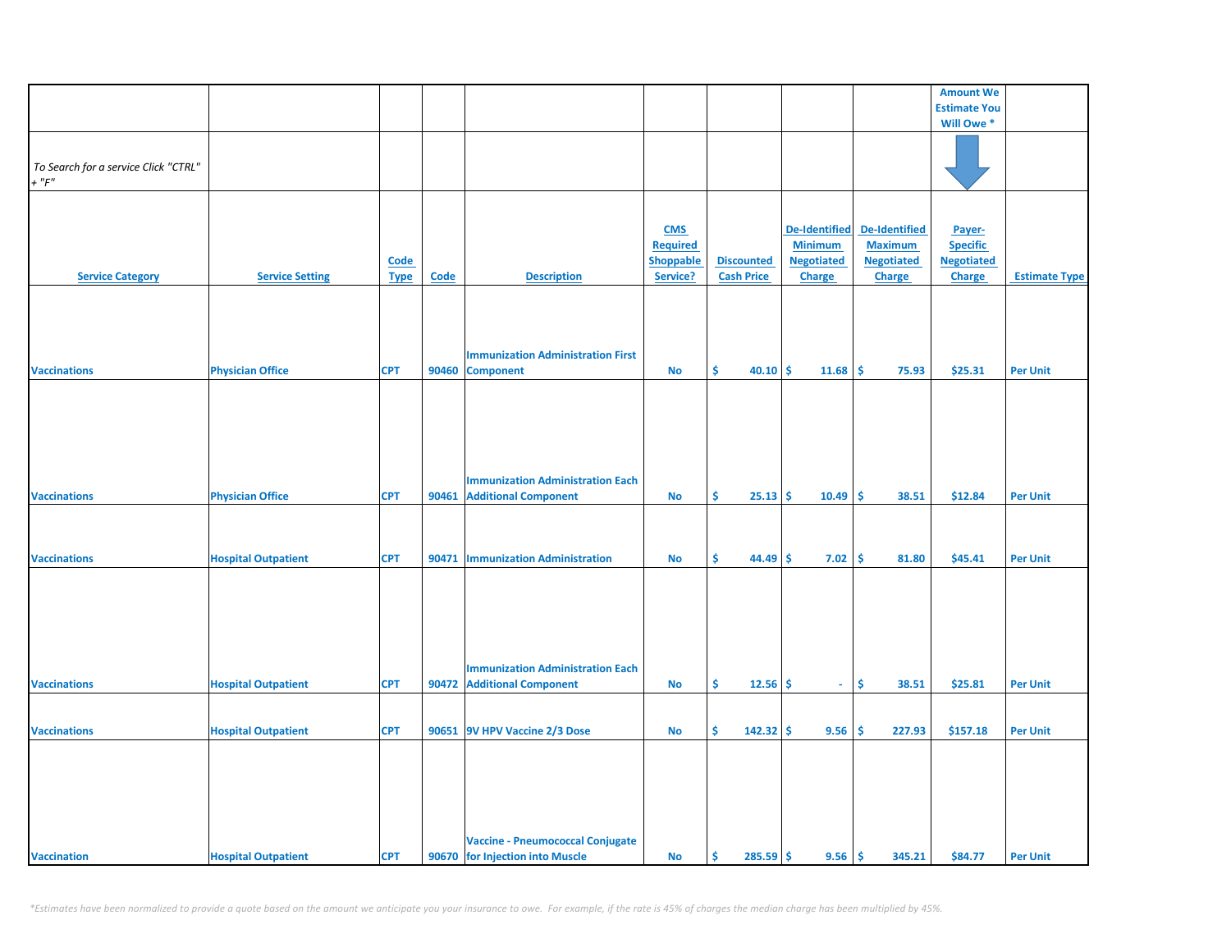|                                                     |                            |             |       |                                          |                  |                    |                      |                      | <b>Amount We</b>    |                      |
|-----------------------------------------------------|----------------------------|-------------|-------|------------------------------------------|------------------|--------------------|----------------------|----------------------|---------------------|----------------------|
|                                                     |                            |             |       |                                          |                  |                    |                      |                      | <b>Estimate You</b> |                      |
|                                                     |                            |             |       |                                          |                  |                    |                      |                      | Will Owe *          |                      |
|                                                     |                            |             |       |                                          |                  |                    |                      |                      |                     |                      |
|                                                     |                            |             |       |                                          |                  |                    |                      |                      |                     |                      |
| To Search for a service Click "CTRL"<br>$+$ " $F$ " |                            |             |       |                                          |                  |                    |                      |                      |                     |                      |
|                                                     |                            |             |       |                                          |                  |                    |                      |                      |                     |                      |
|                                                     |                            |             |       |                                          |                  |                    |                      |                      |                     |                      |
|                                                     |                            |             |       |                                          |                  |                    |                      |                      |                     |                      |
|                                                     |                            |             |       |                                          | <b>CMS</b>       |                    | <b>De-Identified</b> | <b>De-Identified</b> | Payer-              |                      |
|                                                     |                            |             |       |                                          | <b>Required</b>  |                    | <b>Minimum</b>       | <b>Maximum</b>       | <b>Specific</b>     |                      |
|                                                     |                            | <b>Code</b> |       |                                          | <b>Shoppable</b> | <b>Discounted</b>  | <b>Negotiated</b>    | <b>Negotiated</b>    | <b>Negotiated</b>   |                      |
| <b>Service Category</b>                             | <b>Service Setting</b>     | <b>Type</b> | Code  | <b>Description</b>                       | Service?         | <b>Cash Price</b>  | <b>Charge</b>        | <b>Charge</b>        | <b>Charge</b>       | <b>Estimate Type</b> |
|                                                     |                            |             |       |                                          |                  |                    |                      |                      |                     |                      |
|                                                     |                            |             |       |                                          |                  |                    |                      |                      |                     |                      |
|                                                     |                            |             |       |                                          |                  |                    |                      |                      |                     |                      |
|                                                     |                            |             |       |                                          |                  |                    |                      |                      |                     |                      |
|                                                     |                            |             |       | <b>Immunization Administration First</b> |                  |                    |                      |                      |                     |                      |
| <b>Vaccinations</b>                                 | <b>Physician Office</b>    | <b>CPT</b>  | 90460 | <b>Component</b>                         | <b>No</b>        | \$<br>40.10        | -\$<br>11.68         | \$<br>75.93          | \$25.31             | <b>Per Unit</b>      |
|                                                     |                            |             |       |                                          |                  |                    |                      |                      |                     |                      |
|                                                     |                            |             |       |                                          |                  |                    |                      |                      |                     |                      |
|                                                     |                            |             |       |                                          |                  |                    |                      |                      |                     |                      |
|                                                     |                            |             |       |                                          |                  |                    |                      |                      |                     |                      |
|                                                     |                            |             |       |                                          |                  |                    |                      |                      |                     |                      |
|                                                     |                            |             |       |                                          |                  |                    |                      |                      |                     |                      |
|                                                     |                            |             |       |                                          |                  |                    |                      |                      |                     |                      |
|                                                     |                            |             |       | <b>Immunization Administration Each</b>  |                  |                    |                      |                      |                     |                      |
| <b>Vaccinations</b>                                 | <b>Physician Office</b>    | <b>CPT</b>  | 90461 | <b>Additional Component</b>              | No               | Ŝ.<br>25.13        | 10.49<br>-S          | Ŝ.<br>38.51          | \$12.84             | <b>Per Unit</b>      |
|                                                     |                            |             |       |                                          |                  |                    |                      |                      |                     |                      |
|                                                     |                            |             |       |                                          |                  |                    |                      |                      |                     |                      |
|                                                     |                            |             |       |                                          |                  |                    |                      |                      |                     |                      |
| <b>Vaccinations</b>                                 | <b>Hospital Outpatient</b> | <b>CPT</b>  |       | 90471   Immunization Administration      | <b>No</b>        | Ŝ<br>44.49         | \$<br>7.02           | \$<br>81.80          | \$45.41             | <b>Per Unit</b>      |
|                                                     |                            |             |       |                                          |                  |                    |                      |                      |                     |                      |
|                                                     |                            |             |       |                                          |                  |                    |                      |                      |                     |                      |
|                                                     |                            |             |       |                                          |                  |                    |                      |                      |                     |                      |
|                                                     |                            |             |       |                                          |                  |                    |                      |                      |                     |                      |
|                                                     |                            |             |       |                                          |                  |                    |                      |                      |                     |                      |
|                                                     |                            |             |       |                                          |                  |                    |                      |                      |                     |                      |
|                                                     |                            |             |       |                                          |                  |                    |                      |                      |                     |                      |
|                                                     |                            |             |       | <b>Immunization Administration Each</b>  |                  |                    |                      |                      |                     |                      |
| <b>Vaccinations</b>                                 | <b>Hospital Outpatient</b> | <b>CPT</b>  |       | 90472 Additional Component               | No               | Ŝ.<br>12.56        | -\$<br>$\sim$        | \$<br>38.51          | \$25.81             | <b>Per Unit</b>      |
|                                                     |                            |             |       |                                          |                  |                    |                      |                      |                     |                      |
|                                                     |                            |             |       |                                          |                  |                    |                      |                      |                     |                      |
| <b>Vaccinations</b>                                 | <b>Hospital Outpatient</b> | <b>CPT</b>  |       | 90651 9V HPV Vaccine 2/3 Dose            | <b>No</b>        | \$<br>142.32       | \$<br>9.56           | \$<br>227.93         | \$157.18            | <b>Per Unit</b>      |
|                                                     |                            |             |       |                                          |                  |                    |                      |                      |                     |                      |
|                                                     |                            |             |       |                                          |                  |                    |                      |                      |                     |                      |
|                                                     |                            |             |       |                                          |                  |                    |                      |                      |                     |                      |
|                                                     |                            |             |       |                                          |                  |                    |                      |                      |                     |                      |
|                                                     |                            |             |       |                                          |                  |                    |                      |                      |                     |                      |
|                                                     |                            |             |       |                                          |                  |                    |                      |                      |                     |                      |
|                                                     |                            |             |       |                                          |                  |                    |                      |                      |                     |                      |
|                                                     |                            |             |       | <b>Vaccine - Pneumococcal Conjugate</b>  |                  |                    |                      |                      |                     |                      |
| <b>Vaccination</b>                                  | <b>Hospital Outpatient</b> | <b>CPT</b>  |       | 90670 for Injection into Muscle          | <b>No</b>        | -\$<br>$285.59$ \$ | 9.56                 | \$<br>345.21         | \$84.77             | <b>Per Unit</b>      |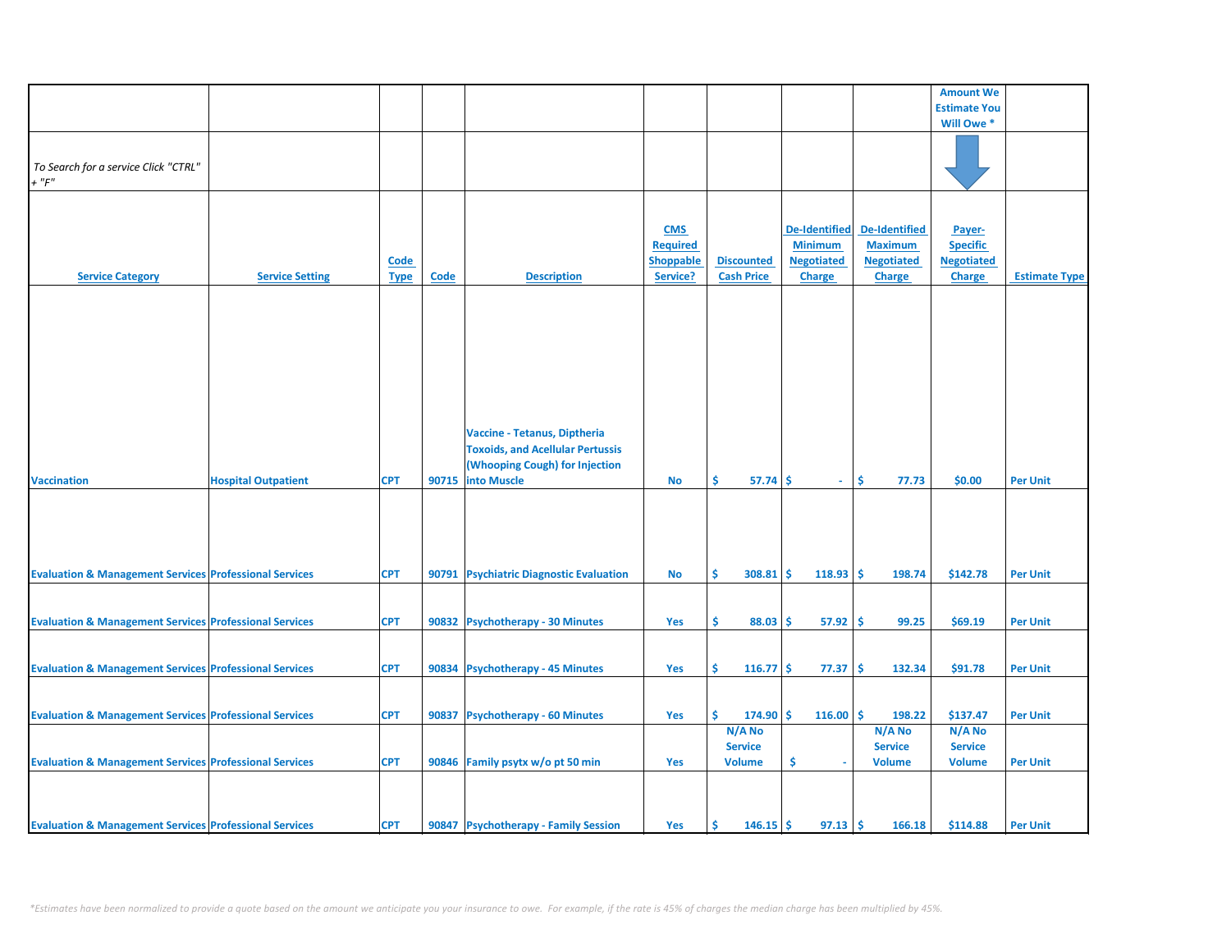|                                                                   |                            |             |       |                                         |                  |                   |                      |                      | <b>Amount We</b>    |                      |
|-------------------------------------------------------------------|----------------------------|-------------|-------|-----------------------------------------|------------------|-------------------|----------------------|----------------------|---------------------|----------------------|
|                                                                   |                            |             |       |                                         |                  |                   |                      |                      | <b>Estimate You</b> |                      |
|                                                                   |                            |             |       |                                         |                  |                   |                      |                      | Will Owe *          |                      |
|                                                                   |                            |             |       |                                         |                  |                   |                      |                      |                     |                      |
|                                                                   |                            |             |       |                                         |                  |                   |                      |                      |                     |                      |
|                                                                   |                            |             |       |                                         |                  |                   |                      |                      |                     |                      |
| To Search for a service Click "CTRL"                              |                            |             |       |                                         |                  |                   |                      |                      |                     |                      |
| $+$ " $F$ "                                                       |                            |             |       |                                         |                  |                   |                      |                      |                     |                      |
|                                                                   |                            |             |       |                                         |                  |                   |                      |                      |                     |                      |
|                                                                   |                            |             |       |                                         |                  |                   |                      |                      |                     |                      |
|                                                                   |                            |             |       |                                         | <b>CMS</b>       |                   | <b>De-Identified</b> | <b>De-Identified</b> | Payer-              |                      |
|                                                                   |                            |             |       |                                         |                  |                   |                      |                      |                     |                      |
|                                                                   |                            |             |       |                                         | <b>Required</b>  |                   | <b>Minimum</b>       | <b>Maximum</b>       | <b>Specific</b>     |                      |
|                                                                   |                            | <b>Code</b> |       |                                         | <b>Shoppable</b> | <b>Discounted</b> | <b>Negotiated</b>    | <b>Negotiated</b>    | <b>Negotiated</b>   |                      |
| <b>Service Category</b>                                           | <b>Service Setting</b>     | <b>Type</b> | Code  | <b>Description</b>                      | Service?         | <b>Cash Price</b> | <b>Charge</b>        | <b>Charge</b>        | <b>Charge</b>       | <b>Estimate Type</b> |
|                                                                   |                            |             |       |                                         |                  |                   |                      |                      |                     |                      |
|                                                                   |                            |             |       |                                         |                  |                   |                      |                      |                     |                      |
|                                                                   |                            |             |       |                                         |                  |                   |                      |                      |                     |                      |
|                                                                   |                            |             |       |                                         |                  |                   |                      |                      |                     |                      |
|                                                                   |                            |             |       |                                         |                  |                   |                      |                      |                     |                      |
|                                                                   |                            |             |       |                                         |                  |                   |                      |                      |                     |                      |
|                                                                   |                            |             |       |                                         |                  |                   |                      |                      |                     |                      |
|                                                                   |                            |             |       |                                         |                  |                   |                      |                      |                     |                      |
|                                                                   |                            |             |       |                                         |                  |                   |                      |                      |                     |                      |
|                                                                   |                            |             |       |                                         |                  |                   |                      |                      |                     |                      |
|                                                                   |                            |             |       |                                         |                  |                   |                      |                      |                     |                      |
|                                                                   |                            |             |       | Vaccine - Tetanus, Diptheria            |                  |                   |                      |                      |                     |                      |
|                                                                   |                            |             |       |                                         |                  |                   |                      |                      |                     |                      |
|                                                                   |                            |             |       | <b>Toxoids, and Acellular Pertussis</b> |                  |                   |                      |                      |                     |                      |
|                                                                   |                            |             |       | (Whooping Cough) for Injection          |                  |                   |                      |                      |                     |                      |
| <b>Vaccination</b>                                                | <b>Hospital Outpatient</b> | <b>CPT</b>  | 90715 | <b>into Muscle</b>                      | No               | Ŝ.<br>57.74       | Ŝ.<br>$\sim$         | Ŝ.<br>77.73          | \$0.00              | <b>Per Unit</b>      |
|                                                                   |                            |             |       |                                         |                  |                   |                      |                      |                     |                      |
|                                                                   |                            |             |       |                                         |                  |                   |                      |                      |                     |                      |
|                                                                   |                            |             |       |                                         |                  |                   |                      |                      |                     |                      |
|                                                                   |                            |             |       |                                         |                  |                   |                      |                      |                     |                      |
|                                                                   |                            |             |       |                                         |                  |                   |                      |                      |                     |                      |
|                                                                   |                            |             |       |                                         |                  |                   |                      |                      |                     |                      |
| <b>Evaluation &amp; Management Services Professional Services</b> |                            | <b>CPT</b>  |       | 90791 Psychiatric Diagnostic Evaluation | No               | Ŝ.<br>$308.81$ \$ | 118.93               | Ŝ.<br>198.74         | \$142.78            | <b>Per Unit</b>      |
|                                                                   |                            |             |       |                                         |                  |                   |                      |                      |                     |                      |
|                                                                   |                            |             |       |                                         |                  |                   |                      |                      |                     |                      |
|                                                                   |                            |             |       |                                         |                  |                   |                      |                      |                     |                      |
| <b>Evaluation &amp; Management Services Professional Services</b> |                            | <b>CPT</b>  |       | 90832 Psychotherapy - 30 Minutes        | Yes              | Ŝ.<br>88.03       | 57.92<br>\$          | Ś<br>99.25           | \$69.19             | <b>Per Unit</b>      |
|                                                                   |                            |             |       |                                         |                  |                   |                      |                      |                     |                      |
|                                                                   |                            |             |       |                                         |                  |                   |                      |                      |                     |                      |
|                                                                   |                            |             |       |                                         |                  |                   |                      |                      |                     |                      |
| <b>Evaluation &amp; Management Services Professional Services</b> |                            | <b>CPT</b>  |       | 90834 Psychotherapy - 45 Minutes        | Yes              | Š.<br>$116.77$ \$ | 77.37                | \$<br>132.34         | \$91.78             | <b>Per Unit</b>      |
|                                                                   |                            |             |       |                                         |                  |                   |                      |                      |                     |                      |
|                                                                   |                            |             |       |                                         |                  |                   |                      |                      |                     |                      |
| <b>Evaluation &amp; Management Services Professional Services</b> |                            | <b>CPT</b>  | 90837 | <b>Psychotherapy - 60 Minutes</b>       | Yes              | Ś.<br>$174.90$ \$ | 116.00               | l\$<br>198.22        | \$137.47            | <b>Per Unit</b>      |
|                                                                   |                            |             |       |                                         |                  |                   |                      |                      |                     |                      |
|                                                                   |                            |             |       |                                         |                  | N/A No            |                      | N/A No               | N/A No              |                      |
|                                                                   |                            |             |       |                                         |                  | <b>Service</b>    |                      | <b>Service</b>       | <b>Service</b>      |                      |
| <b>Evaluation &amp; Management Services Professional Services</b> |                            | <b>CPT</b>  |       | 90846 Family psytx w/o pt 50 min        | <b>Yes</b>       | <b>Volume</b>     | \$                   | <b>Volume</b>        | <b>Volume</b>       | <b>Per Unit</b>      |
|                                                                   |                            |             |       |                                         |                  |                   |                      |                      |                     |                      |
|                                                                   |                            |             |       |                                         |                  |                   |                      |                      |                     |                      |
|                                                                   |                            |             |       |                                         |                  |                   |                      |                      |                     |                      |
|                                                                   |                            |             |       |                                         |                  |                   |                      |                      |                     |                      |
| <b>Evaluation &amp; Management Services Professional Services</b> |                            | <b>CPT</b>  |       | 90847 Psychotherapy - Family Session    | Yes              | Ŝ<br>$146.15$ \$  | 97.13                | -\$<br>166.18        | \$114.88            | <b>Per Unit</b>      |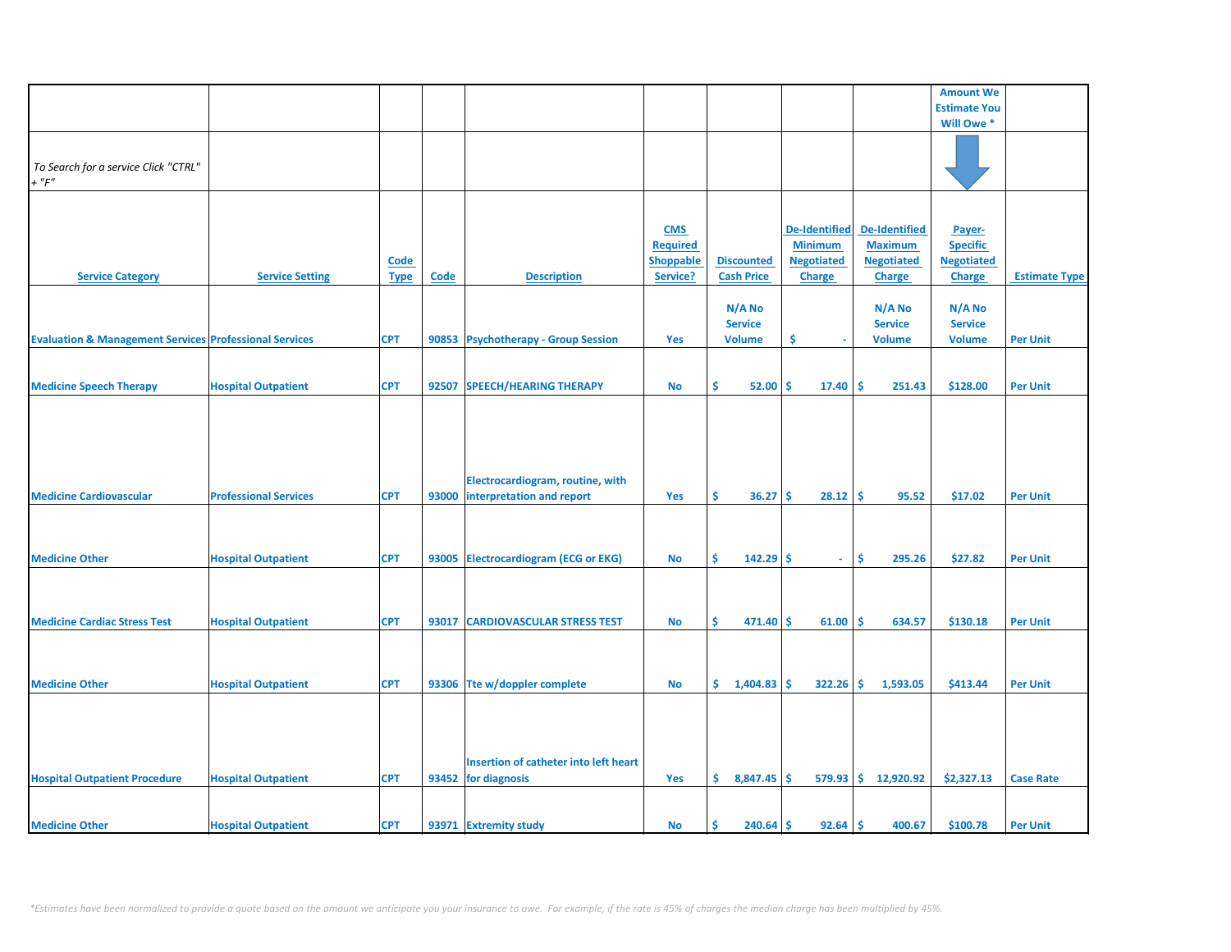|                                                                   |                              |             |       |                                       |                  |                   |                      |                       | <b>Amount We</b>    |                      |
|-------------------------------------------------------------------|------------------------------|-------------|-------|---------------------------------------|------------------|-------------------|----------------------|-----------------------|---------------------|----------------------|
|                                                                   |                              |             |       |                                       |                  |                   |                      |                       | <b>Estimate You</b> |                      |
|                                                                   |                              |             |       |                                       |                  |                   |                      |                       | Will Owe *          |                      |
|                                                                   |                              |             |       |                                       |                  |                   |                      |                       |                     |                      |
|                                                                   |                              |             |       |                                       |                  |                   |                      |                       |                     |                      |
|                                                                   |                              |             |       |                                       |                  |                   |                      |                       |                     |                      |
| To Search for a service Click "CTRL"                              |                              |             |       |                                       |                  |                   |                      |                       |                     |                      |
| $+$ " $F$ "                                                       |                              |             |       |                                       |                  |                   |                      |                       |                     |                      |
|                                                                   |                              |             |       |                                       |                  |                   |                      |                       |                     |                      |
|                                                                   |                              |             |       |                                       |                  |                   |                      |                       |                     |                      |
|                                                                   |                              |             |       |                                       | <b>CMS</b>       |                   | <b>De-Identified</b> | <b>De-Identified</b>  | Payer-              |                      |
|                                                                   |                              |             |       |                                       |                  |                   |                      |                       |                     |                      |
|                                                                   |                              |             |       |                                       | <b>Required</b>  |                   | <b>Minimum</b>       | <b>Maximum</b>        | <b>Specific</b>     |                      |
|                                                                   |                              | <b>Code</b> |       |                                       | <b>Shoppable</b> | <b>Discounted</b> | <b>Negotiated</b>    | <b>Negotiated</b>     | <b>Negotiated</b>   |                      |
| <b>Service Category</b>                                           | <b>Service Setting</b>       | <b>Type</b> | Code  | <b>Description</b>                    | Service?         | <b>Cash Price</b> | <b>Charge</b>        | <b>Charge</b>         | <b>Charge</b>       | <b>Estimate Type</b> |
|                                                                   |                              |             |       |                                       |                  |                   |                      |                       |                     |                      |
|                                                                   |                              |             |       |                                       |                  | N/A No            |                      | N/A No                | N/A No              |                      |
|                                                                   |                              |             |       |                                       |                  |                   |                      |                       |                     |                      |
|                                                                   |                              |             |       |                                       |                  | <b>Service</b>    |                      | <b>Service</b>        | <b>Service</b>      |                      |
| <b>Evaluation &amp; Management Services Professional Services</b> |                              | <b>CPT</b>  |       | 90853 Psychotherapy - Group Session   | Yes              | <b>Volume</b>     | \$.                  | <b>Volume</b>         | <b>Volume</b>       | <b>Per Unit</b>      |
|                                                                   |                              |             |       |                                       |                  |                   |                      |                       |                     |                      |
|                                                                   |                              |             |       |                                       |                  |                   |                      |                       |                     |                      |
| <b>Medicine Speech Therapy</b>                                    | <b>Hospital Outpatient</b>   | <b>CPT</b>  | 92507 | SPEECH/HEARING THERAPY                | <b>No</b>        | \$<br>52.00       | Ŝ.<br>17.40          | \$ ا<br>251.43        | \$128.00            | <b>Per Unit</b>      |
|                                                                   |                              |             |       |                                       |                  |                   |                      |                       |                     |                      |
|                                                                   |                              |             |       |                                       |                  |                   |                      |                       |                     |                      |
|                                                                   |                              |             |       |                                       |                  |                   |                      |                       |                     |                      |
|                                                                   |                              |             |       |                                       |                  |                   |                      |                       |                     |                      |
|                                                                   |                              |             |       |                                       |                  |                   |                      |                       |                     |                      |
|                                                                   |                              |             |       |                                       |                  |                   |                      |                       |                     |                      |
|                                                                   |                              |             |       |                                       |                  |                   |                      |                       |                     |                      |
|                                                                   |                              |             |       | Electrocardiogram, routine, with      |                  |                   |                      |                       |                     |                      |
| <b>Medicine Cardiovascular</b>                                    | <b>Professional Services</b> | <b>CPT</b>  | 93000 | interpretation and report             | Yes              | \$.<br>36.27      | 28.12<br>Ŝ.          | \$.<br>95.52          | \$17.02             | <b>Per Unit</b>      |
|                                                                   |                              |             |       |                                       |                  |                   |                      |                       |                     |                      |
|                                                                   |                              |             |       |                                       |                  |                   |                      |                       |                     |                      |
|                                                                   |                              |             |       |                                       |                  |                   |                      |                       |                     |                      |
|                                                                   |                              |             |       |                                       |                  |                   |                      |                       |                     |                      |
| <b>Medicine Other</b>                                             | <b>Hospital Outpatient</b>   | <b>CPT</b>  |       | 93005 Electrocardiogram (ECG or EKG)  | <b>No</b>        | Ś.<br>$142.29$ \$ | $\omega$             | Ŝ.<br>295.26          | \$27.82             | <b>Per Unit</b>      |
|                                                                   |                              |             |       |                                       |                  |                   |                      |                       |                     |                      |
|                                                                   |                              |             |       |                                       |                  |                   |                      |                       |                     |                      |
|                                                                   |                              |             |       |                                       |                  |                   |                      |                       |                     |                      |
| <b>Medicine Cardiac Stress Test</b>                               |                              | <b>CPT</b>  | 93017 |                                       |                  | Ś.                | Ŝ                    | Ŝ.<br>634.57          |                     | <b>Per Unit</b>      |
|                                                                   | <b>Hospital Outpatient</b>   |             |       | <b>CARDIOVASCULAR STRESS TEST</b>     | <b>No</b>        | 471.40            | 61.00                |                       | \$130.18            |                      |
|                                                                   |                              |             |       |                                       |                  |                   |                      |                       |                     |                      |
|                                                                   |                              |             |       |                                       |                  |                   |                      |                       |                     |                      |
|                                                                   |                              |             |       |                                       |                  |                   |                      |                       |                     |                      |
| <b>Medicine Other</b>                                             | <b>Hospital Outpatient</b>   | <b>CPT</b>  |       | 93306 Tte w/doppler complete          | <b>No</b>        | \$<br>1,404.83    | $322.26$ \$<br>Ŝ.    | 1,593.05              | \$413.44            | <b>Per Unit</b>      |
|                                                                   |                              |             |       |                                       |                  |                   |                      |                       |                     |                      |
|                                                                   |                              |             |       |                                       |                  |                   |                      |                       |                     |                      |
|                                                                   |                              |             |       |                                       |                  |                   |                      |                       |                     |                      |
|                                                                   |                              |             |       |                                       |                  |                   |                      |                       |                     |                      |
|                                                                   |                              |             |       |                                       |                  |                   |                      |                       |                     |                      |
|                                                                   |                              |             |       | Insertion of catheter into left heart |                  |                   |                      |                       |                     |                      |
| <b>Hospital Outpatient Procedure</b>                              |                              | <b>CPT</b>  |       | 93452 for diagnosis                   | Yes              | \$.<br>8,847.45   | <b>S</b>             | $579.93$ \$ 12,920.92 | \$2,327.13          | <b>Case Rate</b>     |
|                                                                   | <b>Hospital Outpatient</b>   |             |       |                                       |                  |                   |                      |                       |                     |                      |
|                                                                   |                              |             |       |                                       |                  |                   |                      |                       |                     |                      |
|                                                                   |                              |             |       |                                       |                  |                   |                      |                       |                     |                      |
| <b>Medicine Other</b>                                             | <b>Hospital Outpatient</b>   | <b>CPT</b>  |       | 93971 Extremity study                 | No               | Ś<br>240.64       | Ŝ.<br>92.64          | ۱Ś<br>400.67          | \$100.78            | <b>Per Unit</b>      |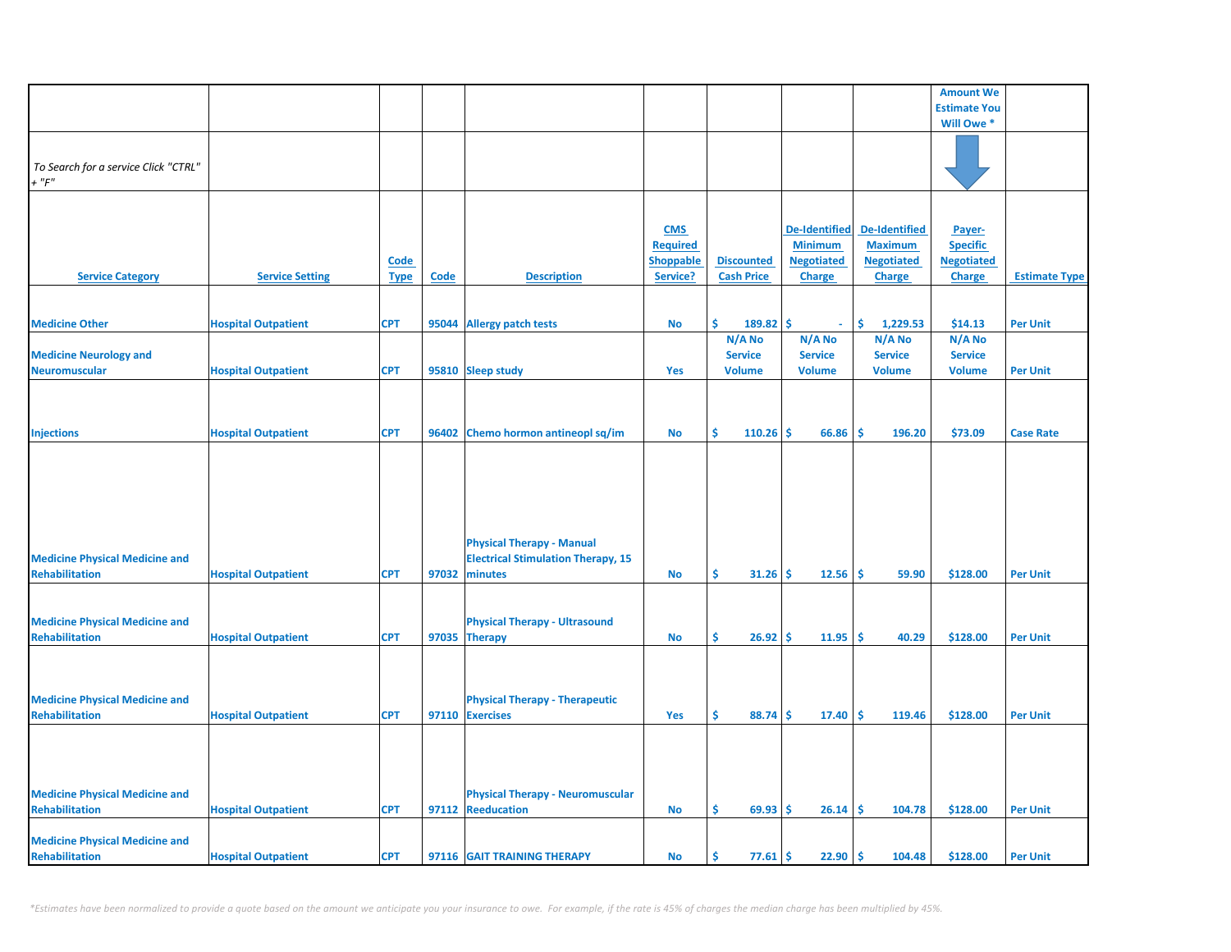|                                       |                            |             |       |                                           |                  |                   |                      |                      | <b>Amount We</b>    |                      |
|---------------------------------------|----------------------------|-------------|-------|-------------------------------------------|------------------|-------------------|----------------------|----------------------|---------------------|----------------------|
|                                       |                            |             |       |                                           |                  |                   |                      |                      | <b>Estimate You</b> |                      |
|                                       |                            |             |       |                                           |                  |                   |                      |                      | Will Owe *          |                      |
|                                       |                            |             |       |                                           |                  |                   |                      |                      |                     |                      |
|                                       |                            |             |       |                                           |                  |                   |                      |                      |                     |                      |
| To Search for a service Click "CTRL"  |                            |             |       |                                           |                  |                   |                      |                      |                     |                      |
| $+$ " $F$ "                           |                            |             |       |                                           |                  |                   |                      |                      |                     |                      |
|                                       |                            |             |       |                                           |                  |                   |                      |                      |                     |                      |
|                                       |                            |             |       |                                           |                  |                   |                      |                      |                     |                      |
|                                       |                            |             |       |                                           | <b>CMS</b>       |                   | <b>De-Identified</b> | <b>De-Identified</b> | Payer-              |                      |
|                                       |                            |             |       |                                           | <b>Required</b>  |                   | <b>Minimum</b>       | <b>Maximum</b>       | <b>Specific</b>     |                      |
|                                       |                            |             |       |                                           |                  |                   |                      |                      |                     |                      |
|                                       |                            | <u>Code</u> |       |                                           | <b>Shoppable</b> | <b>Discounted</b> | <b>Negotiated</b>    | <b>Negotiated</b>    | <b>Negotiated</b>   |                      |
| <b>Service Category</b>               | <b>Service Setting</b>     | <b>Type</b> | Code  | <b>Description</b>                        | Service?         | <b>Cash Price</b> | <b>Charge</b>        | <b>Charge</b>        | <b>Charge</b>       | <b>Estimate Type</b> |
|                                       |                            |             |       |                                           |                  |                   |                      |                      |                     |                      |
|                                       |                            |             |       |                                           |                  |                   |                      |                      |                     |                      |
| <b>Medicine Other</b>                 | <b>Hospital Outpatient</b> | <b>CPT</b>  | 95044 | <b>Allergy patch tests</b>                | <b>No</b>        | Ŝ<br>189.82       | Ś<br>$\omega$        | \$<br>1,229.53       | \$14.13             | <b>Per Unit</b>      |
|                                       |                            |             |       |                                           |                  | N/A No            | N/A No               | N/A No               | N/A No              |                      |
| <b>Medicine Neurology and</b>         |                            |             |       |                                           |                  | <b>Service</b>    | <b>Service</b>       | <b>Service</b>       | <b>Service</b>      |                      |
| <b>Neuromuscular</b>                  | <b>Hospital Outpatient</b> | <b>CPT</b>  |       | 95810 Sleep study                         | Yes              | <b>Volume</b>     | <b>Volume</b>        | <b>Volume</b>        | <b>Volume</b>       | <b>Per Unit</b>      |
|                                       |                            |             |       |                                           |                  |                   |                      |                      |                     |                      |
|                                       |                            |             |       |                                           |                  |                   |                      |                      |                     |                      |
|                                       |                            |             |       |                                           |                  |                   |                      |                      |                     |                      |
|                                       |                            |             |       |                                           |                  |                   |                      |                      |                     |                      |
| <b>Injections</b>                     | <b>Hospital Outpatient</b> | <b>CPT</b>  |       | 96402 Chemo hormon antineopl sq/im        | No               | Ŝ.<br>110.26      | \$<br>66.86          | -\$<br>196.20        | \$73.09             | <b>Case Rate</b>     |
|                                       |                            |             |       |                                           |                  |                   |                      |                      |                     |                      |
|                                       |                            |             |       |                                           |                  |                   |                      |                      |                     |                      |
|                                       |                            |             |       |                                           |                  |                   |                      |                      |                     |                      |
|                                       |                            |             |       |                                           |                  |                   |                      |                      |                     |                      |
|                                       |                            |             |       |                                           |                  |                   |                      |                      |                     |                      |
|                                       |                            |             |       |                                           |                  |                   |                      |                      |                     |                      |
|                                       |                            |             |       | <b>Physical Therapy - Manual</b>          |                  |                   |                      |                      |                     |                      |
| <b>Medicine Physical Medicine and</b> |                            |             |       | <b>Electrical Stimulation Therapy, 15</b> |                  |                   |                      |                      |                     |                      |
|                                       |                            |             |       |                                           |                  |                   |                      |                      |                     |                      |
| <b>Rehabilitation</b>                 | <b>Hospital Outpatient</b> | <b>CPT</b>  | 97032 | minutes                                   | No               | Ŝ.<br>31.26       | 12.56<br>\$.         | \$.<br>59.90         | \$128.00            | <b>Per Unit</b>      |
|                                       |                            |             |       |                                           |                  |                   |                      |                      |                     |                      |
|                                       |                            |             |       |                                           |                  |                   |                      |                      |                     |                      |
| <b>Medicine Physical Medicine and</b> |                            |             |       | <b>Physical Therapy - Ultrasound</b>      |                  |                   |                      |                      |                     |                      |
| <b>Rehabilitation</b>                 | <b>Hospital Outpatient</b> | <b>CPT</b>  |       | 97035 Therapy                             | No               | Ŝ.<br>26.92       | 11.95<br>\$.         | \$.<br>40.29         | \$128.00            | <b>Per Unit</b>      |
|                                       |                            |             |       |                                           |                  |                   |                      |                      |                     |                      |
|                                       |                            |             |       |                                           |                  |                   |                      |                      |                     |                      |
|                                       |                            |             |       |                                           |                  |                   |                      |                      |                     |                      |
| <b>Medicine Physical Medicine and</b> |                            |             |       | <b>Physical Therapy - Therapeutic</b>     |                  |                   |                      |                      |                     |                      |
| <b>Rehabilitation</b>                 |                            | <b>CPT</b>  |       | 97110 Exercises                           | Yes              | Ŝ.<br>88.74       | \$<br>17.40          | Ŝ.<br>119.46         | \$128.00            | <b>Per Unit</b>      |
|                                       | <b>Hospital Outpatient</b> |             |       |                                           |                  |                   |                      |                      |                     |                      |
|                                       |                            |             |       |                                           |                  |                   |                      |                      |                     |                      |
|                                       |                            |             |       |                                           |                  |                   |                      |                      |                     |                      |
|                                       |                            |             |       |                                           |                  |                   |                      |                      |                     |                      |
|                                       |                            |             |       |                                           |                  |                   |                      |                      |                     |                      |
| <b>Medicine Physical Medicine and</b> |                            |             |       | <b>Physical Therapy - Neuromuscular</b>   |                  |                   |                      |                      |                     |                      |
| <b>Rehabilitation</b>                 | <b>Hospital Outpatient</b> | <b>CPT</b>  |       | 97112 Reeducation                         | No               | Ŝ.<br>69.93       | \$.<br>26.14         | Ŝ.<br>104.78         | \$128.00            | <b>Per Unit</b>      |
|                                       |                            |             |       |                                           |                  |                   |                      |                      |                     |                      |
| <b>Medicine Physical Medicine and</b> |                            |             |       |                                           |                  |                   |                      |                      |                     |                      |
| Rehabilitation                        | <b>Hospital Outpatient</b> | <b>CPT</b>  |       | 97116 GAIT TRAINING THERAPY               | <b>No</b>        | \$<br>77.61       | \$<br>22.90          | \$.<br>104.48        | \$128.00            | <b>Per Unit</b>      |
|                                       |                            |             |       |                                           |                  |                   |                      |                      |                     |                      |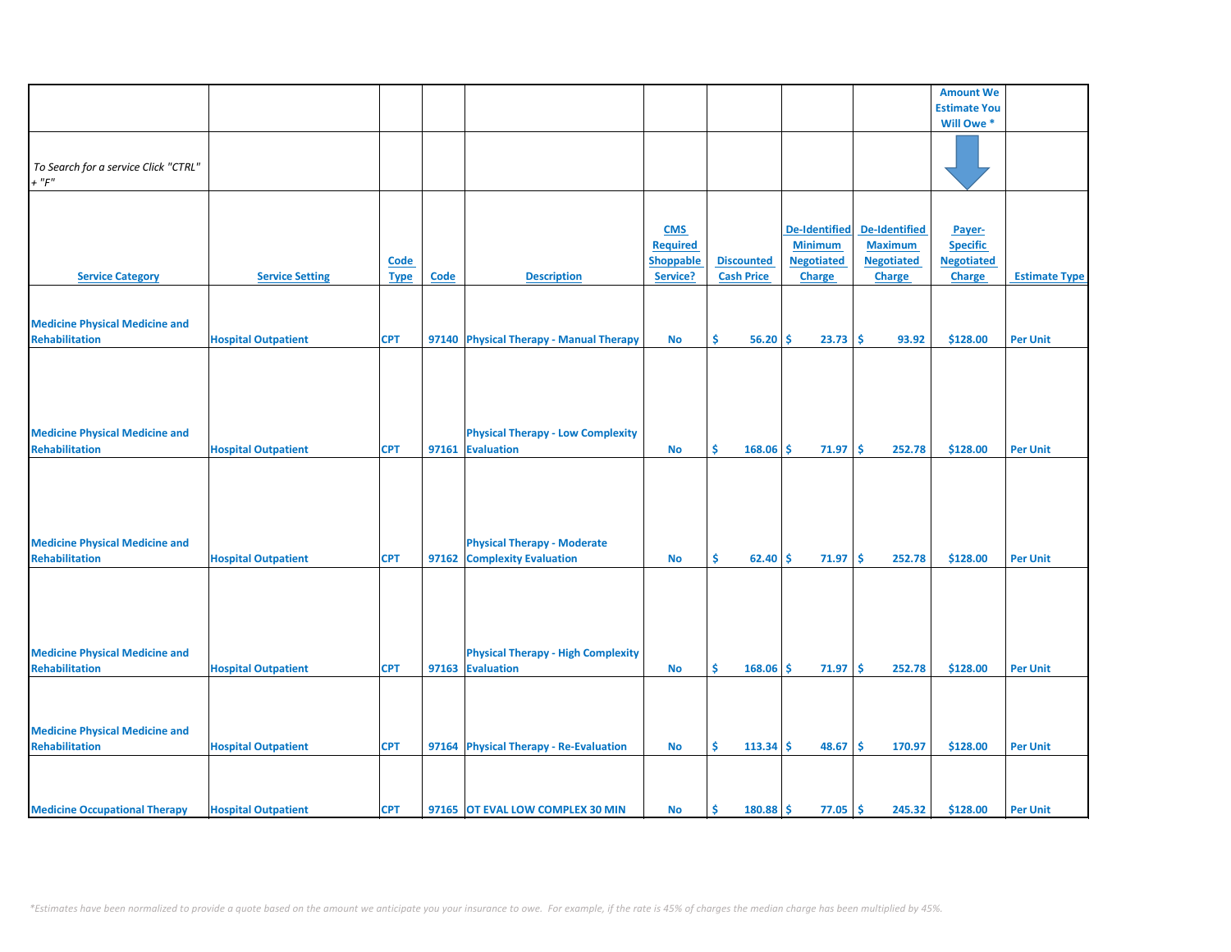|                                       |                            |             |       |                                           |                  |                   |                        |                      | <b>Amount We</b>    |                      |
|---------------------------------------|----------------------------|-------------|-------|-------------------------------------------|------------------|-------------------|------------------------|----------------------|---------------------|----------------------|
|                                       |                            |             |       |                                           |                  |                   |                        |                      | <b>Estimate You</b> |                      |
|                                       |                            |             |       |                                           |                  |                   |                        |                      | Will Owe *          |                      |
|                                       |                            |             |       |                                           |                  |                   |                        |                      |                     |                      |
|                                       |                            |             |       |                                           |                  |                   |                        |                      |                     |                      |
| To Search for a service Click "CTRL"  |                            |             |       |                                           |                  |                   |                        |                      |                     |                      |
| $+$ " $F"$                            |                            |             |       |                                           |                  |                   |                        |                      |                     |                      |
|                                       |                            |             |       |                                           |                  |                   |                        |                      |                     |                      |
|                                       |                            |             |       |                                           |                  |                   |                        |                      |                     |                      |
|                                       |                            |             |       |                                           |                  |                   |                        |                      |                     |                      |
|                                       |                            |             |       |                                           | <b>CMS</b>       |                   | <b>De-Identified</b>   | <b>De-Identified</b> | Payer-              |                      |
|                                       |                            |             |       |                                           | <b>Required</b>  |                   | <b>Minimum</b>         | <b>Maximum</b>       | <b>Specific</b>     |                      |
|                                       |                            | Code        |       |                                           | <b>Shoppable</b> | <b>Discounted</b> | <b>Negotiated</b>      | <b>Negotiated</b>    | <b>Negotiated</b>   |                      |
| <b>Service Category</b>               | <b>Service Setting</b>     | <b>Type</b> | Code  | <b>Description</b>                        | Service?         | <b>Cash Price</b> | Charge                 | Charge               | <b>Charge</b>       | <b>Estimate Type</b> |
|                                       |                            |             |       |                                           |                  |                   |                        |                      |                     |                      |
|                                       |                            |             |       |                                           |                  |                   |                        |                      |                     |                      |
| <b>Medicine Physical Medicine and</b> |                            |             |       |                                           |                  |                   |                        |                      |                     |                      |
|                                       |                            |             |       |                                           |                  |                   |                        |                      |                     |                      |
| <b>Rehabilitation</b>                 | <b>Hospital Outpatient</b> | <b>CPT</b>  |       | 97140 Physical Therapy - Manual Therapy   | <b>No</b>        | \$.<br>56.20      | Ŝ<br>23.73             | -\$<br>93.92         | \$128.00            | <b>Per Unit</b>      |
|                                       |                            |             |       |                                           |                  |                   |                        |                      |                     |                      |
|                                       |                            |             |       |                                           |                  |                   |                        |                      |                     |                      |
|                                       |                            |             |       |                                           |                  |                   |                        |                      |                     |                      |
|                                       |                            |             |       |                                           |                  |                   |                        |                      |                     |                      |
|                                       |                            |             |       |                                           |                  |                   |                        |                      |                     |                      |
|                                       |                            |             |       |                                           |                  |                   |                        |                      |                     |                      |
| <b>Medicine Physical Medicine and</b> |                            |             |       | <b>Physical Therapy - Low Complexity</b>  |                  |                   |                        |                      |                     |                      |
| <b>Rehabilitation</b>                 | <b>Hospital Outpatient</b> | <b>CPT</b>  | 97161 | <b>Evaluation</b>                         | <b>No</b>        | \$<br>168.06      | Ŝ.<br>71.97            | ∣\$<br>252.78        | \$128.00            | <b>Per Unit</b>      |
|                                       |                            |             |       |                                           |                  |                   |                        |                      |                     |                      |
|                                       |                            |             |       |                                           |                  |                   |                        |                      |                     |                      |
|                                       |                            |             |       |                                           |                  |                   |                        |                      |                     |                      |
|                                       |                            |             |       |                                           |                  |                   |                        |                      |                     |                      |
|                                       |                            |             |       |                                           |                  |                   |                        |                      |                     |                      |
|                                       |                            |             |       |                                           |                  |                   |                        |                      |                     |                      |
| <b>Medicine Physical Medicine and</b> |                            |             |       | <b>Physical Therapy - Moderate</b>        |                  |                   |                        |                      |                     |                      |
| <b>Rehabilitation</b>                 | <b>Hospital Outpatient</b> | <b>CPT</b>  |       | 97162 Complexity Evaluation               | <b>No</b>        | \$<br>62.40       | Ŝ<br>71.97             | l \$<br>252.78       | \$128.00            | <b>Per Unit</b>      |
|                                       |                            |             |       |                                           |                  |                   |                        |                      |                     |                      |
|                                       |                            |             |       |                                           |                  |                   |                        |                      |                     |                      |
|                                       |                            |             |       |                                           |                  |                   |                        |                      |                     |                      |
|                                       |                            |             |       |                                           |                  |                   |                        |                      |                     |                      |
|                                       |                            |             |       |                                           |                  |                   |                        |                      |                     |                      |
|                                       |                            |             |       |                                           |                  |                   |                        |                      |                     |                      |
| <b>Medicine Physical Medicine and</b> |                            |             |       | <b>Physical Therapy - High Complexity</b> |                  |                   |                        |                      |                     |                      |
| <b>Rehabilitation</b>                 | <b>Hospital Outpatient</b> | <b>CPT</b>  |       | 97163 Evaluation                          | <b>No</b>        | Š.<br>168.06      | Ŝ.<br>71.97            | -\$<br>252.78        | \$128.00            | <b>Per Unit</b>      |
|                                       |                            |             |       |                                           |                  |                   |                        |                      |                     |                      |
|                                       |                            |             |       |                                           |                  |                   |                        |                      |                     |                      |
|                                       |                            |             |       |                                           |                  |                   |                        |                      |                     |                      |
|                                       |                            |             |       |                                           |                  |                   |                        |                      |                     |                      |
| <b>Medicine Physical Medicine and</b> |                            |             |       |                                           |                  |                   |                        |                      |                     |                      |
| <b>Rehabilitation</b>                 | <b>Hospital Outpatient</b> | <b>CPT</b>  |       | 97164 Physical Therapy - Re-Evaluation    | <b>No</b>        | Š.<br>$113.34$ \$ | 48.67                  | ∣\$<br>170.97        | \$128.00            | <b>Per Unit</b>      |
|                                       |                            |             |       |                                           |                  |                   |                        |                      |                     |                      |
|                                       |                            |             |       |                                           |                  |                   |                        |                      |                     |                      |
|                                       |                            |             |       |                                           |                  |                   |                        |                      |                     |                      |
|                                       |                            |             |       |                                           |                  |                   |                        |                      |                     |                      |
| <b>Medicine Occupational Therapy</b>  | <b>Hospital Outpatient</b> | <b>CPT</b>  |       | 97165 OT EVAL LOW COMPLEX 30 MIN          | <b>No</b>        | Ś.<br>180.88      | <b>S</b><br>$77.05$ \$ | 245.32               | \$128.00            | <b>Per Unit</b>      |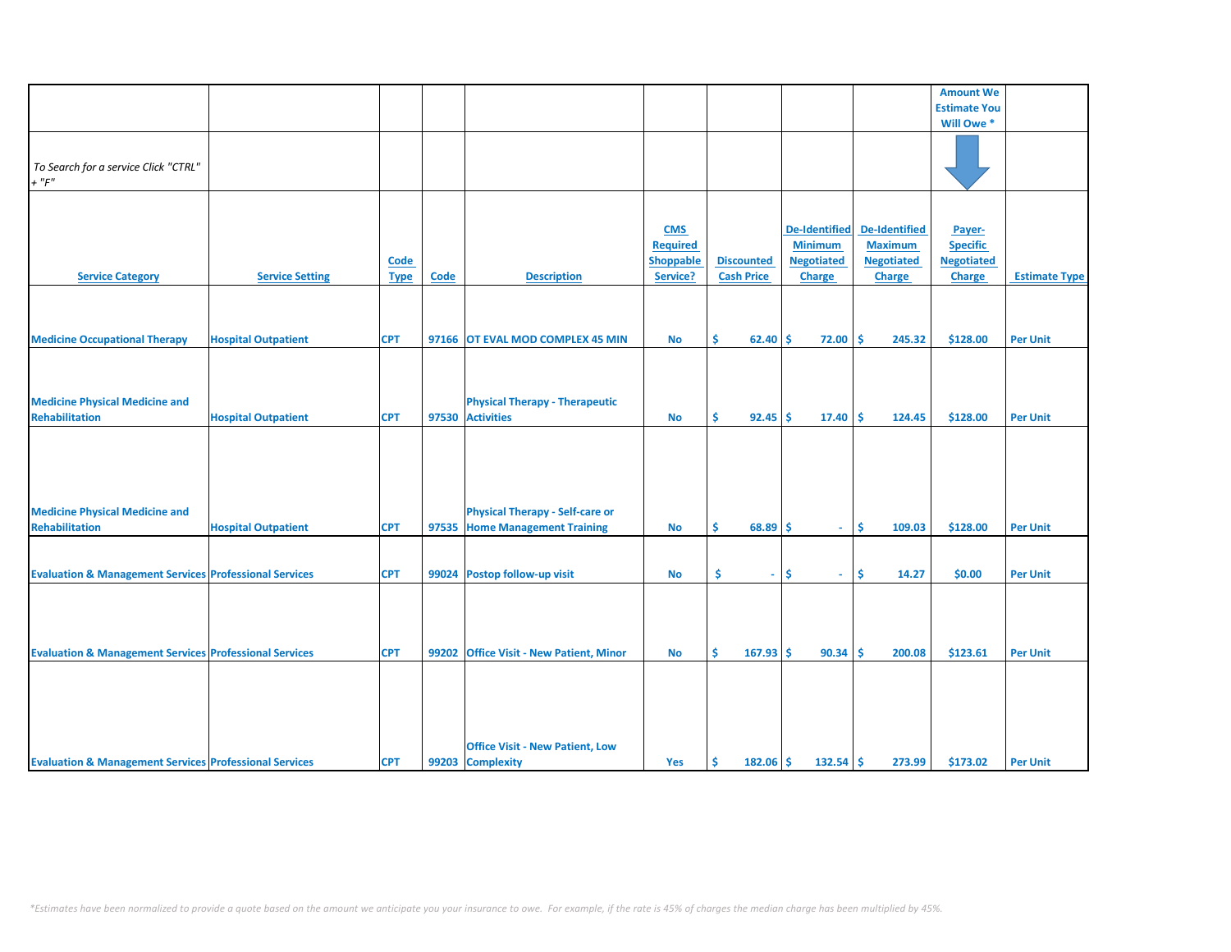|                                                                   |                            |             |       |                                          |                  |                           |                      |                      | <b>Amount We</b>    |                      |
|-------------------------------------------------------------------|----------------------------|-------------|-------|------------------------------------------|------------------|---------------------------|----------------------|----------------------|---------------------|----------------------|
|                                                                   |                            |             |       |                                          |                  |                           |                      |                      | <b>Estimate You</b> |                      |
|                                                                   |                            |             |       |                                          |                  |                           |                      |                      | Will Owe *          |                      |
|                                                                   |                            |             |       |                                          |                  |                           |                      |                      |                     |                      |
|                                                                   |                            |             |       |                                          |                  |                           |                      |                      |                     |                      |
|                                                                   |                            |             |       |                                          |                  |                           |                      |                      |                     |                      |
| To Search for a service Click "CTRL"                              |                            |             |       |                                          |                  |                           |                      |                      |                     |                      |
| $+$ " $F$ "                                                       |                            |             |       |                                          |                  |                           |                      |                      |                     |                      |
|                                                                   |                            |             |       |                                          |                  |                           |                      |                      |                     |                      |
|                                                                   |                            |             |       |                                          |                  |                           |                      |                      |                     |                      |
|                                                                   |                            |             |       |                                          | <b>CMS</b>       |                           | <b>De-Identified</b> | <b>De-Identified</b> | Payer-              |                      |
|                                                                   |                            |             |       |                                          | Required         |                           | <b>Minimum</b>       | <b>Maximum</b>       | <b>Specific</b>     |                      |
|                                                                   |                            |             |       |                                          |                  |                           |                      |                      |                     |                      |
|                                                                   |                            | Code        |       |                                          | <b>Shoppable</b> | <b>Discounted</b>         | <b>Negotiated</b>    | <b>Negotiated</b>    | <b>Negotiated</b>   |                      |
| <b>Service Category</b>                                           | <b>Service Setting</b>     | <b>Type</b> | Code  | <b>Description</b>                       | Service?         | <b>Cash Price</b>         | <b>Charge</b>        | <b>Charge</b>        | <b>Charge</b>       | <b>Estimate Type</b> |
|                                                                   |                            |             |       |                                          |                  |                           |                      |                      |                     |                      |
|                                                                   |                            |             |       |                                          |                  |                           |                      |                      |                     |                      |
|                                                                   |                            |             |       |                                          |                  |                           |                      |                      |                     |                      |
| <b>Medicine Occupational Therapy</b>                              | <b>Hospital Outpatient</b> | <b>CPT</b>  |       | 97166 OT EVAL MOD COMPLEX 45 MIN         | <b>No</b>        | \$.<br>$62.40$ $\sqrt{5}$ | 72.00                | Ŝ.<br>245.32         | \$128.00            | <b>Per Unit</b>      |
|                                                                   |                            |             |       |                                          |                  |                           |                      |                      |                     |                      |
|                                                                   |                            |             |       |                                          |                  |                           |                      |                      |                     |                      |
|                                                                   |                            |             |       |                                          |                  |                           |                      |                      |                     |                      |
|                                                                   |                            |             |       |                                          |                  |                           |                      |                      |                     |                      |
| <b>Medicine Physical Medicine and</b>                             |                            |             |       | <b>Physical Therapy - Therapeutic</b>    |                  |                           |                      |                      |                     |                      |
| <b>Rehabilitation</b>                                             | <b>Hospital Outpatient</b> | <b>CPT</b>  |       | 97530 Activities                         | No               | \$<br>$92.45$ \$          | 17.40                | -\$<br>124.45        | \$128.00            | <b>Per Unit</b>      |
|                                                                   |                            |             |       |                                          |                  |                           |                      |                      |                     |                      |
|                                                                   |                            |             |       |                                          |                  |                           |                      |                      |                     |                      |
|                                                                   |                            |             |       |                                          |                  |                           |                      |                      |                     |                      |
|                                                                   |                            |             |       |                                          |                  |                           |                      |                      |                     |                      |
|                                                                   |                            |             |       |                                          |                  |                           |                      |                      |                     |                      |
|                                                                   |                            |             |       |                                          |                  |                           |                      |                      |                     |                      |
| <b>Medicine Physical Medicine and</b>                             |                            |             |       | <b>Physical Therapy - Self-care or</b>   |                  |                           |                      |                      |                     |                      |
| <b>Rehabilitation</b>                                             | <b>Hospital Outpatient</b> | <b>CPT</b>  |       | 97535 Home Management Training           | No               | \$<br>$68.89$ \$          | $\sim$               | <b>S</b><br>109.03   | \$128.00            | <b>Per Unit</b>      |
|                                                                   |                            |             |       |                                          |                  |                           |                      |                      |                     |                      |
|                                                                   |                            |             |       |                                          |                  |                           |                      |                      |                     |                      |
|                                                                   |                            |             |       |                                          |                  |                           |                      |                      |                     |                      |
| <b>Evaluation &amp; Management Services Professional Services</b> |                            | <b>CPT</b>  |       | 99024 Postop follow-up visit             | <b>No</b>        | \$<br>÷.                  | Ŝ.<br>$\omega$ .     | \$<br>14.27          | \$0.00              | <b>Per Unit</b>      |
|                                                                   |                            |             |       |                                          |                  |                           |                      |                      |                     |                      |
|                                                                   |                            |             |       |                                          |                  |                           |                      |                      |                     |                      |
|                                                                   |                            |             |       |                                          |                  |                           |                      |                      |                     |                      |
|                                                                   |                            |             |       |                                          |                  |                           |                      |                      |                     |                      |
|                                                                   |                            |             |       |                                          |                  |                           |                      |                      |                     |                      |
| <b>Evaluation &amp; Management Services Professional Services</b> |                            | <b>CPT</b>  | 99202 | <b>Office Visit - New Patient, Minor</b> | <b>No</b>        | Ŝ<br>167.93               | Ŝ.<br>90.34          | Ś<br>200.08          | \$123.61            | <b>Per Unit</b>      |
|                                                                   |                            |             |       |                                          |                  |                           |                      |                      |                     |                      |
|                                                                   |                            |             |       |                                          |                  |                           |                      |                      |                     |                      |
|                                                                   |                            |             |       |                                          |                  |                           |                      |                      |                     |                      |
|                                                                   |                            |             |       |                                          |                  |                           |                      |                      |                     |                      |
|                                                                   |                            |             |       |                                          |                  |                           |                      |                      |                     |                      |
|                                                                   |                            |             |       |                                          |                  |                           |                      |                      |                     |                      |
|                                                                   |                            |             |       | <b>Office Visit - New Patient, Low</b>   |                  |                           |                      |                      |                     |                      |
| <b>Evaluation &amp; Management Services Professional Services</b> |                            | <b>CPT</b>  |       | 99203 Complexity                         | Yes              | \$<br>$182.06$ \$         | 132.54               | -\$<br>273.99        | \$173.02            | <b>Per Unit</b>      |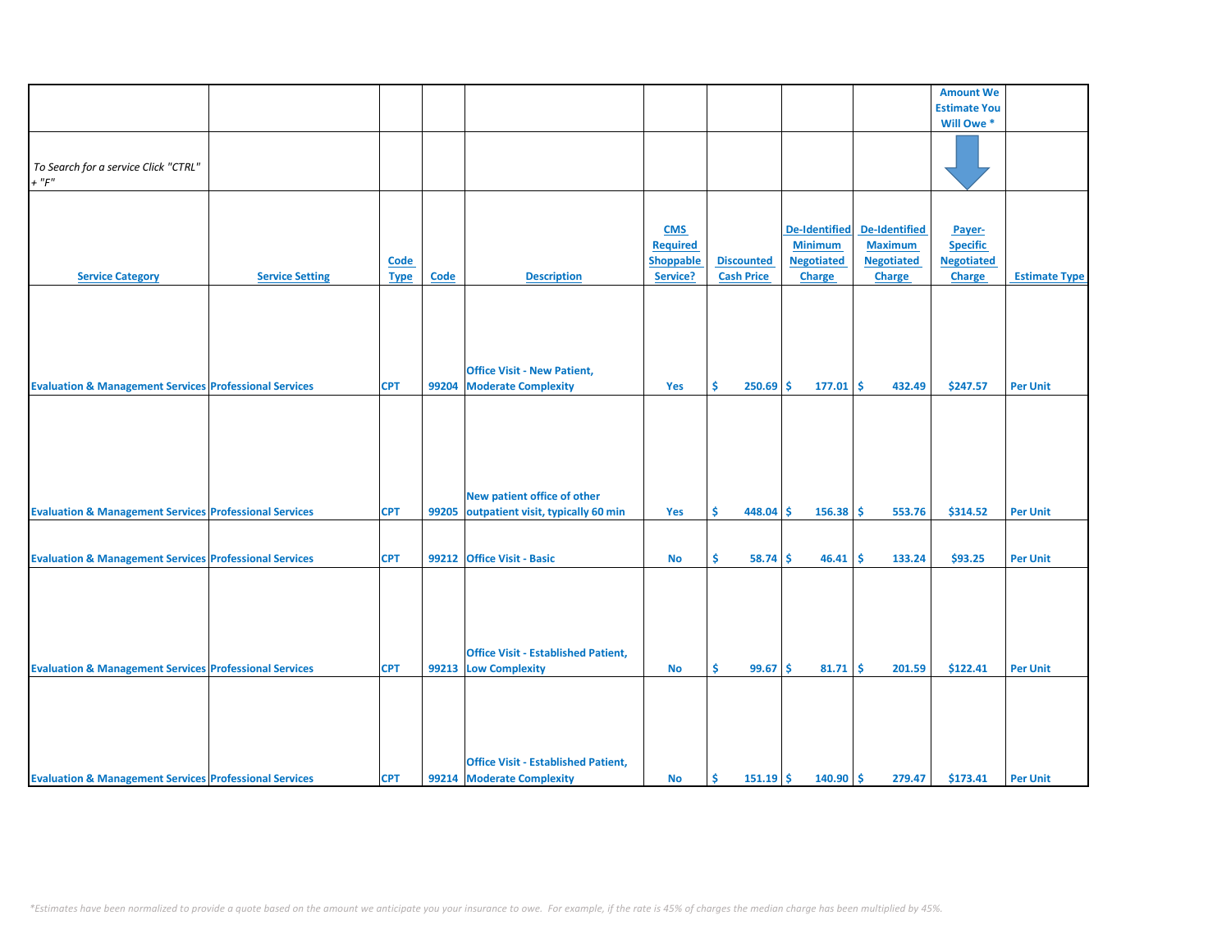|                                                                   |                        |             |             |                                            |                 |                   |                      |                      | <b>Amount We</b>    |                      |
|-------------------------------------------------------------------|------------------------|-------------|-------------|--------------------------------------------|-----------------|-------------------|----------------------|----------------------|---------------------|----------------------|
|                                                                   |                        |             |             |                                            |                 |                   |                      |                      | <b>Estimate You</b> |                      |
|                                                                   |                        |             |             |                                            |                 |                   |                      |                      |                     |                      |
|                                                                   |                        |             |             |                                            |                 |                   |                      |                      | Will Owe*           |                      |
|                                                                   |                        |             |             |                                            |                 |                   |                      |                      |                     |                      |
| To Search for a service Click "CTRL"                              |                        |             |             |                                            |                 |                   |                      |                      |                     |                      |
|                                                                   |                        |             |             |                                            |                 |                   |                      |                      |                     |                      |
| $+$ " $F"$                                                        |                        |             |             |                                            |                 |                   |                      |                      |                     |                      |
|                                                                   |                        |             |             |                                            |                 |                   |                      |                      |                     |                      |
|                                                                   |                        |             |             |                                            |                 |                   |                      |                      |                     |                      |
|                                                                   |                        |             |             |                                            | <b>CMS</b>      |                   | <b>De-Identified</b> | <b>De-Identified</b> | Payer-              |                      |
|                                                                   |                        |             |             |                                            | <b>Required</b> |                   | <b>Minimum</b>       | <b>Maximum</b>       | <b>Specific</b>     |                      |
|                                                                   |                        |             |             |                                            |                 |                   |                      |                      |                     |                      |
|                                                                   |                        | <b>Code</b> |             |                                            | Shoppable       | <b>Discounted</b> | <b>Negotiated</b>    | <b>Negotiated</b>    | <b>Negotiated</b>   |                      |
| <b>Service Category</b>                                           | <b>Service Setting</b> | <b>Type</b> | <b>Code</b> | <b>Description</b>                         | Service?        | <b>Cash Price</b> | <b>Charge</b>        | <b>Charge</b>        | <b>Charge</b>       | <b>Estimate Type</b> |
|                                                                   |                        |             |             |                                            |                 |                   |                      |                      |                     |                      |
|                                                                   |                        |             |             |                                            |                 |                   |                      |                      |                     |                      |
|                                                                   |                        |             |             |                                            |                 |                   |                      |                      |                     |                      |
|                                                                   |                        |             |             |                                            |                 |                   |                      |                      |                     |                      |
|                                                                   |                        |             |             |                                            |                 |                   |                      |                      |                     |                      |
|                                                                   |                        |             |             |                                            |                 |                   |                      |                      |                     |                      |
|                                                                   |                        |             |             | <b>Office Visit - New Patient,</b>         |                 |                   |                      |                      |                     |                      |
|                                                                   |                        |             |             |                                            |                 |                   |                      |                      |                     |                      |
| <b>Evaluation &amp; Management Services Professional Services</b> |                        | <b>CPT</b>  | 99204       | <b>Moderate Complexity</b>                 | Yes             | Ŝ<br>250.69       | Ŝ.<br>177.01         | l \$<br>432.49       | \$247.57            | <b>Per Unit</b>      |
|                                                                   |                        |             |             |                                            |                 |                   |                      |                      |                     |                      |
|                                                                   |                        |             |             |                                            |                 |                   |                      |                      |                     |                      |
|                                                                   |                        |             |             |                                            |                 |                   |                      |                      |                     |                      |
|                                                                   |                        |             |             |                                            |                 |                   |                      |                      |                     |                      |
|                                                                   |                        |             |             |                                            |                 |                   |                      |                      |                     |                      |
|                                                                   |                        |             |             |                                            |                 |                   |                      |                      |                     |                      |
|                                                                   |                        |             |             |                                            |                 |                   |                      |                      |                     |                      |
|                                                                   |                        |             |             |                                            |                 |                   |                      |                      |                     |                      |
|                                                                   |                        |             |             | New patient office of other                |                 |                   |                      |                      |                     |                      |
| <b>Evaluation &amp; Management Services Professional Services</b> |                        | <b>CPT</b>  | 99205       | outpatient visit, typically 60 min         | Yes             | \$<br>$448.04$ \$ | 156.38               | \$<br>553.76         | \$314.52            | <b>Per Unit</b>      |
|                                                                   |                        |             |             |                                            |                 |                   |                      |                      |                     |                      |
|                                                                   |                        |             |             |                                            |                 |                   |                      |                      |                     |                      |
|                                                                   |                        |             |             | 99212 Office Visit - Basic                 |                 |                   |                      |                      |                     |                      |
| <b>Evaluation &amp; Management Services Professional Services</b> |                        | <b>CPT</b>  |             |                                            | <b>No</b>       | \$<br>58.74       | 46.41<br>Ŝ.          | <b>S</b><br>133.24   | \$93.25             | <b>Per Unit</b>      |
|                                                                   |                        |             |             |                                            |                 |                   |                      |                      |                     |                      |
|                                                                   |                        |             |             |                                            |                 |                   |                      |                      |                     |                      |
|                                                                   |                        |             |             |                                            |                 |                   |                      |                      |                     |                      |
|                                                                   |                        |             |             |                                            |                 |                   |                      |                      |                     |                      |
|                                                                   |                        |             |             |                                            |                 |                   |                      |                      |                     |                      |
|                                                                   |                        |             |             |                                            |                 |                   |                      |                      |                     |                      |
|                                                                   |                        |             |             | <b>Office Visit - Established Patient,</b> |                 |                   |                      |                      |                     |                      |
|                                                                   |                        |             |             |                                            |                 | Ś.                |                      |                      |                     |                      |
| <b>Evaluation &amp; Management Services Professional Services</b> |                        | <b>CPT</b>  |             | 99213 Low Complexity                       | <b>No</b>       | 99.67             | Ŝ.<br>81.71          | l\$<br>201.59        | \$122.41            | <b>Per Unit</b>      |
|                                                                   |                        |             |             |                                            |                 |                   |                      |                      |                     |                      |
|                                                                   |                        |             |             |                                            |                 |                   |                      |                      |                     |                      |
|                                                                   |                        |             |             |                                            |                 |                   |                      |                      |                     |                      |
|                                                                   |                        |             |             |                                            |                 |                   |                      |                      |                     |                      |
|                                                                   |                        |             |             |                                            |                 |                   |                      |                      |                     |                      |
|                                                                   |                        |             |             |                                            |                 |                   |                      |                      |                     |                      |
|                                                                   |                        |             |             | <b>Office Visit - Established Patient,</b> |                 |                   |                      |                      |                     |                      |
|                                                                   |                        |             |             |                                            |                 |                   |                      |                      |                     |                      |
| <b>Evaluation &amp; Management Services Professional Services</b> |                        | <b>CPT</b>  |             | 99214 Moderate Complexity                  | <b>No</b>       | $151.19$ \$<br>Ŝ. | $140.90$ \$          | 279.47               | \$173.41            | <b>Per Unit</b>      |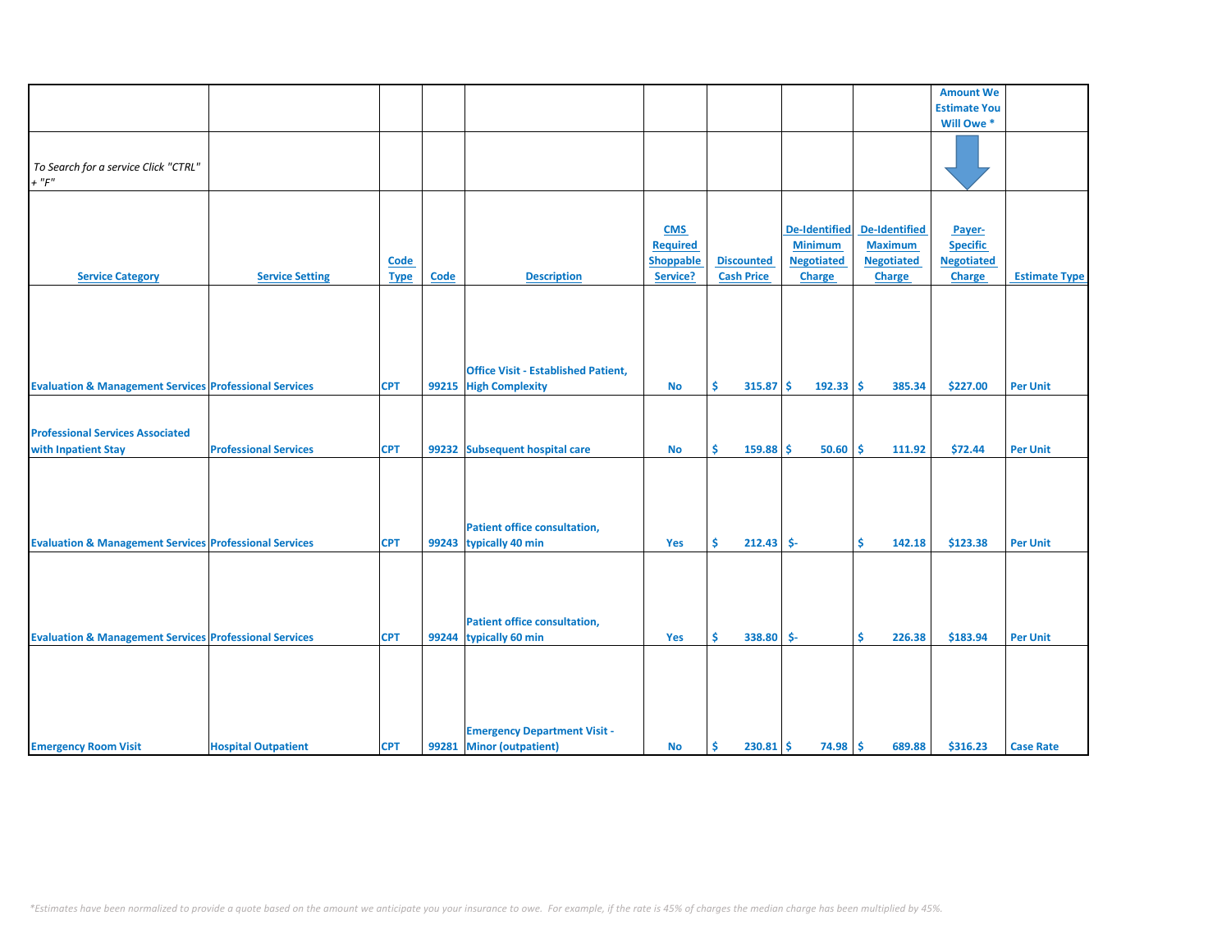|                                                                   |                              |             |       |                                            |                  |                    |                      |                      | <b>Amount We</b>    |                      |
|-------------------------------------------------------------------|------------------------------|-------------|-------|--------------------------------------------|------------------|--------------------|----------------------|----------------------|---------------------|----------------------|
|                                                                   |                              |             |       |                                            |                  |                    |                      |                      | <b>Estimate You</b> |                      |
|                                                                   |                              |             |       |                                            |                  |                    |                      |                      | Will Owe *          |                      |
|                                                                   |                              |             |       |                                            |                  |                    |                      |                      |                     |                      |
|                                                                   |                              |             |       |                                            |                  |                    |                      |                      |                     |                      |
|                                                                   |                              |             |       |                                            |                  |                    |                      |                      |                     |                      |
| To Search for a service Click "CTRL"                              |                              |             |       |                                            |                  |                    |                      |                      |                     |                      |
| $+$ " $F$ "                                                       |                              |             |       |                                            |                  |                    |                      |                      |                     |                      |
|                                                                   |                              |             |       |                                            |                  |                    |                      |                      |                     |                      |
|                                                                   |                              |             |       |                                            |                  |                    |                      |                      |                     |                      |
|                                                                   |                              |             |       |                                            | <b>CMS</b>       |                    | <b>De-Identified</b> | <b>De-Identified</b> | Payer-              |                      |
|                                                                   |                              |             |       |                                            |                  |                    |                      |                      |                     |                      |
|                                                                   |                              |             |       |                                            | <b>Required</b>  |                    | <b>Minimum</b>       | <b>Maximum</b>       | <b>Specific</b>     |                      |
|                                                                   |                              | Code        |       |                                            | <b>Shoppable</b> | <b>Discounted</b>  | <b>Negotiated</b>    | <b>Negotiated</b>    | <b>Negotiated</b>   |                      |
| <b>Service Category</b>                                           | <b>Service Setting</b>       | <b>Type</b> | Code  | <b>Description</b>                         | Service?         | <b>Cash Price</b>  | <b>Charge</b>        | <b>Charge</b>        | <b>Charge</b>       | <b>Estimate Type</b> |
|                                                                   |                              |             |       |                                            |                  |                    |                      |                      |                     |                      |
|                                                                   |                              |             |       |                                            |                  |                    |                      |                      |                     |                      |
|                                                                   |                              |             |       |                                            |                  |                    |                      |                      |                     |                      |
|                                                                   |                              |             |       |                                            |                  |                    |                      |                      |                     |                      |
|                                                                   |                              |             |       |                                            |                  |                    |                      |                      |                     |                      |
|                                                                   |                              |             |       |                                            |                  |                    |                      |                      |                     |                      |
|                                                                   |                              |             |       | <b>Office Visit - Established Patient,</b> |                  |                    |                      |                      |                     |                      |
| <b>Evaluation &amp; Management Services Professional Services</b> |                              | <b>CPT</b>  | 99215 | <b>High Complexity</b>                     | <b>No</b>        | Ś.<br>315.87       | Ŝ<br>$192.33$ \$     | 385.34               | \$227.00            | <b>Per Unit</b>      |
|                                                                   |                              |             |       |                                            |                  |                    |                      |                      |                     |                      |
|                                                                   |                              |             |       |                                            |                  |                    |                      |                      |                     |                      |
|                                                                   |                              |             |       |                                            |                  |                    |                      |                      |                     |                      |
| <b>Professional Services Associated</b>                           |                              |             |       |                                            |                  |                    |                      |                      |                     |                      |
| with Inpatient Stay                                               | <b>Professional Services</b> | <b>CPT</b>  |       | 99232 Subsequent hospital care             | <b>No</b>        | \$<br>$159.88$ \$  | $50.60$ \$           | 111.92               | \$72.44             | <b>Per Unit</b>      |
|                                                                   |                              |             |       |                                            |                  |                    |                      |                      |                     |                      |
|                                                                   |                              |             |       |                                            |                  |                    |                      |                      |                     |                      |
|                                                                   |                              |             |       |                                            |                  |                    |                      |                      |                     |                      |
|                                                                   |                              |             |       |                                            |                  |                    |                      |                      |                     |                      |
|                                                                   |                              |             |       |                                            |                  |                    |                      |                      |                     |                      |
|                                                                   |                              |             |       | <b>Patient office consultation,</b>        |                  |                    |                      |                      |                     |                      |
| <b>Evaluation &amp; Management Services Professional Services</b> |                              | <b>CPT</b>  |       | 99243 typically 40 min                     | Yes              | Š.<br>$212.43$ \$- |                      | Ś.<br>142.18         | \$123.38            | <b>Per Unit</b>      |
|                                                                   |                              |             |       |                                            |                  |                    |                      |                      |                     |                      |
|                                                                   |                              |             |       |                                            |                  |                    |                      |                      |                     |                      |
|                                                                   |                              |             |       |                                            |                  |                    |                      |                      |                     |                      |
|                                                                   |                              |             |       |                                            |                  |                    |                      |                      |                     |                      |
|                                                                   |                              |             |       |                                            |                  |                    |                      |                      |                     |                      |
|                                                                   |                              |             |       | <b>Patient office consultation,</b>        |                  |                    |                      |                      |                     |                      |
| <b>Evaluation &amp; Management Services Professional Services</b> |                              | <b>CPT</b>  | 99244 | typically 60 min                           | Yes              | \$<br>338.80 \$-   |                      | \$<br>226.38         | \$183.94            | <b>Per Unit</b>      |
|                                                                   |                              |             |       |                                            |                  |                    |                      |                      |                     |                      |
|                                                                   |                              |             |       |                                            |                  |                    |                      |                      |                     |                      |
|                                                                   |                              |             |       |                                            |                  |                    |                      |                      |                     |                      |
|                                                                   |                              |             |       |                                            |                  |                    |                      |                      |                     |                      |
|                                                                   |                              |             |       |                                            |                  |                    |                      |                      |                     |                      |
|                                                                   |                              |             |       |                                            |                  |                    |                      |                      |                     |                      |
|                                                                   |                              |             |       |                                            |                  |                    |                      |                      |                     |                      |
|                                                                   |                              |             |       | <b>Emergency Department Visit -</b>        |                  |                    |                      |                      |                     |                      |
| <b>Emergency Room Visit</b>                                       | <b>Hospital Outpatient</b>   | <b>CPT</b>  | 99281 | <b>Minor (outpatient)</b>                  | <b>No</b>        | \$<br>230.81       | $74.98$ \$<br>-\$    | 689.88               | \$316.23            | <b>Case Rate</b>     |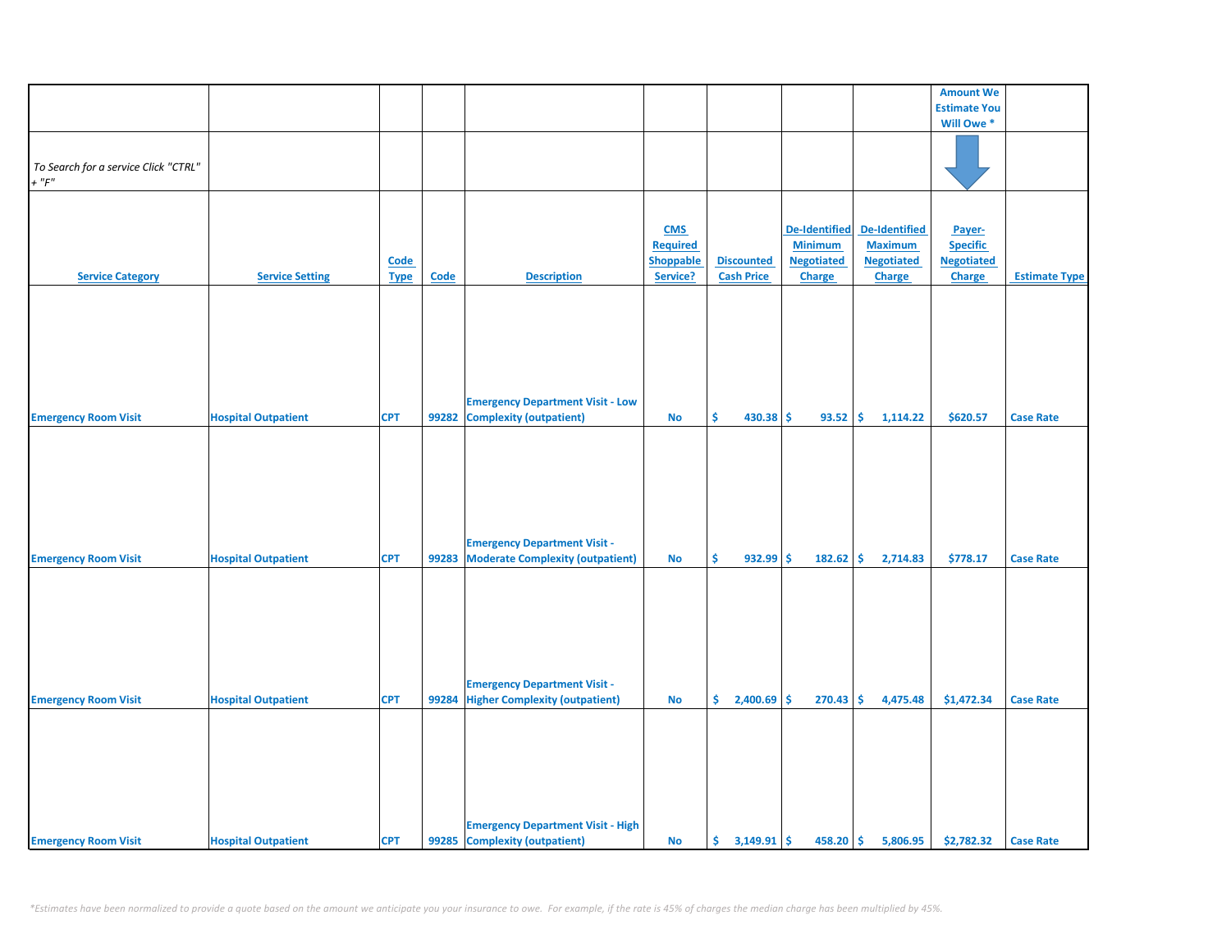|                                      |                            |             |             |                                          |                  |                     |                      |                      | <b>Amount We</b>    |                      |
|--------------------------------------|----------------------------|-------------|-------------|------------------------------------------|------------------|---------------------|----------------------|----------------------|---------------------|----------------------|
|                                      |                            |             |             |                                          |                  |                     |                      |                      | <b>Estimate You</b> |                      |
|                                      |                            |             |             |                                          |                  |                     |                      |                      | Will Owe*           |                      |
|                                      |                            |             |             |                                          |                  |                     |                      |                      |                     |                      |
|                                      |                            |             |             |                                          |                  |                     |                      |                      |                     |                      |
| To Search for a service Click "CTRL" |                            |             |             |                                          |                  |                     |                      |                      |                     |                      |
| $+$ " $F"$                           |                            |             |             |                                          |                  |                     |                      |                      |                     |                      |
|                                      |                            |             |             |                                          |                  |                     |                      |                      |                     |                      |
|                                      |                            |             |             |                                          |                  |                     |                      |                      |                     |                      |
|                                      |                            |             |             |                                          | <b>CMS</b>       |                     | <b>De-Identified</b> | <b>De-Identified</b> | Payer-              |                      |
|                                      |                            |             |             |                                          | Required         |                     | <b>Minimum</b>       | <b>Maximum</b>       | <b>Specific</b>     |                      |
|                                      |                            | <b>Code</b> |             |                                          | <b>Shoppable</b> | <b>Discounted</b>   | <b>Negotiated</b>    | <b>Negotiated</b>    | <b>Negotiated</b>   |                      |
| <b>Service Category</b>              | <b>Service Setting</b>     | <b>Type</b> | <b>Code</b> | <b>Description</b>                       | Service?         | <b>Cash Price</b>   | <b>Charge</b>        | <b>Charge</b>        | Charge              | <b>Estimate Type</b> |
|                                      |                            |             |             |                                          |                  |                     |                      |                      |                     |                      |
|                                      |                            |             |             |                                          |                  |                     |                      |                      |                     |                      |
|                                      |                            |             |             |                                          |                  |                     |                      |                      |                     |                      |
|                                      |                            |             |             |                                          |                  |                     |                      |                      |                     |                      |
|                                      |                            |             |             |                                          |                  |                     |                      |                      |                     |                      |
|                                      |                            |             |             |                                          |                  |                     |                      |                      |                     |                      |
|                                      |                            |             |             |                                          |                  |                     |                      |                      |                     |                      |
|                                      |                            |             |             |                                          |                  |                     |                      |                      |                     |                      |
|                                      |                            |             |             | <b>Emergency Department Visit - Low</b>  |                  |                     |                      |                      |                     |                      |
| <b>Emergency Room Visit</b>          | <b>Hospital Outpatient</b> | <b>CPT</b>  | 99282       | <b>Complexity (outpatient)</b>           | <b>No</b>        | \$<br>430.38 \$     | 93.52                | 1,114.22<br>\$       | \$620.57            | <b>Case Rate</b>     |
|                                      |                            |             |             |                                          |                  |                     |                      |                      |                     |                      |
|                                      |                            |             |             |                                          |                  |                     |                      |                      |                     |                      |
|                                      |                            |             |             |                                          |                  |                     |                      |                      |                     |                      |
|                                      |                            |             |             |                                          |                  |                     |                      |                      |                     |                      |
|                                      |                            |             |             |                                          |                  |                     |                      |                      |                     |                      |
|                                      |                            |             |             |                                          |                  |                     |                      |                      |                     |                      |
|                                      |                            |             |             |                                          |                  |                     |                      |                      |                     |                      |
|                                      |                            |             |             |                                          |                  |                     |                      |                      |                     |                      |
|                                      |                            |             |             | <b>Emergency Department Visit -</b>      |                  |                     |                      |                      |                     |                      |
| <b>Emergency Room Visit</b>          | <b>Hospital Outpatient</b> | <b>CPT</b>  | 99283       | <b>Moderate Complexity (outpatient)</b>  | <b>No</b>        | \$<br>$932.99$ \$   | 182.62               | \$<br>2,714.83       | \$778.17            | <b>Case Rate</b>     |
|                                      |                            |             |             |                                          |                  |                     |                      |                      |                     |                      |
|                                      |                            |             |             |                                          |                  |                     |                      |                      |                     |                      |
|                                      |                            |             |             |                                          |                  |                     |                      |                      |                     |                      |
|                                      |                            |             |             |                                          |                  |                     |                      |                      |                     |                      |
|                                      |                            |             |             |                                          |                  |                     |                      |                      |                     |                      |
|                                      |                            |             |             |                                          |                  |                     |                      |                      |                     |                      |
|                                      |                            |             |             |                                          |                  |                     |                      |                      |                     |                      |
|                                      |                            |             |             | <b>Emergency Department Visit -</b>      |                  |                     |                      |                      |                     |                      |
| <b>Emergency Room Visit</b>          | <b>Hospital Outpatient</b> | <b>CPT</b>  |             | 99284 Higher Complexity (outpatient)     | <b>No</b>        | \$<br>$2,400.69$ \$ | 270.43               | \$<br>4,475.48       | \$1,472.34          | <b>Case Rate</b>     |
|                                      |                            |             |             |                                          |                  |                     |                      |                      |                     |                      |
|                                      |                            |             |             |                                          |                  |                     |                      |                      |                     |                      |
|                                      |                            |             |             |                                          |                  |                     |                      |                      |                     |                      |
|                                      |                            |             |             |                                          |                  |                     |                      |                      |                     |                      |
|                                      |                            |             |             |                                          |                  |                     |                      |                      |                     |                      |
|                                      |                            |             |             |                                          |                  |                     |                      |                      |                     |                      |
|                                      |                            |             |             |                                          |                  |                     |                      |                      |                     |                      |
|                                      |                            |             |             |                                          |                  |                     |                      |                      |                     |                      |
|                                      |                            |             |             | <b>Emergency Department Visit - High</b> |                  |                     |                      |                      |                     |                      |
| <b>Emergency Room Visit</b>          | <b>Hospital Outpatient</b> | <b>CPT</b>  |             | 99285 Complexity (outpatient)            | <b>No</b>        |                     |                      | $458.20$ \$ 5,806.95 | \$2,782.32          | <b>Case Rate</b>     |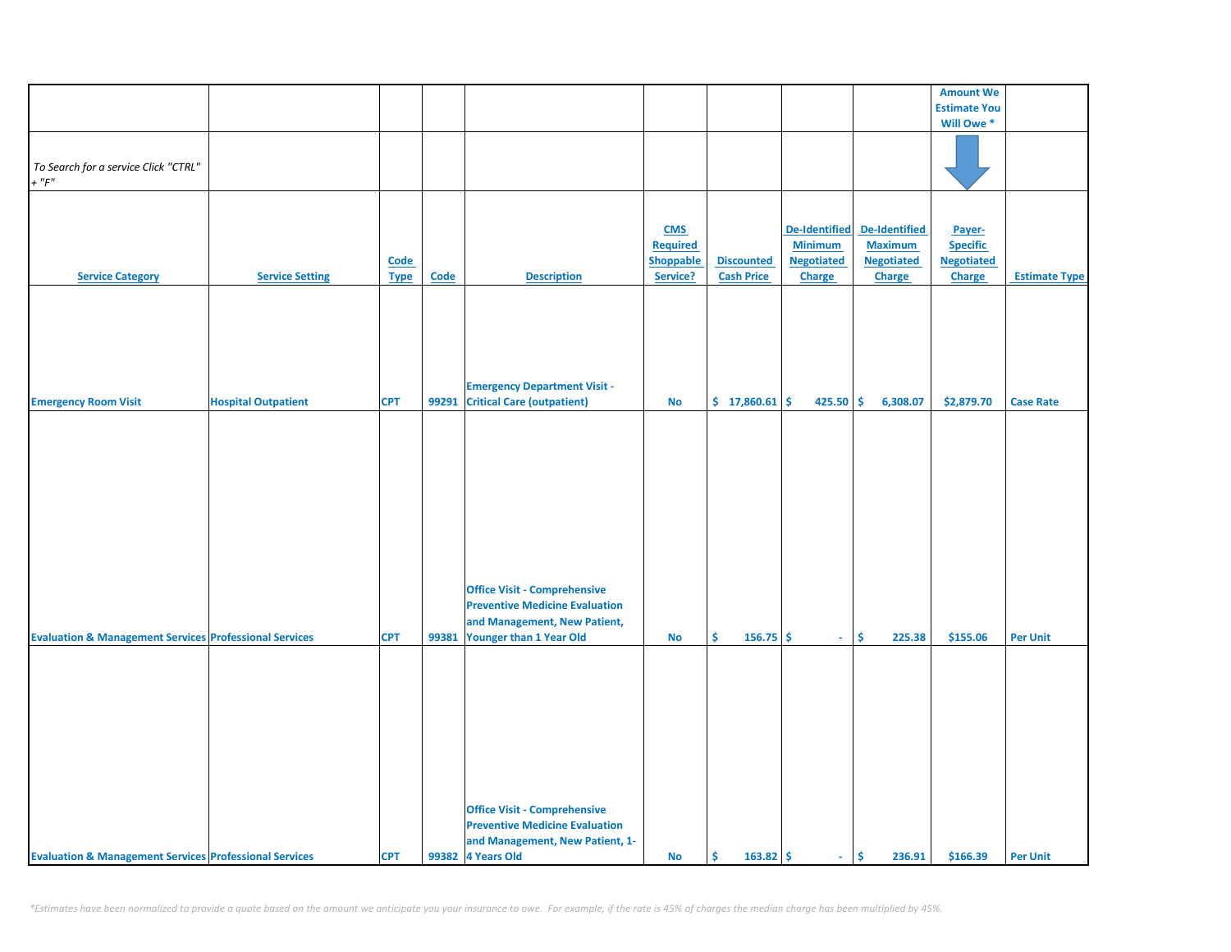|                                                                   |                            |                            |       |                                                                                                                                            |                                                        |                                        |                                                                       |                                                                       | <b>Amount We</b>                                         |                      |
|-------------------------------------------------------------------|----------------------------|----------------------------|-------|--------------------------------------------------------------------------------------------------------------------------------------------|--------------------------------------------------------|----------------------------------------|-----------------------------------------------------------------------|-----------------------------------------------------------------------|----------------------------------------------------------|----------------------|
|                                                                   |                            |                            |       |                                                                                                                                            |                                                        |                                        |                                                                       |                                                                       | <b>Estimate You</b>                                      |                      |
|                                                                   |                            |                            |       |                                                                                                                                            |                                                        |                                        |                                                                       |                                                                       | Will Owe <sup>*</sup>                                    |                      |
| To Search for a service Click "CTRL"<br>$+$ " $F$ "               |                            |                            |       |                                                                                                                                            |                                                        |                                        |                                                                       |                                                                       |                                                          |                      |
| <b>Service Category</b>                                           | <b>Service Setting</b>     | <b>Code</b><br><b>Type</b> | Code  | <b>Description</b>                                                                                                                         | <b>CMS</b><br><b>Required</b><br>Shoppable<br>Service? | <b>Discounted</b><br><b>Cash Price</b> | <b>De-Identified</b><br><b>Minimum</b><br><b>Negotiated</b><br>Charge | <b>De-Identified</b><br><b>Maximum</b><br><b>Negotiated</b><br>Charge | Payer-<br><b>Specific</b><br><b>Negotiated</b><br>Charge | <b>Estimate Type</b> |
| <b>Emergency Room Visit</b>                                       | <b>Hospital Outpatient</b> | <b>CPT</b>                 | 99291 | <b>Emergency Department Visit -</b><br><b>Critical Care (outpatient)</b>                                                                   | No                                                     | \$17,860.61                            | 425.50                                                                | \$<br>6,308.07                                                        | \$2,879.70                                               | <b>Case Rate</b>     |
|                                                                   |                            |                            |       | <b>Office Visit - Comprehensive</b><br><b>Preventive Medicine Evaluation</b><br>and Management, New Patient,                               |                                                        |                                        |                                                                       |                                                                       |                                                          |                      |
| <b>Evaluation &amp; Management Services Professional Services</b> |                            | <b>CPT</b>                 | 99381 | Younger than 1 Year Old<br><b>Office Visit - Comprehensive</b><br><b>Preventive Medicine Evaluation</b><br>and Management, New Patient, 1- | <b>No</b>                                              | \$.<br>$156.75$ \$                     | ÷.                                                                    | \$<br>225.38                                                          | \$155.06                                                 | <b>Per Unit</b>      |
| <b>Evaluation &amp; Management Services Professional Services</b> |                            | <b>CPT</b>                 |       | 99382 4 Years Old                                                                                                                          | No                                                     | $163.82 \div$<br>\$.                   | $\sim 10$                                                             | \$<br>236.91                                                          | \$166.39                                                 | <b>Per Unit</b>      |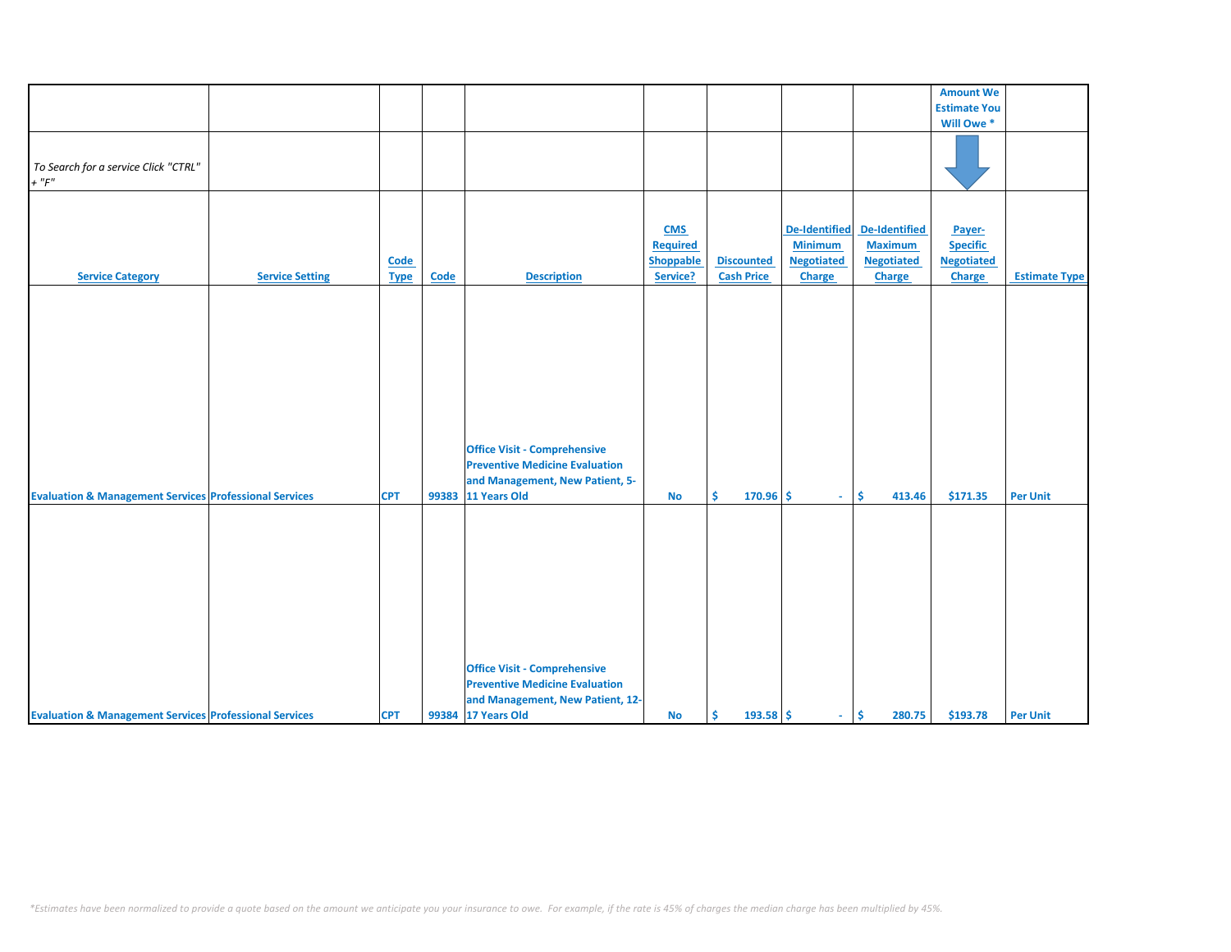|                                                                   |                        |             |       |                                       |                  |                   |                      |                      | <b>Amount We</b>    |                      |
|-------------------------------------------------------------------|------------------------|-------------|-------|---------------------------------------|------------------|-------------------|----------------------|----------------------|---------------------|----------------------|
|                                                                   |                        |             |       |                                       |                  |                   |                      |                      | <b>Estimate You</b> |                      |
|                                                                   |                        |             |       |                                       |                  |                   |                      |                      |                     |                      |
|                                                                   |                        |             |       |                                       |                  |                   |                      |                      | Will Owe *          |                      |
|                                                                   |                        |             |       |                                       |                  |                   |                      |                      |                     |                      |
| To Search for a service Click "CTRL"                              |                        |             |       |                                       |                  |                   |                      |                      |                     |                      |
| $+$ " $F$ "                                                       |                        |             |       |                                       |                  |                   |                      |                      |                     |                      |
|                                                                   |                        |             |       |                                       |                  |                   |                      |                      |                     |                      |
|                                                                   |                        |             |       |                                       |                  |                   |                      |                      |                     |                      |
|                                                                   |                        |             |       |                                       |                  |                   |                      |                      |                     |                      |
|                                                                   |                        |             |       |                                       | <b>CMS</b>       |                   | <b>De-Identified</b> | <b>De-Identified</b> | Payer-              |                      |
|                                                                   |                        |             |       |                                       | <b>Required</b>  |                   | <b>Minimum</b>       | <b>Maximum</b>       | <b>Specific</b>     |                      |
|                                                                   |                        | <b>Code</b> |       |                                       | <b>Shoppable</b> | <b>Discounted</b> | <b>Negotiated</b>    | <b>Negotiated</b>    | <b>Negotiated</b>   |                      |
| <b>Service Category</b>                                           | <b>Service Setting</b> | <b>Type</b> | Code  | <b>Description</b>                    | Service?         | <b>Cash Price</b> | Charge               | Charge               | <b>Charge</b>       | <b>Estimate Type</b> |
|                                                                   |                        |             |       |                                       |                  |                   |                      |                      |                     |                      |
|                                                                   |                        |             |       |                                       |                  |                   |                      |                      |                     |                      |
|                                                                   |                        |             |       |                                       |                  |                   |                      |                      |                     |                      |
|                                                                   |                        |             |       |                                       |                  |                   |                      |                      |                     |                      |
|                                                                   |                        |             |       |                                       |                  |                   |                      |                      |                     |                      |
|                                                                   |                        |             |       |                                       |                  |                   |                      |                      |                     |                      |
|                                                                   |                        |             |       |                                       |                  |                   |                      |                      |                     |                      |
|                                                                   |                        |             |       |                                       |                  |                   |                      |                      |                     |                      |
|                                                                   |                        |             |       |                                       |                  |                   |                      |                      |                     |                      |
|                                                                   |                        |             |       |                                       |                  |                   |                      |                      |                     |                      |
|                                                                   |                        |             |       | <b>Office Visit - Comprehensive</b>   |                  |                   |                      |                      |                     |                      |
|                                                                   |                        |             |       | <b>Preventive Medicine Evaluation</b> |                  |                   |                      |                      |                     |                      |
|                                                                   |                        |             |       |                                       |                  |                   |                      |                      |                     |                      |
|                                                                   |                        |             |       | and Management, New Patient, 5-       |                  |                   |                      |                      |                     |                      |
| <b>Evaluation &amp; Management Services Professional Services</b> |                        | <b>CPT</b>  | 99383 | 11 Years Old                          | <b>No</b>        | Ŝ.<br>$170.96$ \$ | $\sim$               | \$.<br>413.46        | \$171.35            | <b>Per Unit</b>      |
|                                                                   |                        |             |       |                                       |                  |                   |                      |                      |                     |                      |
|                                                                   |                        |             |       |                                       |                  |                   |                      |                      |                     |                      |
|                                                                   |                        |             |       |                                       |                  |                   |                      |                      |                     |                      |
|                                                                   |                        |             |       |                                       |                  |                   |                      |                      |                     |                      |
|                                                                   |                        |             |       |                                       |                  |                   |                      |                      |                     |                      |
|                                                                   |                        |             |       |                                       |                  |                   |                      |                      |                     |                      |
|                                                                   |                        |             |       |                                       |                  |                   |                      |                      |                     |                      |
|                                                                   |                        |             |       |                                       |                  |                   |                      |                      |                     |                      |
|                                                                   |                        |             |       |                                       |                  |                   |                      |                      |                     |                      |
|                                                                   |                        |             |       |                                       |                  |                   |                      |                      |                     |                      |
|                                                                   |                        |             |       | <b>Office Visit - Comprehensive</b>   |                  |                   |                      |                      |                     |                      |
|                                                                   |                        |             |       | <b>Preventive Medicine Evaluation</b> |                  |                   |                      |                      |                     |                      |
|                                                                   |                        |             |       | and Management, New Patient, 12-      |                  |                   |                      |                      |                     |                      |
| <b>Evaluation &amp; Management Services Professional Services</b> |                        | <b>CPT</b>  |       | 99384 17 Years Old                    | <b>No</b>        | Ŝ.<br>$193.58$ \$ | $\omega_{\rm{eff}}$  | \$<br>280.75         | \$193.78            | <b>Per Unit</b>      |
|                                                                   |                        |             |       |                                       |                  |                   |                      |                      |                     |                      |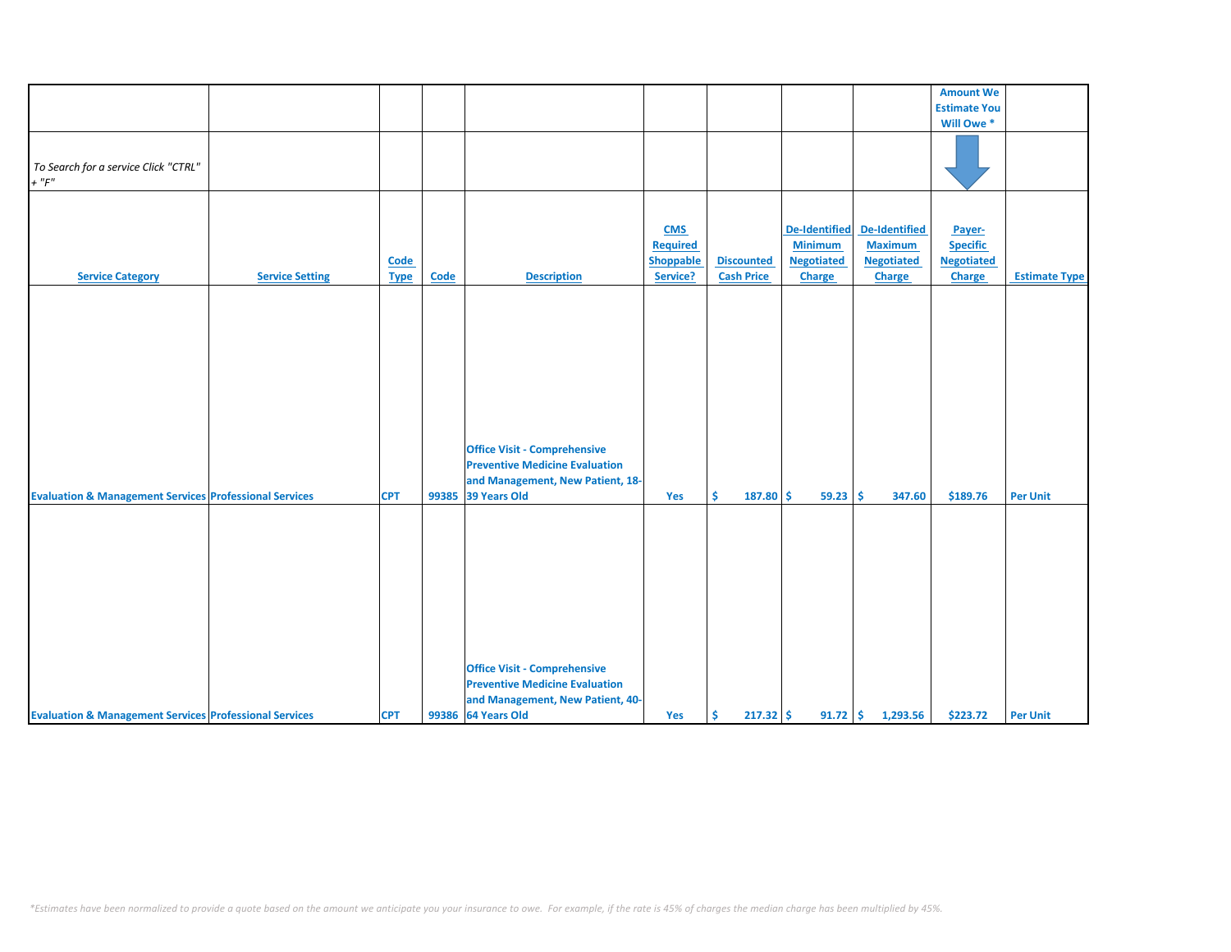|                                                                   |                        |             |       |                                       |                  |                   |                      |                      | <b>Amount We</b>    |                      |
|-------------------------------------------------------------------|------------------------|-------------|-------|---------------------------------------|------------------|-------------------|----------------------|----------------------|---------------------|----------------------|
|                                                                   |                        |             |       |                                       |                  |                   |                      |                      | <b>Estimate You</b> |                      |
|                                                                   |                        |             |       |                                       |                  |                   |                      |                      |                     |                      |
|                                                                   |                        |             |       |                                       |                  |                   |                      |                      | Will Owe *          |                      |
|                                                                   |                        |             |       |                                       |                  |                   |                      |                      |                     |                      |
| To Search for a service Click "CTRL"                              |                        |             |       |                                       |                  |                   |                      |                      |                     |                      |
| $+$ " $F$ "                                                       |                        |             |       |                                       |                  |                   |                      |                      |                     |                      |
|                                                                   |                        |             |       |                                       |                  |                   |                      |                      |                     |                      |
|                                                                   |                        |             |       |                                       |                  |                   |                      |                      |                     |                      |
|                                                                   |                        |             |       |                                       |                  |                   |                      |                      |                     |                      |
|                                                                   |                        |             |       |                                       | <b>CMS</b>       |                   | <b>De-Identified</b> | <b>De-Identified</b> | Payer-              |                      |
|                                                                   |                        |             |       |                                       | <b>Required</b>  |                   | <b>Minimum</b>       | <b>Maximum</b>       | <b>Specific</b>     |                      |
|                                                                   |                        | <b>Code</b> |       |                                       | <b>Shoppable</b> | <b>Discounted</b> | <b>Negotiated</b>    | <b>Negotiated</b>    | <b>Negotiated</b>   |                      |
| <b>Service Category</b>                                           | <b>Service Setting</b> | <b>Type</b> | Code  | <b>Description</b>                    | Service?         | <b>Cash Price</b> | Charge               | Charge               | <b>Charge</b>       | <b>Estimate Type</b> |
|                                                                   |                        |             |       |                                       |                  |                   |                      |                      |                     |                      |
|                                                                   |                        |             |       |                                       |                  |                   |                      |                      |                     |                      |
|                                                                   |                        |             |       |                                       |                  |                   |                      |                      |                     |                      |
|                                                                   |                        |             |       |                                       |                  |                   |                      |                      |                     |                      |
|                                                                   |                        |             |       |                                       |                  |                   |                      |                      |                     |                      |
|                                                                   |                        |             |       |                                       |                  |                   |                      |                      |                     |                      |
|                                                                   |                        |             |       |                                       |                  |                   |                      |                      |                     |                      |
|                                                                   |                        |             |       |                                       |                  |                   |                      |                      |                     |                      |
|                                                                   |                        |             |       |                                       |                  |                   |                      |                      |                     |                      |
|                                                                   |                        |             |       |                                       |                  |                   |                      |                      |                     |                      |
|                                                                   |                        |             |       |                                       |                  |                   |                      |                      |                     |                      |
|                                                                   |                        |             |       | <b>Office Visit - Comprehensive</b>   |                  |                   |                      |                      |                     |                      |
|                                                                   |                        |             |       | <b>Preventive Medicine Evaluation</b> |                  |                   |                      |                      |                     |                      |
|                                                                   |                        |             |       | and Management, New Patient, 18-      |                  |                   |                      |                      |                     |                      |
|                                                                   |                        | <b>CPT</b>  | 99385 | 39 Years Old                          | Yes              | Ŝ.<br>187.80      | Ŝ.<br>59.23          | Ŝ<br>347.60          | \$189.76            | <b>Per Unit</b>      |
| <b>Evaluation &amp; Management Services Professional Services</b> |                        |             |       |                                       |                  |                   |                      |                      |                     |                      |
|                                                                   |                        |             |       |                                       |                  |                   |                      |                      |                     |                      |
|                                                                   |                        |             |       |                                       |                  |                   |                      |                      |                     |                      |
|                                                                   |                        |             |       |                                       |                  |                   |                      |                      |                     |                      |
|                                                                   |                        |             |       |                                       |                  |                   |                      |                      |                     |                      |
|                                                                   |                        |             |       |                                       |                  |                   |                      |                      |                     |                      |
|                                                                   |                        |             |       |                                       |                  |                   |                      |                      |                     |                      |
|                                                                   |                        |             |       |                                       |                  |                   |                      |                      |                     |                      |
|                                                                   |                        |             |       |                                       |                  |                   |                      |                      |                     |                      |
|                                                                   |                        |             |       |                                       |                  |                   |                      |                      |                     |                      |
|                                                                   |                        |             |       |                                       |                  |                   |                      |                      |                     |                      |
|                                                                   |                        |             |       |                                       |                  |                   |                      |                      |                     |                      |
|                                                                   |                        |             |       | <b>Office Visit - Comprehensive</b>   |                  |                   |                      |                      |                     |                      |
|                                                                   |                        |             |       | <b>Preventive Medicine Evaluation</b> |                  |                   |                      |                      |                     |                      |
|                                                                   |                        |             |       | and Management, New Patient, 40-      |                  |                   |                      |                      |                     |                      |
| <b>Evaluation &amp; Management Services Professional Services</b> |                        | <b>CPT</b>  |       | 99386 64 Years Old                    | Yes              | Ŝ.<br>$217.32$ \$ |                      | $91.72$ \$ 1,293.56  | \$223.72            | <b>Per Unit</b>      |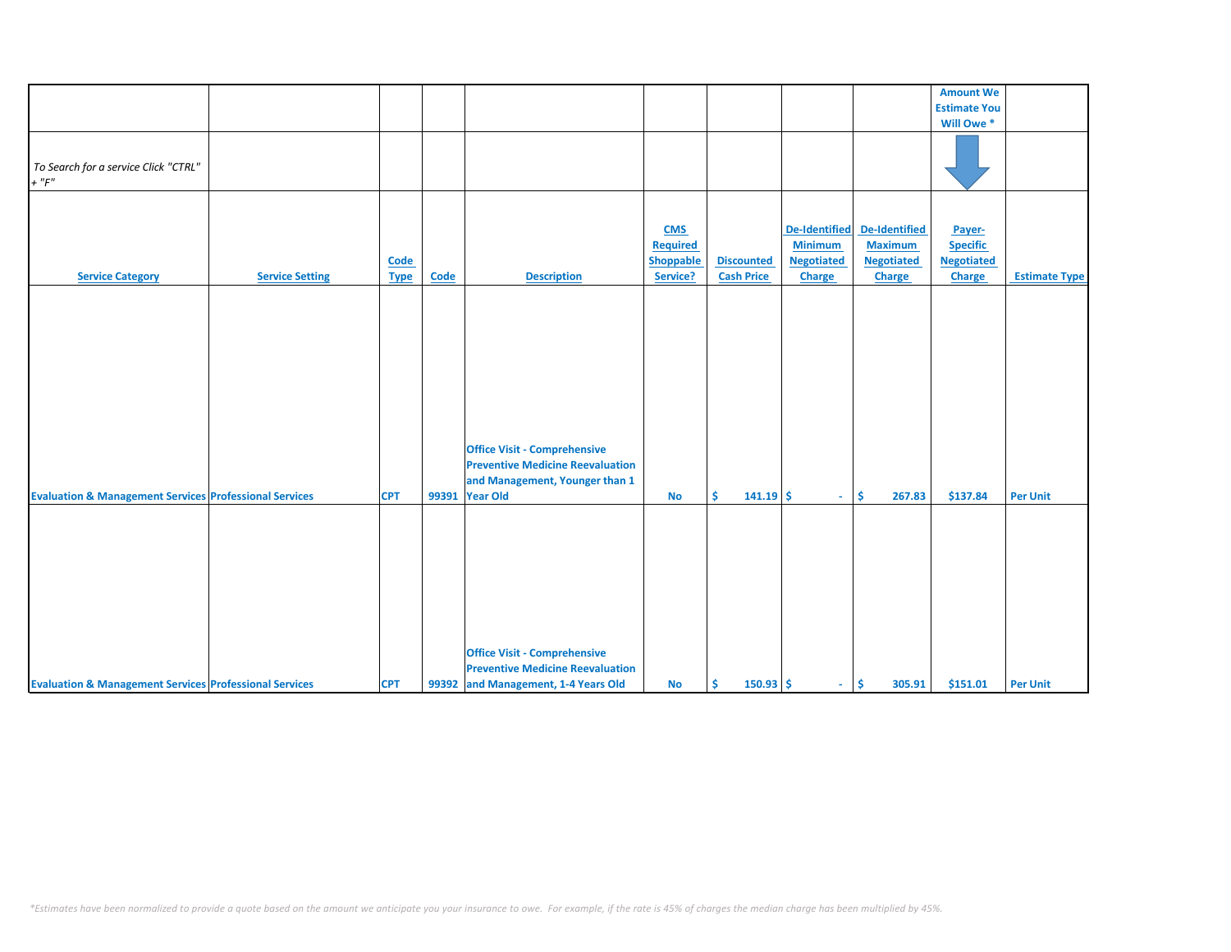|                                                                   |                        |             |             |                                         |                  |                   |                      |                   | <b>Amount We</b>    |                      |
|-------------------------------------------------------------------|------------------------|-------------|-------------|-----------------------------------------|------------------|-------------------|----------------------|-------------------|---------------------|----------------------|
|                                                                   |                        |             |             |                                         |                  |                   |                      |                   | <b>Estimate You</b> |                      |
|                                                                   |                        |             |             |                                         |                  |                   |                      |                   | Will Owe *          |                      |
|                                                                   |                        |             |             |                                         |                  |                   |                      |                   |                     |                      |
|                                                                   |                        |             |             |                                         |                  |                   |                      |                   |                     |                      |
|                                                                   |                        |             |             |                                         |                  |                   |                      |                   |                     |                      |
| To Search for a service Click "CTRL"                              |                        |             |             |                                         |                  |                   |                      |                   |                     |                      |
| $+$ " $F$ "                                                       |                        |             |             |                                         |                  |                   |                      |                   |                     |                      |
|                                                                   |                        |             |             |                                         |                  |                   |                      |                   |                     |                      |
|                                                                   |                        |             |             |                                         |                  |                   |                      |                   |                     |                      |
|                                                                   |                        |             |             |                                         |                  |                   |                      |                   |                     |                      |
|                                                                   |                        |             |             |                                         | <b>CMS</b>       |                   | <b>De-Identified</b> | De-Identified     | Payer-              |                      |
|                                                                   |                        |             |             |                                         | Required         |                   | <b>Minimum</b>       | <b>Maximum</b>    | <b>Specific</b>     |                      |
|                                                                   |                        |             |             |                                         |                  | <b>Discounted</b> | <b>Negotiated</b>    |                   |                     |                      |
|                                                                   |                        | Code        |             |                                         | <b>Shoppable</b> |                   |                      | <b>Negotiated</b> | <b>Negotiated</b>   |                      |
| <b>Service Category</b>                                           | <b>Service Setting</b> | <b>Type</b> | <b>Code</b> | <b>Description</b>                      | Service?         | <b>Cash Price</b> | <b>Charge</b>        | Charge            | <b>Charge</b>       | <b>Estimate Type</b> |
|                                                                   |                        |             |             |                                         |                  |                   |                      |                   |                     |                      |
|                                                                   |                        |             |             |                                         |                  |                   |                      |                   |                     |                      |
|                                                                   |                        |             |             |                                         |                  |                   |                      |                   |                     |                      |
|                                                                   |                        |             |             |                                         |                  |                   |                      |                   |                     |                      |
|                                                                   |                        |             |             |                                         |                  |                   |                      |                   |                     |                      |
|                                                                   |                        |             |             |                                         |                  |                   |                      |                   |                     |                      |
|                                                                   |                        |             |             |                                         |                  |                   |                      |                   |                     |                      |
|                                                                   |                        |             |             |                                         |                  |                   |                      |                   |                     |                      |
|                                                                   |                        |             |             |                                         |                  |                   |                      |                   |                     |                      |
|                                                                   |                        |             |             |                                         |                  |                   |                      |                   |                     |                      |
|                                                                   |                        |             |             |                                         |                  |                   |                      |                   |                     |                      |
|                                                                   |                        |             |             |                                         |                  |                   |                      |                   |                     |                      |
|                                                                   |                        |             |             |                                         |                  |                   |                      |                   |                     |                      |
|                                                                   |                        |             |             | <b>Office Visit - Comprehensive</b>     |                  |                   |                      |                   |                     |                      |
|                                                                   |                        |             |             | <b>Preventive Medicine Reevaluation</b> |                  |                   |                      |                   |                     |                      |
|                                                                   |                        |             |             | and Management, Younger than 1          |                  |                   |                      |                   |                     |                      |
|                                                                   |                        |             |             |                                         |                  |                   |                      |                   |                     |                      |
| <b>Evaluation &amp; Management Services Professional Services</b> |                        | <b>CPT</b>  | 99391       | <b>Year Old</b>                         | <b>No</b>        | Ŝ.<br>$141.19$ \$ | $\omega_{\rm{eff}}$  | Ŝ.<br>267.83      | \$137.84            | <b>Per Unit</b>      |
|                                                                   |                        |             |             |                                         |                  |                   |                      |                   |                     |                      |
|                                                                   |                        |             |             |                                         |                  |                   |                      |                   |                     |                      |
|                                                                   |                        |             |             |                                         |                  |                   |                      |                   |                     |                      |
|                                                                   |                        |             |             |                                         |                  |                   |                      |                   |                     |                      |
|                                                                   |                        |             |             |                                         |                  |                   |                      |                   |                     |                      |
|                                                                   |                        |             |             |                                         |                  |                   |                      |                   |                     |                      |
|                                                                   |                        |             |             |                                         |                  |                   |                      |                   |                     |                      |
|                                                                   |                        |             |             |                                         |                  |                   |                      |                   |                     |                      |
|                                                                   |                        |             |             |                                         |                  |                   |                      |                   |                     |                      |
|                                                                   |                        |             |             |                                         |                  |                   |                      |                   |                     |                      |
|                                                                   |                        |             |             |                                         |                  |                   |                      |                   |                     |                      |
|                                                                   |                        |             |             | <b>Office Visit - Comprehensive</b>     |                  |                   |                      |                   |                     |                      |
|                                                                   |                        |             |             |                                         |                  |                   |                      |                   |                     |                      |
|                                                                   |                        |             |             | <b>Preventive Medicine Reevaluation</b> |                  |                   |                      |                   |                     |                      |
| <b>Evaluation &amp; Management Services Professional Services</b> |                        | <b>CPT</b>  |             | 99392 and Management, 1-4 Years Old     | No               | $150.93$ \$<br>Ŝ. | $\omega_{\rm{eff}}$  | \$<br>305.91      | \$151.01            | <b>Per Unit</b>      |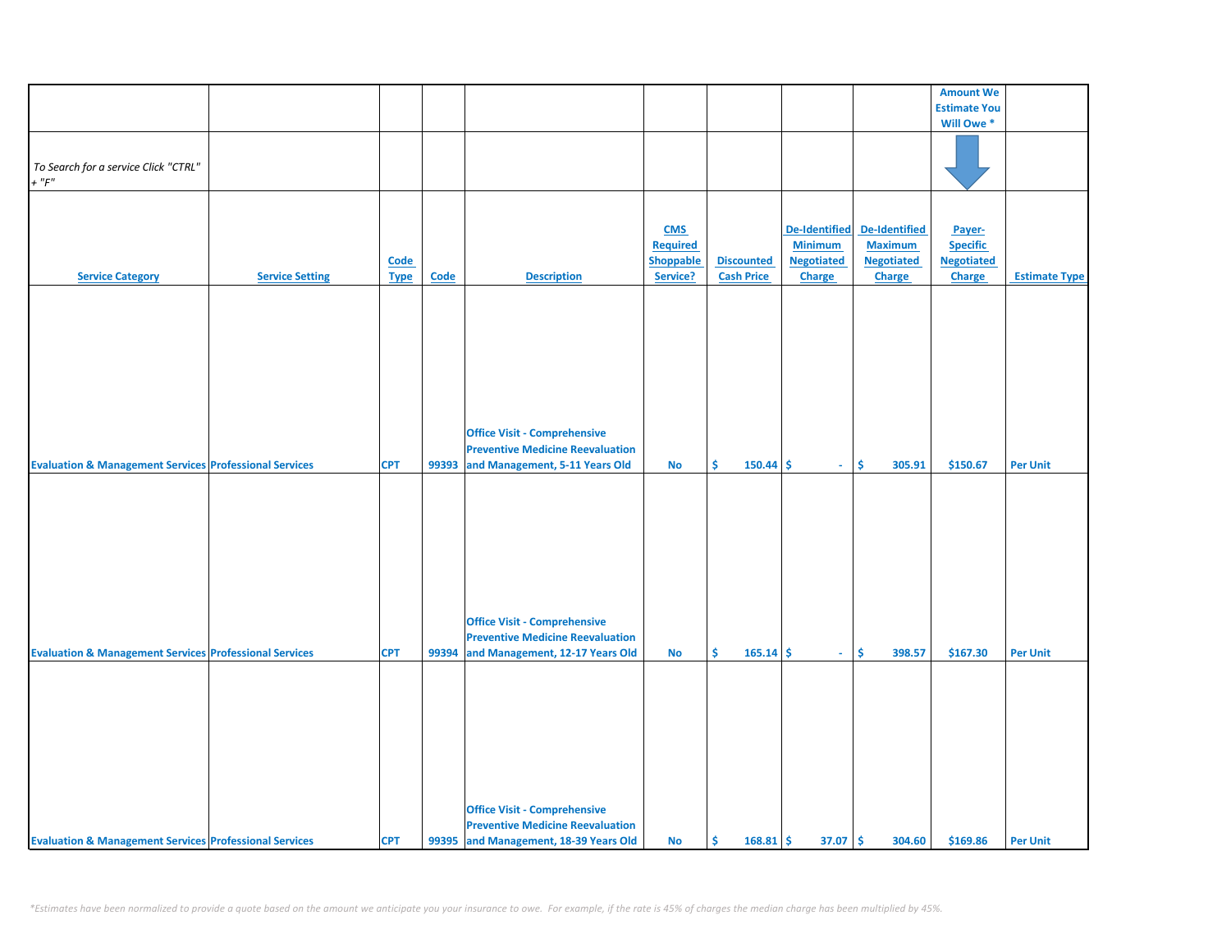|                                                                   |                        |             |             |                                         |                  |                   |                   |                   | <b>Amount We</b>    |                      |
|-------------------------------------------------------------------|------------------------|-------------|-------------|-----------------------------------------|------------------|-------------------|-------------------|-------------------|---------------------|----------------------|
|                                                                   |                        |             |             |                                         |                  |                   |                   |                   | <b>Estimate You</b> |                      |
|                                                                   |                        |             |             |                                         |                  |                   |                   |                   | Will Owe *          |                      |
|                                                                   |                        |             |             |                                         |                  |                   |                   |                   |                     |                      |
|                                                                   |                        |             |             |                                         |                  |                   |                   |                   |                     |                      |
|                                                                   |                        |             |             |                                         |                  |                   |                   |                   |                     |                      |
| To Search for a service Click "CTRL"                              |                        |             |             |                                         |                  |                   |                   |                   |                     |                      |
| $+$ " $F"$                                                        |                        |             |             |                                         |                  |                   |                   |                   |                     |                      |
|                                                                   |                        |             |             |                                         |                  |                   |                   |                   |                     |                      |
|                                                                   |                        |             |             |                                         |                  |                   |                   |                   |                     |                      |
|                                                                   |                        |             |             |                                         |                  |                   |                   |                   |                     |                      |
|                                                                   |                        |             |             |                                         | <b>CMS</b>       |                   | De-Identified     | De-Identified     | Payer-              |                      |
|                                                                   |                        |             |             |                                         | <b>Required</b>  |                   | <b>Minimum</b>    | <b>Maximum</b>    | <b>Specific</b>     |                      |
|                                                                   |                        |             |             |                                         |                  |                   |                   |                   |                     |                      |
|                                                                   |                        | <b>Code</b> |             |                                         | <b>Shoppable</b> | <b>Discounted</b> | <b>Negotiated</b> | <b>Negotiated</b> | <b>Negotiated</b>   |                      |
| <b>Service Category</b>                                           | <b>Service Setting</b> | <b>Type</b> | <b>Code</b> | <b>Description</b>                      | Service?         | <b>Cash Price</b> | Charge            | <b>Charge</b>     | Charge              | <b>Estimate Type</b> |
|                                                                   |                        |             |             |                                         |                  |                   |                   |                   |                     |                      |
|                                                                   |                        |             |             |                                         |                  |                   |                   |                   |                     |                      |
|                                                                   |                        |             |             |                                         |                  |                   |                   |                   |                     |                      |
|                                                                   |                        |             |             |                                         |                  |                   |                   |                   |                     |                      |
|                                                                   |                        |             |             |                                         |                  |                   |                   |                   |                     |                      |
|                                                                   |                        |             |             |                                         |                  |                   |                   |                   |                     |                      |
|                                                                   |                        |             |             |                                         |                  |                   |                   |                   |                     |                      |
|                                                                   |                        |             |             |                                         |                  |                   |                   |                   |                     |                      |
|                                                                   |                        |             |             |                                         |                  |                   |                   |                   |                     |                      |
|                                                                   |                        |             |             |                                         |                  |                   |                   |                   |                     |                      |
|                                                                   |                        |             |             |                                         |                  |                   |                   |                   |                     |                      |
|                                                                   |                        |             |             |                                         |                  |                   |                   |                   |                     |                      |
|                                                                   |                        |             |             | <b>Office Visit - Comprehensive</b>     |                  |                   |                   |                   |                     |                      |
|                                                                   |                        |             |             |                                         |                  |                   |                   |                   |                     |                      |
|                                                                   |                        |             |             | <b>Preventive Medicine Reevaluation</b> |                  |                   |                   |                   |                     |                      |
| <b>Evaluation &amp; Management Services Professional Services</b> |                        | <b>CPT</b>  | 99393       | and Management, 5-11 Years Old          | No               | \$<br>$150.44$ \$ | $\sim$            | \$<br>305.91      | \$150.67            | <b>Per Unit</b>      |
|                                                                   |                        |             |             |                                         |                  |                   |                   |                   |                     |                      |
|                                                                   |                        |             |             |                                         |                  |                   |                   |                   |                     |                      |
|                                                                   |                        |             |             |                                         |                  |                   |                   |                   |                     |                      |
|                                                                   |                        |             |             |                                         |                  |                   |                   |                   |                     |                      |
|                                                                   |                        |             |             |                                         |                  |                   |                   |                   |                     |                      |
|                                                                   |                        |             |             |                                         |                  |                   |                   |                   |                     |                      |
|                                                                   |                        |             |             |                                         |                  |                   |                   |                   |                     |                      |
|                                                                   |                        |             |             |                                         |                  |                   |                   |                   |                     |                      |
|                                                                   |                        |             |             |                                         |                  |                   |                   |                   |                     |                      |
|                                                                   |                        |             |             |                                         |                  |                   |                   |                   |                     |                      |
|                                                                   |                        |             |             |                                         |                  |                   |                   |                   |                     |                      |
|                                                                   |                        |             |             |                                         |                  |                   |                   |                   |                     |                      |
|                                                                   |                        |             |             | <b>Office Visit - Comprehensive</b>     |                  |                   |                   |                   |                     |                      |
|                                                                   |                        |             |             |                                         |                  |                   |                   |                   |                     |                      |
|                                                                   |                        |             |             | <b>Preventive Medicine Reevaluation</b> |                  |                   |                   |                   |                     |                      |
| <b>Evaluation &amp; Management Services Professional Services</b> |                        | <b>CPT</b>  | 99394       | and Management, 12-17 Years Old         | <b>No</b>        | \$<br>165.14      | \$<br>$\omega$    | \$<br>398.57      | \$167.30            | <b>Per Unit</b>      |
|                                                                   |                        |             |             |                                         |                  |                   |                   |                   |                     |                      |
|                                                                   |                        |             |             |                                         |                  |                   |                   |                   |                     |                      |
|                                                                   |                        |             |             |                                         |                  |                   |                   |                   |                     |                      |
|                                                                   |                        |             |             |                                         |                  |                   |                   |                   |                     |                      |
|                                                                   |                        |             |             |                                         |                  |                   |                   |                   |                     |                      |
|                                                                   |                        |             |             |                                         |                  |                   |                   |                   |                     |                      |
|                                                                   |                        |             |             |                                         |                  |                   |                   |                   |                     |                      |
|                                                                   |                        |             |             |                                         |                  |                   |                   |                   |                     |                      |
|                                                                   |                        |             |             |                                         |                  |                   |                   |                   |                     |                      |
|                                                                   |                        |             |             |                                         |                  |                   |                   |                   |                     |                      |
|                                                                   |                        |             |             |                                         |                  |                   |                   |                   |                     |                      |
|                                                                   |                        |             |             |                                         |                  |                   |                   |                   |                     |                      |
|                                                                   |                        |             |             | <b>Office Visit - Comprehensive</b>     |                  |                   |                   |                   |                     |                      |
|                                                                   |                        |             |             |                                         |                  |                   |                   |                   |                     |                      |
|                                                                   |                        |             |             | <b>Preventive Medicine Reevaluation</b> |                  |                   |                   |                   |                     |                      |
| <b>Evaluation &amp; Management Services Professional Services</b> |                        | <b>CPT</b>  |             | 99395 and Management, 18-39 Years Old   | <b>No</b>        | \$<br>$168.81$ \$ | $37.07$ \$        | 304.60            | \$169.86            | <b>Per Unit</b>      |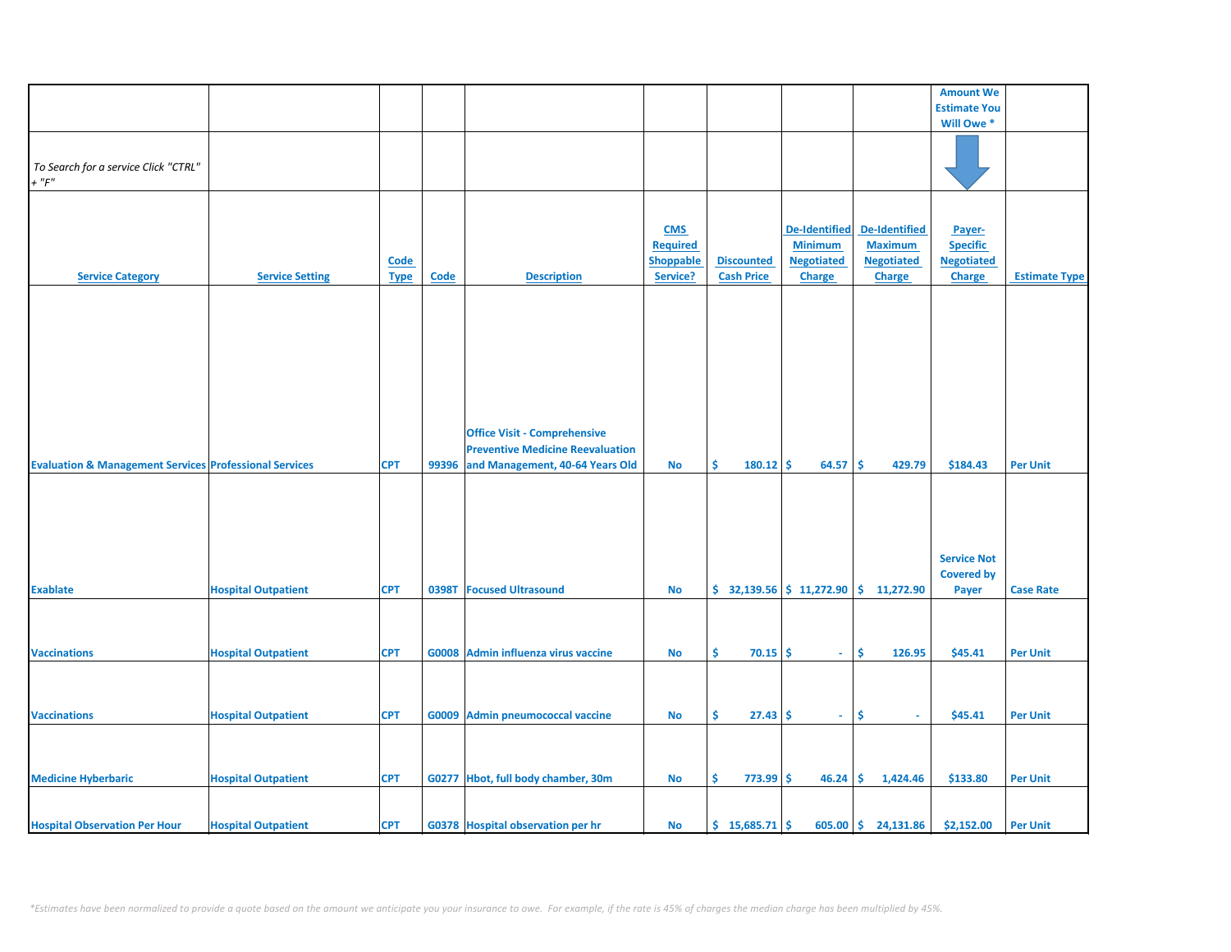|                                                                   |                            |             |             |                                         |                  |                           |                      |                     | <b>Amount We</b>    |                      |
|-------------------------------------------------------------------|----------------------------|-------------|-------------|-----------------------------------------|------------------|---------------------------|----------------------|---------------------|---------------------|----------------------|
|                                                                   |                            |             |             |                                         |                  |                           |                      |                     | <b>Estimate You</b> |                      |
|                                                                   |                            |             |             |                                         |                  |                           |                      |                     | Will Owe *          |                      |
|                                                                   |                            |             |             |                                         |                  |                           |                      |                     |                     |                      |
|                                                                   |                            |             |             |                                         |                  |                           |                      |                     |                     |                      |
|                                                                   |                            |             |             |                                         |                  |                           |                      |                     |                     |                      |
| To Search for a service Click "CTRL"                              |                            |             |             |                                         |                  |                           |                      |                     |                     |                      |
| $+$ " $F$ "                                                       |                            |             |             |                                         |                  |                           |                      |                     |                     |                      |
|                                                                   |                            |             |             |                                         |                  |                           |                      |                     |                     |                      |
|                                                                   |                            |             |             |                                         |                  |                           |                      |                     |                     |                      |
|                                                                   |                            |             |             |                                         |                  |                           |                      |                     |                     |                      |
|                                                                   |                            |             |             |                                         | <b>CMS</b>       |                           | <b>De-Identified</b> | De-Identified       | Payer-              |                      |
|                                                                   |                            |             |             |                                         | <b>Required</b>  |                           | <b>Minimum</b>       | <b>Maximum</b>      | <b>Specific</b>     |                      |
|                                                                   |                            | Code        |             |                                         | <b>Shoppable</b> | <b>Discounted</b>         | <b>Negotiated</b>    | <b>Negotiated</b>   | <b>Negotiated</b>   |                      |
|                                                                   |                            |             |             |                                         |                  |                           |                      |                     |                     |                      |
| <b>Service Category</b>                                           | <b>Service Setting</b>     | <b>Type</b> | <b>Code</b> | <b>Description</b>                      | Service?         | <b>Cash Price</b>         | <b>Charge</b>        | <b>Charge</b>       | <b>Charge</b>       | <b>Estimate Type</b> |
|                                                                   |                            |             |             |                                         |                  |                           |                      |                     |                     |                      |
|                                                                   |                            |             |             |                                         |                  |                           |                      |                     |                     |                      |
|                                                                   |                            |             |             |                                         |                  |                           |                      |                     |                     |                      |
|                                                                   |                            |             |             |                                         |                  |                           |                      |                     |                     |                      |
|                                                                   |                            |             |             |                                         |                  |                           |                      |                     |                     |                      |
|                                                                   |                            |             |             |                                         |                  |                           |                      |                     |                     |                      |
|                                                                   |                            |             |             |                                         |                  |                           |                      |                     |                     |                      |
|                                                                   |                            |             |             |                                         |                  |                           |                      |                     |                     |                      |
|                                                                   |                            |             |             |                                         |                  |                           |                      |                     |                     |                      |
|                                                                   |                            |             |             |                                         |                  |                           |                      |                     |                     |                      |
|                                                                   |                            |             |             |                                         |                  |                           |                      |                     |                     |                      |
|                                                                   |                            |             |             |                                         |                  |                           |                      |                     |                     |                      |
|                                                                   |                            |             |             | <b>Office Visit - Comprehensive</b>     |                  |                           |                      |                     |                     |                      |
|                                                                   |                            |             |             | <b>Preventive Medicine Reevaluation</b> |                  |                           |                      |                     |                     |                      |
| <b>Evaluation &amp; Management Services Professional Services</b> |                            | <b>CPT</b>  | 99396       | and Management, 40-64 Years Old         | <b>No</b>        | \$<br>180.12              | \$.<br>64.57         | \$.<br>429.79       | \$184.43            | <b>Per Unit</b>      |
|                                                                   |                            |             |             |                                         |                  |                           |                      |                     |                     |                      |
|                                                                   |                            |             |             |                                         |                  |                           |                      |                     |                     |                      |
|                                                                   |                            |             |             |                                         |                  |                           |                      |                     |                     |                      |
|                                                                   |                            |             |             |                                         |                  |                           |                      |                     |                     |                      |
|                                                                   |                            |             |             |                                         |                  |                           |                      |                     |                     |                      |
|                                                                   |                            |             |             |                                         |                  |                           |                      |                     |                     |                      |
|                                                                   |                            |             |             |                                         |                  |                           |                      |                     |                     |                      |
|                                                                   |                            |             |             |                                         |                  |                           |                      |                     | <b>Service Not</b>  |                      |
|                                                                   |                            |             |             |                                         |                  |                           |                      |                     | <b>Covered by</b>   |                      |
|                                                                   |                            |             |             |                                         |                  |                           |                      |                     |                     |                      |
| <b>Exablate</b>                                                   | <b>Hospital Outpatient</b> | <b>CPT</b>  | 0398T       | <b>Focused Ultrasound</b>               | No               | $$32,139.56$ $$11,272.90$ |                      | \$11,272.90         | Payer               | <b>Case Rate</b>     |
|                                                                   |                            |             |             |                                         |                  |                           |                      |                     |                     |                      |
|                                                                   |                            |             |             |                                         |                  |                           |                      |                     |                     |                      |
|                                                                   |                            |             |             |                                         |                  |                           |                      |                     |                     |                      |
|                                                                   |                            |             |             |                                         |                  |                           |                      |                     |                     |                      |
| <b>Vaccinations</b>                                               | <b>Hospital Outpatient</b> | <b>CPT</b>  |             | G0008 Admin influenza virus vaccine     | No               | Ŝ.<br>70.15               | Ŝ.<br>$\sim$         | Ŝ.<br>126.95        | \$45.41             | <b>Per Unit</b>      |
|                                                                   |                            |             |             |                                         |                  |                           |                      |                     |                     |                      |
|                                                                   |                            |             |             |                                         |                  |                           |                      |                     |                     |                      |
|                                                                   |                            |             |             |                                         |                  |                           |                      |                     |                     |                      |
|                                                                   |                            |             |             |                                         |                  |                           |                      |                     |                     |                      |
| <b>Vaccinations</b>                                               | <b>Hospital Outpatient</b> | <b>CPT</b>  |             | G0009 Admin pneumococcal vaccine        | No               | \$<br>$27.43$ \$          | $\sim$               | \$<br>$\sim$        | \$45.41             | <b>Per Unit</b>      |
|                                                                   |                            |             |             |                                         |                  |                           |                      |                     |                     |                      |
|                                                                   |                            |             |             |                                         |                  |                           |                      |                     |                     |                      |
|                                                                   |                            |             |             |                                         |                  |                           |                      |                     |                     |                      |
|                                                                   |                            |             |             |                                         |                  |                           |                      |                     |                     |                      |
| <b>Medicine Hyberbaric</b>                                        | <b>Hospital Outpatient</b> | <b>CPT</b>  |             | G0277 Hbot, full body chamber, 30m      | No               | \$<br>$773.99$ \$         | 46.24                | \$.<br>1,424.46     | \$133.80            | <b>Per Unit</b>      |
|                                                                   |                            |             |             |                                         |                  |                           |                      |                     |                     |                      |
|                                                                   |                            |             |             |                                         |                  |                           |                      |                     |                     |                      |
|                                                                   |                            |             |             |                                         |                  |                           |                      |                     |                     |                      |
| <b>Hospital Observation Per Hour</b>                              | <b>Hospital Outpatient</b> | <b>CPT</b>  |             | G0378 Hospital observation per hr       | No               | $$15,685.71$ \$           |                      | 605.00 \$ 24,131.86 | \$2,152.00          | <b>Per Unit</b>      |
|                                                                   |                            |             |             |                                         |                  |                           |                      |                     |                     |                      |